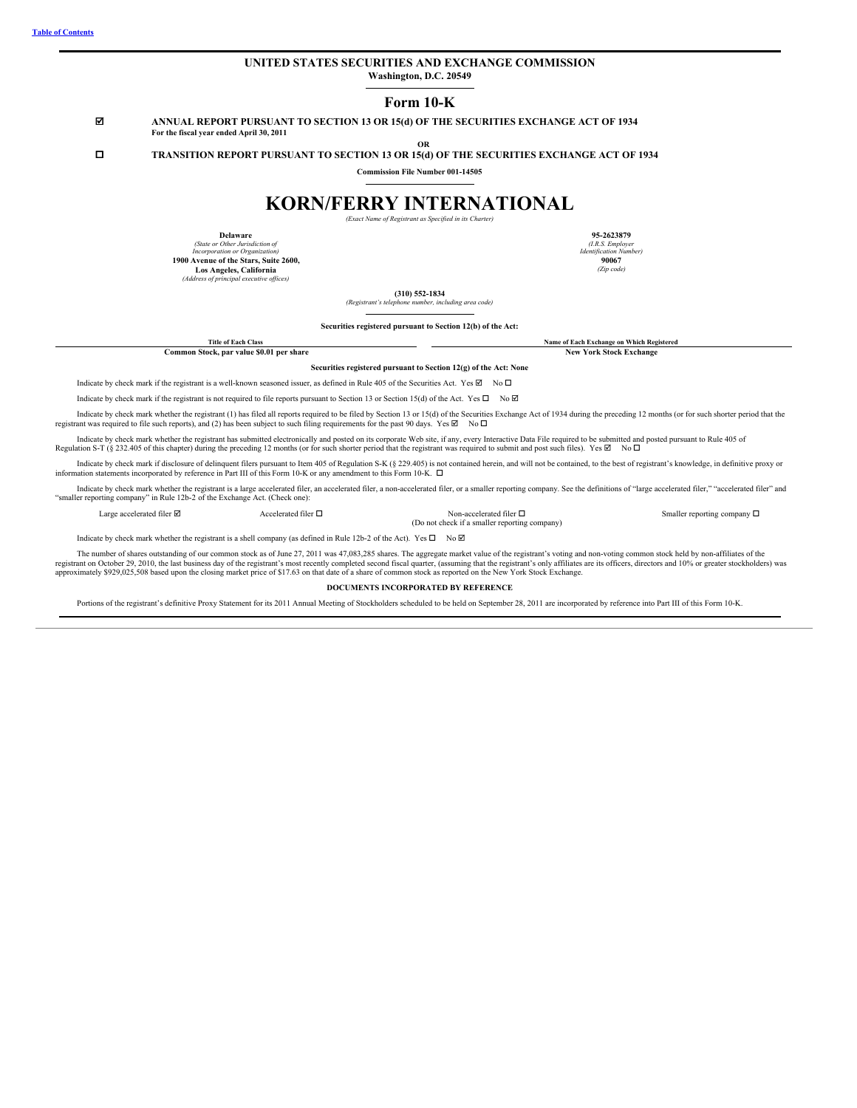# **UNITED STATES SECURITIES AND EXCHANGE COMMISSION Washington, D.C. 20549**

# **Form 10-K**

- <span id="page-0-0"></span>þ **ANNUAL REPORT PURSUANT TO SECTION 13 OR 15(d) OF THE SECURITIES EXCHANGE ACT OF 1934 For the fiscal year ended April 30, 2011**
- **OR**
- o **TRANSITION REPORT PURSUANT TO SECTION 13 OR 15(d) OF THE SECURITIES EXCHANGE ACT OF 1934**

**Commission File Number 001-14505**

# **KORN/FERRY INTERNATIONAL**

*(Exact Name of Registrant as Specified in its Charter)*

**95-2623879**<br>(State or *Other* Jurisdiction of<br> *Incorporation* or *Organization*)<br> *Incorporation or Organization*) **1900 Avenue of the Stars, Suite 2600, Los Angeles, California** *(Address of principal executive of ices)*

*(I.R.S. Employer Identification Number)*

**90067** *(Zip code)*

**(310) 552-1834**

*(Registrant's telephone number, including area code)*

**Securities registered pursuant to Section 12(b) of the Act:**

**Common Stock, par value \$0.01 per share** 

**Title of Each Class Name of Each Exchange on Which Registered**

**Securities registered pursuant to Section 12(g) of the Act: None**

Indicate by check mark if the registrant is a well-known seasoned issuer, as defined in Rule 405 of the Securities Act. Yes  $\boxtimes$  No  $\Box$ 

Indicate by check mark if the registrant is not required to file reports pursuant to Section 13 or Section 15(d) of the Act. Yes  $\Box$  No  $\boxtimes$ 

Indicate by check mark whether the registrant (1) has filed all reports required to be filed by Section 13 or 15(d) of the Securities Exchange Act of 1934 during the preceding 12 months (or for such shorter period that the registrant was required to file such reports), and (2) has been subject to such filing requirements for the past 90 days. Yes  $\boxtimes$  No  $\Box$ 

Indicate by check mark whether the registrant has submitted electronically and posted on its corporate Web site, if any, every Interactive Data File required to be submitted and posted pursuant to Rule 405 of Regulation S-T (§ 232.405 of this chapter) during the preceding 12 months (or for such shorter period that the registrant was required to submit and post such files). Yes  $\boxtimes$  No  $\Box$ 

Indicate by check mark if disclosure of delinquent filers pursuant to Item 405 of Regulation S-K (§ 229.405) is not contained herein, and will not be contained, to the best of registrant's knowledge, in definitive proxy or information statements incorporated by reference in Part III of this Form 10-K or any amendment to this Form 10-K.  $\Box$ 

Indicate by check mark whether the registrant is a large accelerated filer, an accelerated filer, a non-accelerated filer, or a smaller reporting company. See the definitions of "large accelerated filer," "accelerated file "smaller reporting company" in Rule 12b-2 of the Exchange Act. (Check one):

Large accelerated filer  $\Box$  Accelerated filer  $\Box$  Non-accelerated filer  $\Box$ 

(Do not check if a smaller reporting company)

Smaller reporting company  $\Box$ 

Indicate by check mark whether the registrant is a shell company (as defined in Rule 12b-2 of the Act). Yes  $\square$  No  $\square$ 

The number of shares outstanding of our common stock as of June 27, 2011 was 47,083,285 shares. The aggregate market value of the registrant's voting and non-voting common stock held by non-affiliates of the registrant on October 29, 2010, the last business day of the registrant's most recently completed second fiscal quarter, (assuming that the registrant's only affiliates are its officers, directors and 10% or greater stockh

**DOCUMENTS INCORPORATED BY REFERENCE**

Portions of the registrant's definitive Proxy Statement for its 2011 Annual Meeting of Stockholders scheduled to be held on September 28, 2011 are incorporated by reference into Part III of this Form 10-K.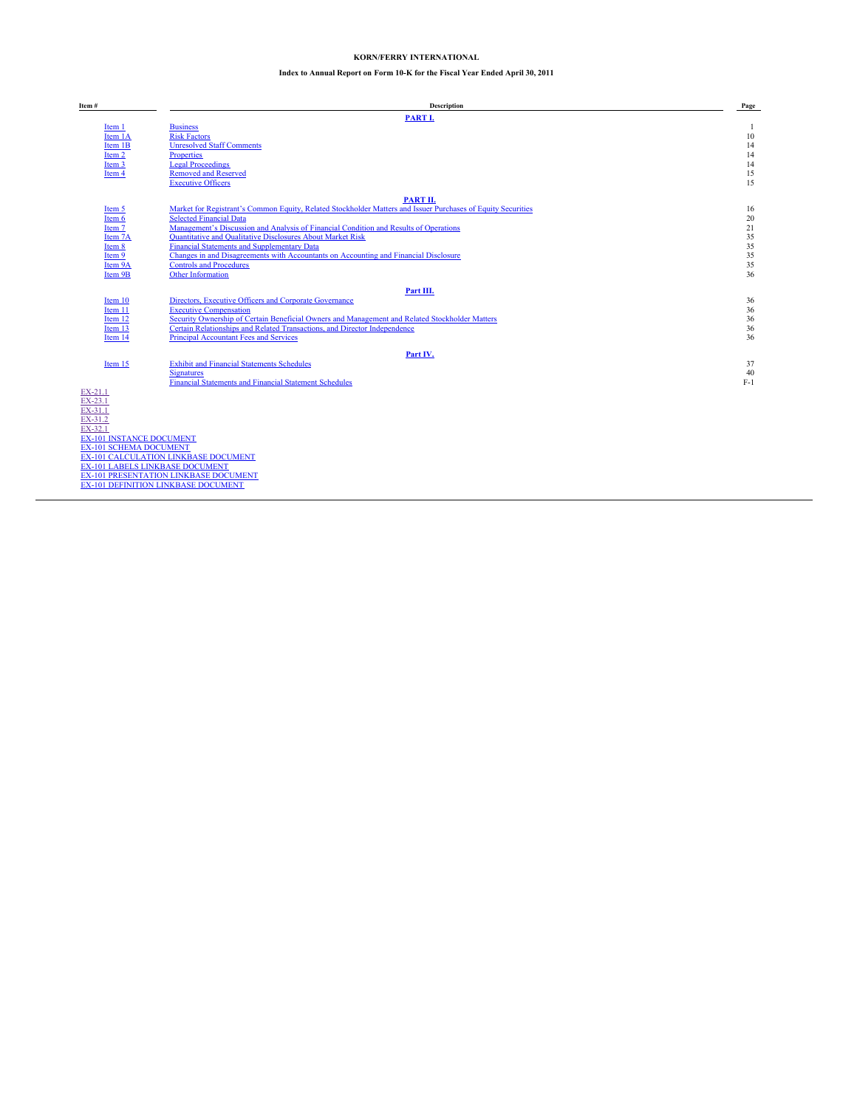# **KORN/FERRY INTERNATIONAL**

# **Index to Annual Report on Form 10-K for the Fiscal Year Ended April 30, 2011**

<span id="page-1-0"></span>

| <b>Description</b><br>Item#            |                                                                                                              | Page        |
|----------------------------------------|--------------------------------------------------------------------------------------------------------------|-------------|
|                                        | PART I.                                                                                                      |             |
| Item 1                                 | <b>Business</b>                                                                                              |             |
| Item 1A                                | <b>Risk Factors</b>                                                                                          | 10          |
| Item 1B                                | <b>Unresolved Staff Comments</b>                                                                             | 14          |
| Item 2                                 | Properties                                                                                                   | 14          |
| Item 3                                 | <b>Legal Proceedings</b>                                                                                     | 14          |
| Item 4                                 | <b>Removed and Reserved</b>                                                                                  | 15          |
|                                        | <b>Executive Officers</b>                                                                                    | 15          |
|                                        | PART II.                                                                                                     |             |
| Item 5                                 | Market for Registrant's Common Equity, Related Stockholder Matters and Issuer Purchases of Equity Securities | 16          |
| Item 6                                 | <b>Selected Financial Data</b>                                                                               | 20          |
| Item 7                                 | Management's Discussion and Analysis of Financial Condition and Results of Operations                        | 21          |
| Item 7A                                | <b>Ouantitative and Oualitative Disclosures About Market Risk</b>                                            | 35          |
| Item 8                                 | <b>Financial Statements and Supplementary Data</b>                                                           | 35          |
| Item 9                                 | Changes in and Disagreements with Accountants on Accounting and Financial Disclosure                         | 35          |
| Item 9A                                | <b>Controls and Procedures</b>                                                                               | 35          |
| Item 9B                                | Other Information                                                                                            | 36          |
|                                        | Part III.                                                                                                    |             |
| Item 10                                | Directors, Executive Officers and Corporate Governance                                                       | 36          |
| Item 11                                | <b>Executive Compensation</b>                                                                                | 36          |
| Item 12                                | Security Ownership of Certain Beneficial Owners and Management and Related Stockholder Matters               | 36          |
| Item 13                                | Certain Relationships and Related Transactions, and Director Independence                                    | 36          |
| Item 14                                | <b>Principal Accountant Fees and Services</b>                                                                | 36          |
|                                        |                                                                                                              |             |
|                                        | Part IV.                                                                                                     |             |
| Item 15                                | <b>Exhibit and Financial Statements Schedules</b>                                                            | 37          |
|                                        | <b>Signatures</b><br><b>Financial Statements and Financial Statement Schedules</b>                           | 40<br>$F-1$ |
| $EX-21.1$                              |                                                                                                              |             |
| EX-23.1                                |                                                                                                              |             |
| EX-31.1                                |                                                                                                              |             |
| EX-31.2                                |                                                                                                              |             |
| EX-32.1                                |                                                                                                              |             |
| <b>EX-101 INSTANCE DOCUMENT</b>        |                                                                                                              |             |
| <b>EX-101 SCHEMA DOCUMENT</b>          |                                                                                                              |             |
|                                        | EX-101 CALCULATION LINKBASE DOCUMENT                                                                         |             |
| <b>EX-101 LABELS LINKBASE DOCUMENT</b> |                                                                                                              |             |
|                                        | <b>EX-101 PRESENTATION LINKBASE DOCUMENT</b>                                                                 |             |
|                                        | <b>EX-101 DEFINITION LINKBASE DOCUMENT</b>                                                                   |             |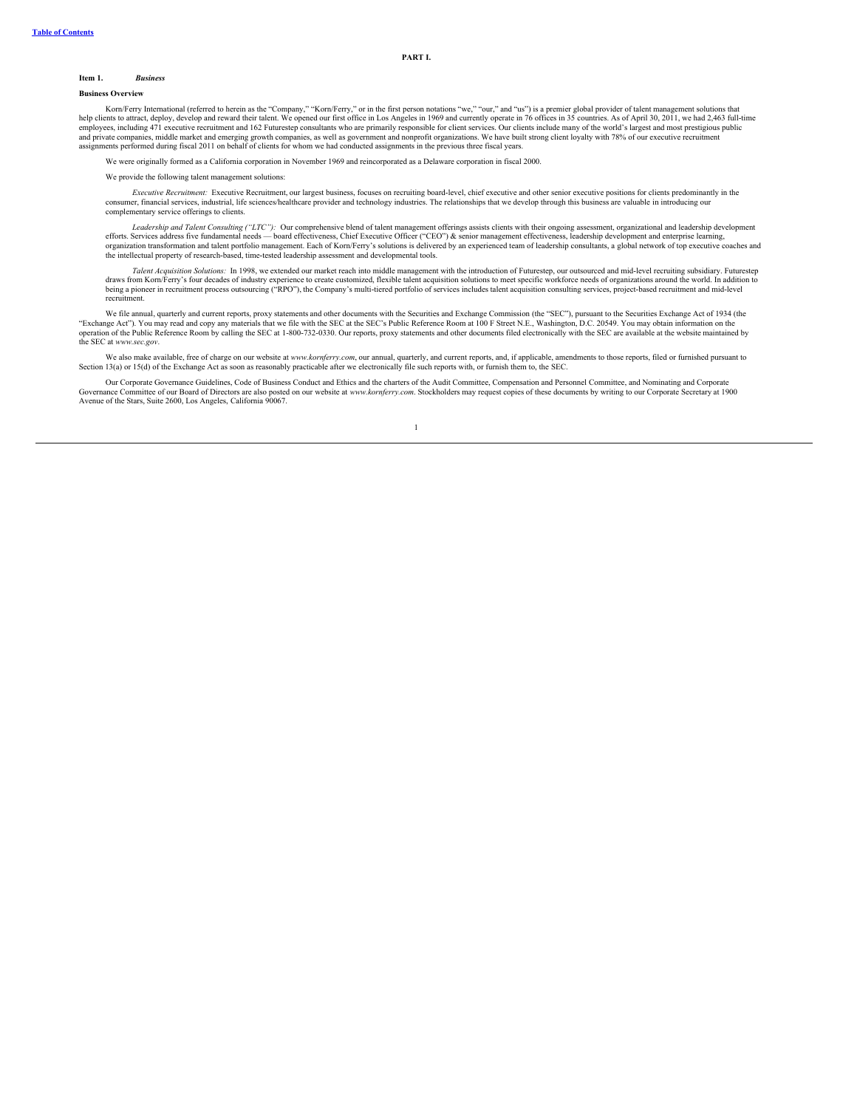**PART I.**

# <span id="page-2-0"></span>**Item 1.** *Business*

#### **Business Overview**

Korn/Ferry International (referred to herein as the "Company," "Korn/Ferry," or in the first person notations "we," "our," and "us") is a premier global provider of talent management solutions that<br>help clients to attract, employees, including 471 executive recruitment and 162 Futurestep consultants who are primarily responsible for client services. Our clients include many of the world's largest and most prestigious public<br>and private compa assignments performed during fiscal 2011 on behalf of clients for whom we had conducted assignments in the previous three fiscal years.

We were originally formed as a California corporation in November 1969 and reincorporated as a Delaware corporation in fiscal 2000.

We provide the following talent management solutions:

*Executive Recruitment:* Executive Recruitment, our largest business, focuses on recruiting board-level, chief executive and other senior executive positions for clients predominantly in the consumer, financial services, industrial, life sciences/healthcare provider and technology industries. The relationships that we develop through this business are valuable in introducing our complementary service offerings to clients.

Leadership and Talent Consulting ("LTC"): Our comprehensive blend of talent management offerings assists clients with their ongoing assessment, organizational and leadership development and endership development and enterp organization transformation and talent portfolio management. Each of Korn/Ferry's solutions is delivered by an experienced team of leadership consultants, a global network of top executive coaches and<br>the intellectual prop

Talent Acquisition Solutions: In 1998, we extended our market reach into middle management with the introduction of Futurestep, our outsourced and mid-level recruiting subsidiary. Futurestep form Kom/Ferry's four decades o recruitment.

We file annual, quarterly and current reports, proxy statements and other documents with the Securities and Exchange Commission (the "SEC"), pursuant to the Securities Exchange Act of 1934 (the "Exchange Act"). You may read and copy any materials that we file with the SEC at the SEC's Public Reference Room at 100 F Street N.E., Washington, D.C. 20549. You may obtain information on the<br>operation of the Public Refe the SEC at *www.sec.gov*.

We also make available, free of charge on our website at www.kornferry.com, our annual, quarterly, and current reports, and, if applicable, amendments to those reports, filed or furnished pursuant to Section 13(a) or 15(d)

Our Corporate Governance Guidelines, Code of Business Conduct and Ethics and the charters of the Audit Committee, Compensation and Personnel Committee, and Nominating and Corporate Governance Committee of our Board of Directors are also posted on our website at *www.kornferry.com*. Stockholders may request copies of these documents by writing to our Corporate Secretary at 1900 Avenue of the Stars, Suite 2600, Los Angeles, California 90067.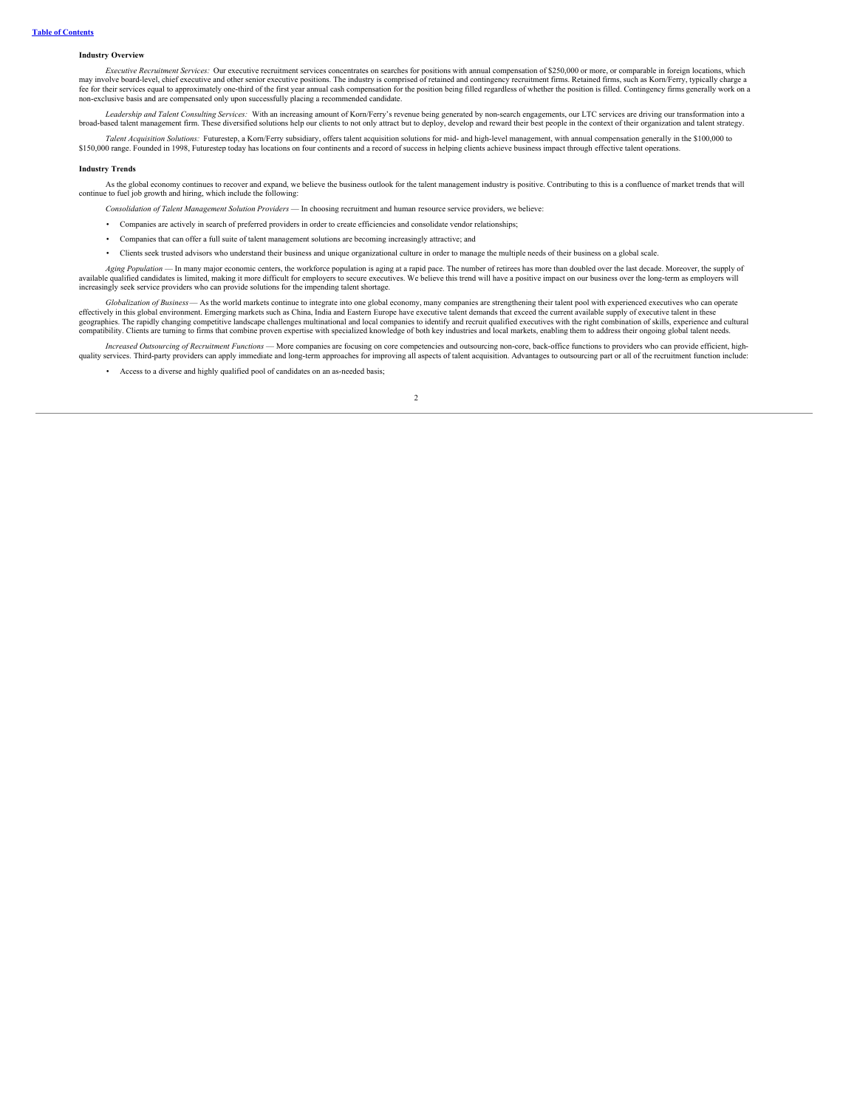#### **Industry Overview**

*Executive Recruitment Services:* Our executive recruitment services concentrates on searches for positions with annual compensation of \$250,000 or more, or comparable in foreign locations, which may involve board-level, chief executive and other senior executive positions. The industry is comprised of retained and contingency recruitment firms. Retained firms, such as Korn/Ferry, typically charge a fee for their services equal to approximately one-third of the first year annual cash compensation for the position being filled regardless of whether the position is filled. Contingency firms generally work on a<br>non-exclu

Leadership and Talent Consulting Services: With an increasing amount of Korn/Ferry's revenue being generated by non-search engagements, our LTC services are driving our transformation into a broad-based talent management firm. These diversified solutions help our clients to not only attract but to deploy, develop and reward their best people in the context of their organization and talent strategy.

Talent Acquisition Solutions: Futurestep, a Korn/Ferry subsidiary, offers talent acquisition solutions for mid- and high-level management, with annual compensation generally in the \$100,000 to 150,000 range. Founded in 199

#### **Industry Trends**

As the global economy continues to recover and expand, we believe the business outlook for the talent management industry is positive. Contributing to this is a confluence of market trends that will continue to fuel job growth and hiring, which include the following:

- *Consolidation of Talent Management Solution Providers* In choosing recruitment and human resource service providers, we believe:
- Companies are actively in search of preferred providers in order to create efficiencies and consolidate vendor relationships;
- Companies that can offer a full suite of talent management solutions are becoming increasingly attractive; and
- Clients seek trusted advisors who understand their business and unique organizational culture in order to manage the multiple needs of their business on a global scale.

Aging Population — In many major economic centers, the workforce population is aging at a rapid pace. The number of retirees has more than doubled over the last decade. Moreover, the supply of available qualified candidates is limited, making it more difficult for employers to secure executives. We believe this trend will have a positive impact on our business over the long-term as employers will<br>increasingly se

*Globalization of Business*— As the world markets continue to integrate into one global economy, many companies are strengthening their talent pool with experienced executives who can operate effectively in this global environment. Emerging markets such as China, India and Eastern Europe have executive talent demands that exceed the current available supply of executive talent in these<br>geographies. The rapidly compatibility. Clients are turning to firms that combine proven expertise with specialized knowledge of both key industries and local markets, enabling them to address their ongoing global talent needs.

Increased Outsourcing of Recruitment Functions - More companies are focusing on core competencies and outsourcing non-core, back-office functions to providers who can provide efficient, highquality services. Third-party providers can apply immediate and long-term approaches for improving all aspects of talent acquisition. Advantages to outsourcing part or all of the recruitment function include:

• Access to a diverse and highly qualified pool of candidates on an as-needed basis;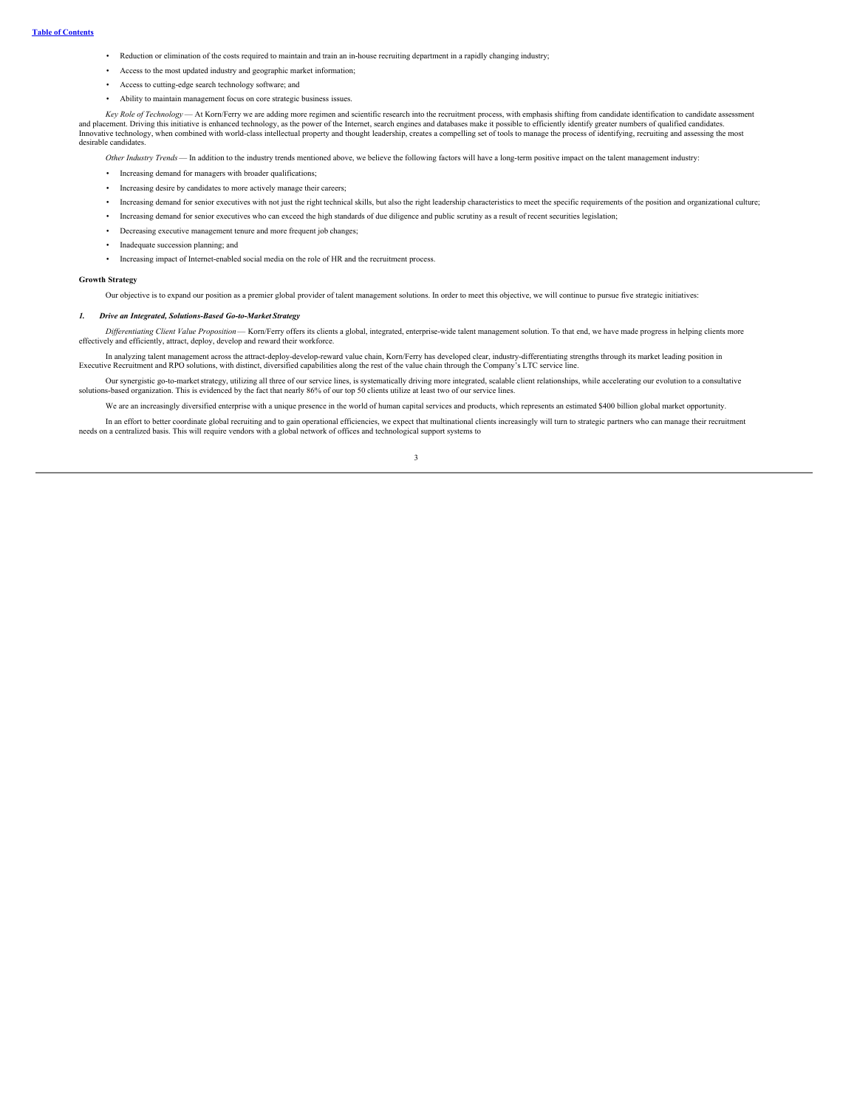- Reduction or elimination of the costs required to maintain and train an in-house recruiting department in a rapidly changing industry;
- Access to the most updated industry and geographic market information;
- Access to cutting-edge search technology software; and
- Ability to maintain management focus on core strategic business issues.

Key Role of Technology — At Korn/Ferry we are adding more regimen and scientific research into the recruitment process, with emphasis shifting from candidate identification to candidate assessment and placement. Driving this initiative is enhanced technology, as the power of the Internet, search engines and databases make it possible to efficiently identify greater numbers of qualified candidates.<br>Innovative technol desirable candidates

- *Other Industry Trends* In addition to the industry trends mentioned above, we believe the following factors will have a long-term positive impact on the talent management industry:
- Increasing demand for managers with broader qualifications;
- Increasing desire by candidates to more actively manage their careers;
- Increasing demand for senior executives with not just the right technical skills, but also the right leadership characteristics to meet the specific requirements of the position and organizational culture;
- Increasing demand for senior executives who can exceed the high standards of due diligence and public scrutiny as a result of recent securities legislation;
- Decreasing executive management tenure and more frequent job changes;
- Inadequate succession planning; and
- Increasing impact of Internet-enabled social media on the role of HR and the recruitment process.

### **Growth Strategy**

Our objective is to expand our position as a premier global provider of talent management solutions. In order to meet this objective, we will continue to pursue five strategic initiatives:

### *1. Drive an Integrated, Solutions-Based Go-to-Market Strategy*

Differentiating Client Value Proposition— Korn/Ferry offers its clients a global, integrated, enterprise-wide talent management solution. To that end, we have made progress in helping clients more effectively and effective

In analyzing talent management across the attract-deploy-develop-reward value chain, Korn/Ferry has developed clear, industry-differentiating strengths through its market leading position in<br>Executive Recruitment and RPO s

Our synergistic go-to-market strategy, utilizing all three of our service lines, is systematically driving more integrated, scalable client relationships, while accelerating our evolution to a consultative solutions-based organization. This is evidenced by the fact that nearly 86% of our top 50 clients utilize at least two of our service lines.

We are an increasingly diversified enterprise with a unique presence in the world of human capital services and products, which represents an estimated \$400 billion global market opportunity.

In an effort to better coordinate global recruiting and to gain operational efficiencies, we expect that multinational clients increasingly will turn to strategic partners who can manage their recruitment<br>needs on a centra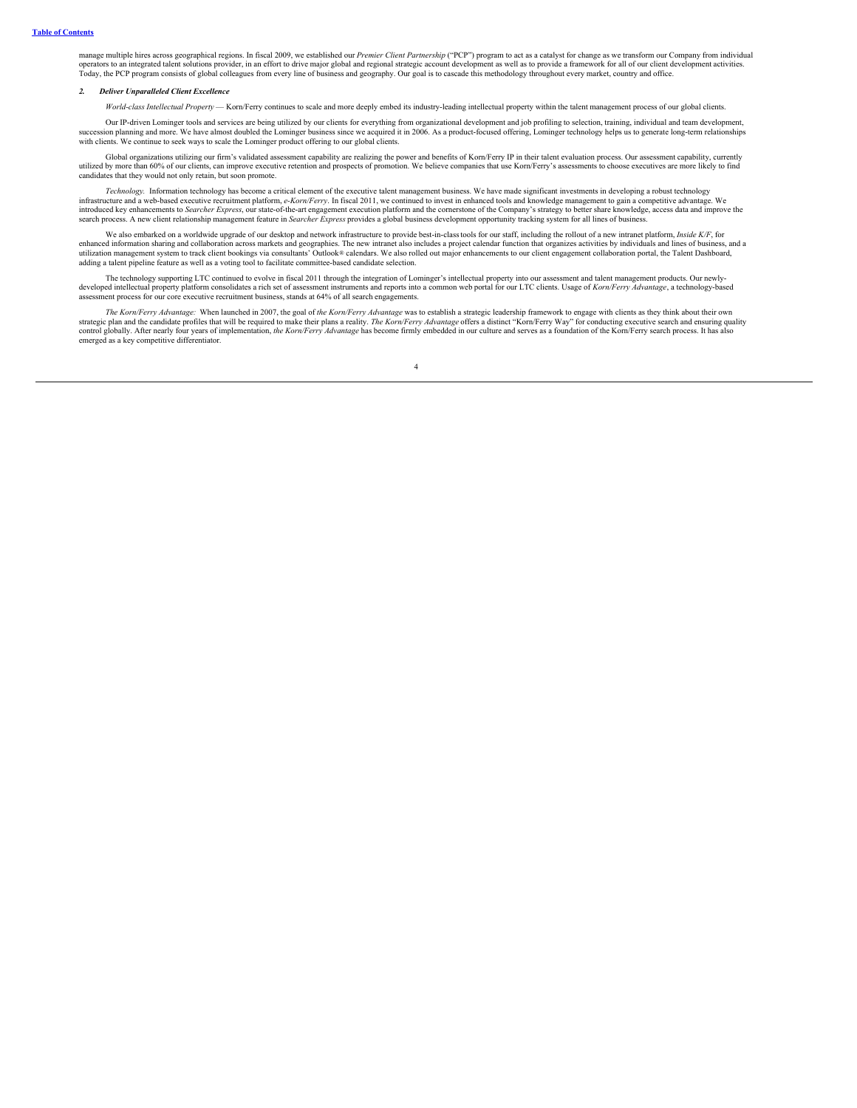manage multiple hires across geographical regions. In fiscal 2009, we established our Premier Client Partnership ("PCP") program to act as a catalyst for change as we transform our Company from individual operators to an integrated talent solutions provider, in an effort to drive major global and regional strategic account development as well as to provide a framework for all of our client development activities.<br>Today, the

# *2. Deliver Unparalleled Client Excellence*

*World-class Intellectual Property* — Korn/Ferry continues to scale and more deeply embed its industry-leading intellectual property within the talent management process of our global clients.

Our IP-driven Lominger tools and services are being utilized by our clients for everything from organizational development and job profiling to selection, training, individual and team development,<br>succession planning and with clients. We continue to seek ways to scale the Lominger product offering to our global clients.

Global organizations utilizing our firm's validated assessment capability are realizing the power and benefits of Korn/Ferry IP in their talent evaluation process. Our assessment capability, currently utilized by more than 60% of our clients, can improve executive retention and prospects of promotion. We believe companies that use Korn/Ferry's assessments to choose executives are more likely to find candidates that they would not only retain, but soon promote.

*Technology.* Information technology has become a critical element of the executive talent management business. We have made significant investments in developing a robust technology infrastructure and a web-based executive recruitment platform, *e-Korn/Ferry*. In fiscal 2011, we continued to invest in enhanced tools and knowledge management to gain a competitive advantage. We<br>introduced key enhancemen

We also embarked on a worldwide upgrade of our desktop and network infrastructure to provide best-in-class tools for our staff, including the rollout of a new intranet platform, *Inside K/F*, for<br>enhanced information shari utilization management system to track client bookings via consultants' Outlook® calendars. We also rolled out major enhancements to our client engagement collaboration portal, the Talent Dashboard,<br>adding a talent pipeli

The technology supporting LTC continued to evolve in fiscal 2011 through the integration of Lominger's intellectual property into our assessment and talent management products. Our newlydeveloped intellectual property platform consolidates a rich set of assessment instruments and reports into a common web portal for our LTC clients. Usage of Korn/Ferry Advantage, a technology-based<br>assessment process for

The Korn/Ferry Advantage: When launched in 2007, the goal of the Korn/Ferry Advantage was to establish a strategic leadership framework to engage with clients as they think about their own strategic plan and the candidate profiles that will be required to make their plans a resolv, as we were the Korn/Ferry Mayardae offers a distinct "Korn/Ferry Way" for conducting executive search and ensuring quality strat control globally. After nearly four years of implementation, *the Korn/Ferry Advantage* has become firmly embedded in our culture and serves as a foundation of the Korn/Ferry search process. It has also emerged as a key competitive differentiator.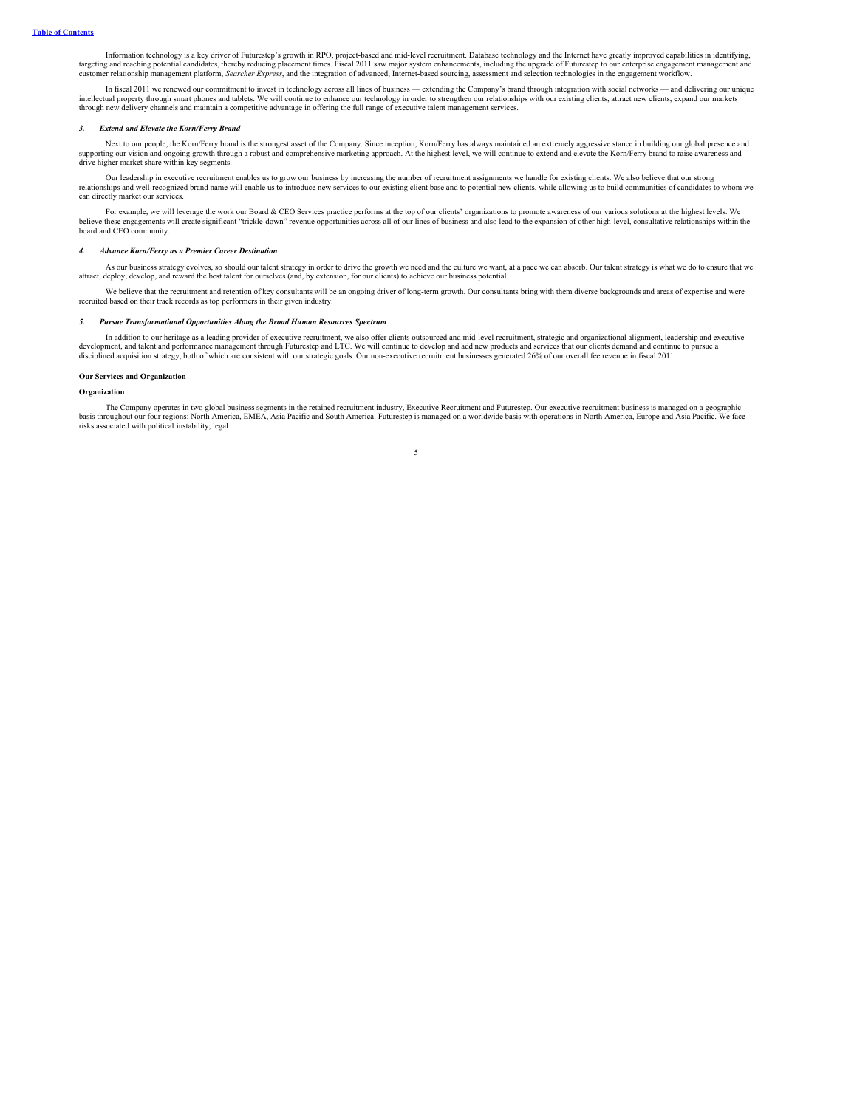Information technology is a key driver of Futurestep's growth in RPO, project-based and mid-level recruitment. Database technology and the Internet have greatly improved capabilities in identifying, targeting and reaching potential candidates, thereby reducing placement times. Fiscal 2011 saw major system enhancements, including the upgrade of Futurestep to our enterprise engagement management and<br>customer relationshi

In fiscal 2011 we renewed our commitment to invest in technology across all lines of business — extending the Company's brand through integration with social networks — and delivering our unique intellectual property through smart phones and tablets. We will continue to enhance our technology in order to strengthen our relationships with our existing clients, attract new clients, expand our markets<br>through new del

### *3. Extend and Elevate the Korn/Ferry Brand*

Next to our people, the Korn/Ferry brand is the strongest asset of the Company. Since inception, Korn/Ferry has always maintained an extremely aggressive stance in building our global presence and supporting our vision and ongoing growth through a robust and comprehensive marketing approach. At the highest level, we will continue to extend and elevate the Korn/Ferry brand to raise awareness and<br>drive higher market s

Our leadership in executive recruitment enables us to grow our business by increasing the number of recruitment assignments we handle for existing clients. We also believe that our strong relationships and well-recognized brand name will enable us to introduce new services to our existing client base and to potential new clients, while allowing us to build communities of candidates to whom we can directly market our services.

For example, we will leverage the work our Board & CEO Services practice performs at the top of our clients' organizations to promote awareness of our various solutions at the highest levels. We  $\mu$  believe these engagements will create significant "trickle-down" revenue opportunities across all of our lines of business and also lead to the expansion of other high-level, consultative relationships within the bel board and CEO community.

# *4. Advance Korn/Ferry as a Premier Career Destination*

As our business strategy evolves, so should our talent strategy in order to drive the growth we need and the culture we want, at a pace we can absorb. Our talent strategy is what we do to ensure that we attract, deploy, develop, and reward the best talent for ourselves (and, by extension, for our clients) to achieve our business potential.

We believe that the recruitment and retention of key consultants will be an ongoing driver of long-term growth. Our consultants bring with them diverse backgrounds and areas of expertise and were recruited based on their track records as top performers in their given industry.

# *5. Pursue Transformational Opportunities Along the Broad Human Resources Spectrum*

In addition to our heritage as a leading provider of executive recruitment, we also offer clients outsourced and mid-level recruitment, strategic and organizational alignment, leadership and executive development, and talent and performance management through Futurestep and LTC. We will continue to develop and add new products and services that our clients demand and continue to pursue a<br>disciplined acquisition strategy

### **Our Services and Organization**

# **Organization**

The Company operates in two global business segments in the retained recruitment industry, Executive Recruitment and Futurestep. Our executive recruitment business is managed on a geographic basis throughout our four regions: North America, EMEA, Asia Pacific and South America. Futurestep is managed on a worldwide basis with operations in North America, Europe and Asia Pacific. We face risks associated with political instability, legal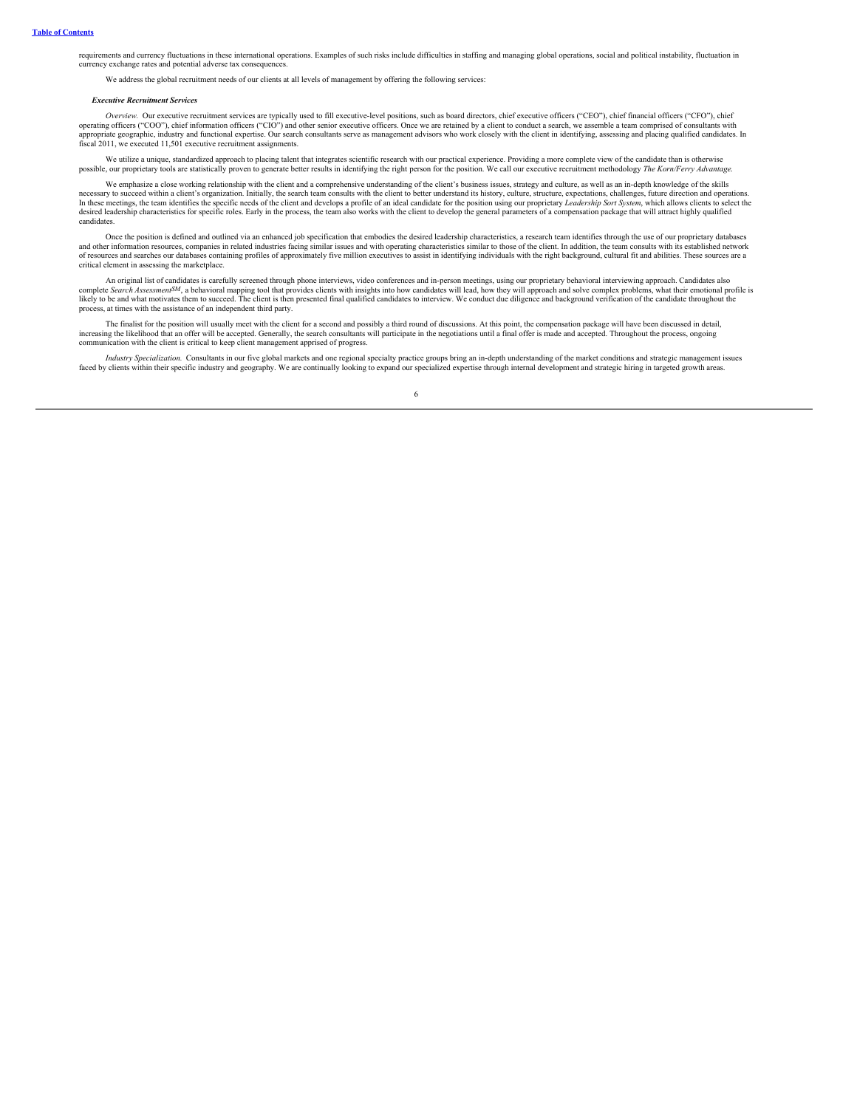requirements and currency fluctuations in these international operations. Examples of such risks include difficulties in staffing and managing global operations, social and political instability, fluctuation in currency exchange rates and potential adverse tax consequences.

We address the global recruitment needs of our clients at all levels of management by offering the following services:

### *Executive Recruitment Services*

*Overview.* Our executive recruitment services are typically used to fill executive-level positions, such as board directors, chief executive officers ("CEO"), chief financial officers ("CFO"), chief operating officers ("COO"), chief information officers ("CIO") and other senior executive officers. Once we are retained by a client to conduct a search, we assemble a team comprised of consulta appropriate geographic, industry and functional expertise. Our search consultants serve as management advisors who work closely with the client in identifying, assessing and placing qualified candidates. In fiscal 2011, we executed 11,501 executive recruitment assignments.

We utilize a unique, standardized approach to placing talent that integrates scientific research with our practical experience. Providing a more complete view of the candidate than is otherwise possible, our proprietary to

We emphasize a close working relationship with the client and a comprehensive understanding of the client's business issues, strategy and culture, as well as an in-depth knowledge of the skills necessary to succeed within a client's organization. Initially, the search team consults with the client to better understand its history, culture, expectations, challenges, future direction and operations. In these meetings, the team identifies the specific needs of the client and develops a profile of an ideal candidate for the position using our proprietary Leadership Sort System, which allows clients to select the desired leadership characteristics for specific roles. Early in the process, the team also works with the client to develop the general parameters of a compensation package that will attract highly qualified candidates.

Once the position is defined and outlined via an enhanced job specification that embodies the desired leadership characteristics, a research team identifies through the use of our proprietary databases and other information resources, companies in related industries facing similar issues and with operating characteristics similar to those of the client. In addition, the team consults with its established network<br>of resou critical element in assessing the marketplace.

An original list of candidates is carefully screened through phone interviews, video conferences and in-person meetings, using our proprietary behavioral interviewing approach. Candidates also complete Search Assessment<sup>SM</sup>, a behavioral mapping tool that provides clients with insights into how candidates will lead, how they will approach and solve complex problems, what their emotional profile is likely to be a process, at times with the assistance of an independent third party.

The finalist for the position will usually meet with the client for a second and possibly a third round of discussions. At this point, the compensation package will have been discussed in detail, the search for search cons communication with the client is critical to keep client management apprised of progress.

*Industry Specialization.* Consultants in our five global markets and one regional specialty practice groups bring an in-depth understanding of the market conditions and strategic management issues faced by clients within their specific industry and geography. We are continually looking to expand our specialized expertise through internal development and strategic hiring in targeted growth areas.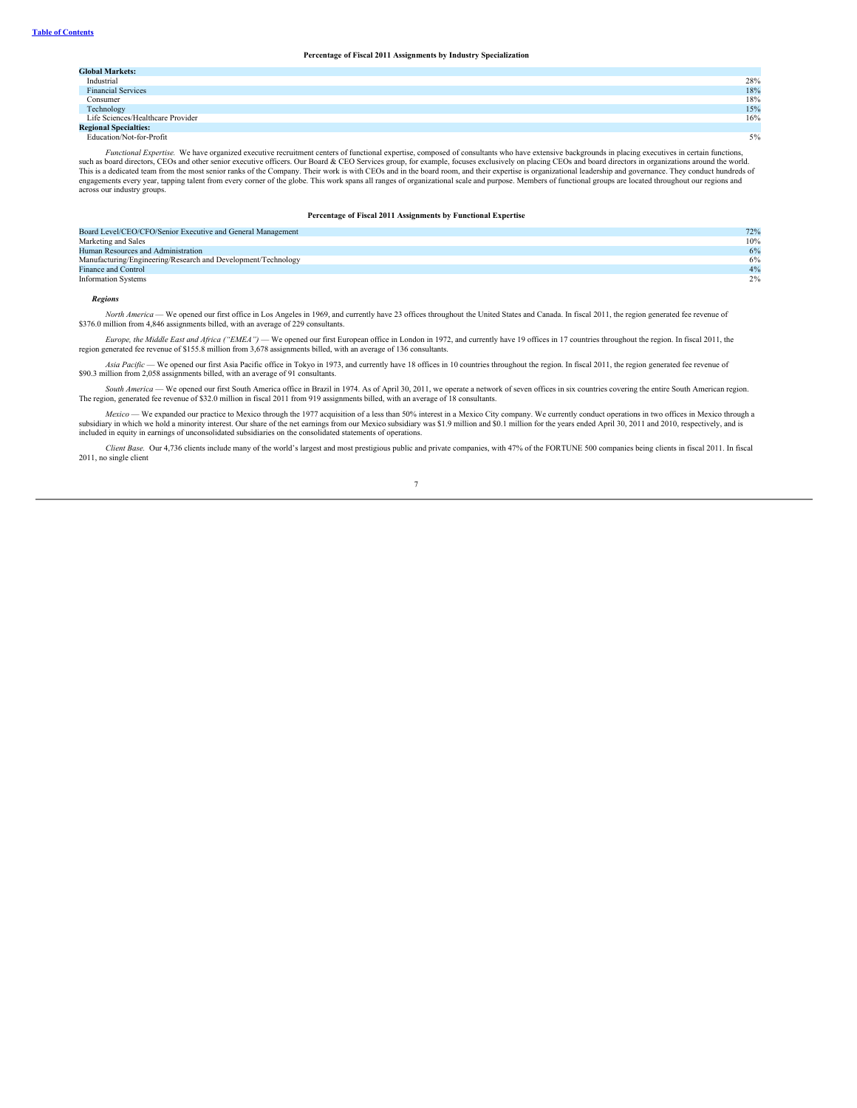# **Percentage of Fiscal 2011 Assignments by Industry Specialization**

| <b>Global Markets:</b>            |     |
|-----------------------------------|-----|
| Industrial                        | 28% |
| <b>Financial Services</b>         | 18% |
| Consumer                          | 18% |
| Technology                        | 15% |
| Life Sciences/Healthcare Provider | 16% |
| <b>Regional Specialties:</b>      |     |
| Education/Not-for-Profit          | 5%  |

*Functional Expertise.* We have organized executive recruitment centers of functional expertise, composed of consultants who have extensive backgrounds in placing executives in certain functions, such as board directors, CEOs and other senior executive officers. Our Board & CEO Services group, for example, focuses exclusively on placing CEOs and board directors in organizations around the world.<br>This is a dedicated across our industry groups.

### **Percentage of Fiscal 2011 Assignments by Functional Expertise**

| Board Level/CEO/CFO/Senior Executive and General Management   | 72% |
|---------------------------------------------------------------|-----|
| Marketing and Sales                                           | 10% |
| Human Resources and Administration                            | 6%  |
| Manufacturing/Engineering/Research and Development/Technology | 6%  |
| Finance and Control                                           | 4%  |
| <b>Information Systems</b>                                    | 2%  |

# *Regions*

North America — We opened our first office in Los Angeles in 1969, and currently have 23 offices throughout the United States and Canada. In fiscal 2011, the region generated fee revenue of \$376.0 million from 4,846 assign

Europe, the Middle East and Africa ("EMEA") - We opened our first European office in London in 1972, and currently have 19 offices in 17 countries throughout the region. In fiscal 2011, the region generated fee revenue of \$155.8 million from 3,678 assignments billed, with an average of 136 consultants.

*Asia Pacific* — We opened our first Asia Pacific office in Tokyo in 1973, and currently have 18 offices in 10 countries throughout the region. In fiscal 2011, the region generated fee revenue of \$90.3 million from 2,058 assignments billed, with an average of 91 consultants.

South America — We opened our first South America office in Brazil in 1974. As of April 30, 2011, we operate a network of seven offices in six countries covering the entire South American region.<br>The region, generated fee

*Mexico* — We expanded our practice to Mexico through the 1977 acquisition of a less than 50% interest in a Mexico City company. We currently conduct operations in two offices in Mexico through a subsidiary in which we hold a minority interest. Our share of the net earnings from our Mexico subsidiary was \$1.9 million and \$0.1 million for the years ended April 30, 2011 and 2010, respectively, and is<br>included in equi

*Client Base.* Our 4,736 clients include many of the world's largest and most prestigious public and private companies, with 47% of the FORTUNE 500 companies being clients in fiscal 2011. In fiscal 2011, no single client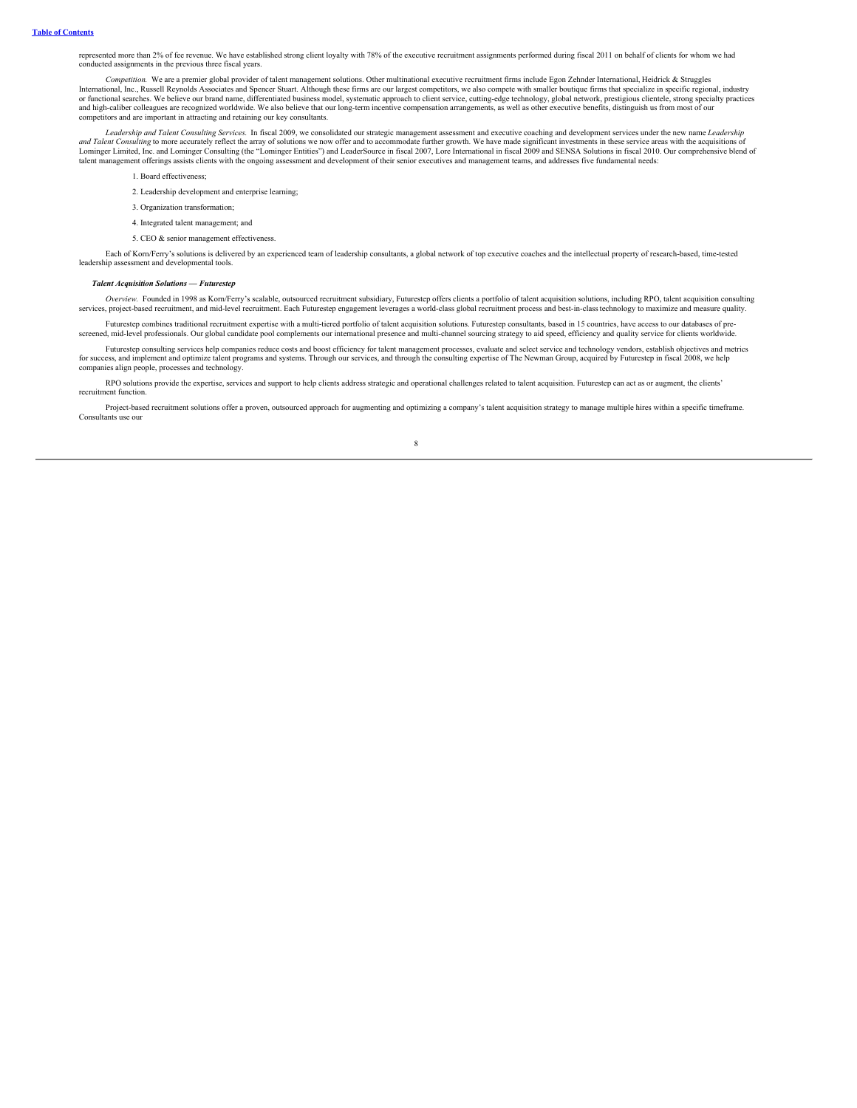represented more than 2% of fee revenue. We have established strong client loyalty with 78% of the executive recruitment assignments performed during fiscal 2011 on behalf of clients for whom we had conducted assignments in the previous three fiscal years.

Competition. We are a premier global provider of talent management solutions. Other multinational executive recruitment firms include Egon Zehnder International, Heidrick & Struggles International, Inc., Russell Reynolds A competitors and are important in attracting and retaining our key consultants.

Leadership and Talent Consulting Services. In fiscal 2009, we consolidated our strategic management assessment and executive coaching and development services under the new name Leadership and Talent Consulting to more accurately reflect the array of solutions we now offer and to accommodate further growth. We have made significant investments in these service areas with the acquisitions of<br>Lominger Limited, talent management offerings assists clients with the ongoing assessment and development of their senior executives and management teams, and addresses five fundamental needs:

- 1. Board effectiveness;
- 2. Leadership development and enterprise learning;
- 3. Organization transformation;
- 4. Integrated talent management; and
- 5. CEO & senior management effectiveness.

Each of Korn/Ferry's solutions is delivered by an experienced team of leadership consultants, a global network of top executive coaches and the intellectual property of research-based, time-tested leadership assessment and

# *Talent Acquisition Solutions — Futurestep*

*Overview.* Founded in 1998 as Korn/Ferry's scalable, outsourced recruitment subsidiary, Futurestep offers clients a portfolio of talent acquisition solutions, including RPO, talent acquisition consulting services, project-based recruitment, and mid-level recruitment. Each Futurestep engagement leverages a world-class global recruitment process and best-in-classtechnology to maximize and measure quality.

Futurestep combines traditional recruitment expertise with a multi-tiered portfolio of talent acquisition solutions. Futurestep consultants, based in 15 countries, have access to our databases of prescreened, mid-level professionals. Our global candidate pool complements our international presence and multi-channel sourcing strategy to aid speed, efficiency and quality service for clients worldwide.

Futurestep consulting services help companies reduce costs and boost efficiency for talent management processes, evaluate and select service and technology vendors, establish objectives and metrics for success, and implement and optimize talent programs and systems. Through our services, and through the consulting expertise of The Newman Group, acquired by Futurestep in fiscal 2008, we help companies align people, processes and technology.

RPO solutions provide the expertise, services and support to help clients address strategic and operational challenges related to talent acquisition. Futurestep can act as or augment, the clients' recruitment function.

Project-based recruitment solutions offer a proven, outsourced approach for augmenting and optimizing a company's talent acquisition strategy to manage multiple hires within a specific timeframe. Consultants use our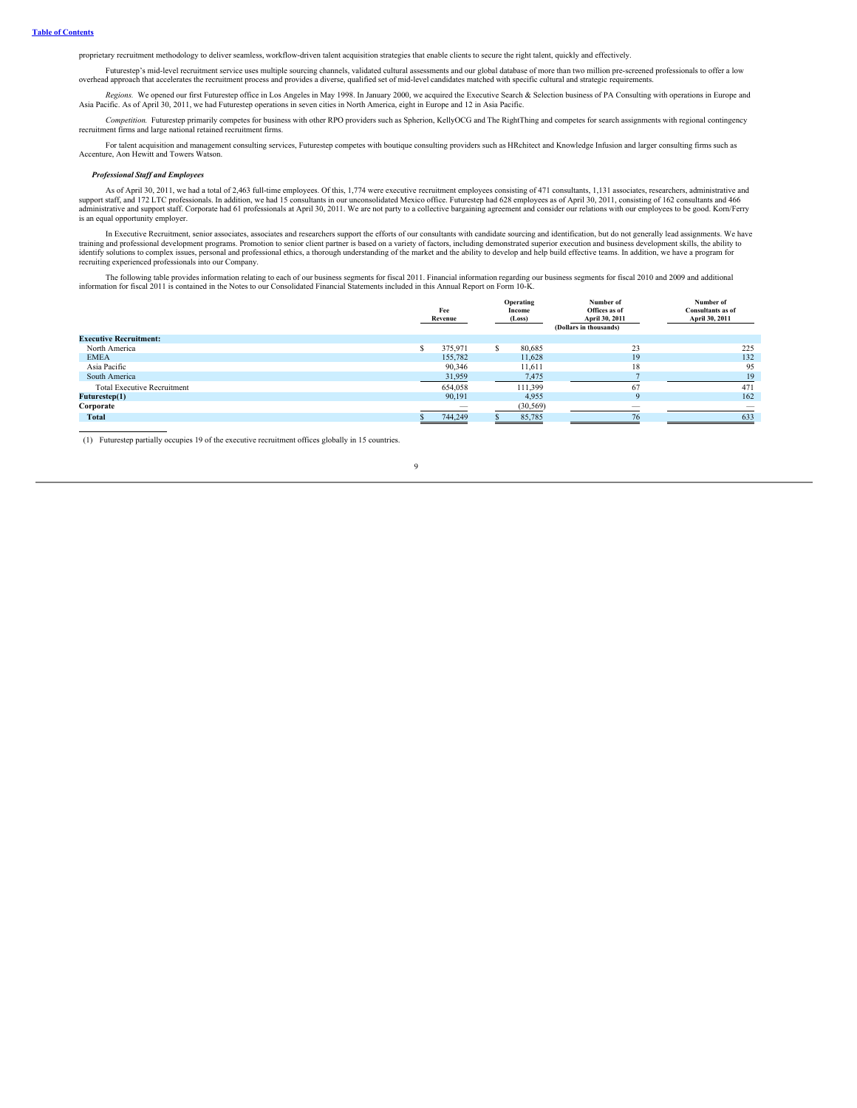proprietary recruitment methodology to deliver seamless, workflow-driven talent acquisition strategies that enable clients to secure the right talent, quickly and effectively.

Futurestep's mid-level recruitment service uses multiple sourcing channels, validated cultural assessments and our global database of more than two million pre-screened professionals to offer a low overhead approach that accelerates the recruitment process and provides a diverse, qualified set of mid-level candidates matched with specific cultural and strategic requirements.

Regions. We opened our first Futurestep office in Los Angeles in May 1998. In January 2000, we acquired the Executive Search & Selection business of PA Consulting with operations in Europe and Asia Pacific. As of April 30,

*Competition.* Futurestep primarily competes for business with other RPO providers such as Spherion, KellyOCG and The RightThing and competes for search assignments with regional contingency recruitment firms and large national retained recruitment firms.

For talent acquisition and management consulting services, Futurestep competes with boutique consulting providers such as HRchitect and Knowledge Infusion and larger consulting firms such as Accenture, Aon Hewitt and Towers Watson.

# *Professional Staf and Employees*

As of April 30, 2011, we had a total of 2,463 full-time employees. Of this, 1,774 were executive recruitment employees consisting of 471 consultants, 1,131 associates, researchers, administrative and a scoper staff, and 17 administrative and support staff. Corporate had 61 professionals at April 30, 2011. We are not party to a collective bargaining agreement and consider our relations with our employees to be good. Korn/Ferry is an equal opportunity employer.

In Executive Recruitment, senior associates, associates and researchers support the efforts of our consultants with candidate sourcing and identification, but do not generally lead assignments. We have training and profess recruiting experienced professionals into our Company.

The following table provides information relating to each of our business segments for fiscal 2011. Financial information regarding our business segments for fiscal 2010 and 2009 and additional information for fiscal 2011 is contained in the Notes to our Consolidated Financial Statements included in this Annual Report on Form 10-K.

|                                    | Fee<br>Revenue |  | Income<br>(Loss) |           | Operating |     | Offices as of<br>April 30, 2011<br>(Dollars in thousands) |  | Number of | Number of<br><b>Consultants as of</b><br>April 30, 2011 |
|------------------------------------|----------------|--|------------------|-----------|-----------|-----|-----------------------------------------------------------|--|-----------|---------------------------------------------------------|
| <b>Executive Recruitment:</b>      |                |  |                  |           |           |     |                                                           |  |           |                                                         |
| North America                      | 375,971        |  |                  | 80,685    | 23        | 225 |                                                           |  |           |                                                         |
| <b>EMEA</b>                        | 155,782        |  |                  | 11,628    | 19        | 132 |                                                           |  |           |                                                         |
| Asia Pacific                       | 90,346         |  |                  | 11,611    | 18        | 95  |                                                           |  |           |                                                         |
| South America                      | 31,959         |  |                  | 7,475     |           | 19  |                                                           |  |           |                                                         |
| <b>Total Executive Recruitment</b> | 654,058        |  |                  | 111,399   | 67        | 471 |                                                           |  |           |                                                         |
| Futurestep(1)                      | 90,191         |  |                  | 4.955     |           | 162 |                                                           |  |           |                                                         |
| Corporate                          |                |  |                  | (30, 569) |           |     |                                                           |  |           |                                                         |
| <b>Total</b>                       | 744,249        |  |                  | 85,785    | 76        | 633 |                                                           |  |           |                                                         |

(1) Futurestep partially occupies 19 of the executive recruitment offices globally in 15 countries.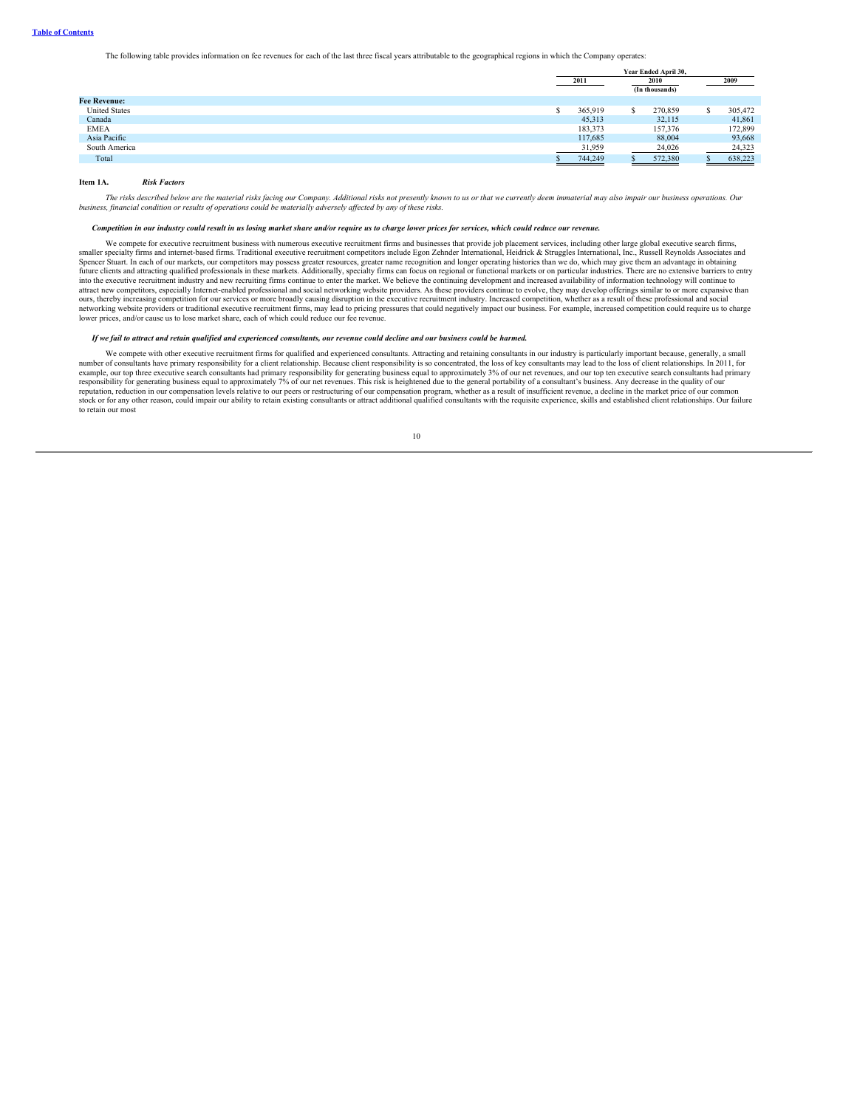The following table provides information on fee revenues for each of the last three fiscal years attributable to the geographical regions in which the Company operates:

|                      |   | Year Ended April 30. |                |         |  |         |  |
|----------------------|---|----------------------|----------------|---------|--|---------|--|
|                      |   | 2011                 | 2010           |         |  | 2009    |  |
|                      |   |                      | (In thousands) |         |  |         |  |
| <b>Fee Revenue:</b>  |   |                      |                |         |  |         |  |
| <b>United States</b> | S | 365,919              |                | 270,859 |  | 305,472 |  |
| Canada               |   | 45,313               |                | 32,115  |  | 41,861  |  |
| <b>EMEA</b>          |   | 183,373              |                | 157,376 |  | 172,899 |  |
| Asia Pacific         |   | 117,685              |                | 88,004  |  | 93,668  |  |
| South America        |   | 31,959               |                | 24,026  |  | 24,323  |  |
| Total                |   | 744,249              |                | 572,380 |  | 638,223 |  |
|                      |   |                      |                |         |  |         |  |

### <span id="page-11-0"></span>**Item 1A.** *Risk Factors*

The risks described below are the material risks facing our Company. Additional risks not presently known to us or that we currently deem immaterial may also impair our business operations. Our<br>business, financial conditio

# Competition in our industry could result in us losing market share and/or require us to charge lower prices for services, which could reduce our revenue.

We compete for executive recruitment business with numerous executive recruitment firms and businesses that provide job placement services, including other large global executive search firms, recruitment ossues was matured to meet our contractions include Egon Zehnder International, Heidrick & Struggles International, Inc., Russell Reynolds Associates and smaller specialty firms and internet-based firms. Tradit Spencer Stuart. In each of our markets, our competitors may possess greater resources, greater name recognition and longer operating histories than we do, which may give them an advantage in obtaining future clients and attracting qualified professionals in these markets. Additionally, specialty firms can focus on regional or functional markets or on particular industries. There are no extensive barriers to entry into t attract new competitors, especially Internet-enabled professional and social networking website providers. As these providers continue to evolve, they may develop offerings similar to or more expansive than<br>ours, thereby i networking website providers or traditional executive recruitment firms, may lead to pricing pressures that could negatively impact our business. For example, increased competition could require us to charge lower prices, and/or cause us to lose market share, each of which could reduce our fee revenue.

### If we fail to attract and retain qualified and experienced consultants, our revenue could decline and our business could be harmed.

We compete with other executive recruitment firms for qualified and experienced consultants. Attracting and retaining consultants in our industry is particularly important because, generally, a small number of consultants have primary responsibility for a client relationship. Because client responsibility is so concentrated, the loss of key consultants may lead to the loss of client relationships. In 2011, for<br>example, responsibility for generating business equal to approximately 7% of our net revenues. This risk is heightened due to the general portability of a consultant's business. Any decrease in the quality of our<br>reputation, reduct to retain our most

| I |   |  |
|---|---|--|
|   |   |  |
|   |   |  |
|   | I |  |
|   |   |  |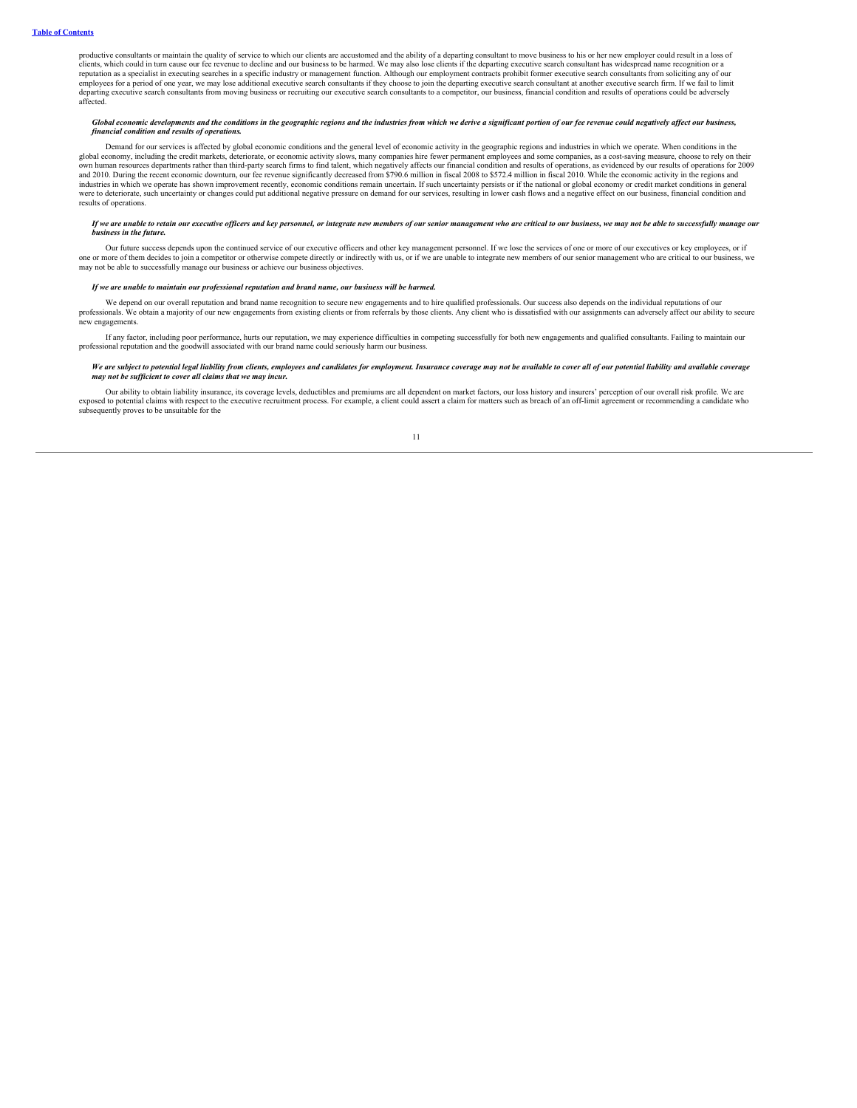roductive consultants or maintain the quality of service to which our clients are accustomed and the ability of a departing consultant to move business to his or her new employer could result in a loss of clients, which could in turn cause our fee revenue to decline and our business to be harmed. We may also lose clients if the departing executive search consultant has widespread name recognition or a<br>reputation as a specia employees for a period of one year, we may lose additional executive search consultants if they choose to join the departing executive search consultant at another executive search firm. If we fail to limit<br>departing execu affected.

### Global economic developments and the conditions in the geographic regions and the industries from which we derive a significant portion of our fee revenue could negatively affect our business, *financial condition and results of operations.*

Demand for our services is affected by global economic conditions and the general level of economic activity in the geographic regions and industries in which we operate. When conditions in the global economy, including the credit markets, deteriorate, or economic activity slows, many companies hire fewer permanent employees and some companies, as a cost-saving measure, choose to rely on their wan human resources industries in which we operate has shown improvement recently, economic conditions remain uncertain. If such uncertainty persists or if the national or global economy or credit market conditions in general were to deteriorate, such uncertainty or changes could put additional negative pressure on demand for our services, resulting in lower cash flows and a negative effect on our business, financial condition and were to dete results of operations.

# If we are unable to retain our executive officers and key personnel, or integrate new members of our senior management who are critical to our business, we may not be able to successfully manage our<br>business in the future.

Our future success depends upon the continued service of our executive officers and other key management personnel. If we lose the services of one or more of our executives or key employees, or if one or more of them decides to join a competitor or otherwise compete directly or indirectly with us, or if we are unable to integrate new members of our senior management who are critical to our business, we<br>may not be ab

# *If we are unable to maintain our professional reputation and brand name, our business will be harmed.*

We depend on our overall reputation and brand name recognition to secure new engagements and to hire qualified professionals. Our success also depends on the individual reputations of our professionals. We obtain a majority of our new engagements from existing clients or from referrals by those clients. Any client who is dissatisfied with our assignments can adversely affect our ability to secure new engagements.

If any factor, including poor performance, hurts our reputation, we may experience difficulties in competing successfully for both new engagements and qualified consultants. Failing to maintain our professional reputation and the goodwill associated with our brand name could seriously harm our business.

### We are subject to potential legal liability from clients, employees and candidates for employment. Insurance coverage may not be available to cover all of our potential liability and available coverage *may not be suf icient to cover all claims that we may incur.*

Our ability to obtain liability insurance, its coverage levels, deductibles and premiums are all dependent on market factors, our loss history and insurers' perception of our overall risk profile. We are exposed to potential claims with respect to the executive recruitment process. For example, a client could assert a claim for matters such as breach of an off-limit agreement or recommending a candidate who subsequently pr

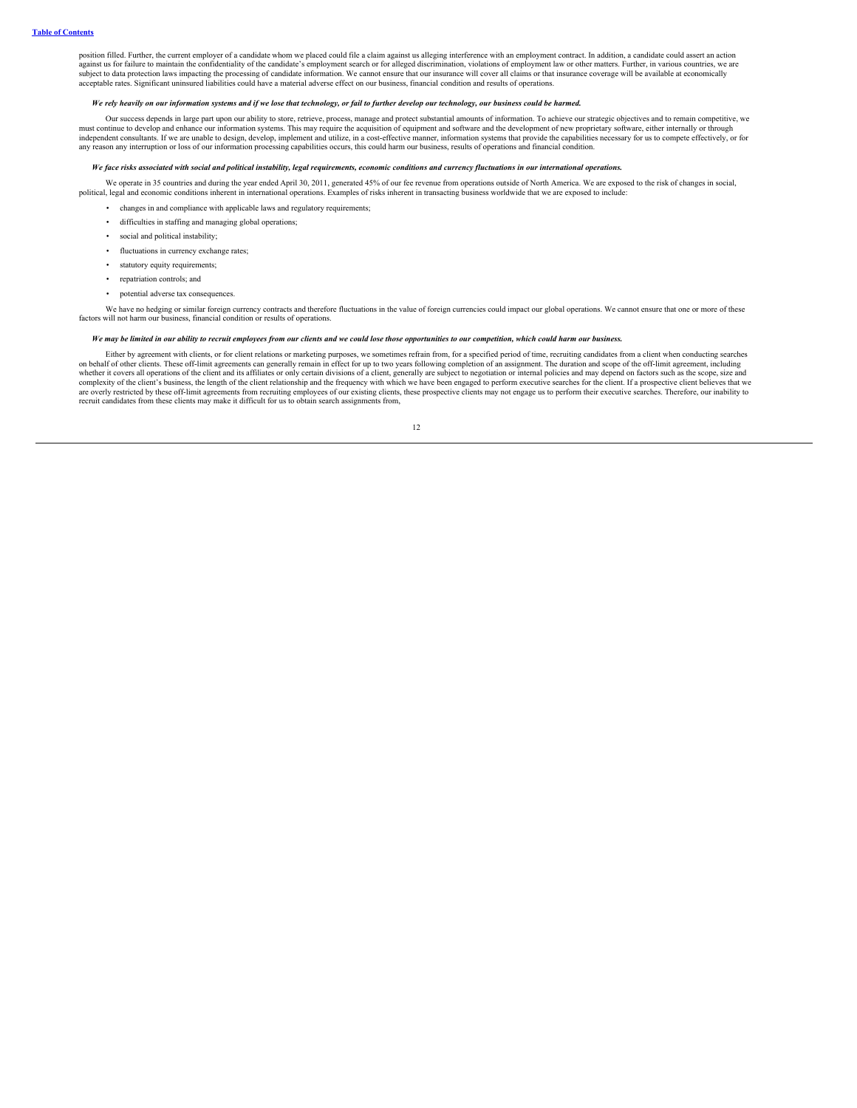position filled. Further, the current employer of a candidate whom we placed could file a claim against us alleging interference with an employment contract. In addition, a candidate could assert an action against us for failure to maintain the confidentiality of the candidate's employment search or for alleged discrimination, violations of employment law or other matters. Further, in various countries, we are are that our i acceptable rates. Significant uninsured liabilities could have a material adverse effect on our business, financial condition and results of operations.

### We rely heavily on our information systems and if we lose that technology, or fail to further develop our technology, our business could be harmed.

Our success depends in large part upon our ability to store, retrieve, process, manage and protect substantial amounts of information. To achieve our strategic objectives and to remain competitive, we must continue to develop and enhance our information systems. This may require the acquisition of equipment and software and the development of new proprietary software, either internally or through<br>independent consultants any reason any interruption or loss of our information processing capabilities occurs, this could harm our business, results of operations and financial condition.

### We face risks associated with social and political instability, legal requirements, economic conditions and currency fluctuations in our international operations,

We operate in 35 countries and during the year ended April 30, 2011, generated 45% of our fee revenue from operations outside of North America. We are exposed to the risk of changes in social, political, legal and economic

- changes in and compliance with applicable laws and regulatory requirements;
- difficulties in staffing and managing global operations;
- social and political instability;
- fluctuations in currency exchange rates;
- statutory equity requirements;
- repatriation controls; and
- potential adverse tax consequences.

We have no hedging or similar foreign currency contracts and therefore fluctuations in the value of foreign currencies could impact our global operations. We cannot ensure that one or more of these factors will not harm our business, financial condition or results of operations.

# We may be limited in our ability to recruit employees from our clients and we could lose those opportunities to our competition, which could harm our business.

Either by agreement with clients, or for client relations or marketing purposes, we sometimes refrain from, for a specified period of time, recruiting candidates from a client when conducting searches on behalf of other clients. These off-limit agreements can generally remain in effect for up to two years following completion of an assignment. The duration and scope of the off-limit agreement, including<br>whether it cover complexity of the client's business, the length of the client relationship and the frequency with which we have been engaged to perform executive searches for the client. If a prospective client believes that we<br>are overly recruit candidates from these clients may make it difficult for us to obtain search assignments from,

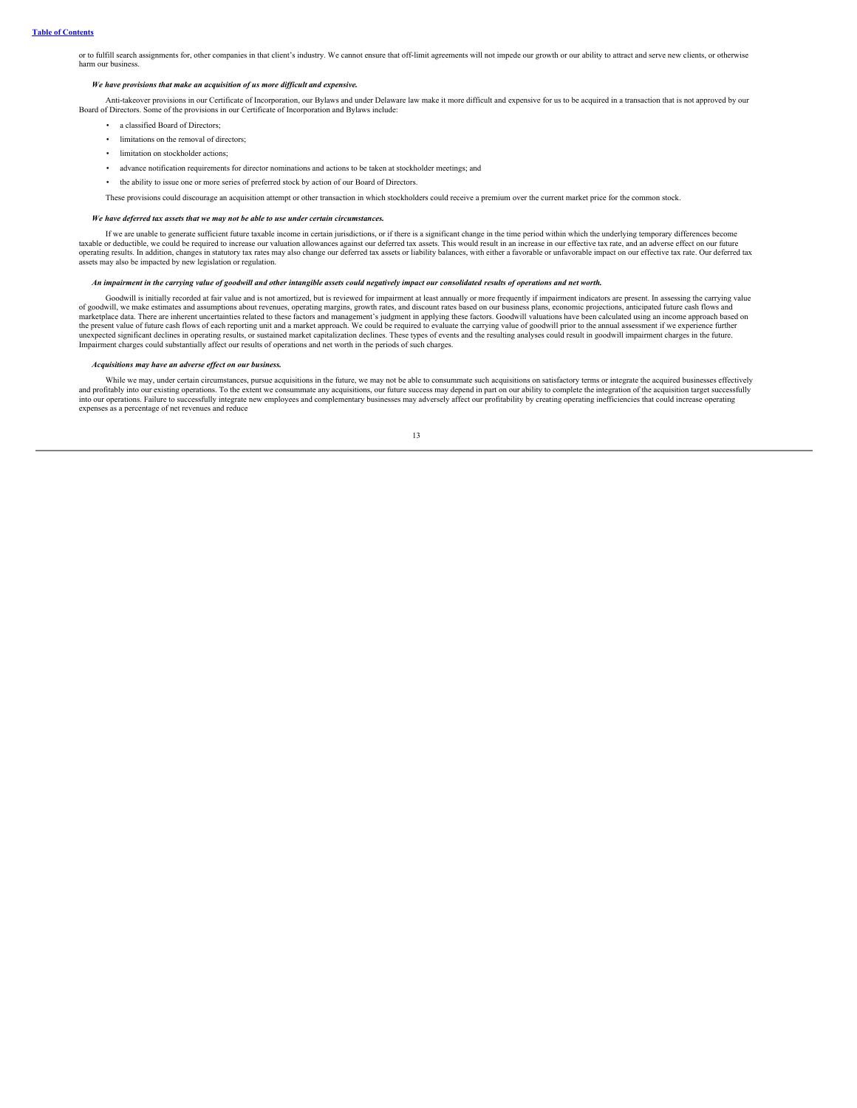or to fulfill search assignments for, other companies in that client's industry. We cannot ensure that off-limit agreements will not impede our growth or our ability to attract and serve new clients, or otherwise harm our business.

# *We have provisions that make an acquisition of us more dif icult and expensive.*

Anti-takeover provisions in our Certificate of Incorporation, our Bylaws and under Delaware law make it more difficult and expensive for us to be acquired in a transaction that is not approved by our Board of Directors. Some of the provisions in our Certificate of Incorporation and Bylaws include:

- a classified Board of Directors;
- limitations on the removal of directors;
- limitation on stockholder actions;
- advance notification requirements for director nominations and actions to be taken at stockholder meetings; and
- the ability to issue one or more series of preferred stock by action of our Board of Directors.

These provisions could discourage an acquisition attempt or other transaction in which stockholders could receive a premium over the current market price for the common stock.

### *We have deferred tax assets that we may not be able to use under certain circumstances.*

If we are unable to generate sufficient future taxable income in certain jurisdictions, or if there is a significant change in the time period within which the underlying temporary differences become taxable incease in our assets may also be impacted by new legislation or regulation.

# An impairment in the carrying value of goodwill and other intangible assets could negatively impact our consolidated results of operations and net worth.

Goodwill is initially recorded at fair value and is not amortized, but is reviewed for impairment at least annually or more frequently if impairment indicators are present. In assessing the carrying value<br>of goodwill, we m marketplace data. There are inherent uncertainties related to these factors and management's judgment in applying these factors. Goodwill valuations have been calculated using an income approach based on<br>the present value unexpected significant declines in operating results, or sustained market capitalization declines. These types of events and the resulting analyses could result in goodwill impairment charges in the future. Impairment charges could substantially affect our results of operations and net worth in the periods of such charges.

### *Acquisitions may have an adverse ef ect on our business.*

While we may, under certain circumstances, pursue acquisitions in the future, we may not be able to consummate such acquisitions on satisfactory terms or integrate the acquired businesses effectively and profitably into our existing operations. To the extent we consummate any acquisitions, our future success may depend in part on our ability to complete the integration of the acquisition target successfully<br>into our op expenses as a percentage of net revenues and reduce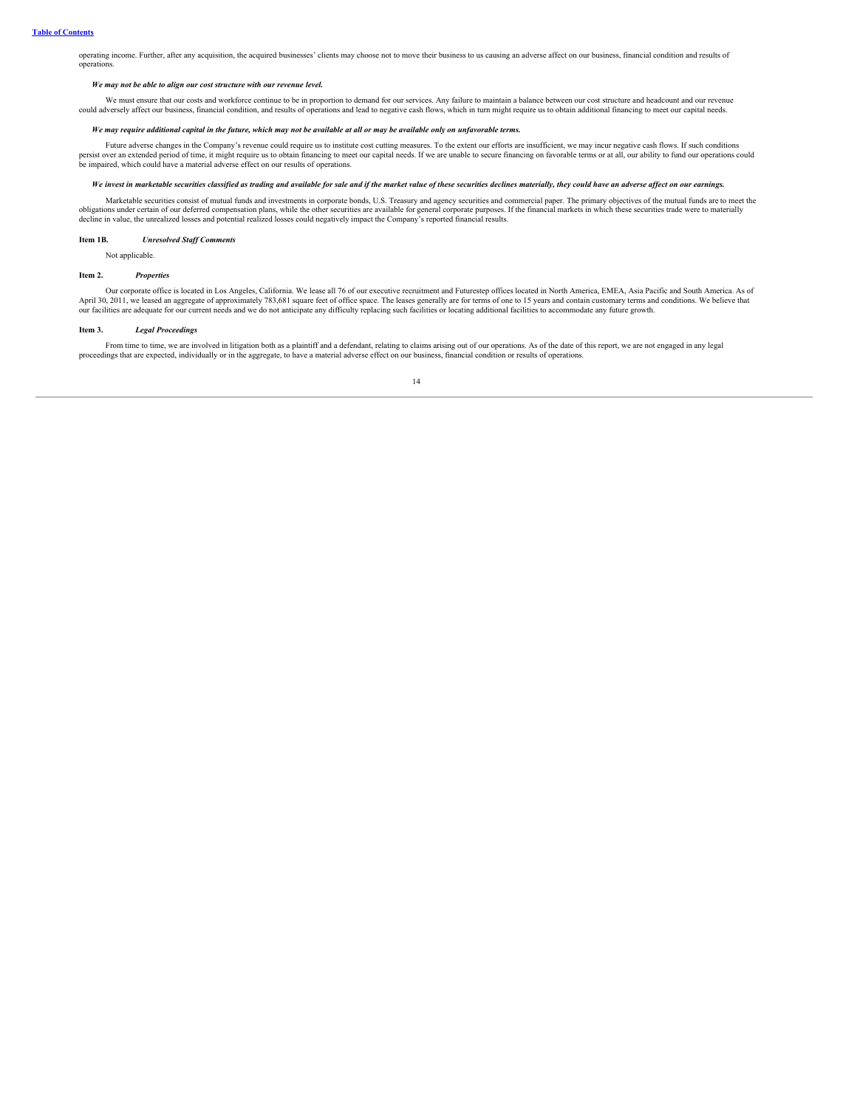operating income. Further, after any acquisition, the acquired businesses' clients may choose not to move their business to us causing an adverse affect on our business, financial condition and results of operations.

# *We may not be able to align our cost structure with our revenue level.*

We must ensure that our costs and workforce continue to be in proportion to demand for our services. Any failure to maintain a balance between our cost structure and headcount and our revenue could adversely affect our business, financial condition, and results of operations and lead to negative cash flows, which in turn might require us to obtain additional financing to meet our capital needs.

### We may require additional capital in the future, which may not be available at all or may be available only on unfavorable terms.

Future adverse changes in the Company's revenue could require us to institute cost cutting measures. To the extent our efforts are insufficient, we may incur negative cash flows. If such conditions persist over an extended period of time, it might require us to obtain financing to meet our capital needs. If we are unable to secure financing on favorable terms or at all, our ability to fund our operations could<br>be imp

# We invest in marketable securities classified as trading and available for sale and if the market value of these securities declines materially, they could have an adverse affect on our earnings.

Marketable securities consist of mutual funds and investments in corporate bonds, U.S. Treasury and agency securities and commercial paper. The primary objectives of the mutual funds are to meet the obligations under certa

# **Item 1B.** *Unresolved Staf Comments*

<span id="page-15-1"></span><span id="page-15-0"></span>Not applicable.

### **Item 2.** *Properties*

Our corporate office is located in Los Angeles, California. We lease all 76 of our executive recruitment and Futurestep offices located in North America, EMEA, Asia Pacific and South America. As of April 30, 2011, we leased an aggregate of approximately 783,681 square feet of office space. The leases generally are for terms of one to 15 years and contain customary terms and conditions. We believe that<br>our facilities

### <span id="page-15-2"></span>**Item 3.** *Legal Proceedings*

From time to time, we are involved in litigation both as a plaintiff and a defendant, relating to claims arising out of our operations. As of the date of this report, we are not engaged in any legal proceedings that are expected, individually or in the aggregate, to have a material adverse effect on our business, financial condition or results of operations.

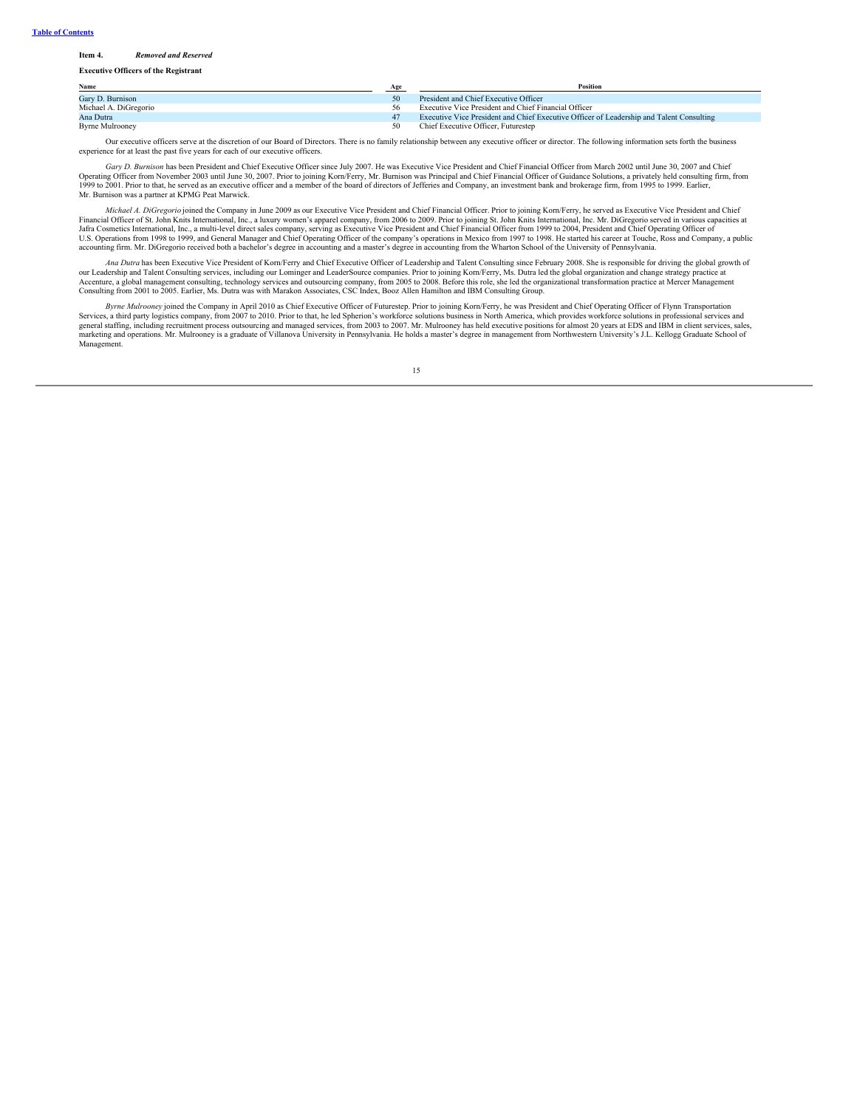# **Table of [Contents](#page-1-0)**

# <span id="page-16-0"></span>**Item 4.** *Removed and Reserved*

# **Executive Officers of the Registrant**

| Name                   |     | <b>Position</b>                                                                          |
|------------------------|-----|------------------------------------------------------------------------------------------|
| Gary D. Burnison       |     | President and Chief Executive Officer                                                    |
| Michael A. DiGregorio  | 56. | Executive Vice President and Chief Financial Officer                                     |
| Ana Dutra              |     | Executive Vice President and Chief Executive Officer of Leadership and Talent Consulting |
| <b>Byrne Mulrooney</b> |     | Chief Executive Officer, Futurestep                                                      |

Our executive officers serve at the discretion of our Board of Directors. There is no family relationship between any executive officer or director. The following information sets forth the business experience for at least the past five years for each of our executive officers.

*Gary D. Burnison* has been President and Chief Executive Officer since July 2007. He was Executive Vice President and Chief Financial Officer from March 2002 until June 30, 2007 and Chief Operating Officer from November 2003 until June 30, 2007. Prior to joining Korn/Ferry, Mr. Burnison was Principal and Chief Financial Officer of Guidance Solutions, a privately held consulting firm, from<br>1999 to 2001. Prio Mr. Burnison was a partner at KPMG Peat Marwick.

*Michael A. DiGregorio* joined the Company in June 2009 as our Executive Vice President and Chief Financial Officer. Prior to joining Korn/Ferry, he served as Executive Vice President and Chief Financial Officer of St. John Knits International, Inc., a luxury women's apparel company, from 2006 to 2009. Prior to joining St. John Knits International, Inc. Mr. DiGregorio served in various capacities at<br>Jafra Cosmeti U.S. Operations from 1998 to 1999, and General Manager and Chief Operating Officer of the company's operations in Mexico from 1997 to 1998. He started his career at Touche, Ross and Company, a public<br>accounting firm. Mr. D

*Ana Dutra* has been Executive Vice President of Korn/Ferry and Chief Executive Officer of Leadership and Talent Consulting since February 2008. She is responsible for driving the global growth of our Leadership and Talent Consulting services, including our Lominger and LeaderSource companies. Prior to joining Korn/Ferry, Ms. Dutra led the global organization and change strategy practice at<br>Accenture, a global manag Consulting from 2001 to 2005. Earlier, Ms. Dutra was with Marakon Associates, CSC Index, Booz Allen Hamilton and IBM Consulting Group.

*Byrne Mulrooney* joined the Company in April 2010 as Chief Executive Officer of Futurestep. Prior to joining Korn/Ferry, he was President and Chief Operating Officer of Flynn Transportation Services, a third party logistics company, from 2007 to 2010. Prior to that, he led Spherion's workforce solutions business in North America, which provides workforce solutions in professional services and<br>general staffing marketing and operations. Mr. Mulrooney is a graduate of Villanova University in Pennsylvania. He holds a master's degree in management from Northwestern University's J.L. Kellogg Graduate School of<br>Management.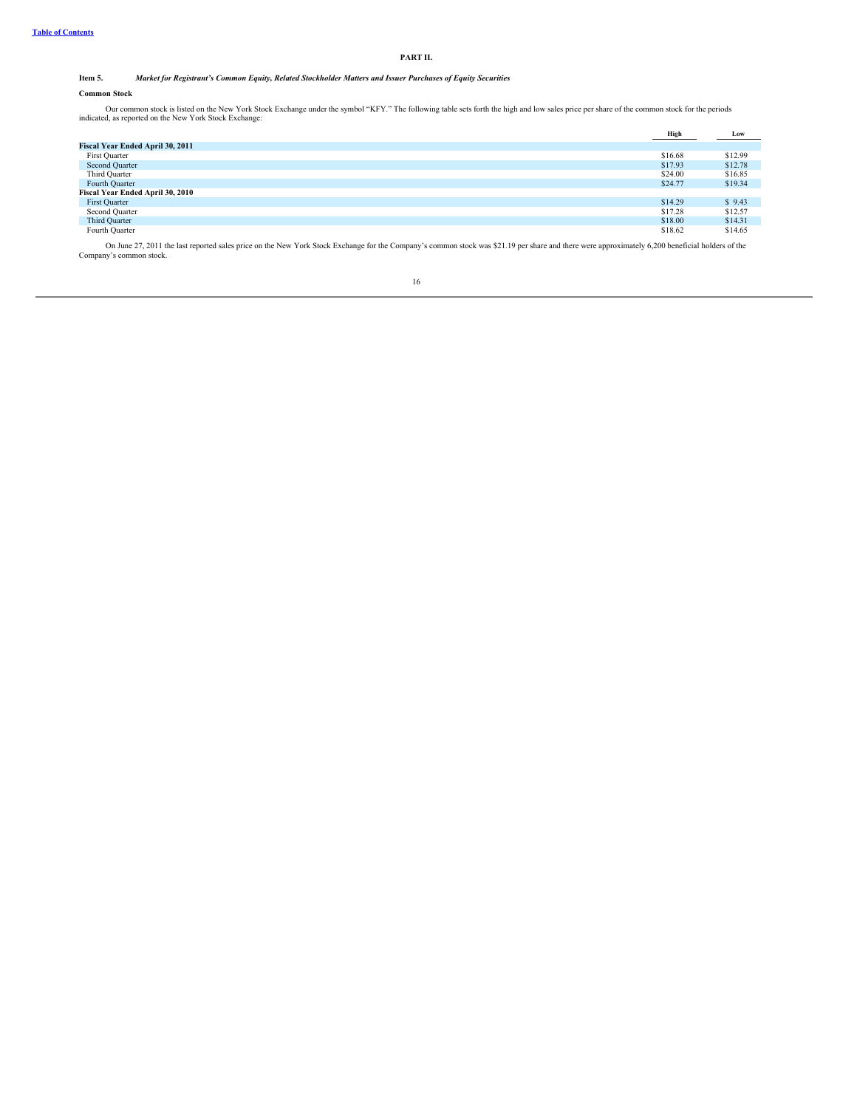# **PART II.**

# <span id="page-17-0"></span>Item 5. Market for Registrant's Common Equity, Related Stockholder Matters and Issuer Purchases of Equity Securities

# **Common Stock**

Our common stock is listed on the New York Stock Exchange under the symbol "KFY." The following table sets forth the high and low sales price per share of the common stock for the periods indicated, as reported on the New

|                                  | High    | Low     |
|----------------------------------|---------|---------|
| Fiscal Year Ended April 30, 2011 |         |         |
| First Quarter                    | \$16.68 | \$12.99 |
| Second Quarter                   | \$17.93 | \$12.78 |
| Third Quarter                    | \$24.00 | \$16.85 |
| Fourth Quarter                   | \$24.77 | \$19.34 |
| Fiscal Year Ended April 30, 2010 |         |         |
| First Quarter                    | \$14.29 | \$9.43  |
| Second Quarter                   | \$17.28 | \$12.57 |
| Third Quarter                    | \$18.00 | \$14.31 |
| Fourth Quarter                   | \$18.62 | \$14.65 |

On June 27, 2011 the last reported sales price on the New York Stock Exchange for the Company's common stock was \$21.19 per share and there were approximately 6,200 beneficial holders of the Company's common stock.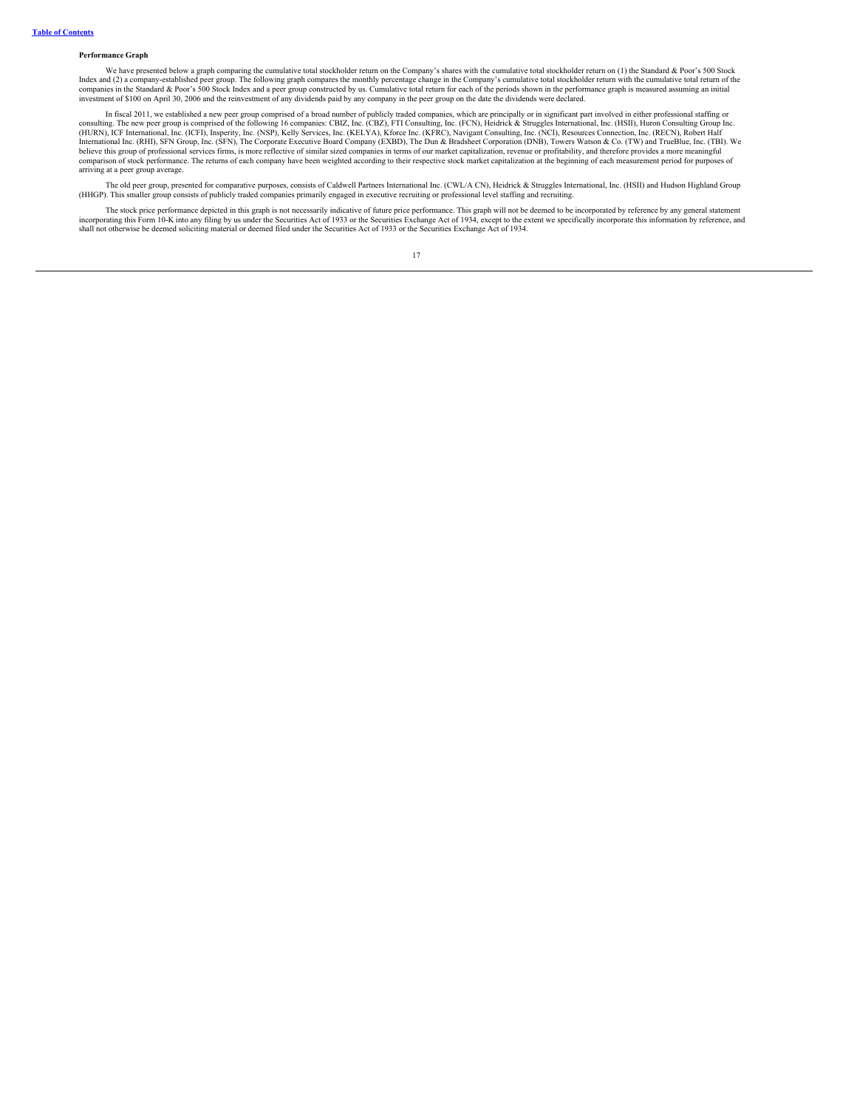# **Performance Graph**

We have presented below a graph comparing the cumulative total stockholder return on the Company's shares with the cumulative total stockholder return on (1) the Standard & Poor's 500 Stock Index and (2) a company-established peer group. The following graph compares the monthly percentage change in the Company's cumulative total stockholder return with the cumulative total return of the<br>companies in the Stand

In fiscal 2011, we established a new peer group comprised of a broad number of publicly traded companies, which are principally or in significant part involved in either professional staffing or consulting. The new peer gr International Inc. (RHI), SFN Group, Inc. (SFN), The Corporate Executive Board Company (EXBD), The Dun & Bradsheet Corporation (DNB), Towers Watson & Co. (TW) and TrueBlue, Inc. (TBI). We<br>believe this group of professional comparison of stock performance. The returns of each company have been weighted according to their respective stock market capitalization at the beginning of each measurement period for purposes of arriving at a peer group average.

The old peer group, presented for comparative purposes, consists of Caldwell Partners International Inc. (CWL/A CN), Heidrick & Struggles International, Inc. (HSII) and Hudson Highland Group (HHGP). This smaller group consists of publicly traded companies primarily engaged in executive recruiting or professional level staffing and recruiting.

The stock price performance depicted in this graph is not necessarily indicative of future price performance. This graph will not be deemed to be incorporated by reference by any general statement incorporating this Form 1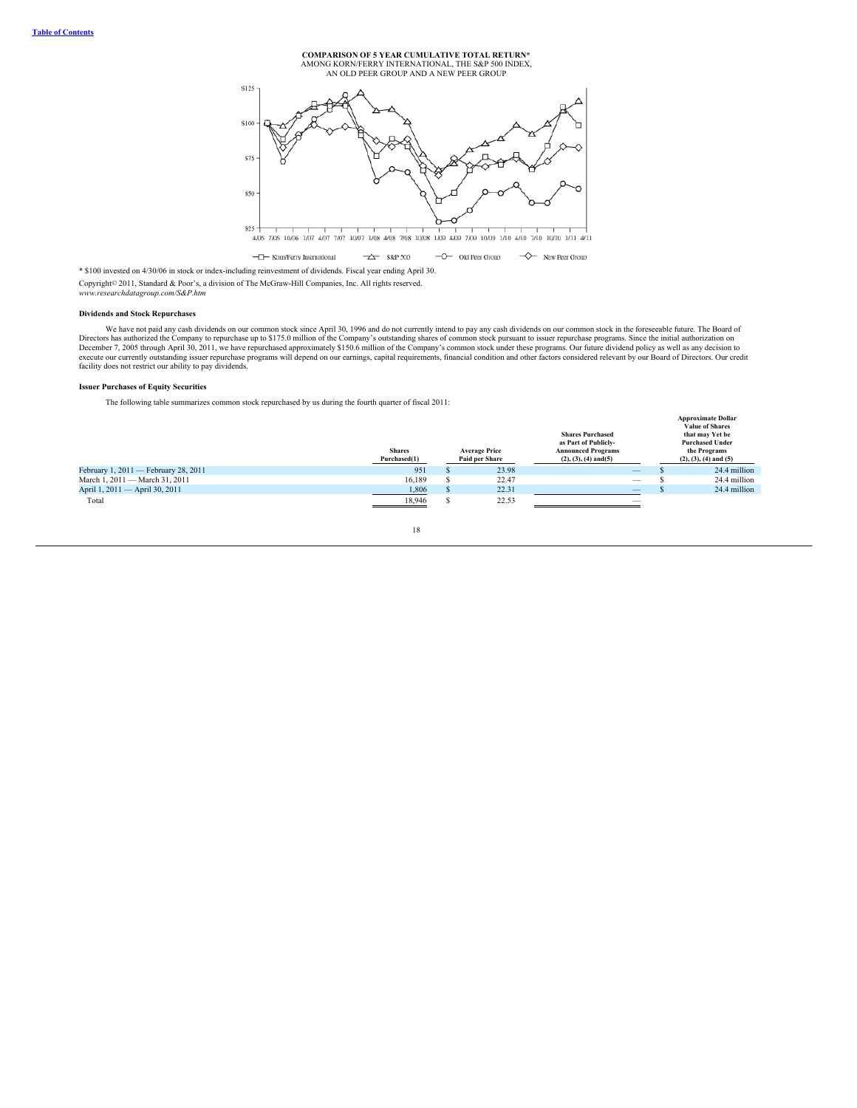### **COMPARISON OF 5 YEAR CUMULATIVE TOTAL RETURN\*** AMONG KORN/FERRY INTERNATIONAL, THE S&P 500 INDEX,

AN OLD PEER GROUP AND A NEW PEER GROUP



 $\overrightarrow{ }$  New Peer Group  $\rightarrow \rightarrow$  S&P 500  $-$ O $-$  Old Peer Group -C-Kora/Ferry International

\* \$100 invested on 4/30/06 in stock or index-including reinvestment of dividends. Fiscal year ending April 30. Copyright© 2011, Standard & Poor's, a division of The McGraw-Hill Companies, Inc. All rights reserved. *www.researchdatagroup.com/S&P.htm*

# **Dividends and Stock Repurchases**

We have not paid any cash dividends on our common stock since April 30, 1996 and do not currently intend to pay any cash dividends on our common stock in the foreseeable future. The Board of<br>Directors has authorized the Co execute our currently outstanding issuer repurchase programs will depend on our earnings, capital requirements, financial condition and other factors considered relevant by our Board of Directors. Our credit<br>facility does

# **Issuer Purchases of Equity Securities**

The following table summarizes common stock repurchased by us during the fourth quarter of fiscal 2011:

|                                      | <b>Shares</b><br>Purchased(1) | <b>Average Price</b><br>Paid per Share | <b>Shares Purchased</b><br>as Part of Publicly-<br><b>Announced Programs</b><br>$(2), (3), (4)$ and $(5)$ | <b>Approximate Dollar</b><br><b>Value of Shares</b><br>that may Yet be<br><b>Purchased Under</b><br>the Programs<br>$(2), (3), (4)$ and $(5)$ |              |  |
|--------------------------------------|-------------------------------|----------------------------------------|-----------------------------------------------------------------------------------------------------------|-----------------------------------------------------------------------------------------------------------------------------------------------|--------------|--|
| February 1, 2011 — February 28, 2011 | 951                           | 23.98                                  |                                                                                                           |                                                                                                                                               | 24.4 million |  |
| March 1, 2011 — March 31, 2011       | 16.189                        | 22.47                                  |                                                                                                           |                                                                                                                                               | 24.4 million |  |
| April 1, 2011 — April 30, 2011       | 1,806                         | 22.31                                  |                                                                                                           |                                                                                                                                               | 24.4 million |  |
| Total                                | 18,946                        | 22.53                                  |                                                                                                           |                                                                                                                                               |              |  |

$$
18\\
$$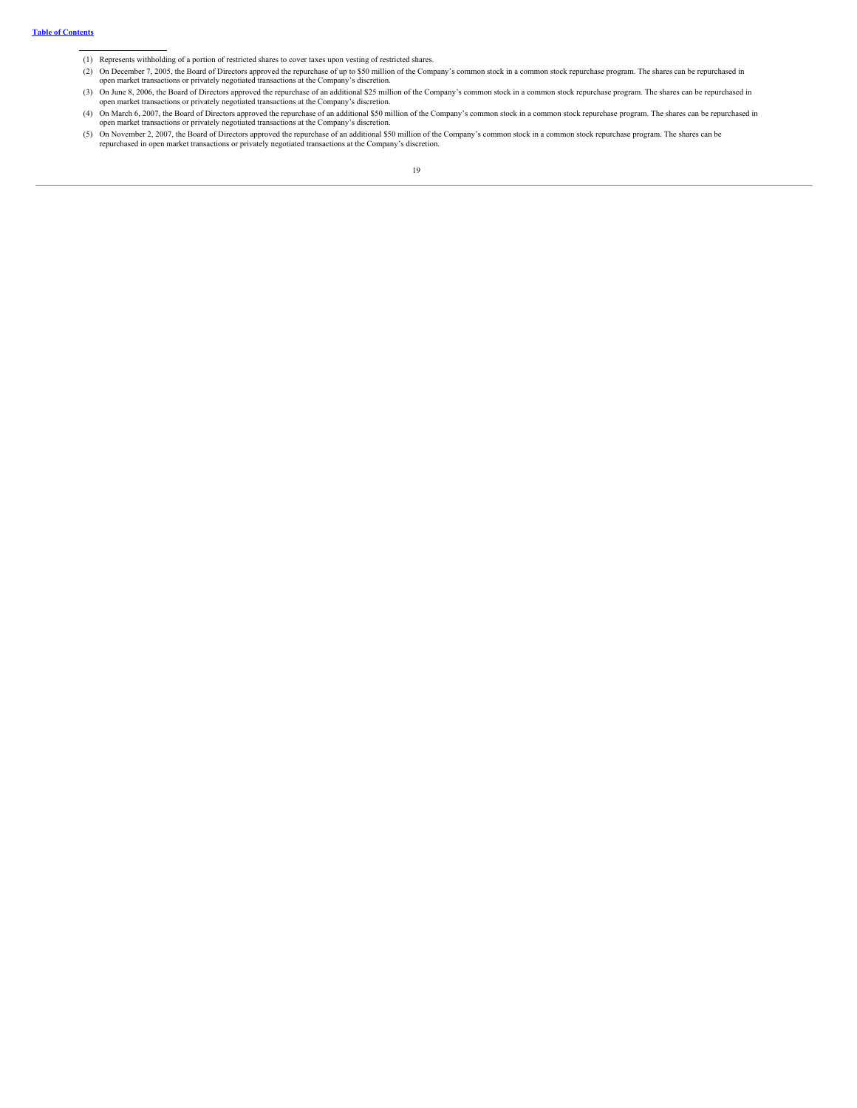- (1) Represents withholding of a portion of restricted shares to cover taxes upon vesting of restricted shares.
- (2) On December 7, 2005, the Board of Directors approved the repurchase of up to \$50 million of the Company's common stock in a common stock repurchase program. The shares can be repurchased in open market transactions or privately negotiated transactions at the Company's discretion.
- (3) On June 8, 2006, the Board of Directors approved the repurchase of an additional \$25 million of the Company's common stock in a common stock repurchase program. The shares can be repurchased in open market transactions
- (4) On March 6, 2007, the Board of Directors approved the repurchase of an additional \$50 million of the Company's common stock in a common stock repurchase program. The shares can be repurchased in open market transaction
- (5) On November 2, 2007, the Board of Directors approved the repurchase of an additional \$50 million of the Company's common stock in a common stock repurchase program. The shares can be repurchased in open market transact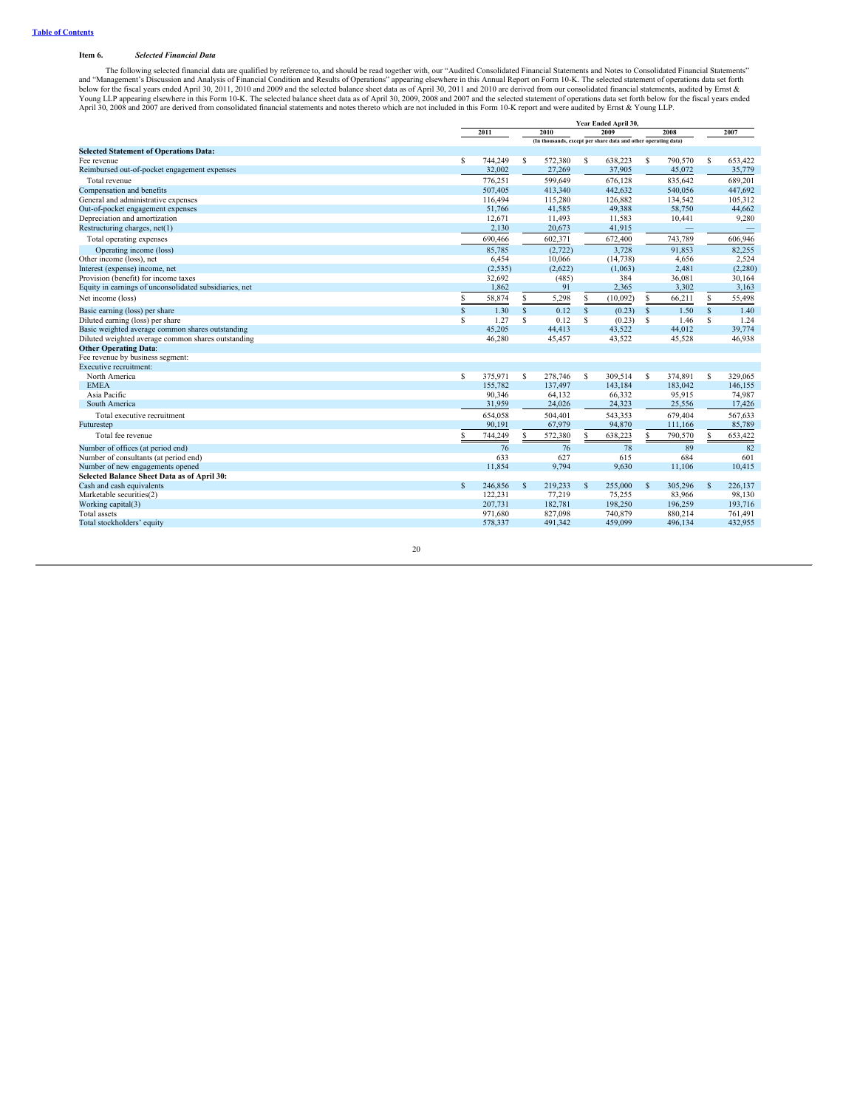# <span id="page-21-0"></span>**Item 6.** *Selected Financial Data*

The following selected financial data are qualified by reference to, and should be read together with, our "Audited Consolidated Financial Statements and Notes to Consolidated Financial Statements"<br>and "Management"s Discus

|                                                        |               | Year Ended April 30,                                           |              |         |              |           |    |         |               |         |
|--------------------------------------------------------|---------------|----------------------------------------------------------------|--------------|---------|--------------|-----------|----|---------|---------------|---------|
|                                                        |               | 2011                                                           |              | 2010    |              | 2009      |    | 2008    |               | 2007    |
|                                                        |               | (In thousands, except per share data and other operating data) |              |         |              |           |    |         |               |         |
| <b>Selected Statement of Operations Data:</b>          |               |                                                                |              |         |              |           |    |         |               |         |
| Fee revenue                                            | S             | 744.249                                                        | S            | 572,380 | s            | 638,223   | s  | 790,570 | s             | 653.422 |
| Reimbursed out-of-pocket engagement expenses           |               | 32,002                                                         |              | 27,269  |              | 37,905    |    | 45,072  |               | 35,779  |
| Total revenue                                          |               | 776,251                                                        |              | 599,649 |              | 676,128   |    | 835,642 |               | 689,201 |
| Compensation and benefits                              |               | 507,405                                                        |              | 413,340 |              | 442,632   |    | 540,056 |               | 447,692 |
| General and administrative expenses                    |               | 116,494                                                        |              | 115,280 |              | 126,882   |    | 134,542 |               | 105,312 |
| Out-of-pocket engagement expenses                      |               | 51.766                                                         |              | 41,585  |              | 49,388    |    | 58,750  |               | 44,662  |
| Depreciation and amortization                          |               | 12,671                                                         |              | 11,493  |              | 11,583    |    | 10,441  |               | 9,280   |
| Restructuring charges, net(1)                          |               | 2,130                                                          |              | 20,673  |              | 41,915    |    |         |               |         |
| Total operating expenses                               |               | 690,466                                                        |              | 602,371 |              | 672,400   |    | 743,789 |               | 606,946 |
| Operating income (loss)                                |               | 85,785                                                         |              | (2,722) |              | 3,728     |    | 91,853  |               | 82,255  |
| Other income (loss), net                               |               | 6,454                                                          |              | 10,066  |              | (14, 738) |    | 4,656   |               | 2,524   |
| Interest (expense) income, net                         |               | (2,535)                                                        |              | (2,622) |              | (1,063)   |    | 2,481   |               | (2,280) |
| Provision (benefit) for income taxes                   |               | 32,692                                                         |              | (485)   |              | 384       |    | 36,081  |               | 30,164  |
| Equity in earnings of unconsolidated subsidiaries, net |               | 1,862                                                          |              | 91      |              | 2,365     |    | 3,302   |               | 3,163   |
| Net income (loss)                                      | S             | 58,874                                                         | S            | 5,298   | \$           | (10,092)  | s  | 66,211  | S.            | 55,498  |
| Basic earning (loss) per share                         | S.            | 1.30                                                           | <sup>S</sup> | 0.12    | S.           | (0.23)    | S. | 1.50    | S.            | 1.40    |
| Diluted earning (loss) per share                       | S             | 1.27                                                           | S            | 0.12    | S            | (0.23)    | s  | 1.46    | S             | 1.24    |
| Basic weighted average common shares outstanding       |               | 45.205                                                         |              | 44,413  |              | 43,522    |    | 44,012  |               | 39.774  |
| Diluted weighted average common shares outstanding     |               | 46,280                                                         |              | 45,457  |              | 43,522    |    | 45,528  |               | 46,938  |
| <b>Other Operating Data:</b>                           |               |                                                                |              |         |              |           |    |         |               |         |
| Fee revenue by business segment:                       |               |                                                                |              |         |              |           |    |         |               |         |
| Executive recruitment:                                 |               |                                                                |              |         |              |           |    |         |               |         |
| North America                                          | S             | 375,971                                                        | S            | 278,746 | s            | 309.514   | s  | 374,891 | s             | 329,065 |
| <b>EMEA</b>                                            |               | 155,782                                                        |              | 137,497 |              | 143,184   |    | 183,042 |               | 146,155 |
| Asia Pacific                                           |               | 90,346                                                         |              | 64,132  |              | 66,332    |    | 95,915  |               | 74,987  |
| South America                                          |               | 31,959                                                         |              | 24,026  |              | 24,323    |    | 25,556  |               | 17,426  |
| Total executive recruitment                            |               | 654.058                                                        |              | 504,401 |              | 543,353   |    | 679,404 |               | 567,633 |
| Futurestep                                             |               | 90,191                                                         |              | 67,979  |              | 94,870    |    | 111,166 |               | 85,789  |
| Total fee revenue                                      |               | 744,249                                                        |              | 572,380 | S            | 638,223   | S  | 790,570 |               | 653,422 |
| Number of offices (at period end)                      |               | 76                                                             |              | 76      |              | 78        |    | 89      |               | 82      |
| Number of consultants (at period end)                  |               | 633                                                            |              | 627     |              | 615       |    | 684     |               | 601     |
| Number of new engagements opened                       |               | 11.854                                                         |              | 9.794   |              | 9.630     |    | 11.106  |               | 10.415  |
| Selected Balance Sheet Data as of April 30:            |               |                                                                |              |         |              |           |    |         |               |         |
| Cash and cash equivalents                              | <sup>\$</sup> | 246,856                                                        | <sup>S</sup> | 219,233 | $\mathbf{s}$ | 255,000   | S. | 305,296 | <sup>\$</sup> | 226,137 |
| Marketable securities(2)                               |               | 122,231                                                        |              | 77,219  |              | 75,255    |    | 83,966  |               | 98,130  |
| Working capital(3)                                     |               | 207,731                                                        |              | 182,781 |              | 198,250   |    | 196,259 |               | 193,716 |
| Total assets                                           |               | 971,680                                                        |              | 827,098 |              | 740,879   |    | 880,214 |               | 761,491 |
| Total stockholders' equity                             |               | 578,337                                                        |              | 491,342 |              | 459,099   |    | 496,134 |               | 432,955 |
|                                                        |               |                                                                |              |         |              |           |    |         |               |         |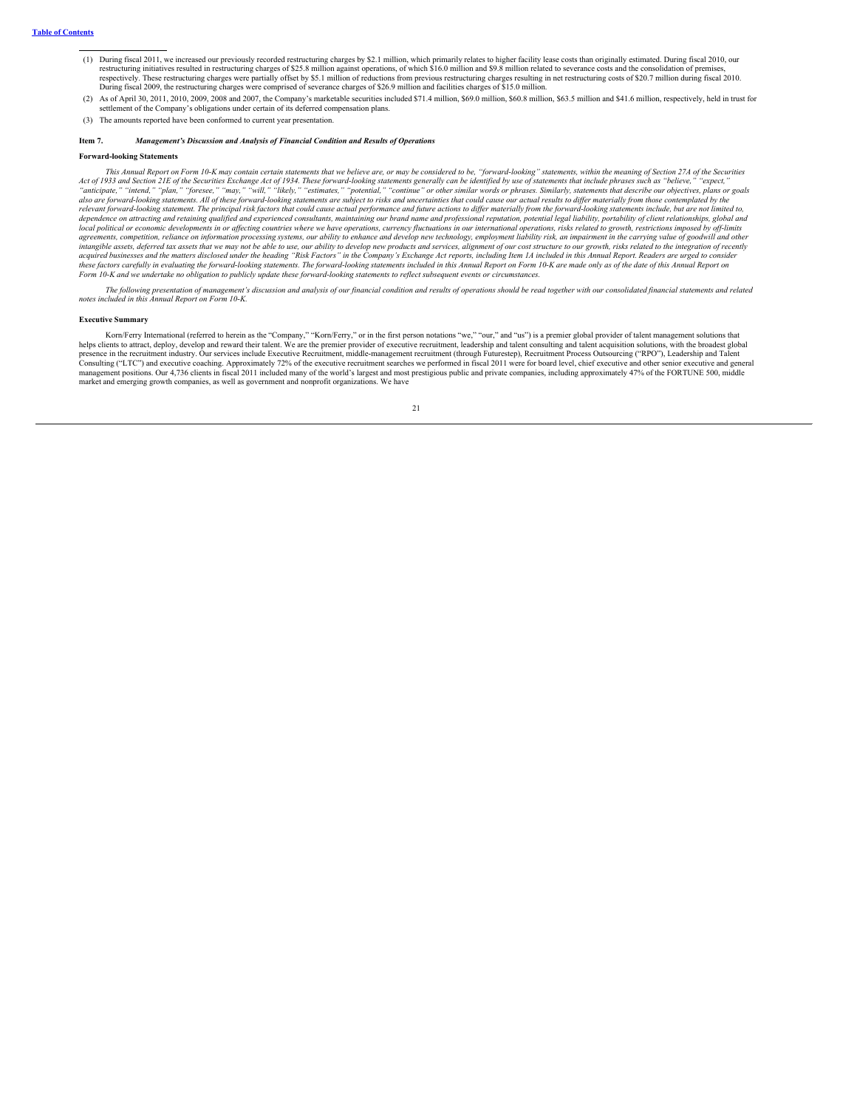- (1) During fiscal 2011, we increased our previously recorded restructuring charges by \$2.1 million, which primarily relates to higher facility lease costs than originally estimated. During fiscal 2010, our restructuring initiatives resulted in restructuring charges of \$25.8 million against operations, of which \$16.0 million and \$9.8 million related to severance costs and the consolidation of premises,<br>respectively. These res During fiscal 2009, the restructuring charges were comprised of severance charges of \$26.9 million and facilities charges of \$15.0 million.
- (2) As of April 30, 2011, 2010, 2009, 2008 and 2007, the Company's marketable securities included \$71.4 million, \$69.0 million, \$60.8 million, \$63.5 million and \$41.6 million, respectively, held in trust for settlement of the Company's obligations under certain of its deferred compensation plans.
- (3) The amounts reported have been conformed to current year presentation.

# **Item 7.** *Management's Discussion and Analysis of Financial Condition and Results of Operations*

#### **Forward-looking Statements**

This Annual Report on Form 10-K may contain certain statements that we believe are, or may be considered to be, "forward-looking" statements, within the meaning of Section 27A of the Securities Act of 1933 and Section 21E of the Securities Exchange Act of 1934. These forward-looking statements generally can be identified by use of statements that include phrases such as "believe," "expect,"<br>"anticipate," "intend, relevant forward-looking statement. The principal risk factors that could cause actual performance and future actions to differ materially from the forward-looking statements include, but are not limited to,<br>dependence on local political or economic developments in or affecting countries where we have operations, currency fluctuations in our international operations, risks related to growth, restrictions imposed by off-limits agreements, co these factors carefully in evaluating the forward-looking statements. The forward-looking statements included in this Annual Report on Form 10-K are made only as of the date of this Annual Report on Form 10-K and we undertake no obligation to publicly update these forward-looking statements to reflect subsequent events or circumstances.

The following presentation of management's discussion and analysis of our financial condition and results of operations should be read together with our consolidated financial statements and related<br>notes included in this

### **Executive Summary**

Korn/Ferry International (referred to herein as the "Company," "Korn/Ferry," or in the first person notations "we," "our," and "us") is a premier global provider of talent management solutions that<br>helps clients to attract presence in the recruitment industry. Our services include Executive Recruitment, middle-management recruitment (through Futurestep), Recruitment Process Outsourcing ("RPO"), Leadership and Talent Consulting ("LTC") and executive coaching. Approximately 72% of the executive recruitment searches we performed in fiscal 2011 were for board level, chief executive and other senior executive and general<br>management positio market and emerging growth companies, as well as government and nonprofit organizations. We have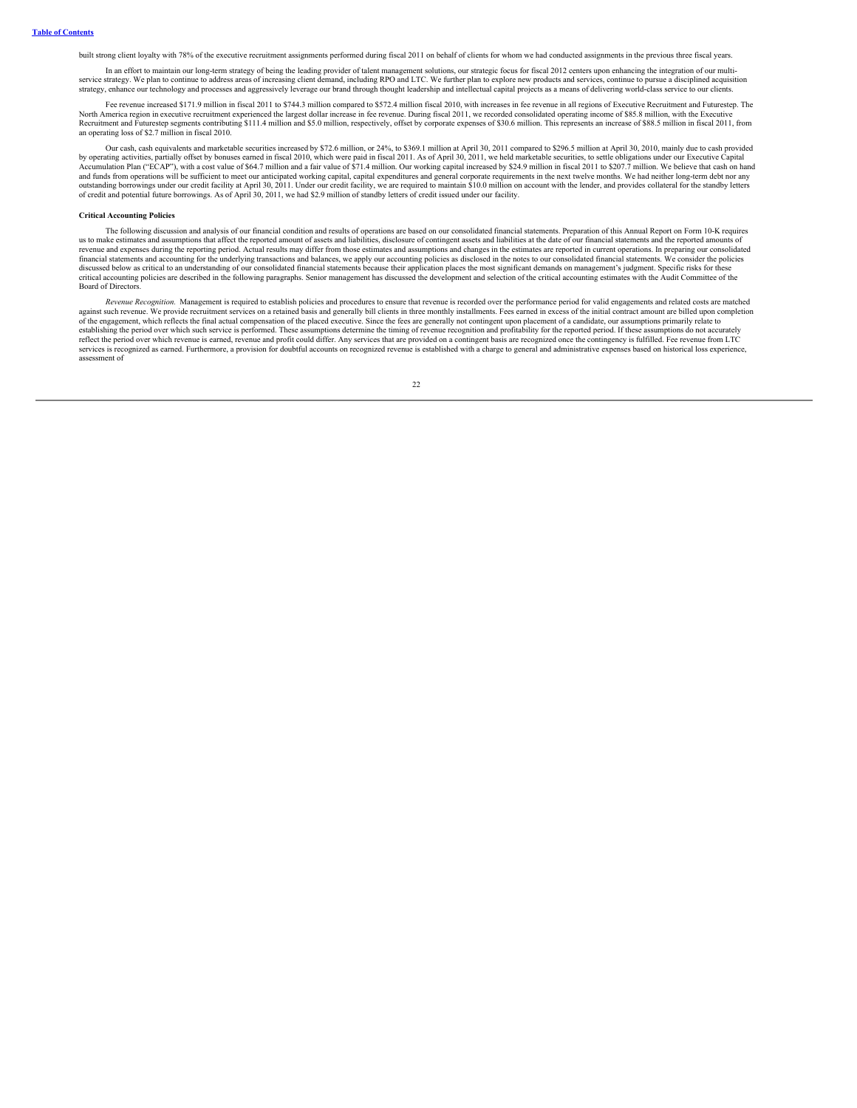built strong client loyalty with 78% of the executive recruitment assignments performed during fiscal 2011 on behalf of clients for whom we had conducted assignments in the previous three fiscal years.

In an effort to maintain our long-term strategy of being the leading provider of talent management solutions, our strategic focus for fiscal 2012 centers upon enhancing the integration of our multi-<br>Service strategy. We pl

Fee revenue increased \$171.9 million in fiscal 2011 to \$744.3 million compared to \$572.4 million fiscal 2010, with increases in fee revenue in all regions of Executive Recruitment and Futurestep. The North America region in executive recruitment experienced the largest dollar increase in fee revenue. During fiscal 2011, we recorded consolidated operating income of \$85.8 million, with the Executive<br>Recruitment and Futur an operating loss of \$2.7 million in fiscal 2010.

Our cash, cash equivalents and marketable securities increased by \$72.6 million, or 24%, to \$369.1 million at April 30, 2011 compared to \$296.5 million at April 30, 2010, mainly due to cash provided by operating activities, partially offset by bonuses earned in fiscal 2010, which were paid in fiscal 2011. As of April 30, 2011, we held marketable securities, to settle obligations under our Executive Capital<br>Accumulatio and funds from operations will be sufficient to meet our anticipated working capital, capital expenditures and general corporate requirements in the next twelve months. We had neither long-term debt nor any<br>outstanding bor of credit and potential future borrowings. As of April 30, 2011, we had \$2.9 million of standby letters of credit issued under our facility.

#### **Critical Accounting Policies**

The following discussion and analysis of our financial condition and results of operations are based on our consolidated financial statements. Preparation of this Annual Report on Form 10-K requires us to make estimates and assumptions that affect the reported amount of assets and liabilities, disclosure of contingent assets and liabilities at the date of our financial statements and the reported amounts of revenue and expenses during the reporting period. Actual results may differ from those estimates and assumptions and changes in the estimates are reported in current operations. In preparing our consolidated financial stat discussed below as critical to an understanding of our consolidated financial statements because their application places the most significant demands on management's judgment. Specific risks for these<br>critical accounting Board of Directors.

*Revenue Recognition.* Management is required to establish policies and procedures to ensure that revenue is recorded over the performance period for valid engagements and related costs are matched against such revenue. We provide recruitment services on a retained basis and generally bill clients in three monthly installments. Fees earned in excess of the initial contract amount are billed upon completion of the cap reflect the period over which revenue is earned, revenue and profit could differ. Any services that are provided on a contingent basis are recognized once the contingency is fulfilled. Fee revenue from LTC services is recognized as earned. Furthermore, a provision for doubtful accounts on recognized revenue is established with a charge to general and administrative expenses based on historical loss experience, assessment of

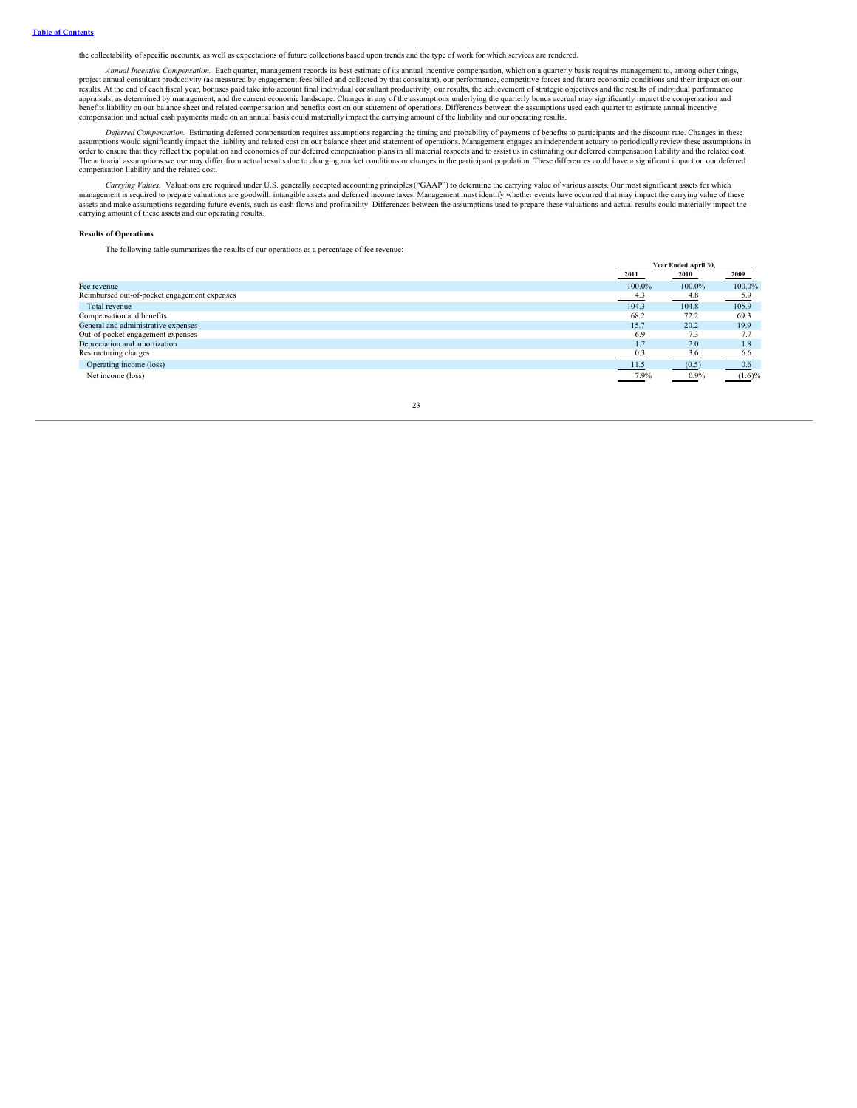the collectability of specific accounts, as well as expectations of future collections based upon trends and the type of work for which services are rendered.

*Annual Incentive Compensation.* Each quarter, management records its best estimate of its annual incentive compensation, which on a quarterly basis requires management to, among other things, project annual consultant productivity (as measured by engagement fees billed and collected by that consultant), our performance, competitive forces and future economic conditions and their impact on our<br>results. At the en appraisals, as determined by management, and the current economic landscape. Changes in any of the assumptions underlying the quarterly bonus accrual may significantly impact the compensation and<br>benefits liability on our compensation and actual cash payments made on an annual basis could materially impact the carrying amount of the liability and our operating results.

Deferred Compensation. Estimating deferred compensation requires assumptions regarding the timing and probability of payments of benefits to participants and the discount rate. Changes in these sumptions would significantl The actuarial assumptions we use may differ from actual results due to changing market conditions or changes in the participant population. These differences could have a significant impact on our deferred compensation liability and the related cost.

Carrying Values. Valuations are required under U.S. generally accepted accounting principles ("GAAP") to determine the carrying value of various assets. Our most significant assets for which management is required to prepare valuations are goodwill, intangible assets and deferred income taxes. Management must identify whether events have occurred that may impact the carrying value of these<br>assets and make assu carrying amount of these assets and our operating results.

### **Results of Operations**

The following table summarizes the results of our operations as a percentage of fee revenue:

|                                              | Year Ended April 30, |        |           |  |
|----------------------------------------------|----------------------|--------|-----------|--|
|                                              | 2011                 | 2010   | 2009      |  |
| Fee revenue                                  | 100.0%               | 100.0% | 100.0%    |  |
| Reimbursed out-of-pocket engagement expenses | 4.3                  | 4.8    | 5.9       |  |
| Total revenue                                | 104.3                | 104.8  | 105.9     |  |
| Compensation and benefits                    | 68.2                 | 72.2   | 69.3      |  |
| General and administrative expenses          | 15.7                 | 20.2   | 19.9      |  |
| Out-of-pocket engagement expenses            | 6.9                  | 7.3    | 7.7       |  |
| Depreciation and amortization                | 1.7                  | 2.0    | 1.8       |  |
| Restructuring charges                        | 0.3                  | 3.6    | 6.6       |  |
| Operating income (loss)                      | 11.5                 | (0.5)  | 0.6       |  |
| Net income (loss)                            | 7.9%                 | 0.9%   | $(1.6)\%$ |  |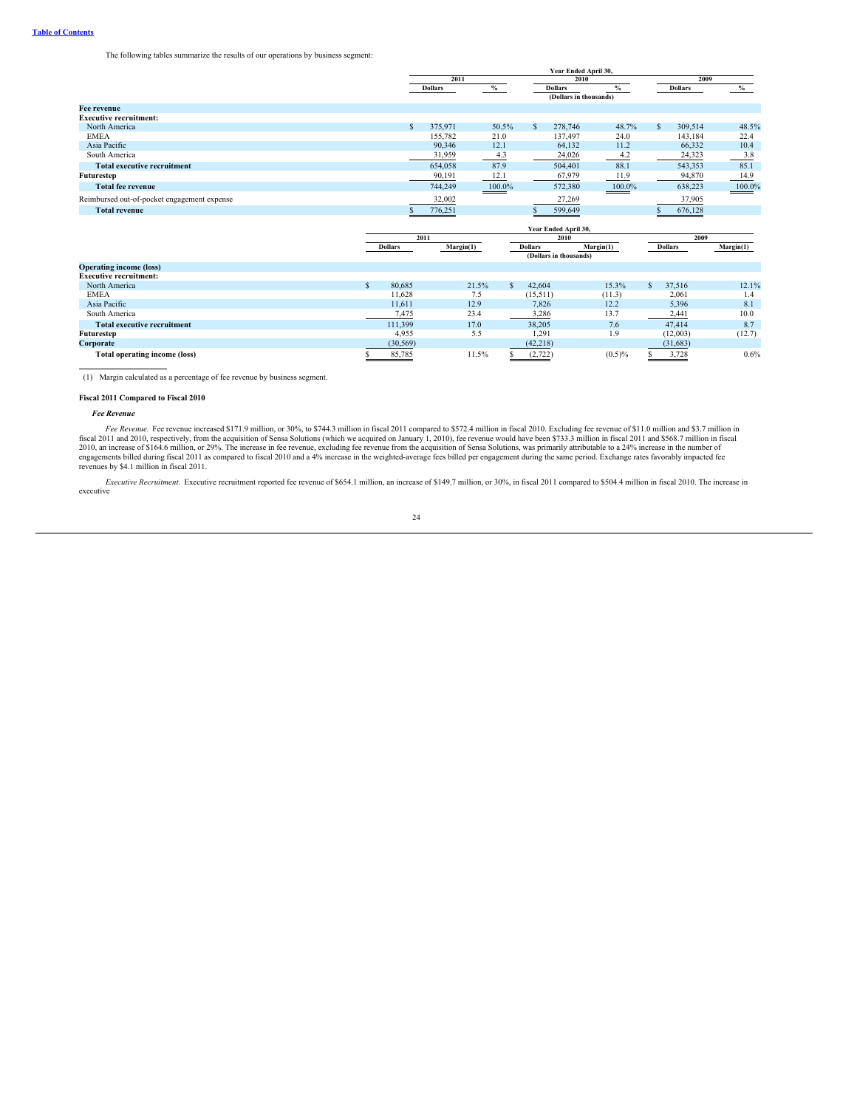The following tables summarize the results of our operations by business segment:

|                                             |              |                | Year Ended April 30, |       |                                     |                          |        |           |                        |                |        |  |
|---------------------------------------------|--------------|----------------|----------------------|-------|-------------------------------------|--------------------------|--------|-----------|------------------------|----------------|--------|--|
|                                             |              | 2011           |                      |       | 2010                                |                          |        |           | 2009                   |                |        |  |
|                                             |              | <b>Dollars</b> |                      | $\%$  |                                     | <b>Dollars</b>           |        | $\%$      |                        | <b>Dollars</b> | $\%$   |  |
|                                             |              |                |                      |       |                                     | (Dollars in thousands)   |        |           |                        |                |        |  |
| <b>Fee revenue</b>                          |              |                |                      |       |                                     |                          |        |           |                        |                |        |  |
| <b>Executive recruitment:</b>               |              |                |                      |       |                                     |                          |        |           |                        |                |        |  |
| North America                               |              | s              | 375,971              |       | 50.5%                               | <sup>\$</sup><br>278,746 |        | 48.7%     | S.                     | 309,514        | 48.5%  |  |
| <b>EMEA</b>                                 |              |                | 155,782              |       | 21.0                                | 137,497                  |        | 24.0      |                        | 143,184        | 22.4   |  |
| Asia Pacific                                |              |                | 90,346               |       | 12.1                                |                          | 64,132 | 11.2      |                        | 66,332         | 10.4   |  |
| South America                               |              |                | 31,959               |       | 4.3                                 |                          | 24,026 | 4.2       |                        | 24,323         | 3.8    |  |
| <b>Total executive recruitment</b>          |              |                | 654,058              |       | 87.9                                | 504,401                  |        | 88.1      |                        | 543,353        | 85.1   |  |
| Futurestep                                  |              |                | 90,191               |       | 12.1                                |                          | 67,979 | 11.9      |                        | 94,870         | 14.9   |  |
| <b>Total fee revenue</b>                    |              |                | 744,249              |       | 100.0%                              | 572,380                  |        | $100.0\%$ |                        | 638,223        | 100.0% |  |
| Reimbursed out-of-pocket engagement expense |              |                | 32,002               |       |                                     |                          | 27,269 |           |                        | 37,905         |        |  |
| <b>Total revenue</b>                        |              |                | 776,251              |       |                                     | 599,649                  |        |           |                        | 676,128        |        |  |
|                                             |              |                |                      |       |                                     |                          |        |           |                        |                |        |  |
|                                             |              |                |                      |       | Year Ended April 30,                |                          |        |           |                        |                |        |  |
|                                             |              | 2011           |                      |       |                                     | 2010<br><b>Dollars</b>   |        |           | 2009<br><b>Dollars</b> |                |        |  |
|                                             |              | <b>Dollars</b> | Margin(1)            |       | Margin(1)<br>(Dollars in thousands) |                          |        |           |                        | Margin(1)      |        |  |
| <b>Operating income (loss)</b>              |              |                |                      |       |                                     |                          |        |           |                        |                |        |  |
| <b>Executive recruitment:</b>               |              |                |                      |       |                                     |                          |        |           |                        |                |        |  |
| North America                               | $\mathbf{s}$ | 80,685         |                      | 21.5% | S                                   | 42,604                   |        | 15.3%     | S                      | 37,516         | 12.1%  |  |
| <b>EMEA</b>                                 |              | 11,628         |                      | 7.5   |                                     | (15, 511)                |        | (11.3)    |                        | 2,061          | 1.4    |  |
| Asia Pacific                                |              | 11,611         |                      | 12.9  |                                     | 7,826                    |        | 12.2      |                        | 5,396          | 8.1    |  |
| South America                               |              | 7,475          |                      | 23.4  |                                     | 3,286                    |        | 13.7      |                        | 2,441          | 10.0   |  |
| <b>Total executive recruitment</b>          |              | 111,399        |                      | 17.0  |                                     | 38,205                   |        | 7.6       |                        | 47,414         | 8.7    |  |
| Futurestep                                  |              | 4,955          |                      | 5.5   |                                     | 1,291                    |        | 1.9       |                        | (12,003)       | (12.7) |  |
| Corporate                                   |              | (30, 569)      |                      |       |                                     | (42, 218)                |        |           |                        | (31,683)       |        |  |

(1) Margin calculated as a percentage of fee revenue by business segment.

# **Fiscal 2011 Compared to Fiscal 2010**

# *Fee Revenue*

Fee Revenue. Fee revenue increased \$171.9 million, or 30%, to \$744.3 million in fiscal 2011 compared to \$572.4 million in fiscal 2010. Excluding fee revenue of \$11.0 million and \$3.7 million in fiscal 2011 and 2010, respec

**Total operating income (loss) <b>8** 85,785 11.5% **\$ (2,722)** (0.5)% **\$ 3,728** 0.6%

*Executive Recruitment.* Executive recruitment reported fee revenue of \$654.1 million, an increase of \$149.7 million, or 30%, in fiscal 2011 compared to \$504.4 million in fiscal 2010. The increase in executive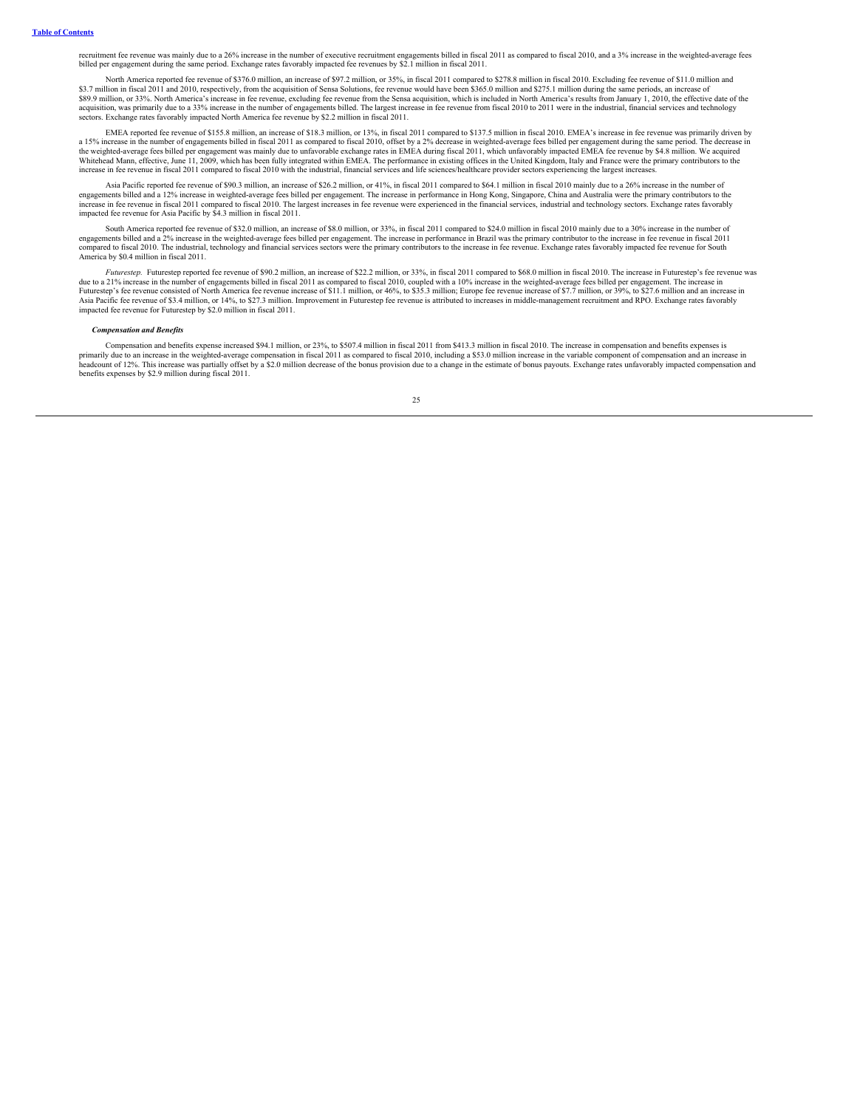recruitment fee revenue was mainly due to a 26% increase in the number of executive recruitment engagements billed in fiscal 2011 as compared to fiscal 2010, and a 3% increase in the weighted-average fees billed per engagement during the same period. Exchange rates favorably impacted fee revenues by \$2.1 million in fiscal 2011.

North America reported fee revenue of \$376.0 million, an increase of \$97.2 million, or 35%, in fiscal 2011 compared to \$278.8 million in fiscal 2010. Excluding fee revenue of \$11.0 million and \$3.7 million in fiscal 2011 and 2010, respectively, from the acquisition of Sensa Solutions, fee revenue would have been \$365.0 million and \$275.1 million during the same periods, an increase of \$89.9 million, or 33%. North America's increase in fee revenue, excluding fee revenue from the Sensa acquisition, which is included in North America's results from January 1, 2010, the effective date of the acquisition, was primarily due to a 33% increase in the number of engagements billed. The largest increase in fee revenue from fiscal 2010 to 2011 were in the industrial, financial services and technology acquisition, was sectors. Exchange rates favorably impacted North America fee revenue by \$2.2 million in fiscal 2011.

EMEA reported fee revenue of \$155.8 million, an increase of \$18.3 million, or 13%, in fiscal 2011 compared to \$137.5 million in fiscal 2010. EMEA's increase in fee revenue was primarily driven by a 15% increase in the number of engagements billed in fiscal 2011 as compared to fiscal 2010, offset by a 2% decrease in weighted-average fees billed per engagement during the same period. The decrease in<br>the weighted-aver Whitehead Mann, effective, June 11, 2009, which has been fully integrated within EMEA. The performance in existing offices in the United Kingdom, Italy and France were the primary contributors to the increase in fee revenue in fiscal 2011 compared to fiscal 2010 with the industrial, financial services and life sciences/healthcare provider sectors experiencing the largest increases.

Asia Pacific reported fee revenue of \$90.3 million, an increase of \$26.2 million, or 41%, in fiscal 2011 compared to \$64.1 million in fiscal 2010 mainly due to a 26% increase in the number of engagements billed and a 12% increase in weighted-average fees billed per engagement. The increase in performance in Hong Kong, Singapore, China and Australia were the primary contributors to the<br>increase in fee revenue in impacted fee revenue for Asia Pacific by \$4.3 million in fiscal 2011.

South America reported fee revenue of \$32.0 million, an increase of \$8.0 million, or 33%, in fiscal 2011 compared to \$24.0 million in fiscal 2010 mainly due to a 30% increase in the number of engagements billed and a 2% increase in the weighted-average fees billed per engagement. The increase in performance in Brazil was the primary contributor to the increase in fee revenue in fiscal 2011<br>compared to fiscal 20 America by \$0.4 million in fiscal 2011.

Futurestep. Futurestep reported fee revenue of \$90.2 million, an increase of \$22.2 million, or 33%, in fiscal 2011 compared to \$68.0 million in fiscal 2010. The increase in Futurestep's fee revenue was  $\alpha = 21\%$  increase in the number of engagements billed in fiscal 2011 as compared to fiscal 2010, coupled with a 10% increase in the weighted-average fees billed per engagement. The increase in exeraction engagement. The Futurestep's fee revenue consisted of North America fee revenue increase of \$11.1 million, or 46%, to \$35.3 million, Europe fee revenue increase of \$7.7 million, or 39%, to \$27.6 million and an increase in<br>Asia Pacific fee impacted fee revenue for Futurestep by \$2.0 million in fiscal 2011.

### *Compensation and Benefits*

Compensation and benefits expense increased \$94.1 million, or 23%, to \$507.4 million in fiscal 2011 from \$413.3 million in fiscal 2010. The increase in compensation and benefits expenses is primarily due to an increase in the weighted-average compensation in fiscal 2011 as compared to fiscal 2010, including a \$53.0 million increase in the variable component of compensation and an increase in headcount of 12%. This increase was partially offset by a \$2.0 million decrease of the bonus provision due to a change in the estimate of bonus payouts. Exchange rates unfavorably impacted compensation and benefits expenses by \$2.9 million during fiscal 2011.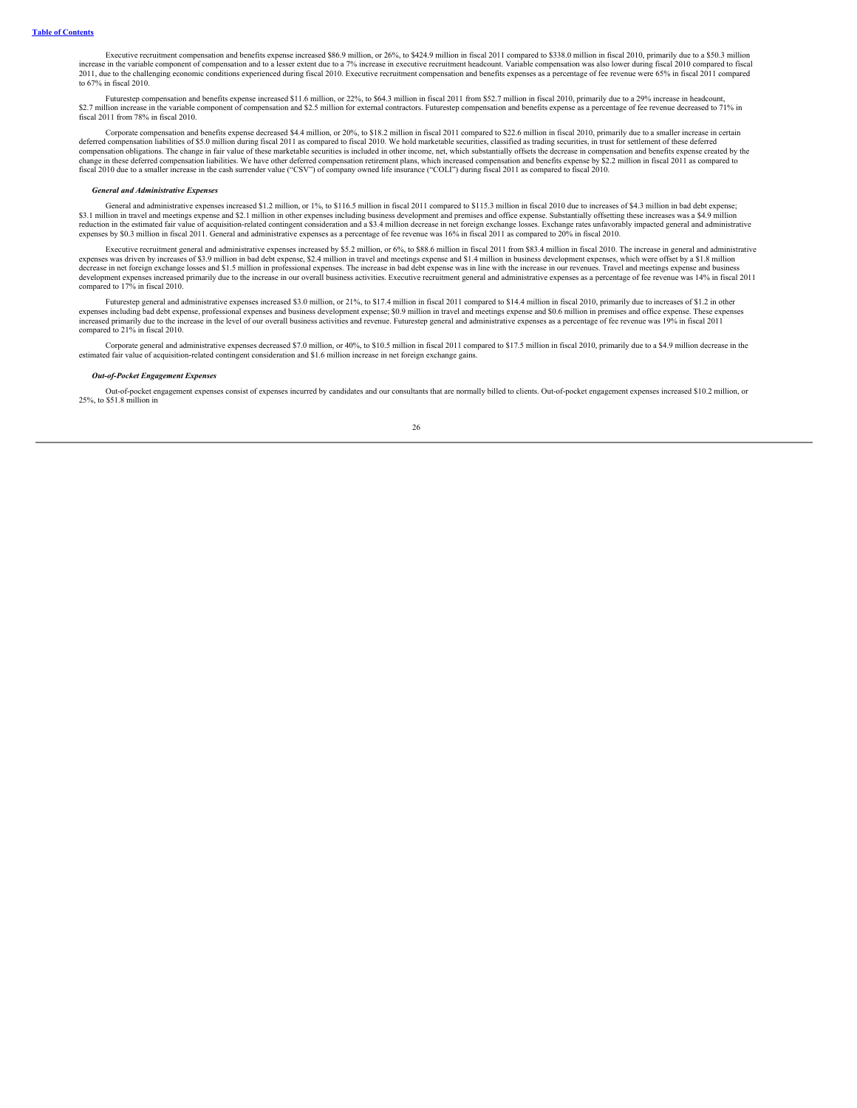Executive recruitment compensation and benefits expense increased \$86.9 million, or 26%, to \$424.9 million in fiscal 2011 compared to \$338.0 million in fiscal 2010, primarily due to a \$50.3 million increase in the variable component of compensation and to a lesser extent due to a 7% increase in executive recruitment headcount. Variable compensation was also lower during fiscal 2010 compared to fiscal 2011, due to the challenging economic conditions experienced during fiscal 2010. Executive recruitment compensation and benefits expenses as a percentage of fee revenue were 65% in fiscal 2011 compared to 67% in fiscal 2010.

Futurestep compensation and benefits expense increased \$11.6 million, or 22%, to \$64.3 million in fiscal 2011 from \$52.7 million in fiscal 2010, primarily due to a 29% increase in headcount,<br>\$2.7 million increase in the va fiscal 2011 from 78% in fiscal 2010.

Corporate compensation and benefits expense decreased \$4.4 million, or 20%, to \$18.2 million in fiscal 2011 compared to \$22.6 million in fiscal 2010, primarily due to a smaller increase in certain deferred compensation liabilities of \$5.0 million during fiscal 2011 as compared to fiscal 2010. We hold marketable securities, classified as trading securities, in trust for settlement of these deferred<br>compensation oblig change in these deferred compensation liabilities. We have other deferred compensation retirement plans, which increased compensation and benefits expense by \$2.2 million in fiscal 2011 as compared to<br>fiscal 2010 due to a

#### *General and Administrative Expenses*

General and administrative expenses increased \$1.2 million, or 1%, to \$116.5 million in fiscal 2011 compared to \$115.3 million in fiscal 2010 due to increases of \$4.3 million in bad debt expense; \$3.1 million in travel and meetings expense and \$2.1 million in other expenses including business development and premises and office expense. Substantially offsetting these increases was a \$4.9 million<br>reduction in the es expenses by \$0.3 million in fiscal 2011. General and administrative expenses as a percentage of fee revenue was 16% in fiscal 2011 as compared to 20% in fiscal 2010.

Executive recruitment general and administrative expenses increased by \$5.2 million, or 6%, to \$88.6 million in fiscal 2011 from \$83.4 million in fiscal 2010. The increase in general and administrative expenses was driven by increases of \$3.9 million in bad debt expense, \$2.4 million in travel and meetings expense and \$1.4 million in business development expenses, which were offset by a \$1.8 million decrease in net foreign exchange losses and \$1.5 million in professional expenses. The increase in bad debt expense was in line with the increase in our revenues. Travel and meetings expense and business<br>development expens compared to 17% in fiscal 2010.

Futurestep general and administrative expenses increased \$3.0 million, or 21%, to \$17.4 million in fiscal 2011 compared to \$14.4 million in fiscal 2010, primarily due to increases of \$1.2 in other expenses including bad debt expense, professional expenses and business development expense; \$0.9 million in travel and meetings expense and \$0.6 million in premises and office expense. These expenses<br>increased primarily d compared to 21% in fiscal 2010.

Corporate general and administrative expenses decreased \$7.0 million, or 40%, to \$10.5 million in fiscal 2011 compared to \$17.5 million in fiscal 2010, primarily due to a \$4.9 million decrease in the estimated fair value of acquisition-related contingent consideration and \$1.6 million increase in net foreign exchange gains.

### *Out-of-Pocket Engagement Expenses*

Out-of-pocket engagement expenses consist of expenses incurred by candidates and our consultants that are normally billed to clients. Out-of-pocket engagement expenses increased \$10.2 million, or 25%, to \$51.8 million in

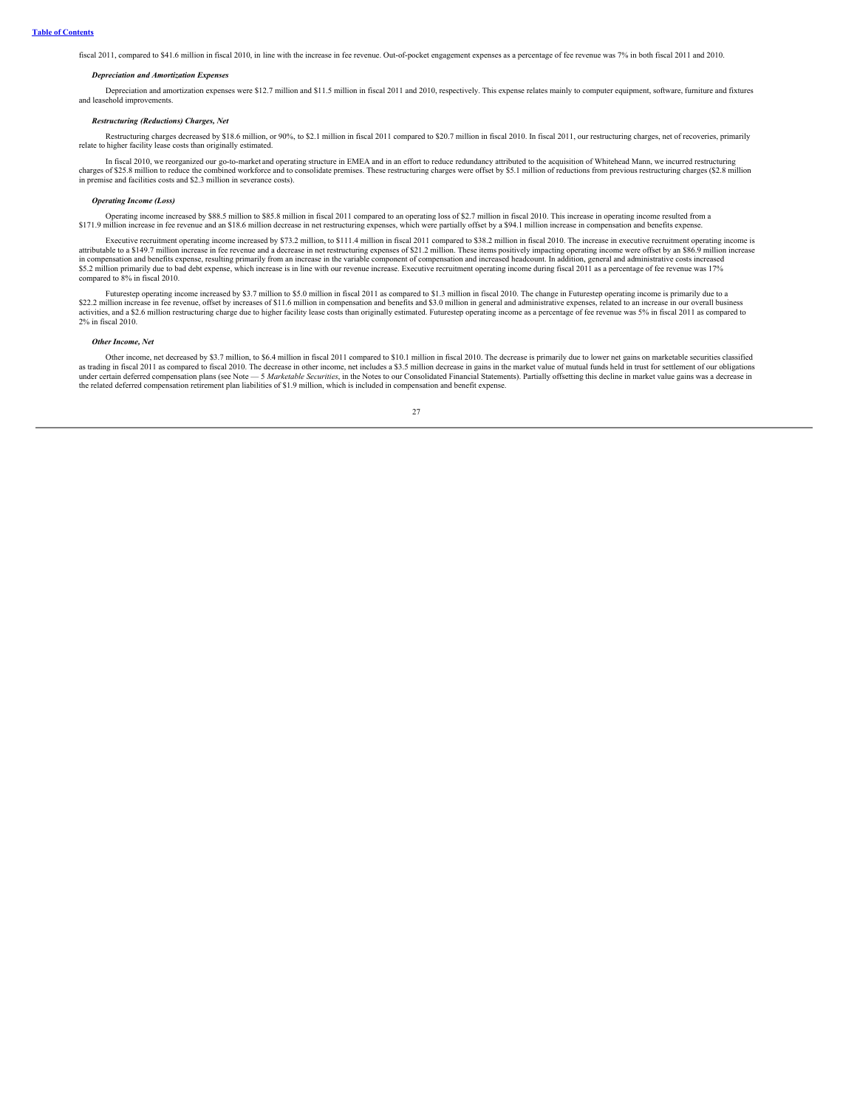fiscal 2011, compared to \$41.6 million in fiscal 2010, in line with the increase in fee revenue. Out-of-pocket engagement expenses as a percentage of fee revenue was 7% in both fiscal 2011 and 2010.

### *Depreciation and Amortization Expenses*

Depreciation and amortization expenses were \$12.7 million and \$11.5 million in fiscal 2011 and 2010, respectively. This expense relates mainly to computer equipment, software, furniture and fixtures and leasehold improvements.

# *Restructuring (Reductions) Charges, Net*

Restructuring charges decreased by \$18.6 million, or 90%, to \$2.1 million in fiscal 2011 compared to \$20.7 million in fiscal 2010. In fiscal 2011, our restructuring charges, net of recoveries, primarily relate to higher facility lease costs than originally estimated.

In fiscal 2010, we reorganized our go-to-market and operating structure in EMEA and in an effort to reduce redundancy attributed to the acquisition of Whitehead Mann, we incurred restructuring<br>charges of \$25.8 million to r in premise and facilities costs and \$2.3 million in severance costs).

#### *Operating Income (Loss)*

Operating income increased by \$88.5 million to \$85.8 million in fiscal 2011 compared to an operating loss of \$2.7 million in fiscal 2010. This increase in operating income resulted from a<br>\$171.9 million increase in fee rev

Executive recruitment operating income increased by \$73.2 million, to \$111.4 million in fiscal 2011 compared to \$38.2 million in fiscal 2010. The increase in executive recruitment operating income is attributable to a \$149.7 million increase in fee revenue and a decrease in net restructuring expenses of \$21.2 million. These items positively impacting operating income were offset by an \$86.9 million increase<br>in compensa \$5.2 million primarily due to bad debt expense, which increase is in line with our revenue increase. Executive recruitment operating income during fiscal 2011 as a percentage of fee revenue was 17% compared to 8% in fiscal 2010.

Futurestep operating income increased by \$3.7 million to \$5.0 million in fiscal 2011 as compared to \$1.3 million in fiscal 2010. The change in Futurestep operating income is primarily due to a \$22.2 million increase in fee revenue, offset by increases of \$11.6 million in compensation and benefits and \$3.0 million in general and administrative expenses, related to an increase in our overall business<br>activities, a 2% in fiscal 2010.

#### *Other Income, Net*

Other income, net decreased by \$3.7 million, to \$6.4 million in fiscal 2011 compared to \$10.1 million in fiscal 2010. The decrease is primarily due to lower net gains on marketable securities classified<br>as trading in fisca under certain deferred compensation plans (see Note — 5 *Marketable Securities*, in the Notes to our Consolidated Financial Statements). Partially offsetting this decline in market value gains was a decrease in<br>the related

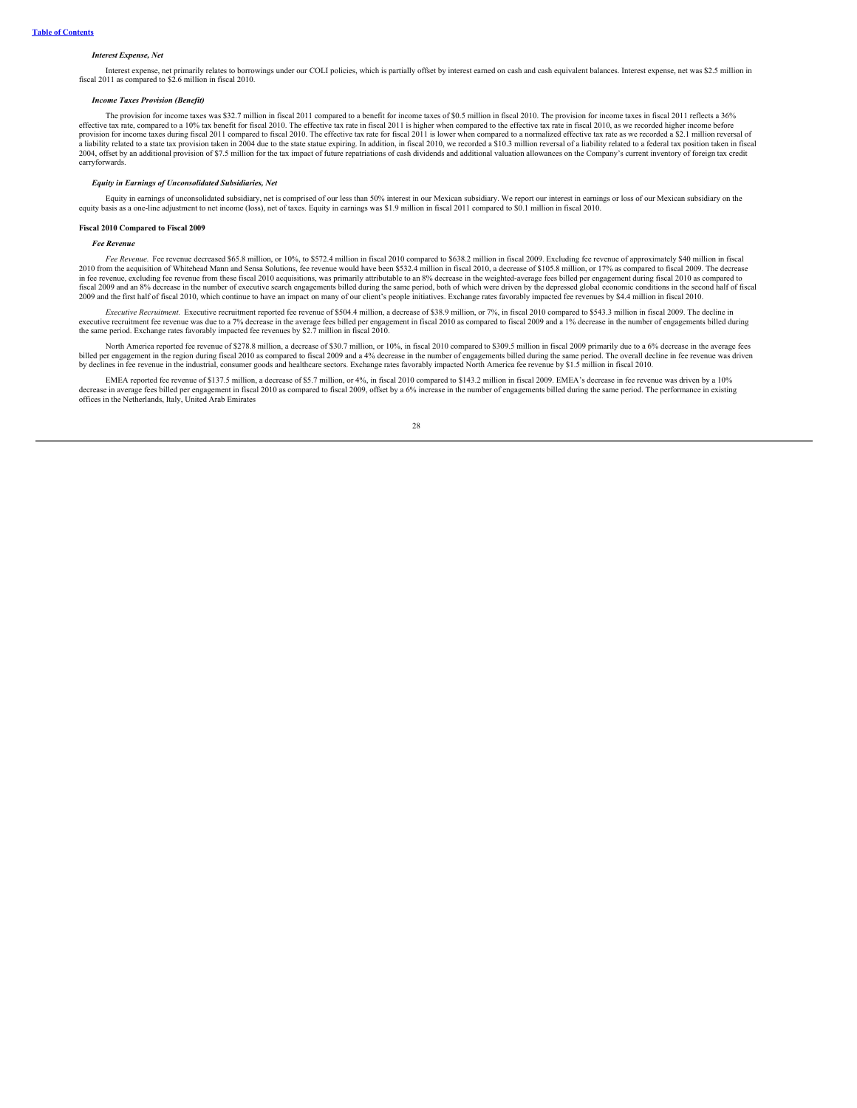### *Interest Expense, Net*

Interest expense, net primarily relates to borrowings under our COLI policies, which is partially offset by interest earned on cash and cash equivalent balances. Interest expense, net was \$2.5 million in fiscal 2011 as compared to \$2.6 million in fiscal 2010.

### *Income Taxes Provision (Benefit)*

The provision for income taxes was \$32.7 million in fiscal 2011 compared to a benefit for income taxes of \$0.5 million in fiscal 2010. The provision for income taxes in fiscal 2011 reflects a 36% effective tax rate, compared to a 10% tax benefit for fiscal 2010. The effective tax rate in fiscal 2011 is higher when compared to the effective tax rate in fiscal 2010, as we recorded higher income before provision for income taxes during fiscal 2011 compared to fiscal 2010. The effective tax rate for fiscal 2011 is lower when compared to a normalized effective tax rate as we recorded a \$2.1 million reversal of<br>a liability 2004, offset by an additional provision of \$7.5 million for the tax impact of future repatriations of cash dividends and additional valuation allowances on the Company's current inventory of foreign tax credit carryforward

### *Equity in Earnings of Unconsolidated Subsidiaries, Net*

Equity in earnings of unconsolidated subsidiary, net is comprised of our less than 50% interest in our Mexican subsidiary. We report our interest in earnings or loss of our Mexican subsidiary on the equity basis as a one-line adjustment to net income (loss), net of taxes. Equity in earnings was \$1.9 million in fiscal 2011 compared to \$0.1 million in fiscal 2010.

### **Fiscal 2010 Compared to Fiscal 2009**

#### *Fee Revenue*

Fee Revenue. Fee revenue decreased \$65.8 million, or 10%, to \$572.4 million in fiscal 2010 compared to \$638.2 million in fiscal 2009. Excluding fee revenue of approximately \$40 million in fiscal 2010 from the acquisition of Whitehead Mann and Sensa Solutions, fee revenue would have been \$532.4 million in fiscal 2010, a decrease of \$105.8 million, or 17% as compared to fiscal 2009. The decrease in fee revenue, excluding fee revenue from these fiscal 2010 acquisitions, was primarily attributable to an 8% decrease in the weighted-average fees billed per engagement during fiscal 2010 as compared to include to a comp

*Executive Recruitment.* Executive recruitment reported fee revenue of \$504.4 million, a decrease of \$38.9 million, or 7%, in fiscal 2010 compared to \$543.3 million in fiscal 2009. The decline in executive recruitment fee revenue was due to a 7% decrease in the average fees billed per engagement in fiscal 2010 as compared to fiscal 2009 and a 1% decrease in the number of engagements billed during<br>the same period. E

North America reported fee revenue of \$278.8 million, a decrease of \$30.7 million, or 10%, in fiscal 2010 compared to \$309.5 million in fiscal 2009 primarily due to a 6% decrease in the average fees billed per engagement in the region during fiscal 2010 as compared to fiscal 2009 and a 4% decrease in the number of engagements billed during the same period. The overall decline in fee revenue was driven<br>by declines in f

EMEA reported fee revenue of \$137.5 million, a decrease of \$5.7 million, or 4%, in fiscal 2010 compared to \$143.2 million in fiscal 2009. EMEA's decrease in fee revenue was driven by a 10% decrease in average fees billed per engagement in fiscal 2010 as compared to fiscal 2009, offset by a 6% increase in the number of engagements billed during the same period. The performance in existing<br>offices in the Nethe

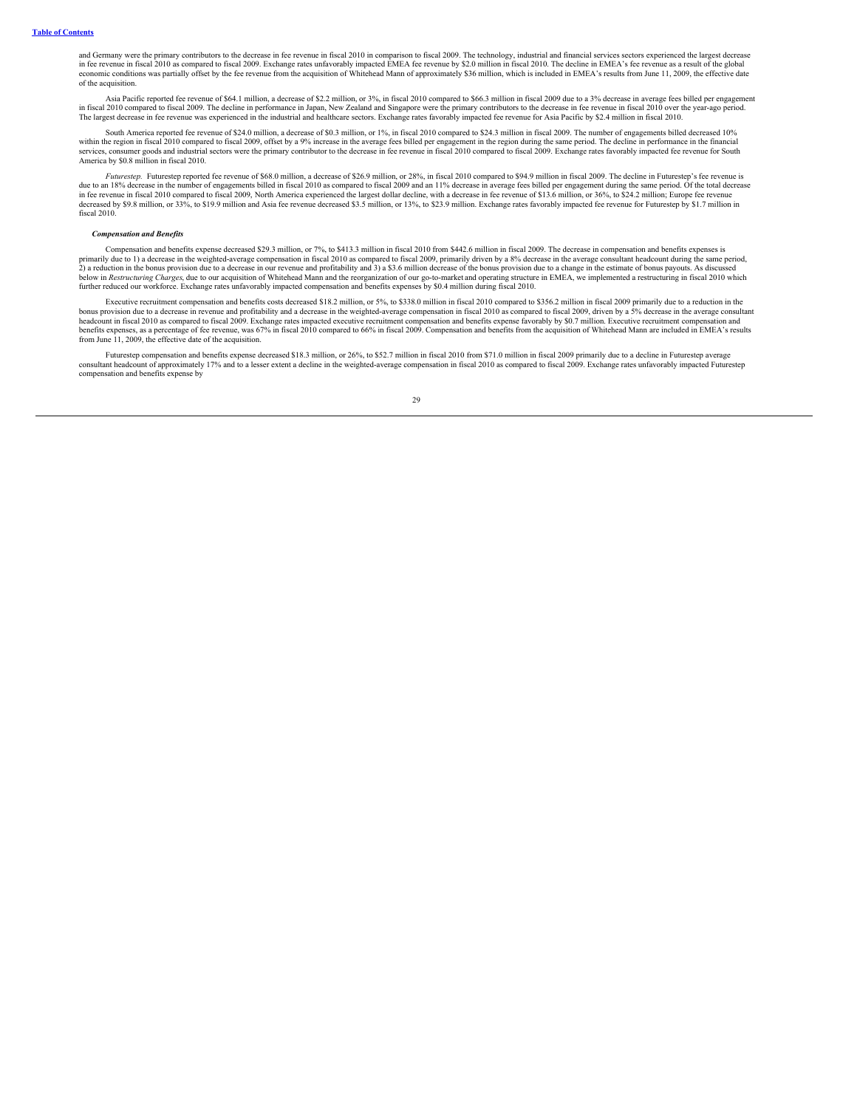and Germany were the primary contributors to the decrease in fee revenue in fiscal 2010 in comparison to fiscal 2009. The technology, industrial and financial services sectors experienced the largest decrease in fee revenue in fiscal 2010 as compared to fiscal 2009. Exchange rates unfavorably impacted EMEA fee revenue by \$2.0 million in fiscal 2010. The decline in EMEA's fee revenue as a result of the global economic conditions was partially offset by the fee revenue from the acquisition of Whitehead Mann of approximately \$36 million, which is included in EMEA's results from June 11, 2009, the effective date of the acquisition.

Asia Pacific reported fee revenue of \$64.1 million, a decrease of \$2.2 million, or 3%, in fiscal 2010 compared to \$66.3 million in fiscal 2009 due to a 3% decrease in average fees billed per engagement in fiscal 2010 compared to fiscal 2009. The decline in performance in Japan, New Zealand and Singapore were the primary contributors to the decrease in fee revenue in fiscal 2010 over the year-ago period. The largest decrease in fee revenue was experienced in the industrial and healthcare sectors. Exchange rates favorably impacted fee revenue for Asia Pacific by \$2.4 million in fiscal 2010.

South America reported fee revenue of \$24.0 million, a decrease of \$0.3 million, or 1%, in fiscal 2010 compared to \$24.3 million in fiscal 2009. The number of engagements billed decreased 10% within the region in fiscal 2010 compared to fiscal 2009, offset by a 9% increase in the average fees billed per engagement in the region during the same period. The decline in performance in the financial<br>services, consum America by \$0.8 million in fiscal 2010.

Futurestep. Futurestep reported fee revenue of \$68.0 million, a decrease of \$26.9 million, or 28%, in fiscal 2010 compared to \$94.9 million in fiscal 2009. The decline in Futurestep's fee revenue is ended to scontared to f in fee revenue in fiscal 2010 compared to fiscal 2009, North America experienced the largest dollar decline, with a decrease in fee revenue of \$13.6 million, or 36%, to \$24.2 million; Europe fee revenue<br>decreased by \$9.8 m fiscal 2010.

#### *Compensation and Benefits*

Compensation and benefits expense decreased \$29.3 million, or 7%, to \$413.3 million in fiscal 2010 from \$442.6 million in fiscal 2009. The decrease in compensation and benefits expenses is primarily due to 1) a decrease in the weighted-average compensation in fiscal 2010 as compared to fiscal 2009, primarily driven by a 8% decrease in the average consultant headcount during the same period, 2) a reduction in the bonus provision due to a decrease in our revenue and profitability and 3) a \$3.6 million decrease of the bonus provision due to a change in the estimate of bonus payouts. As discussed<br>below in *Restru* further reduced our workforce. Exchange rates unfavorably impacted compensation and benefits expenses by \$0.4 million during fiscal 2010.

Executive recruitment compensation and benefits costs decreased \$18.2 million, or 5%, to \$338.0 million in fiscal 2010 compared to \$356.2 million in fiscal 2009 primarily due to a reduction in the bonus provision due to a decrease in revenue and profitability and a decrease in the weighted-average compensation in fiscal 2010 as compared to fiscal 2009, driven by a 5% decrease in the average consultant<br>headcount in f from June 11, 2009, the effective date of the acquisition.

Futurestep compensation and benefits expense decreased \$18.3 million, or 26%, to \$52.7 million in fiscal 2010 from \$71.0 million in fiscal 2009 primarily due to a decline in Futurestep average consultant headcount of approximately 17% and to a lesser extent a decline in the weighted-average compensation in fiscal 2010 as compared to fiscal 2009. Exchange rates unfavorably impacted Futurestep compensation and benefits expense by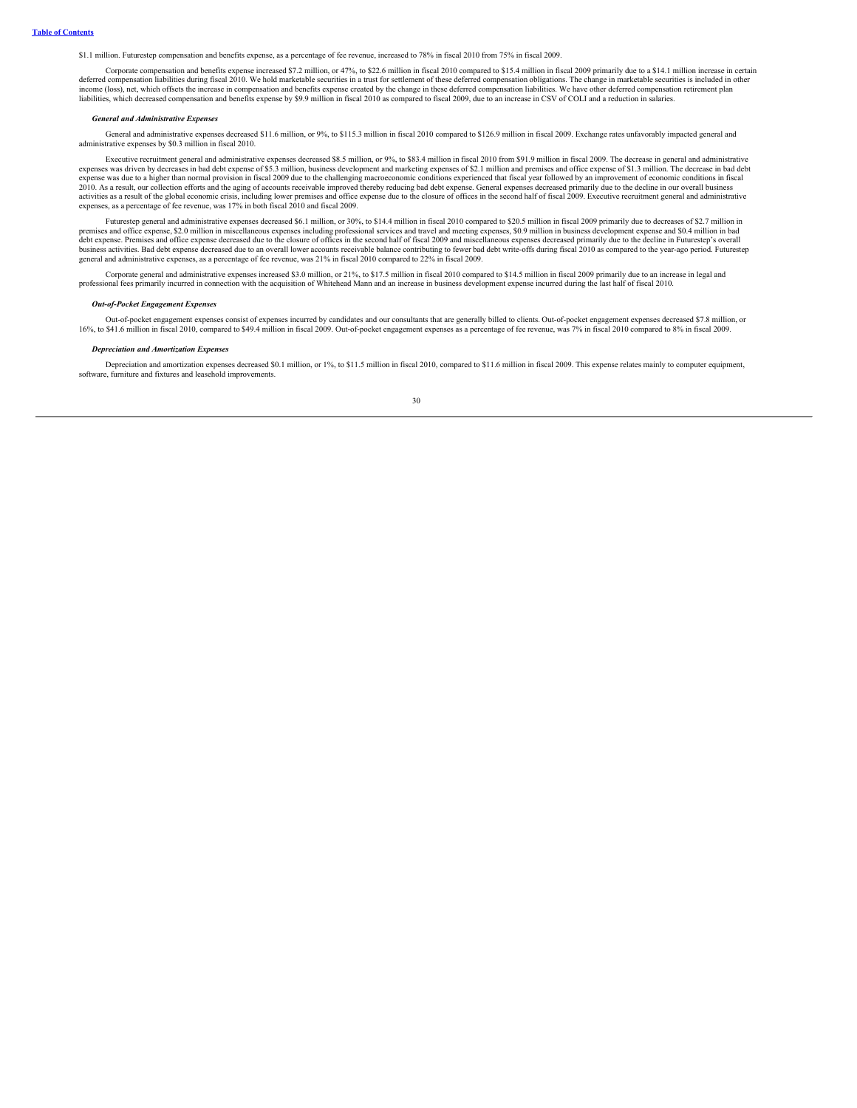\$1.1 million. Futurestep compensation and benefits expense, as a percentage of fee revenue, increased to 78% in fiscal 2010 from 75% in fiscal 2009.

Corporate compensation and benefits expense increased \$7.2 million, or 47%, to \$22.6 million in fiscal 2010 compared to \$15.4 million in fiscal 2009 primarily due to a \$14.1 million increase in certain deferred compensation liabilities during fiscal 2010. We hold marketable securities in a trust for settlement of these deferred compensation obligations. The change in marketable securities is included in other<br>income (los

### *General and Administrative Expenses*

General and administrative expenses decreased \$11.6 million, or 9%, to \$115.3 million in fiscal 2010 compared to \$126.9 million in fiscal 2009. Exchange rates unfavorably impacted general and administrative expenses by \$0.3 million in fiscal 2010.

Executive recruitment general and administrative expenses decreased \$8.5 million, or 9%, to \$83.4 million in fiscal 2010 from \$91.9 million in fiscal 2009. The decrease in general and administrative expenses was driven by 2010. As a result, our collection efforts and the aging of accounts receivable improved thereby reducing bad debt expense. General expenses decreased primarily due to the decline in our overall business<br>activities as a res expenses, as a percentage of fee revenue, was 17% in both fiscal 2010 and fiscal 2009.

Futurestep general and administrative expenses decreased \$6.1 million, or 30%, to \$14.4 million in fiscal 2010 compared to \$20.5 million in fiscal 2009 primarily due to decreases of \$2.7 million in premises and office expense, \$2.0 million in miscellaneous expenses including professional services and travel and meeting expenses, \$0.9 million in business development expense and \$0.4 million in bad<br>debt expense. Premis general and administrative expenses, as a percentage of fee revenue, was 21% in fiscal 2010 compared to 22% in fiscal 2009.

Corporate general and administrative expenses increased \$3.0 million, or 21%, to \$17.5 million in fiscal 2010 compared to \$14.5 million in fiscal 2009 primarily due to an increase in legal and professional fees primarily incurred in connection with the acquisition of Whitehead Mann and an increase in business development expense incurred during the last half of fiscal 2010.

### *Out-of-Pocket Engagement Expenses*

Out-of-pocket engagement expenses consist of expenses incurred by candidates and our consultants that are generally billed to clients. Out-of-pocket engagement expenses decreased \$7.8 million, or 0%, to \$41.6 million in fi

#### *Depreciation and Amortization Expenses*

Depreciation and amortization expenses decreased \$0.1 million, or 1%, to \$11.5 million in fiscal 2010, compared to \$11.6 million in fiscal 2009. This expense relates mainly to computer equipment, software, furniture and fi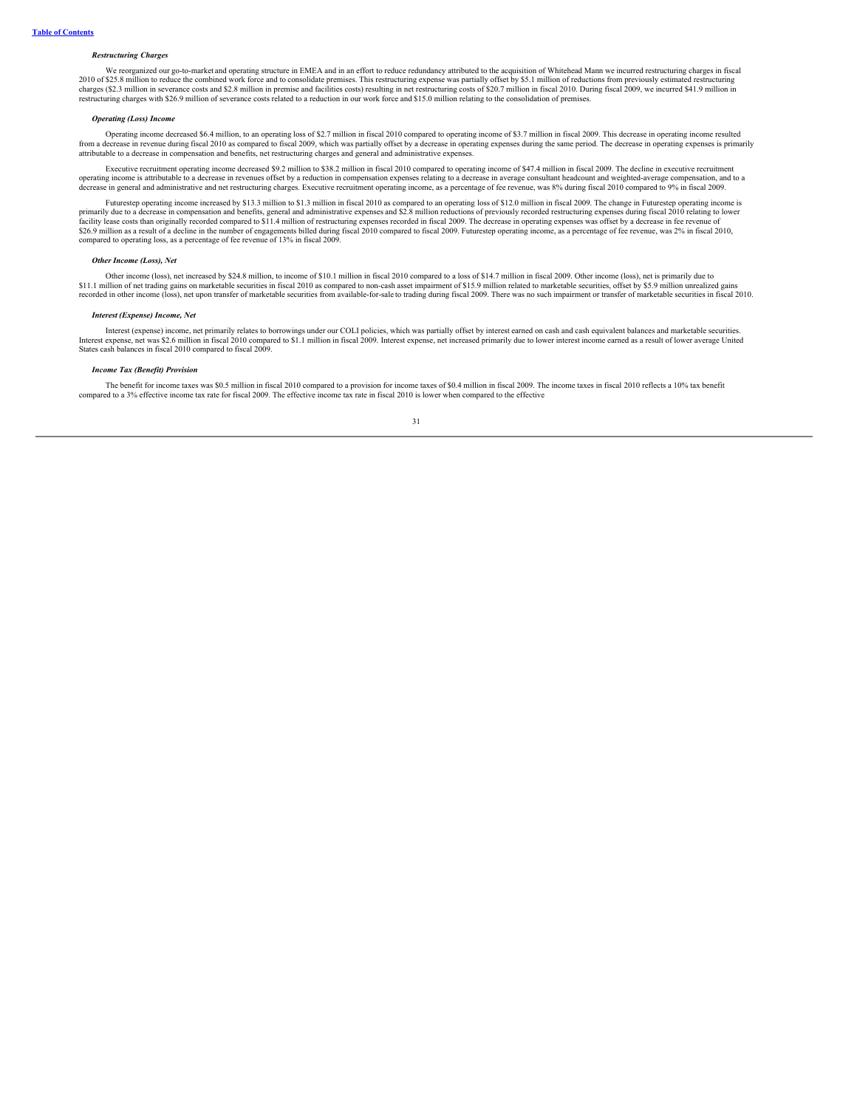# *Restructuring Charges*

We reorganized our go-to-market and operating structure in EMEA and in an effort to reduce redundancy attributed to the acquisition of Whitehead Mann we incurred restructuring charges in fiscal 2010 of \$25.8 million to reduce the combined work force and to consolidate premises. This restructuring expense was partially offset by \$5.1 million of reductions from previously estimated restructuring<br>charges (\$2.3 milli restructuring charges with \$26.9 million of severance costs related to a reduction in our work force and \$15.0 million relating to the consolidation of premises.

#### *Operating (Loss) Income*

Operating income decreased \$6.4 million, to an operating loss of \$2.7 million in fiscal 2010 compared to operating income of \$3.7 million in fiscal 2009. This decrease in operating income resulted from a decrease in revenue during fiscal 2010 as compared to fiscal 2009, which was partially offset by a decrease in operating expenses during the same period. The decrease in operating expenses is primarily attributable to a decrease in compensation and benefits, net restructuring charges and general and administrative expenses.

Executive recruitment operating income decreased \$9.2 million to \$38.2 million in fiscal 2010 compared to operating income of \$47.4 million in fiscal 2009. The decline in executive recruitment operating income is attributable to a decrease in revenues offset by a reduction in compensation expenses relating to a decrease in average consultant headcount and weighted-average compensation, and to a decrease in general and administrative and net restructuring charges. Executive recruitment operating income, as a percentage of fee revenue, was 8% during fiscal 2010 compared to 9% in fiscal 2009.

Futurestep operating income increased by \$13.3 million to \$1.3 million in fiscal 2010 as compared to an operating loss of \$12.0 million in fiscal 2009. The change in Futurestep operating income is primarily due to a decrease in compensation and benefits, general and administrative expenses and \$2.8 million reductions of previously recorded restructuring expenses during fiscal 2010 relating to lower facility lease costs than originally recorded compared to \$11.4 million of restructuring expenses recorded in fiscal 2009. The decrease in operating expenses was offset by a decrease in fee revenue of \$26.9 million as a result of a decline in the number of engagements billed during fiscal 2010 compared to fiscal 2009. Futurestep operating income, as a percentage of fee revenue, was 2% in fiscal 2010,<br>compared to operati

#### *Other Income (Loss), Net*

Other income (loss), net increased by \$24.8 million, to income of \$10.1 million in fiscal 2010 compared to a loss of \$14.7 million in fiscal 2009. Other income (loss), net is primarily due to \$11.1 million of net trading gains on marketable securities in fiscal 2010 as compared to non-cash asset impairment of \$15.9 million related to marketable securities, offset by \$5.9 million unrealized gains recorded in other income (loss), net upon transfer of marketable securities from available-for-sale to trading during fiscal 2009. There was no such impairment or transfer of marketable securities in fiscal 2010.

#### *Interest (Expense) Income, Net*

Interest (expense) income, net primarily relates to borrowings under our COLI policies, which was partially offset by interest earned on cash and cash equivalent balances and marketable securities.<br>Interest expense, net in States cash balances in fiscal 2010 compared to fiscal 2009.

# *Income Tax (Benefit) Provision*

The benefit for income taxes was \$0.5 million in fiscal 2010 compared to a provision for income taxes of \$0.4 million in fiscal 2009. The income taxes in fiscal 2010 reflects a 10% tax benefit compared to a 3% effective income tax rate for fiscal 2009. The effective income tax rate in fiscal 2010 is lower when compared to the effective

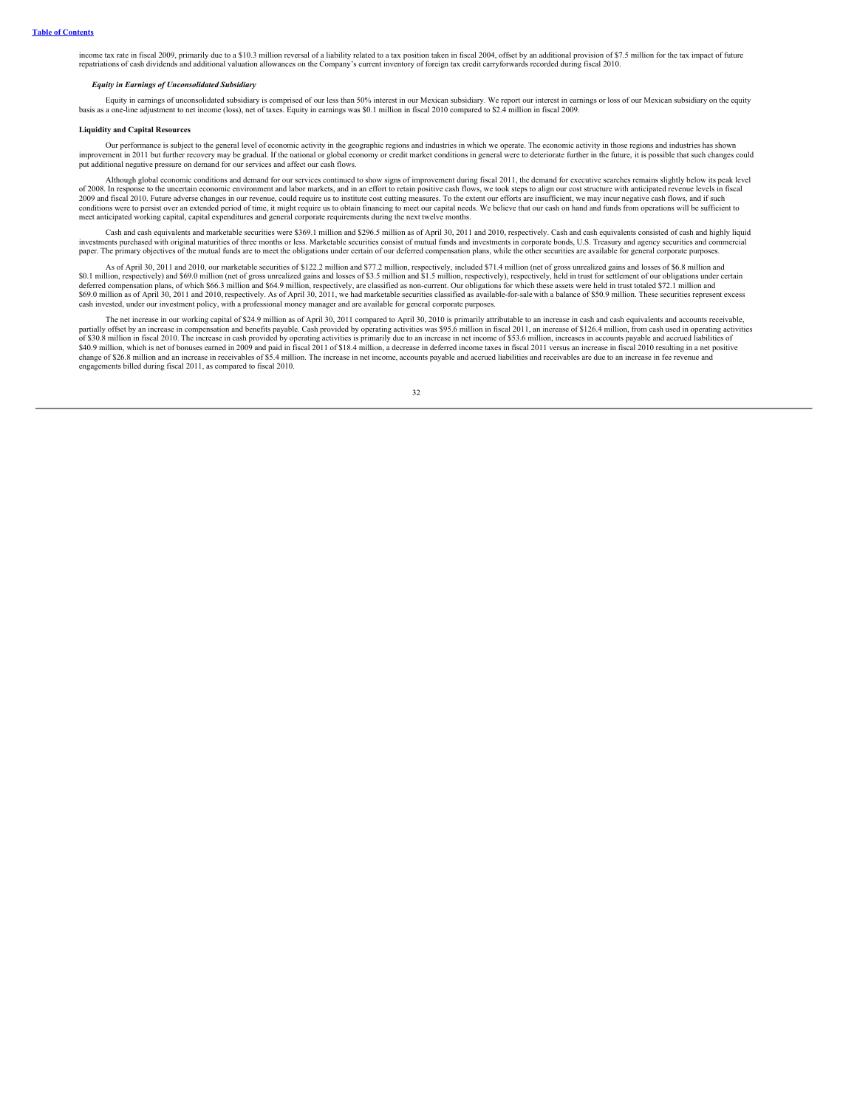income tax rate in fiscal 2009, primarily due to a \$10.3 million reversal of a liability related to a tax position taken in fiscal 2004, offset by an additional provision of \$7.5 million for the tax impact of future repatriations of cash dividends and additional valuation allowances on the Company's current inventory of foreign tax credit carryforwards recorded during fiscal 2010.

# *Equity in Earnings of Unconsolidated Subsidiary*

Equity in earnings of unconsolidated subsidiary is comprised of our less than 50% interest in our Mexican subsidiary. We report our interest in earnings or loss of our Mexican subsidiary on the equity basis as a one-line adjustment to net income (loss), net of taxes. Equity in earnings was \$0.1 million in fiscal 2010 compared to \$2.4 million in fiscal 2009.

### **Liquidity and Capital Resources**

Our performance is subject to the general level of economic activity in the geographic regions and industries in which we operate. The economic activity in those regions and industries has shown<br>improvement in 2011 but fur put additional negative pressure on demand for our services and affect our cash flows.

Although global economic conditions and demand for our services continued to show signs of improvement during fiscal 2011, the demand for executive searches remains slightly below its peak level of 2008. In response to the uncertain economic environment and labor markets, and in an effort to retain positive cash flows, we took steps to align our cost structure with anticipated revenue levels in fiscal 2009 and fiscal 2010. Future adverse changes in our revenue, could require us to institute cost cutting measures. To the extent our efforts are insufficient, we may incur negative cash flows, and if such conditions were to persist over an extended period of time, it might require us to obtain financing to meet our capital needs. We believe that our cash on hand and funds from operations will be sufficient to meet anticipated working capital, capital expenditures and general corporate requirements during the next twelve months.

Cash and cash equivalents and marketable securities were \$369.1 million and \$296.5 million as of April 30, 2011 and 2010, respectively. Cash and cash equivalents consisted of cash and highly liquid investments purchased with original maturities of three months or less. Marketable securities consist of mutual funds and investments in corporate bonds, U.S. Treasury and agency securities and commercial paper. The primary objectives of the mutual funds are to meet the obligations under certain of our deferred compensation plans, while the other securities are available for general corporate purposes.

As of April 30, 2011 and 2010, our marketable securities of \$122.2 million and \$77.2 million, respectively, included \$71.4 million (net of gross unrealized gains and losses of \$6.8 million and \$0.1 million, respectively) and \$69.0 million (net of gross unrealized gains and losses of \$3.5 million and \$1.5 million, respectively), respectively, held in trust for settlement of our obligations under certain deferred compensation plans, of which \$66.3 million and \$64.9 million, respectively, are classified as non-current. Our obligations for which these assets were held in trust totaled \$72.1 million and \$69.0 million as of April 30, 2011 and 2010, respectively. As of April 30, 2011, we had marketable securities classified as available-for-sale with a balance of \$50.9 million. These securities represent excess cash invested, under our investment policy, with a professional money manager and are available for general corporate purposes.

The net increase in our working capital of \$24.9 million as of April 30, 2011 compared to April 30, 2010 is primarily attributable to an increase in cash and cash equivalents and accounts receivable. partially offset by an increase in compensation and benefits payable. Cash provided by operating activities was \$95.6 million in fiscal 2011, an increase of \$126.4 million, from cash used in operating activities of \$30.8 million in fiscal 2010. The increase in cash provided by operating activities is primarily due to an increase in act income of \$53.6 million, increases in accounts payable and accrued liabilities of<br>\$40.9 million, change of \$26.8 million and an increase in receivables of \$5.4 million. The increase in net income, accounts payable and accrued liabilities and receivables are due to an increase in fee revenue and<br>engagements billed duri

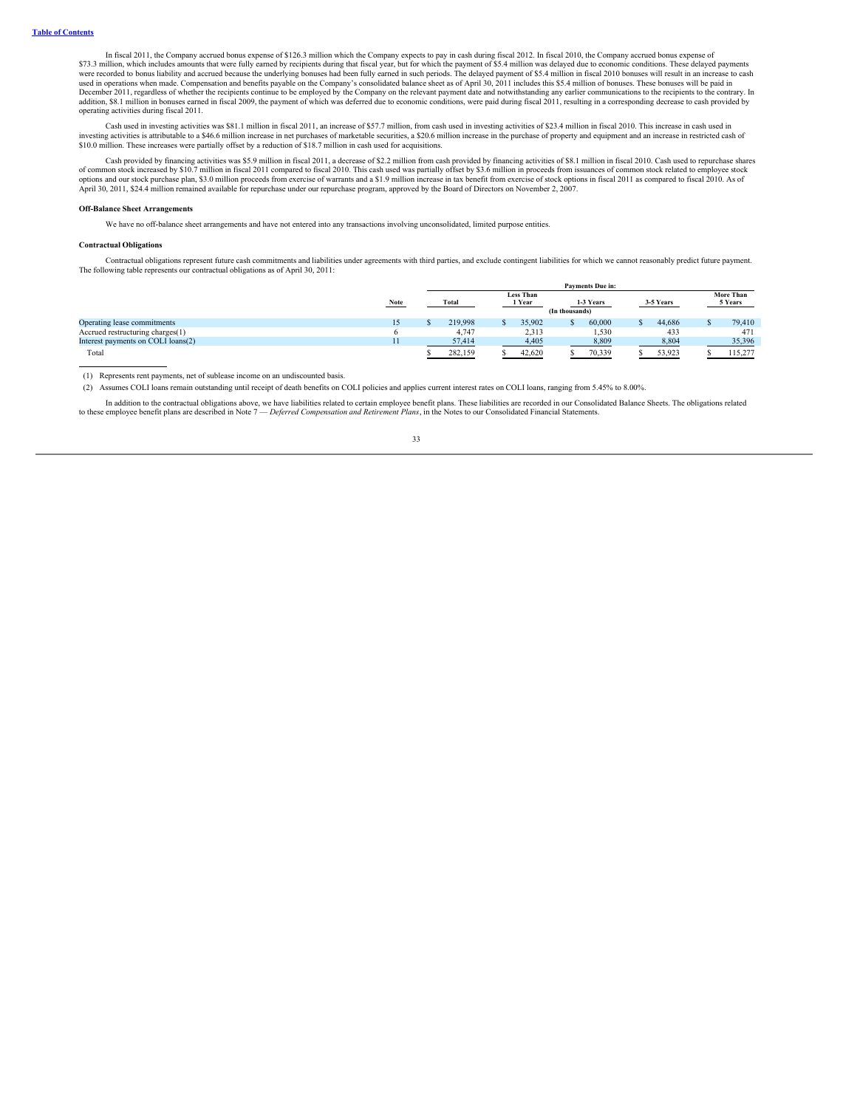In fiscal 2011, the Company accrued bonus expense of \$126.3 million which the Company expects to pay in cash during fiscal 2012. In fiscal 2010, the Company accrued bonus expense of \$73.3 million, which includes amounts that were fully earned by recipients during that fiscal year, but for which the payment of \$5.4 million was delayed due to economic conditions. These delayed payments<br>were recorded to used in operations when made. Compensation and benefits payable on the Company's consolidated balance sheet as of April 30, 2011 includes this \$5.4 million of bonuses. These bonuses will be paid in<br>December 2011, regardles operating activities during fiscal 2011.

Cash used in investing activities was \$81.1 million in fiscal 2011, an increase of \$57.7 million, from cash used in investing activities of \$23.4 million in fiscal 2010. This increase in cash used in investing activities is attributable to a \$46.6 million increase in net purchases of marketable securities, a \$20.6 million increase in the purchase of property and equipment and an increase in restricted cash of<br>\$10.0 mil

Cash provided by financing activities was \$5.9 million in fiscal 2011, a decrease of \$2.2 million from cash provided by financing activities of \$8.1 million in fiscal 2010. Cash used to repurchase shares<br>of common stock in

### **Off-Balance Sheet Arrangements**

We have no off-balance sheet arrangements and have not entered into any transactions involving unconsolidated, limited purpose entities.

### **Contractual Obligations**

Contractual obligations represent future cash commitments and liabilities under agreements with third parties, and exclude contingent liabilities for which we cannot reasonably predict future payment.<br>The following table r

|                                    |      | <b>Payments Due in:</b> |                |                            |        |  |           |  |           |  |                             |  |
|------------------------------------|------|-------------------------|----------------|----------------------------|--------|--|-----------|--|-----------|--|-----------------------------|--|
|                                    | Note | Total                   |                | <b>Less Than</b><br>1 Year |        |  | 1-3 Years |  | 3-5 Years |  | <b>More Than</b><br>5 Years |  |
|                                    |      |                         | (In thousands) |                            |        |  |           |  |           |  |                             |  |
| Operating lease commitments        |      |                         | 219.998        |                            | 35,902 |  | 60,000    |  | 44,686    |  | 79,410                      |  |
| Accrued restructuring charges(1)   |      |                         | 4.747          |                            | 2,313  |  | 1,530     |  | 433       |  | 471                         |  |
| Interest payments on COLI loans(2) |      |                         | 57,414         |                            | 4,405  |  | 8,809     |  | 8,804     |  | 35,396                      |  |
| Total                              |      |                         | 282.159        |                            | 42,620 |  | 70,339    |  | 53,923    |  | 115,277                     |  |

(1) Represents rent payments, net of sublease income on an undiscounted basis.

(2) Assumes COLI loans remain outstanding until receipt of death benefits on COLI policies and applies current interest rates on COLI loans, ranging from 5.45% to 8.00%.

In addition to the contractual obligations above, we have liabilities related to certain employee benefit plans. These liabilities are recorded in our Consolidated Balance Sheets. The obligations related to these employee benefit plans are described in Note 7 — *Deferred Compensation and Retirement Plans*, in the Notes to our Consolidated Financial Statements.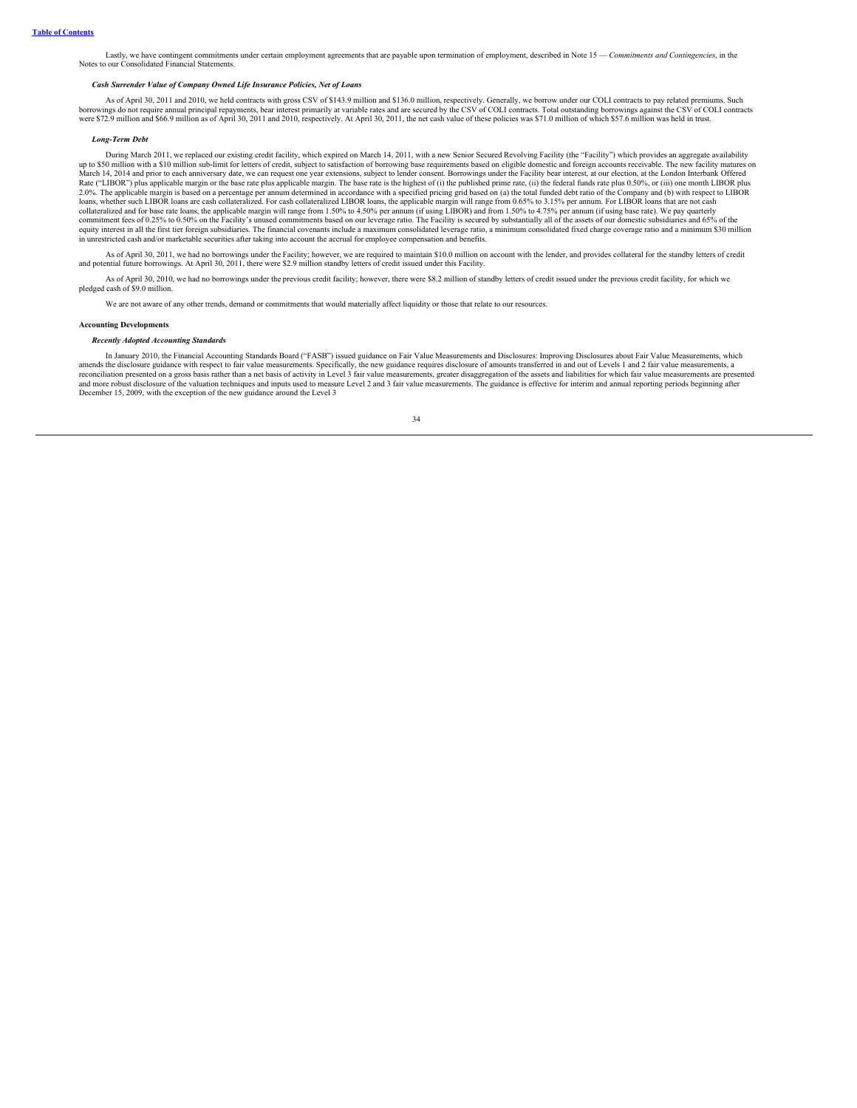Lastly, we have contingent commitments under certain employment agreements that are payable upon termination of employment, described in Note 15 — *Commitments and Contingencies*, in the Notes to our Consolidated Financial Statements.

# *Cash Surrender Value of Company Owned Life Insurance Policies, Net of Loans*

As of April 30, 2011 and 2010, we held contracts with gross CSV of \$143.9 million and \$136.0 million, respectively. Generally, we borrow under our COLI contracts to pay related premiums. Such borrowings do not require annual principal repayments, bear interest primarily at variable rates and are secured by the CSV of COLI contracts. Total outstanding borrowings against the CSV of COLI contracts<br>were \$72.9 milli

#### *Long-Term Debt*

During March 2011, we replaced our existing credit facility, which expired on March 14, 2011, with a new Senior Secured Revolving Facility (the "Facility") which provides an aggregate availability up to \$50 million with a \$10 million sub-limit for letters of credit, subject to satisfaction of borrowing base requirements based on eligible domestic and foreign accounts receivable. The new facility matures on<br>March 14, Rate ("LIBOR") plus applicable margin or the base rate plus applicable margin. The base rate is the highest of (i) the published prime rate, (ii) the federal funds rate plus 0.50%, or (iii) one month LIBOR plus<br>2.0%. The a loans, whether such LIBOR loans are cash collateralized. For cash collateralized LIBOR loans, the applicable margin will range from 0.65% to 3.15% per annum. For LIBOR loans that are not cash<br>collateralized and for base ra commitment fees of 0.25% to 0.50% on the Facility's unused commitments based on our leverage ratio. The Facility is secured by substantially all of the assets of our domestic subsidiaries and 65% of the<br>equity interest in in unrestricted cash and/or marketable securities after taking into account the accrual for employee compensation and benefits.

As of April 30, 2011, we had no borrowings under the Facility; however, we are required to maintain \$10.0 million on account with the lender, and provides collateral for the standby letters of credit and potential future borrowings. At April 30, 2011, there were \$2.9 million standby letters of credit issued under this Facility.

As of April 30, 2010, we had no borrowings under the previous credit facility; however, there were \$8.2 million of standby letters of credit issued under the previous credit facility, for which we pledged cash of \$9.0 million.

We are not aware of any other trends, demand or commitments that would materially affect liquidity or those that relate to our resources.

#### **Accounting Developments**

#### *Recently Adopted Accounting Standards*

In January 2010, the Financial Accounting Standards Board ("FASB") issued guidance on Fair Value Measurements and Disclosures: Improving Disclosures about Fair Value Measurements, which amends the disclosure guidance with respect to fair value measurements. Specifically, the new guidance requires disclosure of amounts transferred in and out of Levels 1 and 2 fair value measurements, a<br>reconciliation prese and more robust disclosure of the valuation techniques and inputs used to measure Level 2 and 3 fair value measurements. The guidance is effective for interim and annual reporting periods beginning after December 15, 2009, with the exception of the new guidance around the Level 3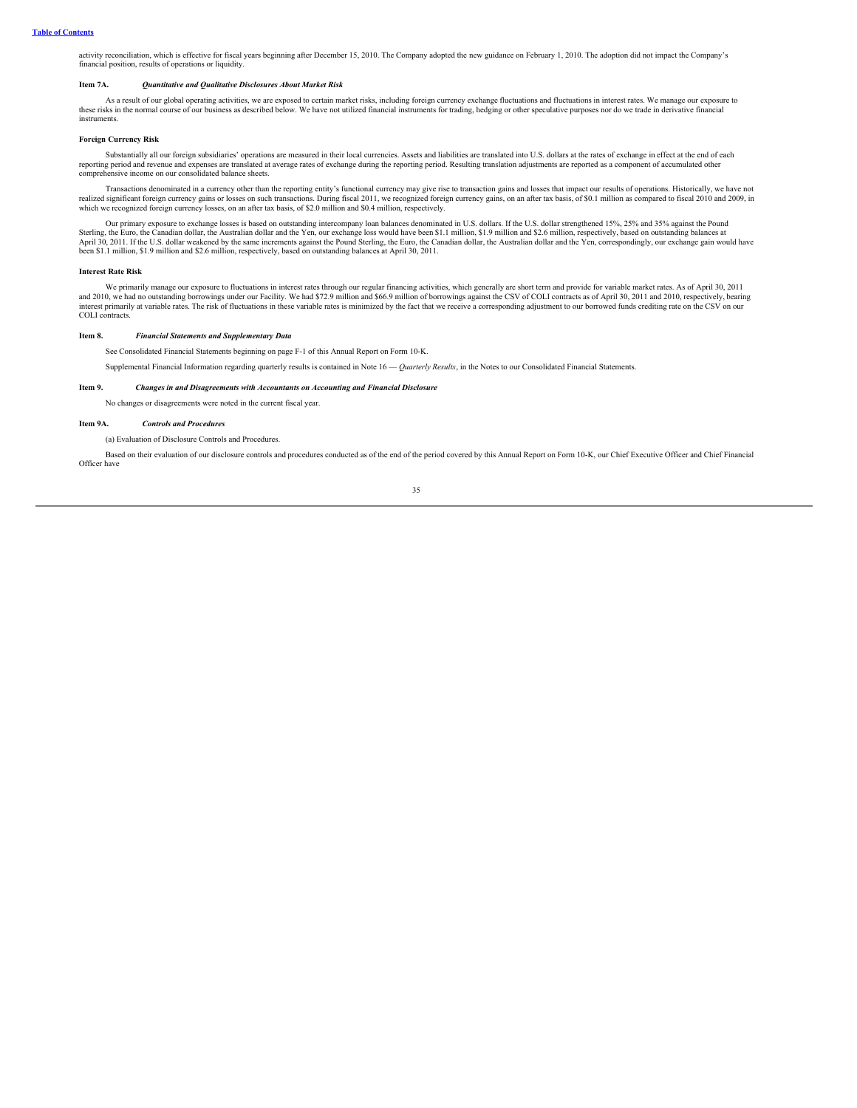activity reconciliation, which is effective for fiscal years beginning after December 15, 2010. The Company adopted the new guidance on February 1, 2010. The adoption did not impact the Company's financial position, results of operations or liquidity.

### **Item 7A.** *Quantitative and Qualitative Disclosures About Market Risk*

As a result of our global operating activities, we are exposed to certain market risks, including foreign currency exchange fluctuations and fluctuations in interest rates. We manage our exposure to these risks in the normal course of our business as described below. We have not utilized financial instruments for trading, hedging or other speculative purposes nor do we trade in derivative financial instruments.

#### **Foreign Currency Risk**

Substantially all our foreign subsidiaries' operations are measured in their local currencies. Assets and liabilities are translated into U.S. dollars at the rates of exchange in effect at the end of each reporting period and revenue and expenses are translated at average rates of exchange during the reporting period. Resulting translation adjustments are reported as a component of accumulated other<br>comprehensive income on

Transactions denominated in a currency other than the reporting entity's functional currency may give rise to transaction gains and losses that impact our results of operations. Historically, we have not realized significant foreign currency gains or losses on such transactions. During fiscal 2011, we recognized foreign currency gains, on an after tax basis, of \$0.1 million as compared to fiscal 2010 and 2009, in<br>which we

Our primary exposure to exchange losses is based on outstanding intercompany loan balances denominated in U.S. dollars. If the U.S. dollar strengthened 15%, 25% and 35% against the Pound<br>Sterling, the Euro, the Canadian do April 30, 2011. If the U.S. dollar weakened by the same increments against the Pound Sterling, the Euro, the Canadian dollar, the Australian dollar and the Yen, correspondingly, our exchange gain would have been \$1.1 million, \$1.9 million and \$2.6 million, respectively, based on outstanding balances at April 30, 2011.

#### **Interest Rate Risk**

We primarily manage our exposure to fluctuations in interest rates through our regular financing activities, which generally are short term and provide for variable market rates. As of April 30, 2011 and 2010, we had no ou interest primarily at variable rates. The risk of fluctuations in these variable rates is minimized by the fact that we receive a corresponding adjustment to our borrowed funds crediting rate on the CSV on our COLI contracts.

#### **Item 8.** *Financial Statements and Supplementary Data*

See Consolidated Financial Statements beginning on page F-1 of this Annual Report on Form 10-K.

Supplemental Financial Information regarding quarterly results is contained in Note 16 — *Quarterly Results*, in the Notes to our Consolidated Financial Statements.

#### **Item 9.** *Changes in and Disagreements with Accountants on Accounting and Financial Disclosure*

No changes or disagreements were noted in the current fiscal year.

#### **Item 9A.** *Controls and Procedures*

(a) Evaluation of Disclosure Controls and Procedures.

Based on their evaluation of our disclosure controls and procedures conducted as of the end of the period covered by this Annual Report on Form 10-K, our Chief Executive Officer and Chief Financial Officer have

### 35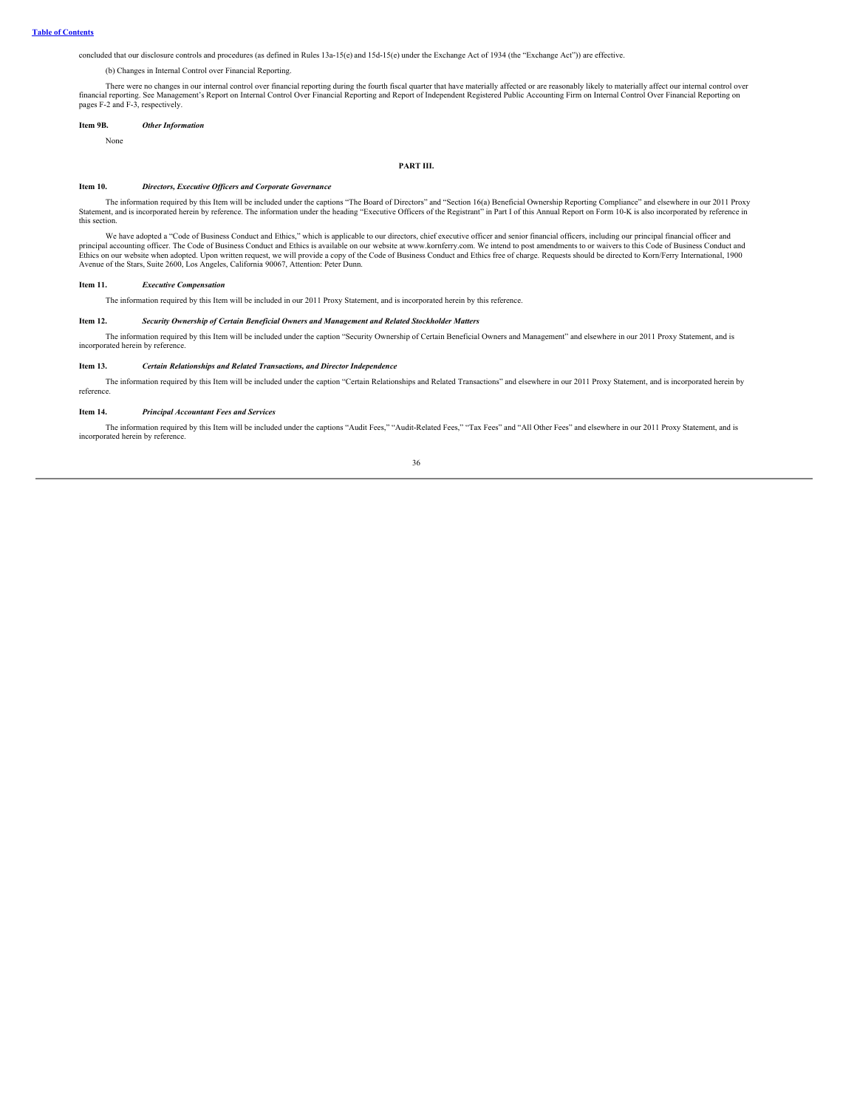concluded that our disclosure controls and procedures (as defined in Rules 13a-15(e) and 15d-15(e) under the Exchange Act of 1934 (the "Exchange Act")) are effective.

(b) Changes in Internal Control over Financial Reporting.

There were no changes in our internal control over financial reporting during the fourth fiscal quarter that have materially affected or are reasonably likely to materially affect our internal control over financial report

#### **Item 9B.** *Other Information*

None

#### **PART III.**

#### **Item 10.** *Directors, Executive Of icers and Corporate Governance*

The information required by this Item will be included under the captions "The Board of Directors" and "Section 16(a) Beneficial Ownership Reporting Compliance" and elsewhere in our 2011 Proxy<br>Statement, and is incorporate this section.

We have adopted a "Code of Business Conduct and Ethics," which is applicable to our directors, chief executive officer and senior financial officers, including our principal financial officer and principal accounting officer. The Code of Business Conduct and Ethics is available on our website at www.kornferry.com. We intend to post amendments to or waivers to this Code of Business Conduct and<br>Ethics on our website Avenue of the Stars, Suite 2600, Los Angeles, California 90067, Attention: Peter Dunn.

#### **Item 11.** *Executive Compensation*

The information required by this Item will be included in our 2011 Proxy Statement, and is incorporated herein by this reference.

#### **Item 12.** *Security Ownership of Certain Beneficial Owners and Management and Related Stockholder Matters*

The information required by this Item will be included under the caption "Security Ownership of Certain Beneficial Owners and Management" and elsewhere in our 2011 Proxy Statement, and is incorporated herein by reference.

#### **Item 13.** *Certain Relationships and Related Transactions, and Director Independence*

The information required by this Item will be included under the caption "Certain Relationships and Related Transactions" and elsewhere in our 2011 Proxy Statement, and is incorporated herein by reference.

#### **Item 14.** *Principal Accountant Fees and Services*

The information required by this Item will be included under the captions "Audit Fees," "Audit-Related Fees," "Tax Fees" and "All Other Fees" and elsewhere in our 2011 Proxy Statement, and is incorporated herein by reference.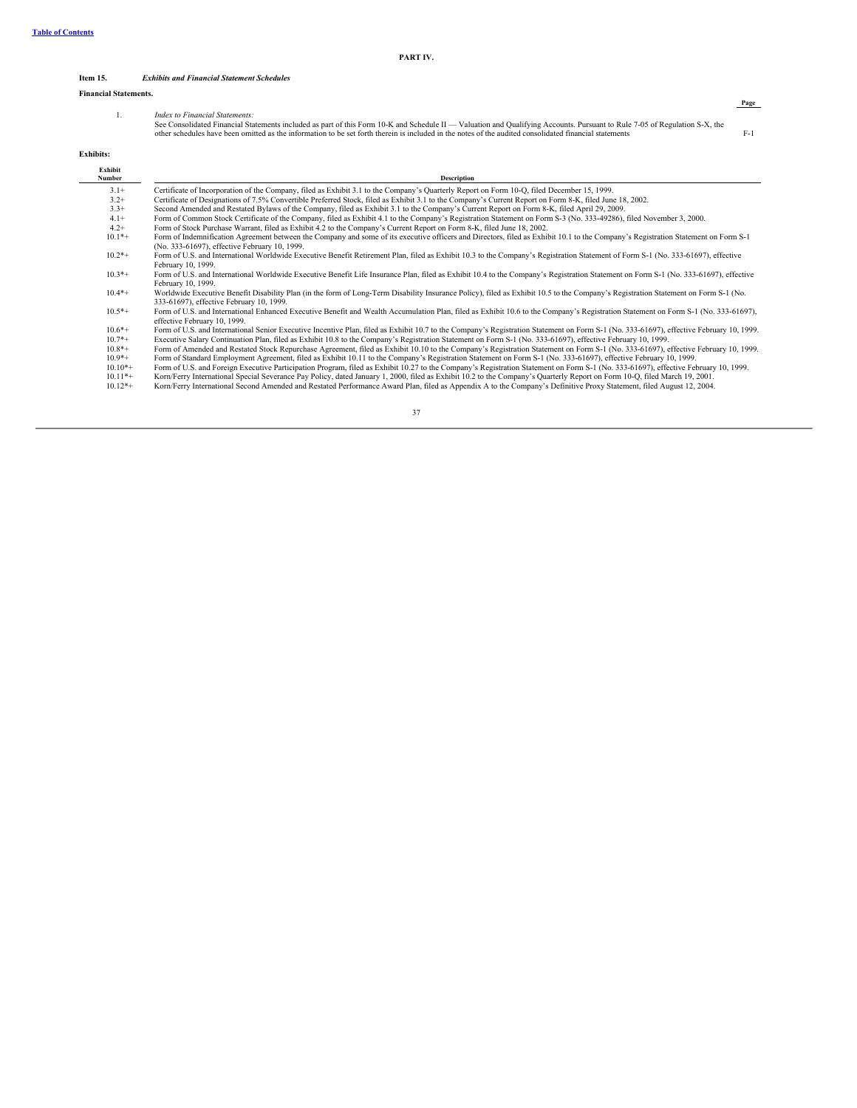| Item 15. | <b>Exhibits and Financial Statement Schedules</b> |  |
|----------|---------------------------------------------------|--|
|          |                                                   |  |

**Financial Statements.**

*Index to Financial Statements:*<br>See Consolidated Financial Statements included as part of this Form 10-K and Schedule II — Valuation and Qualifying Accounts. Pursuant to Rule 7-05 of Regulation S-X, the<br>other schedules ha

**Page**

| Exhibits:         |                                                                                                                                                                                                                                                                                              |
|-------------------|----------------------------------------------------------------------------------------------------------------------------------------------------------------------------------------------------------------------------------------------------------------------------------------------|
| Exhibit<br>Number | <b>Description</b>                                                                                                                                                                                                                                                                           |
| $3.1+$            | Certificate of Incorporation of the Company, filed as Exhibit 3.1 to the Company's Quarterly Report on Form 10-Q, filed December 15, 1999.                                                                                                                                                   |
| $3.2+$            | Certificate of Designations of 7.5% Convertible Preferred Stock, filed as Exhibit 3.1 to the Company's Current Report on Form 8-K, filed June 18, 2002.                                                                                                                                      |
| $3.3+$            | Second Amended and Restated Bylaws of the Company, filed as Exhibit 3.1 to the Company's Current Report on Form 8-K, filed April 29, 2009.                                                                                                                                                   |
| $4.1+$<br>$4.2+$  | Form of Common Stock Certificate of the Company, filed as Exhibit 4.1 to the Company's Registration Statement on Form S-3 (No. 333-49286), filed November 3, 2000.<br>Form of Stock Purchase Warrant, filed as Exhibit 4.2 to the Company's Current Report on Form 8-K, filed June 18, 2002. |
| $10.1*+$          | Form of Indemnification Agreement between the Company and some of its executive officers and Directors, filed as Exhibit 10.1 to the Company's Registration Statement on Form S-1<br>(No. 333-61697), effective February 10, 1999.                                                           |
| $10.2*+$          | Form of U.S. and International Worldwide Executive Benefit Retirement Plan, filed as Exhibit 10.3 to the Company's Registration Statement of Form S-1 (No. 333-61697), effective<br>February 10, 1999.                                                                                       |
| $10.3*+$          | Form of U.S. and International Worldwide Executive Benefit Life Insurance Plan, filed as Exhibit 10.4 to the Company's Registration Statement on Form S-1 (No. 333-61697), effective<br>February 10, 1999.                                                                                   |
| $10.4*+$          | Worldwide Executive Benefit Disability Plan (in the form of Long-Term Disability Insurance Policy), filed as Exhibit 10.5 to the Company's Registration Statement on Form S-1 (No.<br>333-61697), effective February 10, 1999.                                                               |
| $10.5*+$          | Form of U.S. and International Enhanced Executive Benefit and Wealth Accumulation Plan, filed as Exhibit 10.6 to the Company's Registration Statement on Form S-1 (No. 333-61697),<br>effective February 10, 1999.                                                                           |
| $10.6*+$          | Form of U.S. and International Senior Executive Incentive Plan, filed as Exhibit 10.7 to the Company's Registration Statement on Form S-1 (No. 333-61697), effective February 10, 1999.                                                                                                      |
| $10.7*+$          | Executive Salary Continuation Plan, filed as Exhibit 10.8 to the Company's Registration Statement on Form S-1 (No. 333-61697), effective February 10, 1999.                                                                                                                                  |
| $10.8*+$          | Form of Amended and Restated Stock Repurchase Agreement, filed as Exhibit 10.10 to the Company's Registration Statement on Form S-1 (No. 333-61697), effective February 10, 1999.                                                                                                            |
| $10.9*+$          | Form of Standard Employment Agreement, filed as Exhibit 10.11 to the Company's Registration Statement on Form S-1 (No. 333-61697), effective February 10, 1999.                                                                                                                              |
| $10.10*+$         | Form of U.S. and Foreign Executive Participation Program, filed as Exhibit 10.27 to the Company's Registration Statement on Form S-1 (No. 333-61697), effective February 10, 1999.                                                                                                           |
| $10.11*+$         | Korn/Ferry International Special Severance Pay Policy, dated January 1, 2000, filed as Exhibit 10.2 to the Company's Quarterly Report on Form 10-Q, filed March 19, 2001.                                                                                                                    |
| $10.12*+$         | Korn/Ferry International Second Amended and Restated Performance Award Plan, filed as Appendix A to the Company's Definitive Proxy Statement, filed August 12, 2004.                                                                                                                         |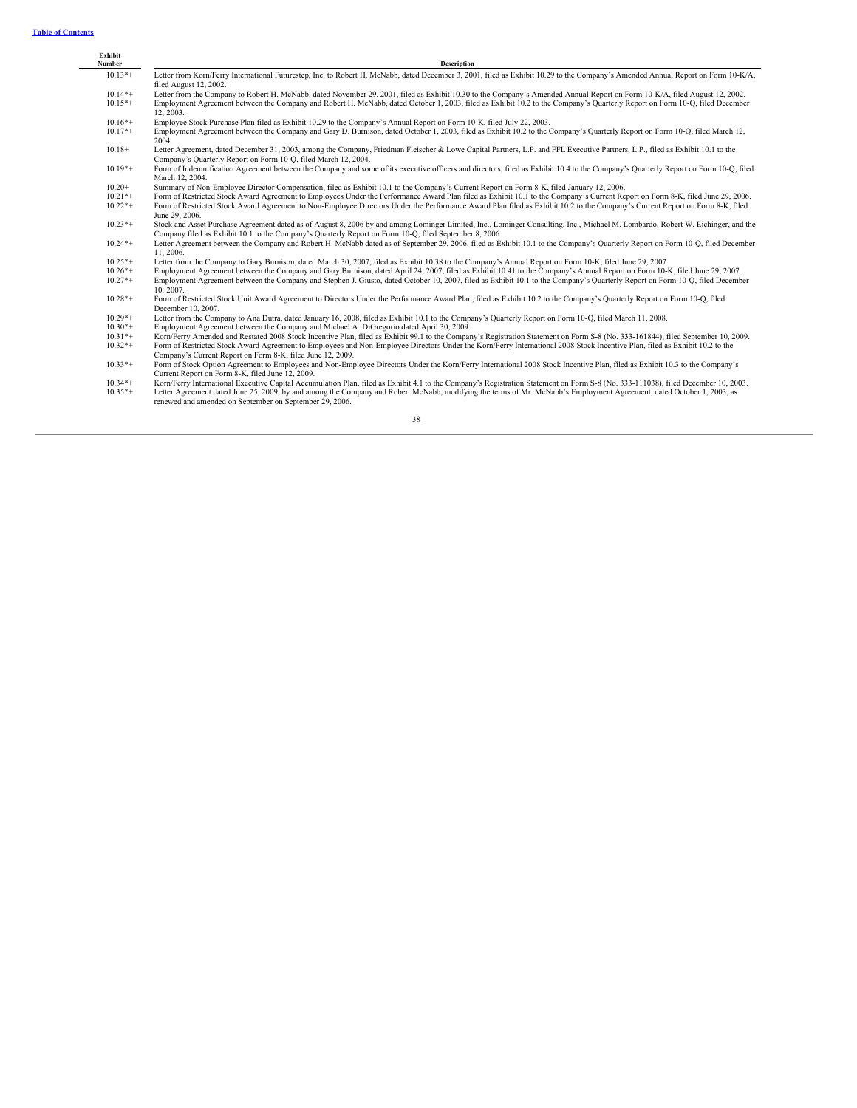**Exhibi Number Description** 10.13\*+ Letter from Korn/Ferry International Futurestep, Inc. to Robert H. McNabb, dated December 3, 2001, filed as Exhibit 10.29 to the Company's Amended Annual Report on Form 10-K/A, filed August 12, 2002. 10.14\*+ Letter from the Company to Robert H. McNabb, dated November 29, 2001, filed as Exhibit 10.30 to the Company's Amended Annual Report on Form 10-K/A, filed August 12, 2002.<br>10.15\*+ Employment Agreement between the Co 12, 2003. 10.16\*+ Employee Stock Purchase Plan filed as Exhibit 10.29 to the Company's Annual Report on Form 10-K, filed July 22, 2003.<br>10.17\*+ Employment Agreement between the Company and Gary D. Burnison, dated October 1.2003. fil 10.17\*+ Employment Agreement between the Company and Gary D. Burnison, dated October 1, 2003, filed as Exhibit 10.2 to the Company's Quarterly Report on Form 10-Q, filed March 12, 2004. 10.18+ Letter Agreement, dated December 31, 2003, among the Company, Friedman Fleischer & Lowe Capital Partners, L.P. and FFL Executive Partners, L.P., filed as Exhibit 10.1 to the Company's Quarterly Report on Form 10-Q, 10.19\*+ Form of Indemnification Agreement between the Company and some of its executive officers and directors, filed as Exhibit 10.4 to the Company's Quarterly Report on Form 10-Q, filed March 12, 2004. 10.20+ Summary of Non-Employee Director Compensation, filed as Exhibit 10.1 to the Company's Current Report on Form 8-K, filed January 12, 2006.<br>10.21\*+ Form of Restricted Stock Award Agreement to Employees Under the Perfo 10.22\*+ Form of Restricted Stock Award Agreement to Non-Employee Directors Under the Performance Award Plan filed as Exhibit 10.2 to the Company's Current Report on Form 8-K, filed June 29, 2006. 10.23\*+ Stock and Asset Purchase Agreement dated as of August 8, 2006 by and among Lominger Limited, Inc., Lominger Consulting, Inc., Michael M. Lombardo, Robert W. Eichinger, and the Company filed as Exhibit 10.1 to the Company's Quarterly Report on Form 10-Q, filed September 8, 2006.<br>10.24\*+ Letter Agreement between the Company and Robert H. McNabb dated as of September 29, 2006, filed as Exhibit 10.1 11, 2006. 10.25\*+<br>
10.25\*+ Letter from the Company to Gary Burnison, dated March 30, 2007, filed as Exhibit 10.38 to the Company's Annual Report on Form 10-K, filed June 29, 2007.<br>
10.26\*+ Employment Agreement between the Company an 10.26\*+ Employment Agreement between the Company and Gary Burnison, dated April 24, 2007, filed as Exhibit 10.41 to the Company's Annual Report on Form 10-R, filed June 29, 2007.<br>10.27\*+ Employment Agreement between the Co 10.27\*+ Employment Agreement between the Company and Stephen J. Giusto, dated October 10, 2007, filed as Exhibit 10.1 to the Company's Quarterly Report on Form 10-Q, filed December 10, 2007. 10.28\*+ Form of Restricted Stock Unit Award Agreement to Directors Under the Performance Award Plan, filed as Exhibit 10.2 to the Company's Quarterly Report on Form 10-Q, filed December 10, 2007. 10.29\*+ Letter from the Company to Ana Dutra, dated January 16, 2008, filed as Exhibit 10.1 to the Company's Quarterly Report on Form 10-Q, filed March 11, 2008.<br>10.30\*+ Employment Agreement between the Company and Michael 10.30\*+ Employment Agreement between the Company and Michael A. DiGregorio dated April 30, 2009.<br>10.31\*+ Korn/Ferry Amended and Restated 2008 Stock Incentive Plan, filed as Exhibit 99.1 to the Company's Registration Statem 10.32\*+ Form of Restricted Stock Award Agreement to Employees and Non-Employee Directors Under the Korn/Ferry International 2008 Stock Incentive Plan, filed as Exhibit 10.2 to the Company's Current Report on Form 8-K, filed June 12, 2009. 10.33\*+ Form of Stock Option Agreement to Employees and Non-Employee Directors Under the Korn/Ferry International 2008 Stock Incentive Plan, filed as Exhibit 10.3 to the Company's Current Report on Form 8-K, filed June 12, 10.34\*+<br>
10.35\*+ Letter Agreement dated June 25, 2009, by and among the Company and Robert McNabb, modifying the terms of Mr. McNabb's Employment Agreement, dated October 1, 2003, as 10.35\*+ Letter Agreement dated June 25, 2009, by and among the Company and Robert McNabb, modifying the terms of Mr. McNabb's Employment Agreement, dated October 1, 2003, as renewed and amended on September on September 29

38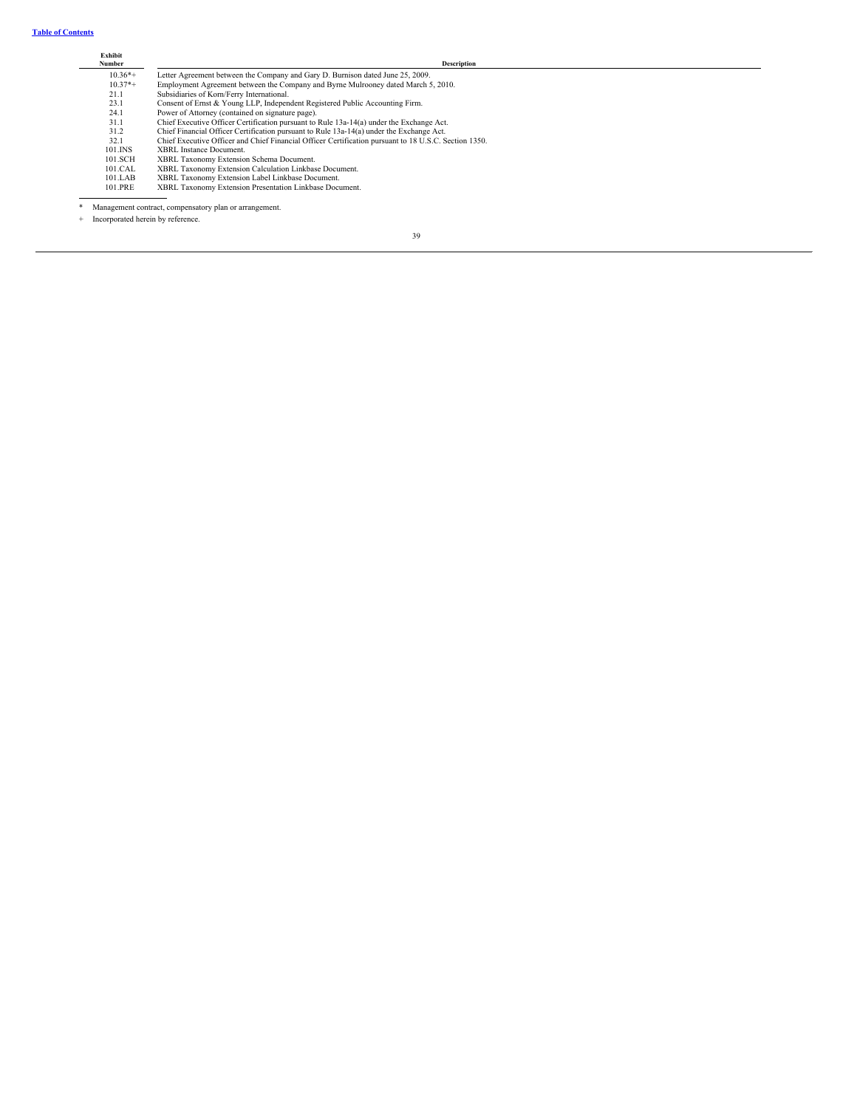| Exhibit<br>Number | <b>Description</b>                                                                                    |
|-------------------|-------------------------------------------------------------------------------------------------------|
| $10.36*+$         | Letter Agreement between the Company and Gary D. Burnison dated June 25, 2009.                        |
| $10.37*+$         | Employment Agreement between the Company and Byrne Mulrooney dated March 5, 2010.                     |
| 21.1              | Subsidiaries of Korn/Ferry International.                                                             |
| 23.1              | Consent of Ernst & Young LLP, Independent Registered Public Accounting Firm.                          |
| 24.1              | Power of Attorney (contained on signature page).                                                      |
| 31.1              | Chief Executive Officer Certification pursuant to Rule 13a-14(a) under the Exchange Act.              |
| 31.2              | Chief Financial Officer Certification pursuant to Rule 13a-14(a) under the Exchange Act.              |
| 32.1              | Chief Executive Officer and Chief Financial Officer Certification pursuant to 18 U.S.C. Section 1350. |
| 101.INS           | XBRL Instance Document.                                                                               |
| 101.SCH           | XBRL Taxonomy Extension Schema Document.                                                              |
| $101$ CAL.        | XBRL Taxonomy Extension Calculation Linkbase Document.                                                |
| 101.LAB           | XBRL Taxonomy Extension Label Linkbase Document.                                                      |
| 101.PRE           | XBRL Taxonomy Extension Presentation Linkbase Document.                                               |

\* Management contract, compensatory plan or arrangement.

+ Incorporated herein by reference.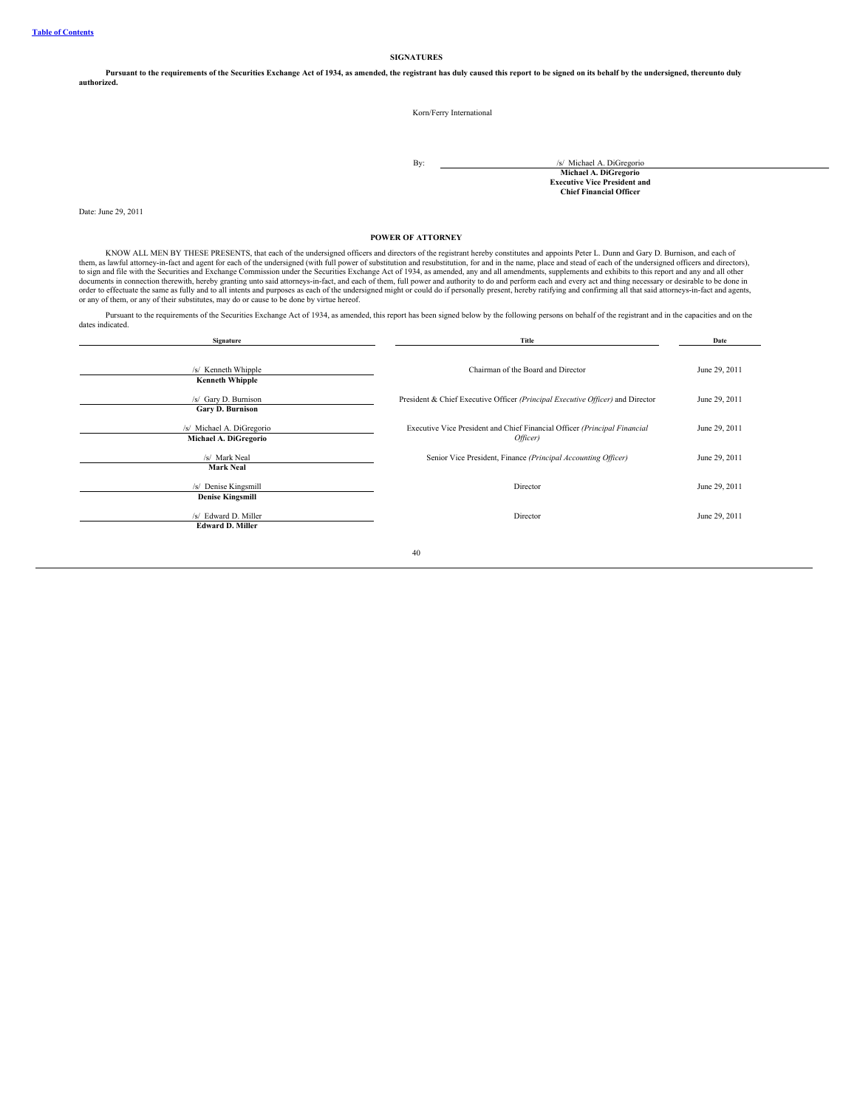#### **SIGNATURES**

Pursuant to the requirements of the Securities Exchange Act of 1934, as amended, the registrant has duly caused this report to be signed on its behalf by the undersigned, thereunto duly **authorized.**

Korn/Ferry International

By:  $\sqrt{s}$  Michael A. DiGregorio

**Michael A. DiGregorio Executive Vice President and Chief Financial Officer**

Date: June 29, 2011

### **POWER OF ATTORNEY**

KNOW ALL MEN BY THESE PRESENTS, that each of the undersigned officers and directors of the registrant hereby constitutes and appoints Peter L. Dunn and Gary D. Burnison, and each of<br>them, as law will attomey-in-fact and ag

Pursuant to the requirements of the Securities Exchange Act of 1934, as amended, this report has been signed below by the following persons on behalf of the registrant and in the capacities and on the dates indicated.

| Signature                                          | Title                                                                                 | Date          |
|----------------------------------------------------|---------------------------------------------------------------------------------------|---------------|
| /s/ Kenneth Whipple<br><b>Kenneth Whipple</b>      | Chairman of the Board and Director                                                    | June 29, 2011 |
| /s/ Gary D. Burnison<br>Gary D. Burnison           | President & Chief Executive Officer (Principal Executive Officer) and Director        | June 29, 2011 |
| /s/ Michael A. DiGregorio<br>Michael A. DiGregorio | Executive Vice President and Chief Financial Officer (Principal Financial<br>Officer) | June 29, 2011 |
| /s/ Mark Neal<br><b>Mark Neal</b>                  | Senior Vice President, Finance (Principal Accounting Officer)                         | June 29, 2011 |
| /s/ Denise Kingsmill<br><b>Denise Kingsmill</b>    | Director                                                                              | June 29, 2011 |
| /s/ Edward D. Miller<br><b>Edward D. Miller</b>    | Director                                                                              | June 29, 2011 |
|                                                    |                                                                                       |               |

40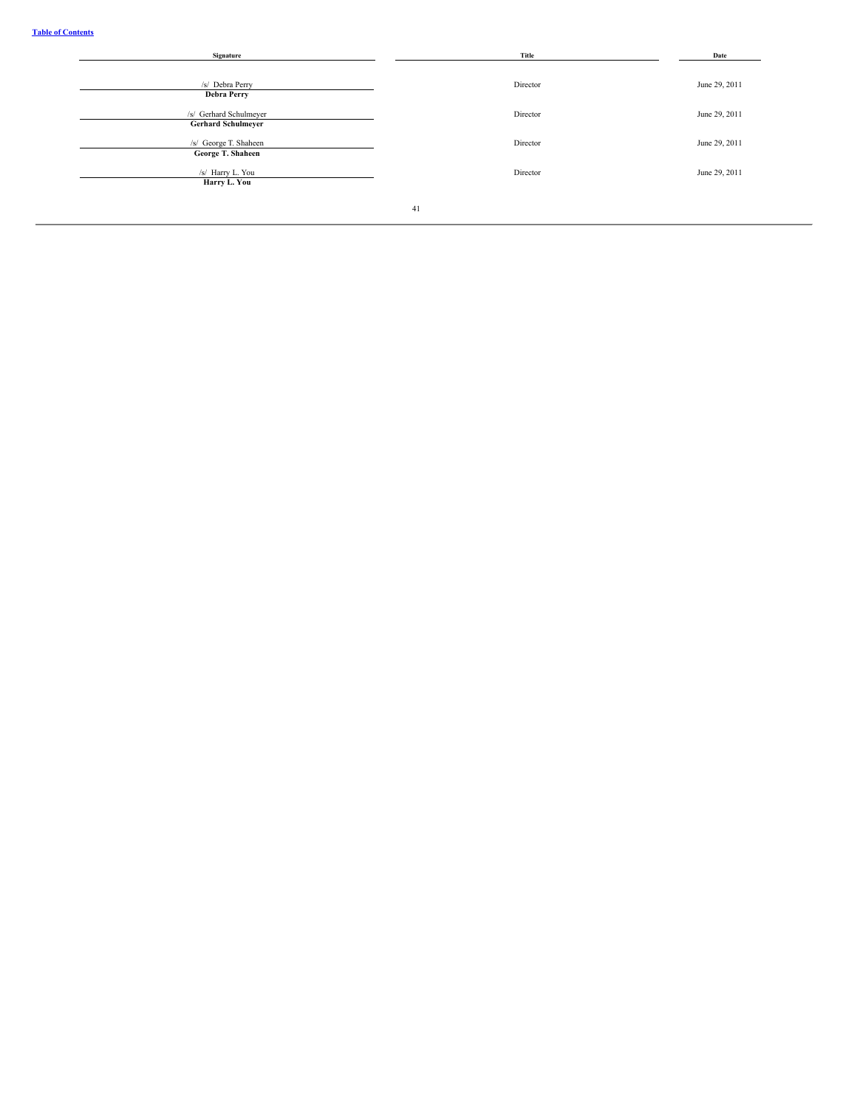| Signature                                           | Title    | Date          |
|-----------------------------------------------------|----------|---------------|
| /s/ Debra Perry<br><b>Debra Perry</b>               | Director | June 29, 2011 |
| /s/ Gerhard Schulmeyer<br><b>Gerhard Schulmeyer</b> | Director | June 29, 2011 |
| /s/ George T. Shaheen<br>George T. Shaheen          | Director | June 29, 2011 |
| /s/ Harry L. You<br>Harry L. You                    | Director | June 29, 2011 |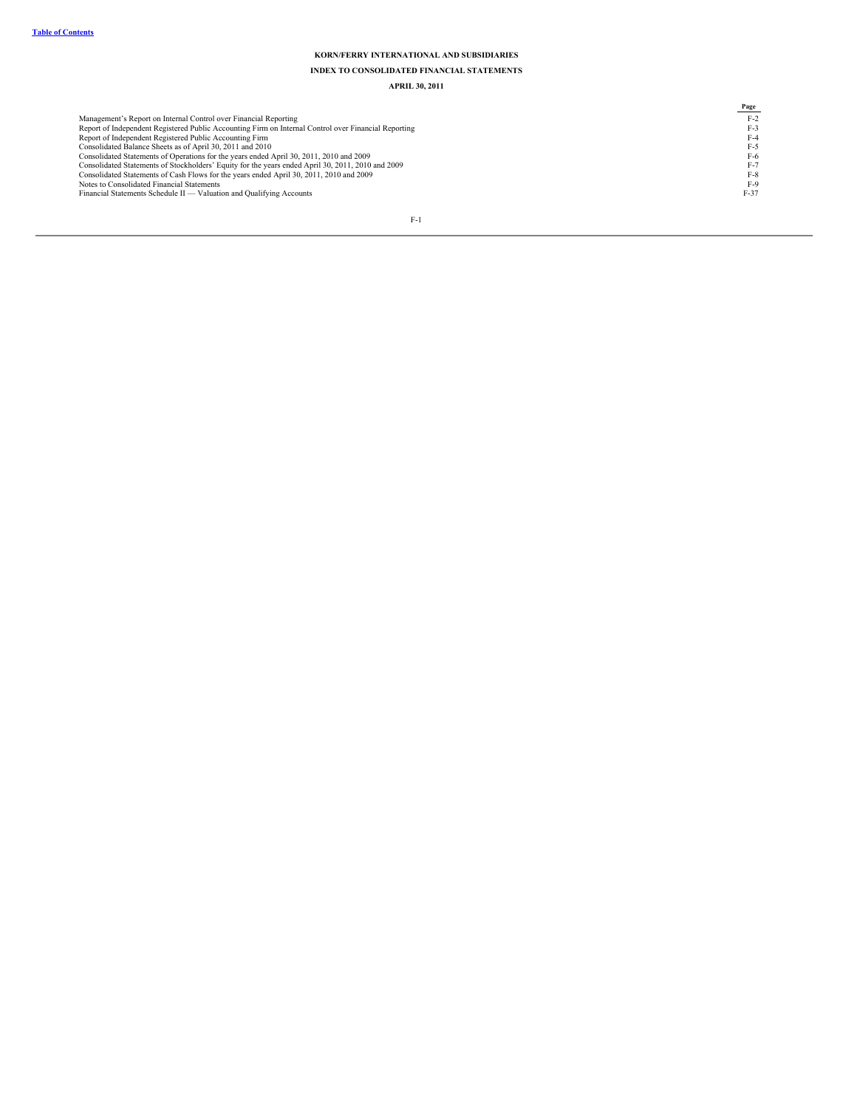**INDEX TO CONSOLIDATED FINANCIAL STATEMENTS**

# **APRIL 30, 2011**

|                                                                                                      | Page   |
|------------------------------------------------------------------------------------------------------|--------|
| Management's Report on Internal Control over Financial Reporting                                     | $F-2$  |
| Report of Independent Registered Public Accounting Firm on Internal Control over Financial Reporting | F-3    |
| Report of Independent Registered Public Accounting Firm                                              | F-4    |
| Consolidated Balance Sheets as of April 30, 2011 and 2010                                            | F-5    |
| Consolidated Statements of Operations for the years ended April 30, 2011, 2010 and 2009              | F-6    |
| Consolidated Statements of Stockholders' Equity for the years ended April 30, 2011, 2010 and 2009    | F-7    |
| Consolidated Statements of Cash Flows for the years ended April 30, 2011, 2010 and 2009              | $F-8$  |
| Notes to Consolidated Financial Statements                                                           | $F-9$  |
| Financial Statements Schedule $II -$ Valuation and Oualifying Accounts                               | $F-37$ |
|                                                                                                      |        |
|                                                                                                      |        |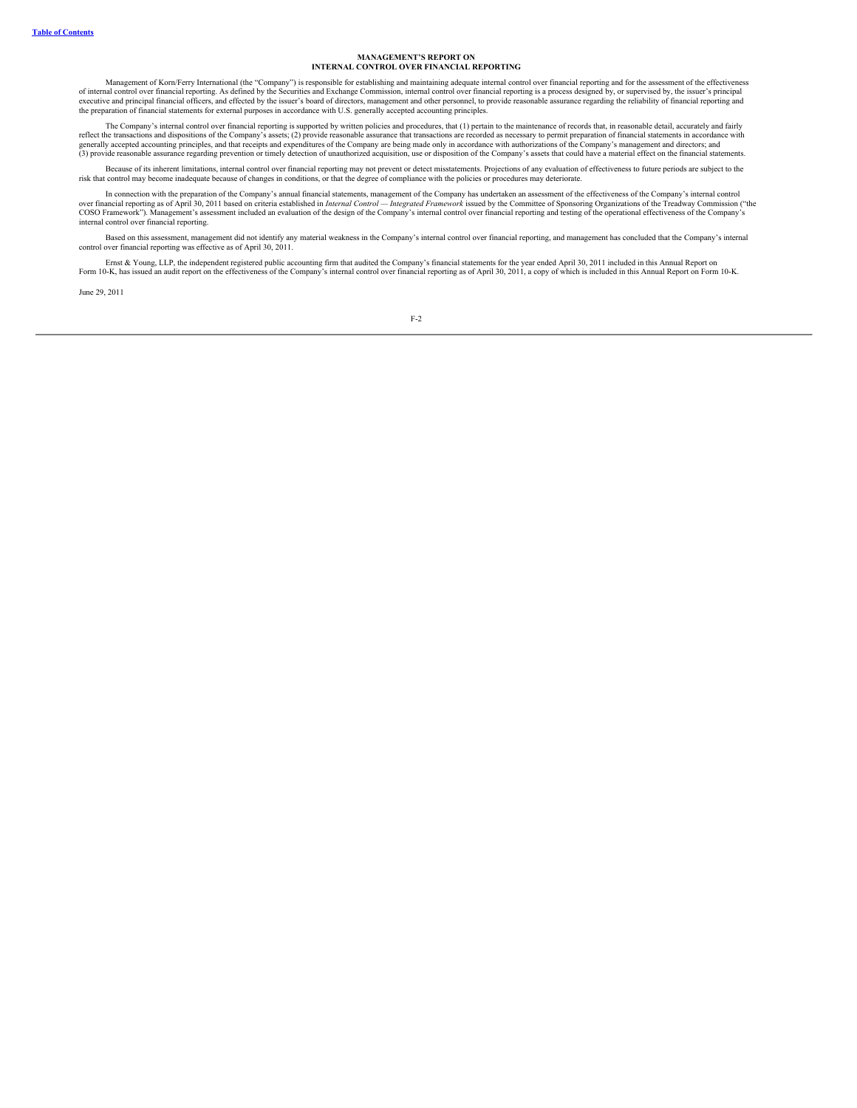#### **MANAGEMENT'S REPORT ON INTERNAL CONTROL OVER FINANCIAL REPORTING**

Management of Korn/Ferry International (the "Company") is responsible for establishing and maintaining adequate internal control over financial reporting and for the assessment of the effectiveness of internal control over financial reporting. As defined by the Securities and Exchange Commission, internal control over financial reporting is a process designed by, or supervised by, the issuer's principal executive and principal financial officers, and effected by the issuer's board of directors, management and other personnel, to provide reasonable assurance regarding the reliability of financial reporting and the preparation of financial statements for external purposes in accordance with U.S. generally accepted accounting principles.

The Company's internal control over financial reporting is supported by written policies and procedures, that (1) pertain to the maintenance of records that, in reasonable detail, accurately and fairly reflect the transactions and dispositions of the Company's assets; (2) provide reasonable assurance that transactions are recorded as necessary to permit preparation of financial statements in accordance with<br>generally acc (3) provide reasonable assurance regarding prevention or timely detection of unauthorized acquisition, use or disposition of the Company's assets that could have a material effect on the financial statements.

Because of its inherent limitations, internal control over financial reporting may not prevent or detect misstatements. Projections of any evaluation of effectiveness to future periods are subject to the risk that control may become inadequate because of changes in conditions, or that the degree of compliance with the policies or procedures may deteriorate.

In connection with the preparation of the Company's annual financial statements, management of the Company has undertaken an assessment of the effectiveness of the Company's internal control "<br>over financial reporting as o internal control over financial reporting.

Based on this assessment, management did not identify any material weakness in the Company's internal control over financial reporting, and management has concluded that the Company's internal control over financial reporting was effective as of April 30, 2011.

Ernst & Young, LLP, the independent registered public accounting firm that audited the Company's financial statements for the year ended April 30, 2011 included in this Annual Report on Form 10-K, has issued an audit report on the effectiveness of the Company's internal control over financial reporting as of April 30, 2011, a copy of which is included in this Annual Report on Form 10-K.

June 29, 2011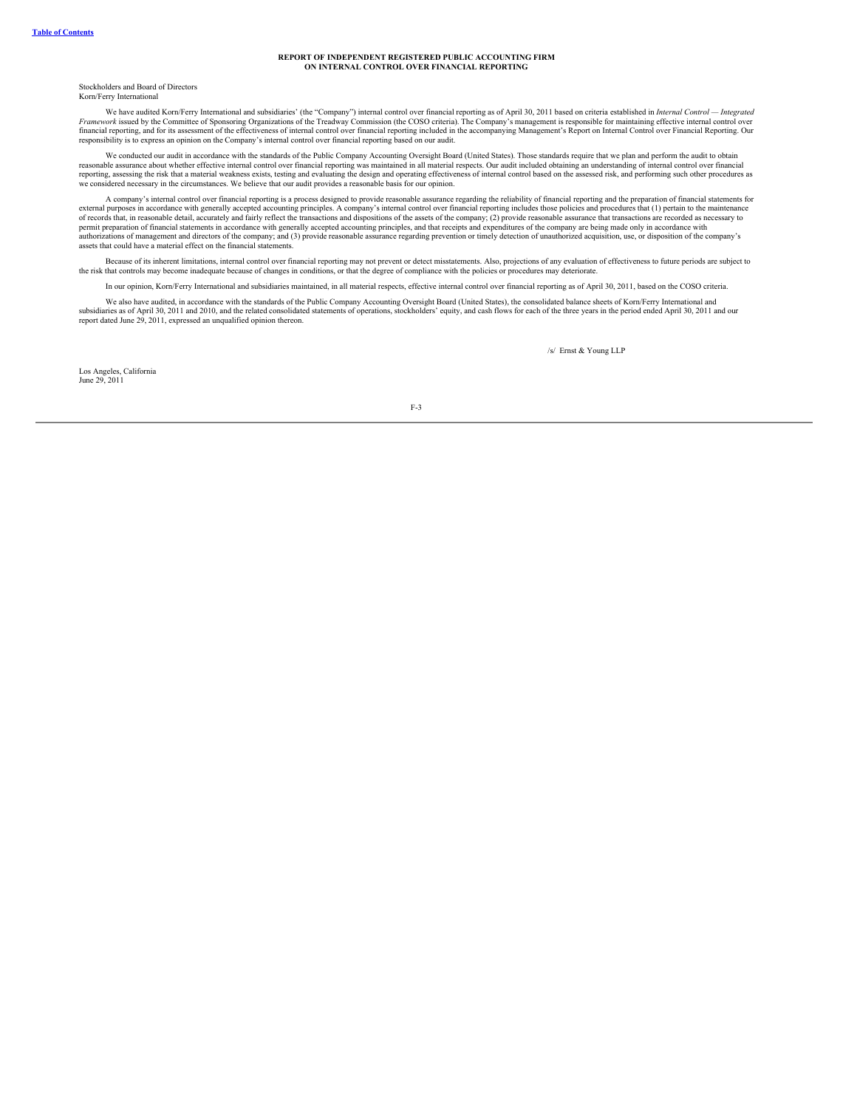#### **REPORT OF INDEPENDENT REGISTERED PUBLIC ACCOUNTING FIRM ON INTERNAL CONTROL OVER FINANCIAL REPORTING**

Stockholders and Board of Directors Korn/Ferry International

We have audited Korn/Ferry International and subsidiaries' (the "Company") internal control over financial reporting as of April 30, 2011 based on criteria established in Internal Control — Integrated Framework issued by the Committee of Sponsoring Organizations of the Treadway Commission (the COSO criteria). The Company's management is responsible for maintaining effective internal control over<br>financial reporting, and responsibility is to express an opinion on the Company's internal control over financial reporting based on our audit.

We conducted our audit in accordance with the standards of the Public Company Accounting Oversight Board (United States). Those standards require that we plan and perform the audit to obtain reasonable assurance about whether effective internal control over financial reporting was maintained in all material respects. Our audit included obtaining an understanding of internal control over financial<br>reporting, as we considered necessary in the circumstances. We believe that our audit provides a reasonable basis for our opinion.

A company's internal control over financial reporting is a process designed to provide reasonable assurance regarding the reliability of financial reporting and the preparation of financial statements for external purposes permit preparation of financial statements in accordance with generally accepted accounting principles, and that receipts and expenditures of the company are being made only in accordance with<br>authorizations of management assets that could have a material effect on the financial statements.

Because of its inherent limitations, internal control over financial reporting may not prevent or detect misstatements. Also, projections of any evaluation of effectiveness to future periods are subject to the risk that controls may become inadequate because of changes in conditions, or that the degree of compliance with the policies or procedures may deteriorate.

In our opinion, Korn/Ferry International and subsidiaries maintained, in all material respects, effective internal control over financial reporting as of April 30, 2011, based on the COSO criteria.

We also have audited, in accordance with the standards of the Public Company Accounting Oversight Board (United States), the consolidated balance sheets of Korn/Ferry International and<br>subsidiaries as of April 30, 2011 and report dated June 29, 2011, expressed an unqualified opinion thereon.

Los Angeles, California June 29, 2011

F-3

/s/ Ernst & Young LLP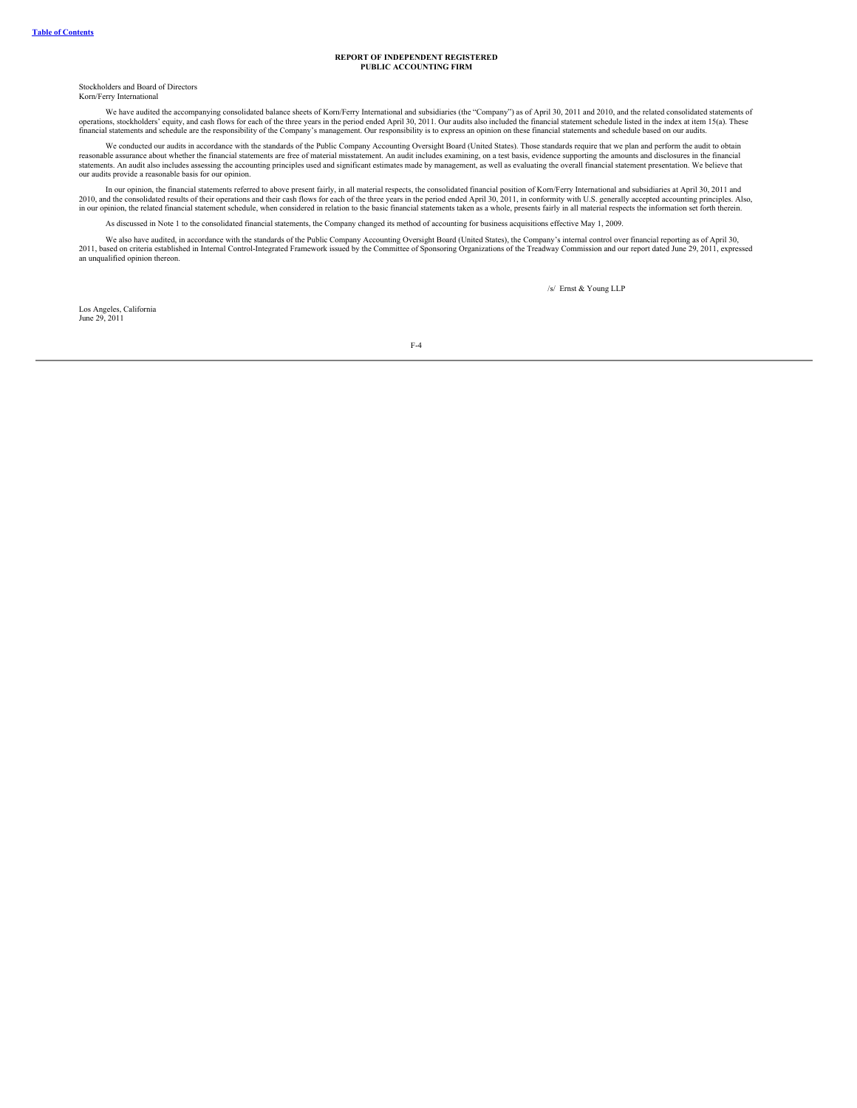#### **REPORT OF INDEPENDENT REGISTERED PUBLIC ACCOUNTING FIRM**

Stockholders and Board of Directors Korn/Ferry International

We have audited the accompanying consolidated balance sheets of Korn/Ferry International and subsidiaries (the "Company") as of April 30, 2011 and 2010, and the related consolidated statements of<br>operations, stockholders'

We conducted our audits in accordance with the standards of the Public Company Accounting Oversight Board (United States). Those standards require that we plan and perform the audit to obtain reasonable assurance about whe

In our opinion, the financial statements referred to above present fairly, in all material respects, the consolidated financial position of Korn/Ferry International and subsidiaries at April 30, 2011 and<br>2010, and the cons

As discussed in Note 1 to the consolidated financial statements, the Company changed its method of accounting for business acquisitions effective May 1, 2009.

We also have audited, in accordance with the standards of the Public Company Accounting Oversight Board (United States), the Company's internal control over financial reporting as of April 30,<br>2011, based on criteria estab an unqualified opinion thereon.

/s/ Ernst & Young LLP

Los Angeles, California June 29, 2011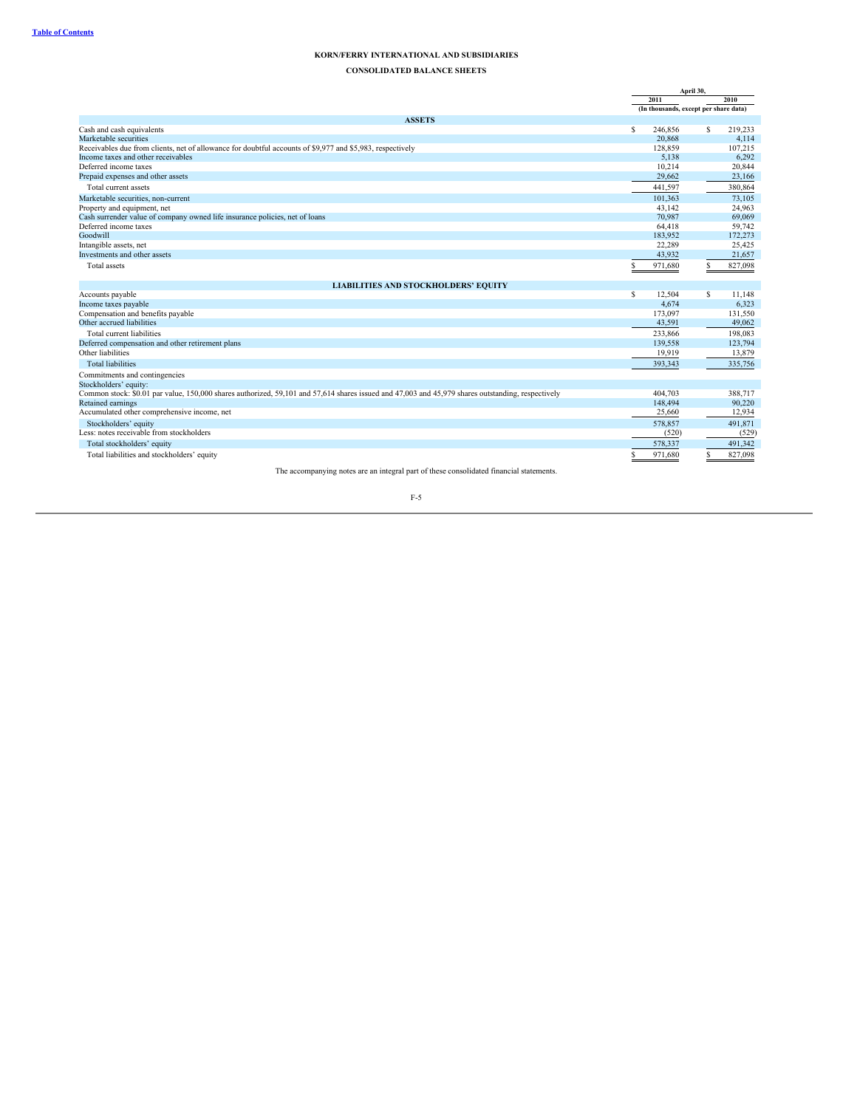**CONSOLIDATED BALANCE SHEETS**

|                                                                                                                                                   | April 30, |                                       |   |         |
|---------------------------------------------------------------------------------------------------------------------------------------------------|-----------|---------------------------------------|---|---------|
|                                                                                                                                                   |           | 2011                                  |   | 2010    |
|                                                                                                                                                   |           | (In thousands, except per share data) |   |         |
| <b>ASSETS</b>                                                                                                                                     |           |                                       |   |         |
| Cash and cash equivalents                                                                                                                         | s         | 246,856                               | s | 219,233 |
| Marketable securities                                                                                                                             |           | 20,868                                |   | 4,114   |
| Receivables due from clients, net of allowance for doubtful accounts of \$9,977 and \$5,983, respectively                                         |           | 128,859                               |   | 107,215 |
| Income taxes and other receivables                                                                                                                |           | 5,138                                 |   | 6,292   |
| Deferred income taxes                                                                                                                             |           | 10,214                                |   | 20,844  |
| Prepaid expenses and other assets                                                                                                                 |           | 29,662                                |   | 23,166  |
| Total current assets                                                                                                                              |           | 441,597                               |   | 380,864 |
| Marketable securities, non-current                                                                                                                |           | 101,363                               |   | 73,105  |
| Property and equipment, net                                                                                                                       |           | 43,142                                |   | 24,963  |
| Cash surrender value of company owned life insurance policies, net of loans                                                                       |           | 70,987                                |   | 69,069  |
| Deferred income taxes                                                                                                                             |           | 64,418                                |   | 59,742  |
| Goodwill                                                                                                                                          |           | 183.952                               |   | 172,273 |
| Intangible assets, net                                                                                                                            |           | 22,289                                |   | 25,425  |
| Investments and other assets                                                                                                                      |           | 43,932                                |   | 21,657  |
| Total assets                                                                                                                                      |           | 971,680                               |   | 827,098 |
|                                                                                                                                                   |           |                                       |   |         |
| <b>LIABILITIES AND STOCKHOLDERS' EQUITY</b>                                                                                                       |           |                                       |   |         |
| Accounts payable                                                                                                                                  | s         | 12,504                                | s | 11,148  |
| Income taxes payable                                                                                                                              |           | 4,674                                 |   | 6,323   |
| Compensation and benefits payable                                                                                                                 |           | 173,097                               |   | 131,550 |
| Other accrued liabilities                                                                                                                         |           | 43,591                                |   | 49,062  |
| Total current liabilities                                                                                                                         |           | 233,866                               |   | 198,083 |
| Deferred compensation and other retirement plans                                                                                                  |           | 139,558                               |   | 123,794 |
| Other liabilities                                                                                                                                 |           | 19,919                                |   | 13,879  |
| <b>Total liabilities</b>                                                                                                                          |           | 393,343                               |   | 335,756 |
| Commitments and contingencies                                                                                                                     |           |                                       |   |         |
| Stockholders' equity:                                                                                                                             |           |                                       |   |         |
| Common stock: \$0.01 par value, 150,000 shares authorized, 59,101 and 57,614 shares issued and 47,003 and 45,979 shares outstanding, respectively |           | 404,703                               |   | 388,717 |
| <b>Retained earnings</b>                                                                                                                          |           | 148,494                               |   | 90,220  |
| Accumulated other comprehensive income, net                                                                                                       |           | 25,660                                |   | 12,934  |
| Stockholders' equity                                                                                                                              |           | 578,857                               |   | 491,871 |
| Less: notes receivable from stockholders                                                                                                          |           | (520)                                 |   | (529)   |
| Total stockholders' equity                                                                                                                        |           | 578,337                               |   | 491,342 |
| Total liabilities and stockholders' equity                                                                                                        |           | 971,680                               | s | 827,098 |

The accompanying notes are an integral part of these consolidated financial statements.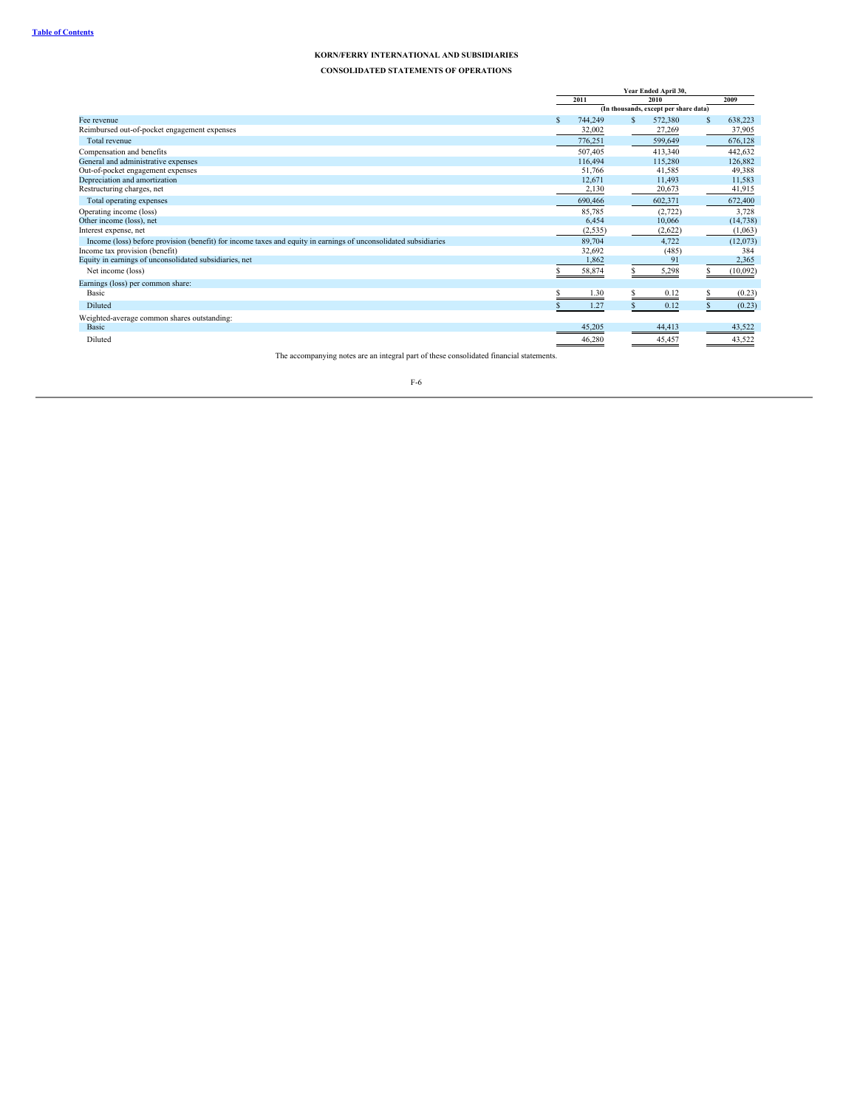# **KORN/FERRY INTERNATIONAL AND SUBSIDIARIES CONSOLIDATED STATEMENTS OF OPERATIONS**

|                                                                                                                 | Year Ended April 30, |                                       |    |         |   |           |  |
|-----------------------------------------------------------------------------------------------------------------|----------------------|---------------------------------------|----|---------|---|-----------|--|
|                                                                                                                 |                      | 2011<br>2010                          |    |         |   | 2009      |  |
|                                                                                                                 |                      | (In thousands, except per share data) |    |         |   |           |  |
| Fee revenue                                                                                                     | <sup>S</sup>         | 744,249                               | S. | 572,380 | s | 638,223   |  |
| Reimbursed out-of-pocket engagement expenses                                                                    |                      | 32,002                                |    | 27,269  |   | 37,905    |  |
| Total revenue                                                                                                   |                      | 776,251                               |    | 599,649 |   | 676,128   |  |
| Compensation and benefits                                                                                       |                      | 507,405                               |    | 413,340 |   | 442,632   |  |
| General and administrative expenses                                                                             |                      | 116,494                               |    | 115,280 |   | 126,882   |  |
| Out-of-pocket engagement expenses                                                                               |                      | 51,766                                |    | 41,585  |   | 49,388    |  |
| Depreciation and amortization                                                                                   |                      | 12,671                                |    | 11,493  |   | 11,583    |  |
| Restructuring charges, net                                                                                      |                      | 2,130                                 |    | 20,673  |   | 41,915    |  |
| Total operating expenses                                                                                        |                      | 690,466                               |    | 602,371 |   | 672,400   |  |
| Operating income (loss)                                                                                         |                      | 85,785                                |    | (2,722) |   | 3,728     |  |
| Other income (loss), net                                                                                        |                      | 6,454                                 |    | 10,066  |   | (14, 738) |  |
| Interest expense, net                                                                                           |                      | (2, 535)                              |    | (2,622) |   | (1,063)   |  |
| Income (loss) before provision (benefit) for income taxes and equity in earnings of unconsolidated subsidiaries |                      | 89,704                                |    | 4,722   |   | (12,073)  |  |
| Income tax provision (benefit)                                                                                  |                      | 32,692                                |    | (485)   |   | 384       |  |
| Equity in earnings of unconsolidated subsidiaries, net                                                          |                      | 1,862                                 |    | 91      |   | 2,365     |  |
| Net income (loss)                                                                                               |                      | 58,874                                |    | 5,298   |   | (10,092)  |  |
| Earnings (loss) per common share:                                                                               |                      |                                       |    |         |   |           |  |
| Basic                                                                                                           |                      | 1.30                                  |    | 0.12    |   | (0.23)    |  |
| Diluted                                                                                                         |                      | 1.27                                  |    | 0.12    |   | (0.23)    |  |
| Weighted-average common shares outstanding:                                                                     |                      |                                       |    |         |   |           |  |
| Basic                                                                                                           |                      | 45,205                                |    | 44,413  |   | 43,522    |  |
| Diluted                                                                                                         |                      | 46,280                                |    | 45,457  |   | 43,522    |  |

The accompanying notes are an integral part of these consolidated financial statements.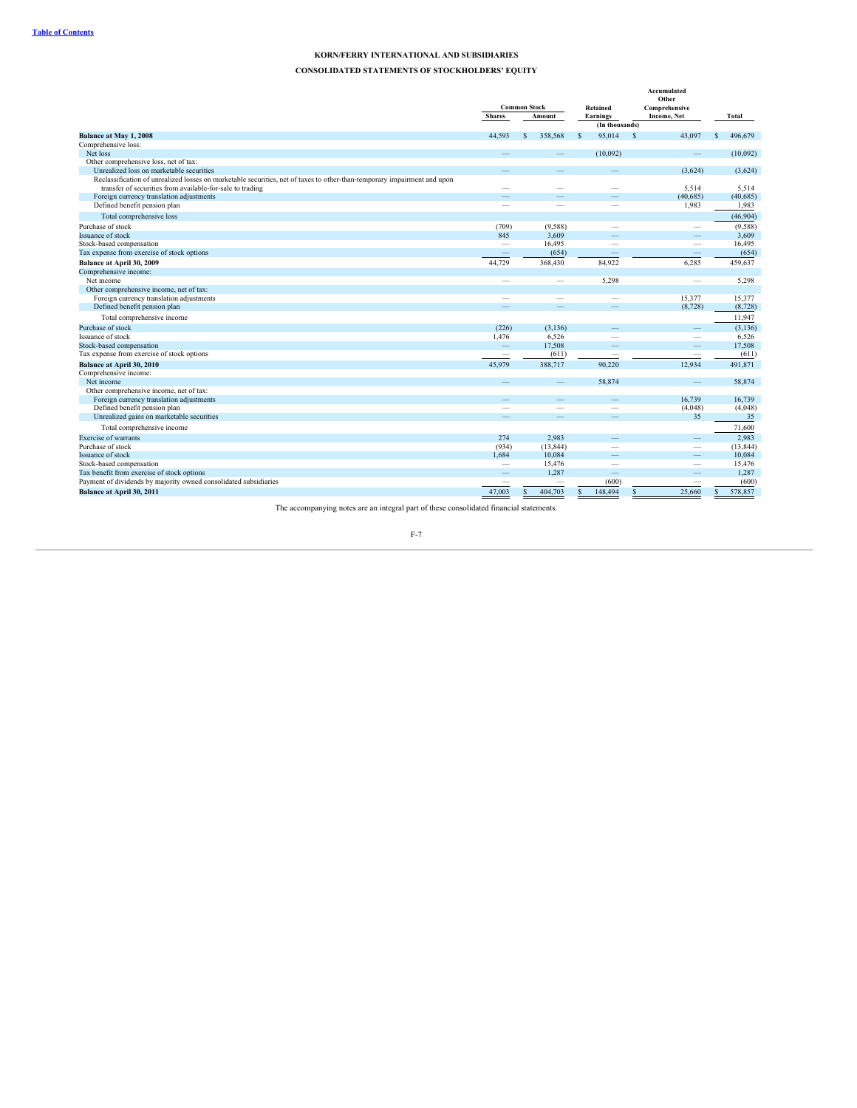# **CONSOLIDATED STATEMENTS OF STOCKHOLDERS' EQUITY**

|                                                                                                                          | <b>Shares</b>            | <b>Common Stock</b> | Amount                   |              | <b>Retained</b><br>Earnings |              | Accumulated<br>Other<br>Comprehensive<br><b>Income, Net</b> |               | Total     |
|--------------------------------------------------------------------------------------------------------------------------|--------------------------|---------------------|--------------------------|--------------|-----------------------------|--------------|-------------------------------------------------------------|---------------|-----------|
|                                                                                                                          |                          |                     |                          |              | (In thousands)              |              |                                                             |               |           |
| Balance at May 1, 2008                                                                                                   | 44.593                   | $\mathcal{S}$       | 358,568                  | $\mathbf{s}$ | 95.014                      | S            | 43.097                                                      | $\mathcal{S}$ | 496,679   |
| Comprehensive loss:                                                                                                      |                          |                     |                          |              |                             |              |                                                             |               |           |
| Net loss                                                                                                                 |                          |                     |                          |              | (10,092)                    |              | <b>Service Service</b>                                      |               | (10,092)  |
| Other comprehensive loss, net of tax:                                                                                    |                          |                     |                          |              |                             |              |                                                             |               |           |
| Unrealized loss on marketable securities                                                                                 |                          |                     |                          |              |                             |              | (3,624)                                                     |               | (3,624)   |
| Reclassification of unrealized losses on marketable securities, net of taxes to other-than-temporary impairment and upon |                          |                     |                          |              |                             |              |                                                             |               |           |
| transfer of securities from available-for-sale to trading                                                                |                          |                     |                          |              |                             |              | 5,514                                                       |               | 5,514     |
| Foreign currency translation adjustments                                                                                 |                          |                     |                          |              |                             |              | (40, 685)                                                   |               | (40, 685) |
| Defined benefit pension plan                                                                                             | $\sim$                   |                     | -                        |              | $\overline{\phantom{a}}$    |              | 1,983                                                       |               | 1,983     |
| Total comprehensive loss                                                                                                 |                          |                     |                          |              |                             |              |                                                             |               | (46,904)  |
| Purchase of stock                                                                                                        | (709)                    |                     | (9, 588)                 |              | $\equiv$                    |              | $\overline{\phantom{0}}$                                    |               | (9, 588)  |
| <b>Issuance of stock</b>                                                                                                 | 845                      |                     | 3,609                    |              |                             |              |                                                             |               | 3.609     |
| Stock-based compensation                                                                                                 | $\overline{\phantom{m}}$ |                     | 16,495                   |              | $\overline{\phantom{m}}$    |              |                                                             |               | 16,495    |
| Tax expense from exercise of stock options                                                                               | $\overline{\phantom{a}}$ |                     | (654)                    |              |                             |              | $\overline{\phantom{a}}$                                    |               | (654)     |
| Balance at April 30, 2009                                                                                                | 44,729                   |                     | 368,430                  |              | 84,922                      |              | 6,285                                                       |               | 459,637   |
| Comprehensive income:                                                                                                    |                          |                     |                          |              |                             |              |                                                             |               |           |
| Net income                                                                                                               | $\overline{\phantom{a}}$ |                     | $\overline{\phantom{m}}$ |              | 5,298                       |              | -                                                           |               | 5,298     |
| Other comprehensive income, net of tax:                                                                                  |                          |                     |                          |              |                             |              |                                                             |               |           |
| Foreign currency translation adjustments                                                                                 | $\overline{\phantom{0}}$ |                     | $\overline{\phantom{0}}$ |              | -                           |              | 15,377                                                      |               | 15,377    |
| Defined benefit pension plan                                                                                             |                          |                     |                          |              |                             |              | (8,728)                                                     |               | (8, 728)  |
| Total comprehensive income                                                                                               |                          |                     |                          |              |                             |              |                                                             |               | 11,947    |
| Purchase of stock                                                                                                        | (226)                    |                     | (3, 136)                 |              | $\overline{\phantom{0}}$    |              | $\overline{\phantom{0}}$                                    |               | (3, 136)  |
| Issuance of stock                                                                                                        | 1,476                    |                     | 6,526                    |              | -                           |              | —                                                           |               | 6,526     |
| Stock-based compensation                                                                                                 | $\equiv$                 |                     | 17,508                   |              | -                           |              | $\overline{\phantom{0}}$                                    |               | 17,508    |
| Tax expense from exercise of stock options                                                                               | -                        |                     | (611)                    |              | $\overline{\phantom{m}}$    |              | $\overline{\phantom{0}}$                                    |               | (611)     |
| Balance at April 30, 2010                                                                                                | 45,979                   |                     | 388,717                  |              | 90.220                      |              | 12.934                                                      |               | 491,871   |
| Comprehensive income:                                                                                                    |                          |                     |                          |              |                             |              |                                                             |               |           |
| Net income                                                                                                               |                          |                     | $\overline{\phantom{a}}$ |              | 58,874                      |              | -                                                           |               | 58,874    |
| Other comprehensive income, net of tax:                                                                                  |                          |                     |                          |              |                             |              |                                                             |               |           |
| Foreign currency translation adjustments                                                                                 |                          |                     |                          |              |                             |              | 16,739                                                      |               | 16,739    |
| Defined benefit pension plan                                                                                             |                          |                     | -                        |              | $\overline{\phantom{a}}$    |              | (4,048)                                                     |               | (4,048)   |
| Unrealized gains on marketable securities                                                                                |                          |                     |                          |              |                             |              | 35                                                          |               | 35        |
| Total comprehensive income                                                                                               |                          |                     |                          |              |                             |              |                                                             |               | 71,600    |
| <b>Exercise of warrants</b>                                                                                              | 274                      |                     | 2,983                    |              |                             |              | $\overline{\phantom{0}}$                                    |               | 2,983     |
| Purchase of stock                                                                                                        | (934)                    |                     | (13, 844)                |              | -                           |              | $\overline{\phantom{0}}$                                    |               | (13, 844) |
| Issuance of stock                                                                                                        | 1,684                    |                     | 10,084                   |              | $\overline{\phantom{a}}$    |              | $\overline{\phantom{0}}$                                    |               | 10,084    |
| Stock-based compensation                                                                                                 | $\overline{\phantom{0}}$ |                     | 15,476                   |              | $\overline{\phantom{a}}$    |              | $\overline{\phantom{0}}$                                    |               | 15,476    |
| Tax benefit from exercise of stock options                                                                               | $\overline{\phantom{a}}$ |                     | 1,287                    |              | $\overline{\phantom{m}}$    |              | -                                                           |               | 1,287     |
| Payment of dividends by majority owned consolidated subsidiaries                                                         | -                        |                     |                          |              | (600)                       |              | -                                                           |               | (600)     |
| Balance at April 30, 2011                                                                                                | 47.003                   | $\mathcal{S}$       | 404,703                  | $\mathbf{s}$ | 148,494                     | $\mathbf{s}$ | 25,660                                                      | $\mathbf{s}$  | 578,857   |

The accompanying notes are an integral part of these consolidated financial statements.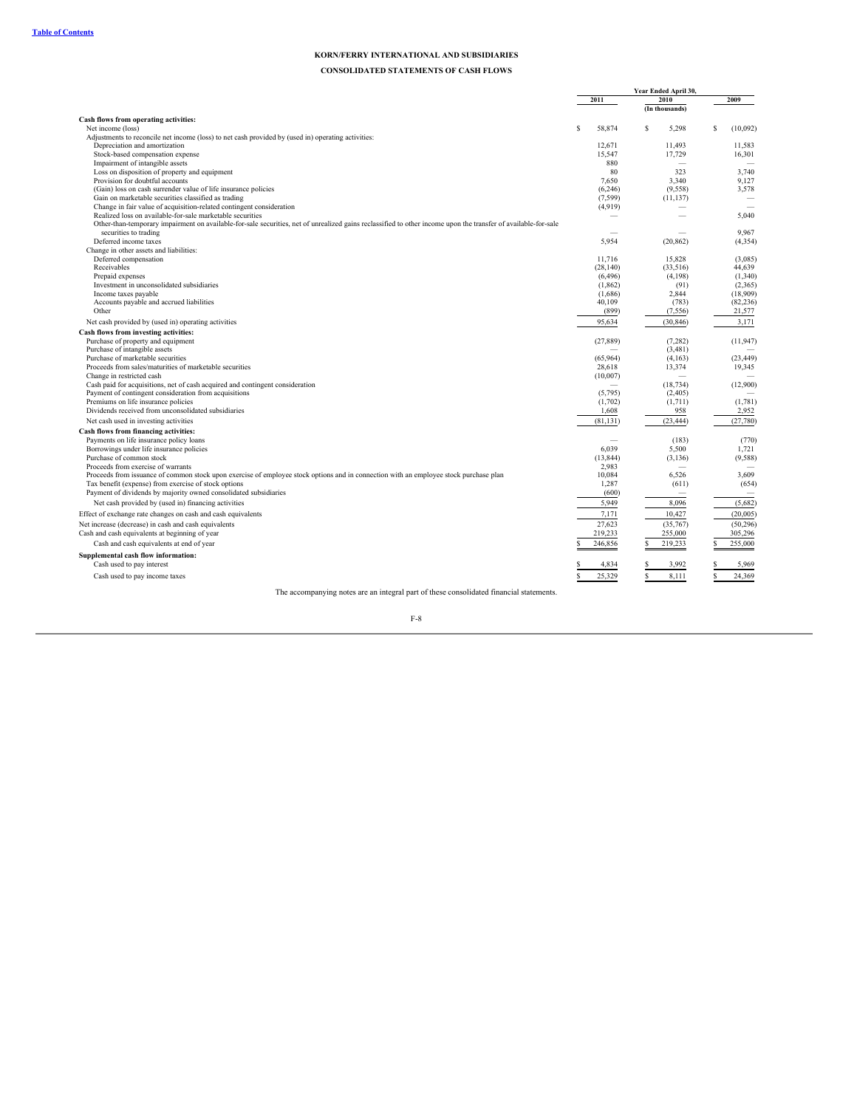**CONSOLIDATED STATEMENTS OF CASH FLOWS**

|                                                                                                                                                                | Year Ended April 30. |                          |      |                          |   |                |  |
|----------------------------------------------------------------------------------------------------------------------------------------------------------------|----------------------|--------------------------|------|--------------------------|---|----------------|--|
|                                                                                                                                                                |                      | 2011                     | 2010 |                          |   | 2009           |  |
|                                                                                                                                                                |                      |                          |      | (In thousands)           |   |                |  |
| Cash flows from operating activities:<br>Net income (loss)                                                                                                     | \$.                  | 58,874                   | s    | 5,298                    | S | (10,092)       |  |
| Adjustments to reconcile net income (loss) to net cash provided by (used in) operating activities:                                                             |                      |                          |      |                          |   |                |  |
| Depreciation and amortization                                                                                                                                  |                      | 12.671                   |      | 11.493                   |   | 11.583         |  |
| Stock-based compensation expense                                                                                                                               |                      | 15.547                   |      |                          |   |                |  |
|                                                                                                                                                                |                      | 880                      |      | 17,729                   |   | 16,301         |  |
| Impairment of intangible assets                                                                                                                                |                      |                          |      |                          |   |                |  |
| Loss on disposition of property and equipment<br>Provision for doubtful accounts                                                                               |                      | 80<br>7.650              |      | 323<br>3.340             |   | 3.740<br>9.127 |  |
|                                                                                                                                                                |                      |                          |      |                          |   |                |  |
| (Gain) loss on cash surrender value of life insurance policies                                                                                                 |                      | (6,246)                  |      | (9,558)                  |   | 3.578          |  |
| Gain on marketable securities classified as trading                                                                                                            |                      | (7,599)                  |      | (11, 137)                |   |                |  |
| Change in fair value of acquisition-related contingent consideration                                                                                           |                      | (4,919)                  |      |                          |   |                |  |
| Realized loss on available-for-sale marketable securities                                                                                                      |                      | $\overline{\phantom{a}}$ |      | -                        |   | 5,040          |  |
| Other-than-temporary impairment on available-for-sale securities, net of unrealized gains reclassified to other income upon the transfer of available-for-sale |                      |                          |      |                          |   |                |  |
| securities to trading                                                                                                                                          |                      |                          |      |                          |   | 9.967          |  |
| Deferred income taxes                                                                                                                                          |                      | 5.954                    |      | (20, 862)                |   | (4,354)        |  |
| Change in other assets and liabilities:                                                                                                                        |                      |                          |      |                          |   |                |  |
| Deferred compensation                                                                                                                                          |                      | 11.716                   |      | 15.828                   |   | (3.085)        |  |
| Receivables                                                                                                                                                    |                      | (28, 140)                |      | (33,516)                 |   | 44,639         |  |
| Prepaid expenses                                                                                                                                               |                      | (6, 496)                 |      | (4,198)                  |   | (1,340)        |  |
| Investment in unconsolidated subsidiaries                                                                                                                      |                      | (1,862)                  |      | (91)                     |   | (2,365)        |  |
| Income taxes payable                                                                                                                                           |                      | (1,686)                  |      | 2,844                    |   | (18,909)       |  |
| Accounts payable and accrued liabilities                                                                                                                       |                      | 40,109                   |      | (783)                    |   | (82, 236)      |  |
| Other                                                                                                                                                          |                      | (899)                    |      | (7, 556)                 |   | 21,577         |  |
| Net cash provided by (used in) operating activities                                                                                                            |                      | 95,634                   |      | (30, 846)                |   | 3,171          |  |
| Cash flows from investing activities:                                                                                                                          |                      |                          |      |                          |   |                |  |
| Purchase of property and equipment                                                                                                                             |                      | (27, 889)                |      | (7, 282)                 |   | (11, 947)      |  |
| Purchase of intangible assets                                                                                                                                  |                      |                          |      | (3,481)                  |   |                |  |
| Purchase of marketable securities                                                                                                                              |                      | (65.964)                 |      | (4,163)                  |   | (23.449)       |  |
| Proceeds from sales/maturities of marketable securities                                                                                                        |                      | 28,618                   |      | 13,374                   |   | 19,345         |  |
| Change in restricted cash                                                                                                                                      |                      | (10,007)                 |      |                          |   |                |  |
| Cash paid for acquisitions, net of cash acquired and contingent consideration                                                                                  |                      |                          |      | (18, 734)                |   | (12,900)       |  |
| Payment of contingent consideration from acquisitions                                                                                                          |                      | (5,795)                  |      | (2,405)                  |   |                |  |
| Premiums on life insurance policies                                                                                                                            |                      | (1,702)                  |      | (1,711)                  |   | (1,781)        |  |
| Dividends received from unconsolidated subsidiaries                                                                                                            |                      | 1,608                    |      | 958                      |   | 2,952          |  |
|                                                                                                                                                                |                      |                          |      |                          |   |                |  |
| Net cash used in investing activities                                                                                                                          |                      | (81, 131)                |      | (23, 444)                |   | (27,780)       |  |
| Cash flows from financing activities:                                                                                                                          |                      |                          |      |                          |   |                |  |
| Payments on life insurance policy loans                                                                                                                        |                      | $\overline{\phantom{a}}$ |      | (183)                    |   | (770)          |  |
| Borrowings under life insurance policies                                                                                                                       |                      | 6,039                    |      | 5,500                    |   | 1,721          |  |
| Purchase of common stock                                                                                                                                       |                      | (13, 844)                |      | (3, 136)                 |   | (9, 588)       |  |
| Proceeds from exercise of warrants                                                                                                                             |                      | 2,983                    |      |                          |   |                |  |
| Proceeds from issuance of common stock upon exercise of employee stock options and in connection with an employee stock purchase plan                          |                      | 10,084                   |      | 6,526                    |   | 3,609          |  |
| Tax benefit (expense) from exercise of stock options                                                                                                           |                      | 1,287                    |      | (611)                    |   | (654)          |  |
| Payment of dividends by majority owned consolidated subsidiaries                                                                                               |                      | (600)                    |      | $\overline{\phantom{a}}$ |   | $\sim$         |  |
| Net cash provided by (used in) financing activities                                                                                                            |                      | 5,949                    |      | 8,096                    |   | (5,682)        |  |
| Effect of exchange rate changes on cash and cash equivalents                                                                                                   |                      | 7,171                    |      | 10,427                   |   | (20,005)       |  |
| Net increase (decrease) in cash and cash equivalents                                                                                                           |                      | 27,623                   |      | (35,767)                 |   | (50, 296)      |  |
| Cash and cash equivalents at beginning of year                                                                                                                 |                      | 219,233                  |      | 255,000                  |   | 305,296        |  |
| Cash and cash equivalents at end of year                                                                                                                       |                      | 246,856                  |      | 219,233                  |   | 255,000        |  |
| Supplemental cash flow information:                                                                                                                            |                      |                          |      |                          |   |                |  |
| Cash used to pay interest                                                                                                                                      |                      | 4,834                    |      | 3,992                    |   | 5,969          |  |
|                                                                                                                                                                |                      |                          |      |                          |   |                |  |
| Cash used to pay income taxes                                                                                                                                  |                      | 25,329                   |      | 8,111                    |   | 24,369         |  |
|                                                                                                                                                                |                      |                          |      |                          |   |                |  |

The accompanying notes are an integral part of these consolidated financial statements.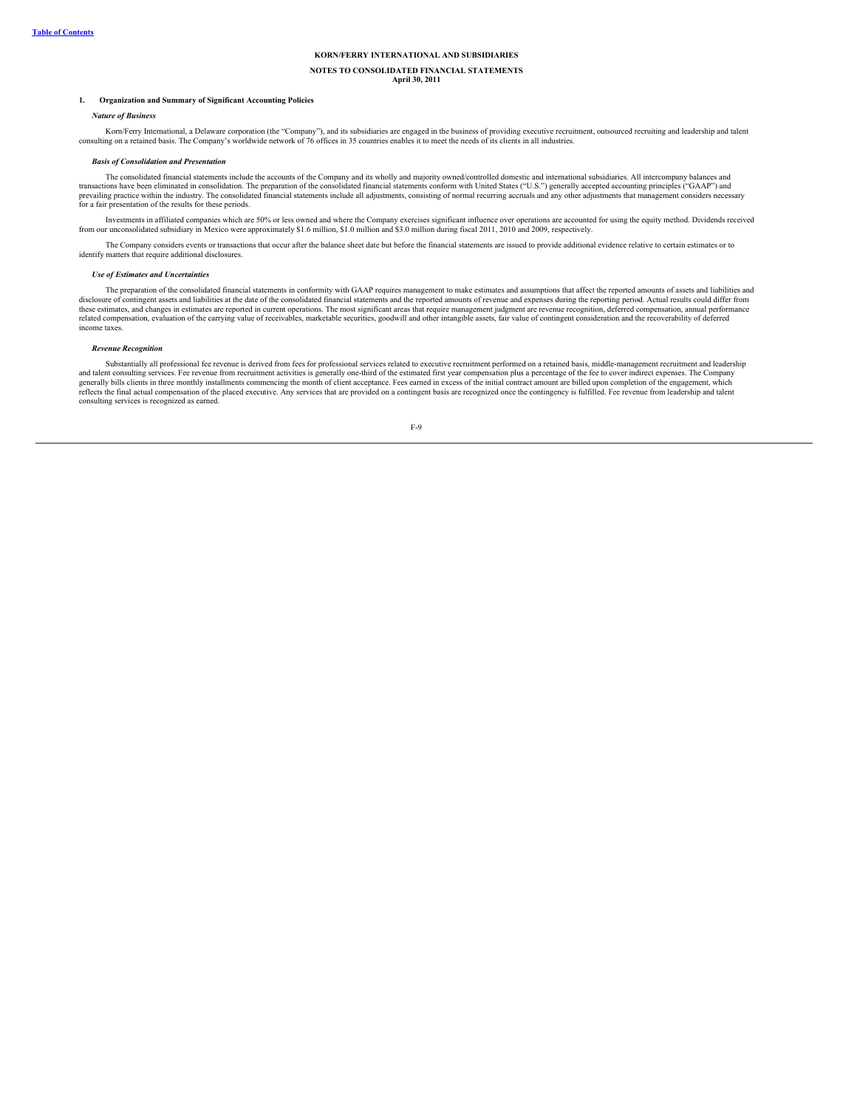# **NOTES TO CONSOLIDATED FINANCIAL STATEMENTS**

**April 30, 2011**

#### **1. Organization and Summary of Significant Accounting Policies**

#### *Nature of Business*

Korn/Ferry International, a Delaware corporation (the "Company"), and its subsidiaries are engaged in the business of providing executive recruitment, outsourced recruiting and leadership and talent consulting on a retaine

#### *Basis of Consolidation and Presentation*

The consolidated financial statements include the accounts of the Company and its wholly and majority owned/controlled domestic and international subsidiaries. All intercompany balances and transactions have been eliminated in consolidation. The preparation of the consolidated financial statements conform with United States ("U.S.") generally accepted accounting principles ("GAAP") and<br>prevailing practice wit for a fair presentation of the results for these periods.

Investments in affiliated companies which are 50% or less owned and where the Company exercises significant influence over operations are accounted for using the equity method. Dividends received<br>from our unconsolidated su

The Company considers events or transactions that occur after the balance sheet date but before the financial statements are issued to provide additional evidence relative to certain estimates or to identify matters that require additional disclosures.

#### *Use of Estimates and Uncertainties*

The preparation of the consolidated financial statements in conformity with GAAP requires management to make estimates and assumptions that affect the reported amounts of assets and liabilities and disclosure of contingent assets and liabilities at the date of the consolidated financial statements and the reported amounts of revenue and expenses during the reporting period. Actual results could differ from one of con these estimates, and changes in estimates are reported in current operations. The most significant areas that require management judgment are revenue recognition, deferred compensation, annual performance<br>related compensat income taxes.

#### *Revenue Recognition*

Substantially all professional fee revenue is derived from fees for professional services related to executive recruitment performed on a retained basis, middle-management recruitment and leadership and talent consulting services. Fee revenue from recruitment activities is generally one-third of the estimated first year compensation plus a percentage of the fee to cover indirect expenses. The Company generally bills clients in three monthly installments commencing the month of client acceptance. Fees earned in excess of the initial contract amount are billed upon completion of the engagement, which<br>reflects the final a consulting services is recognized as earned.

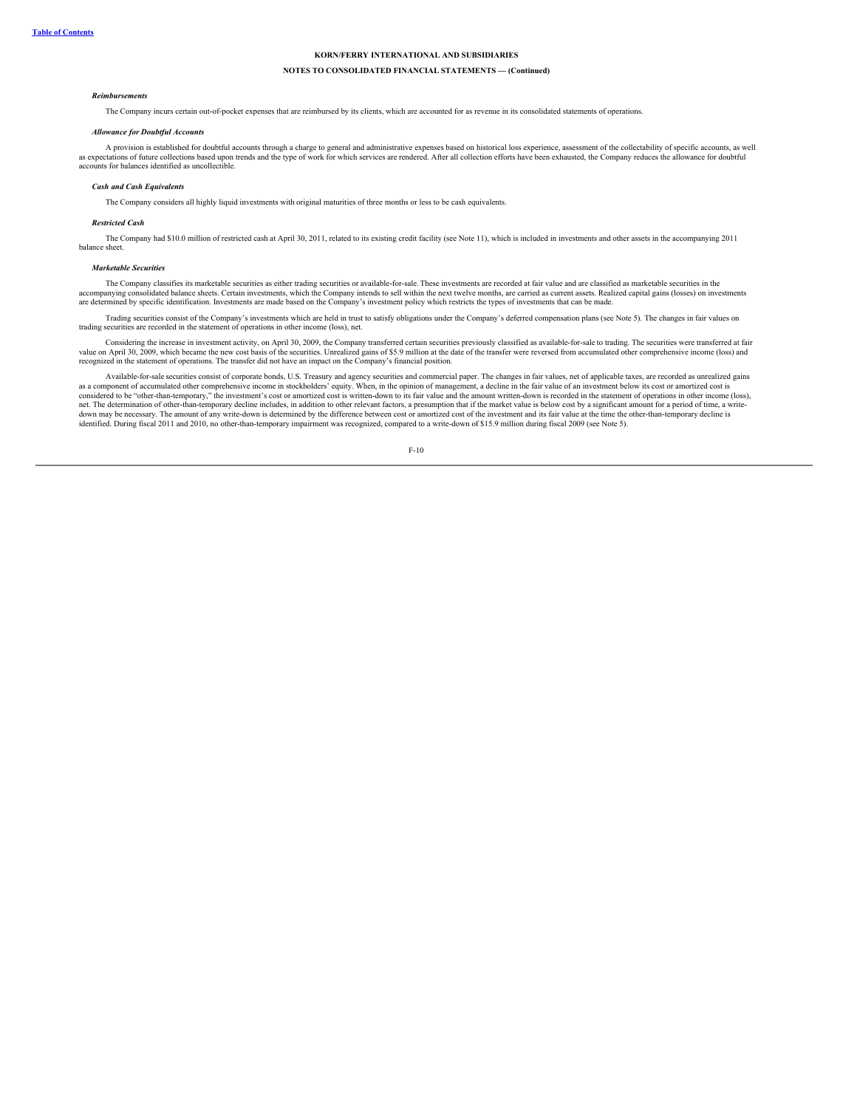### **NOTES TO CONSOLIDATED FINANCIAL STATEMENTS — (Continued)**

#### *Reimbursements*

The Company incurs certain out-of-pocket expenses that are reimbursed by its clients, which are accounted for as revenue in its consolidated statements of operations.

#### *Allowance for Doubtful Accounts*

A provision is established for doubtful accounts through a charge to general and administrative expenses based on historical loss experience, assessment of the collectability of specific accounts, as well as expectations of future collections based upon trends and the type of work for which services are rendered. After all collection efforts have been exhausted, the Company reduces the allowance for doubtful<br>accounts for ba

#### *Cash and Cash Equivalents*

The Company considers all highly liquid investments with original maturities of three months or less to be cash equivalents.

#### *Restricted Cash*

The Company had \$10.0 million of restricted cash at April 30, 2011, related to its existing credit facility (see Note 11), which is included in investments and other assets in the accompanying 2011 balance sheet.

### *Marketable Securities*

The Company classifies its marketable securities as either trading securities or available-for-sale.These investments are recorded at fair value and are classified as marketable securities in the accompanying consolidated balance sheets. Certain investments, which the Company intends to sell within the next twelve months, are carried as current assets. Realized capital gains (losses) on investments are determined by specific identification. Investments are made based on the Company's investment policy which restricts the types of investments that can be made.

Trading securities consist of the Company's investments which are held in trust to satisfy obligations under the Company's deferred compensation plans (see Note 5). The changes in fair values on trading securities are recorded in the statement of operations in other income (loss), net.

Considering the increase in investment activity, on April 30, 2009, the Company transferred certain securities previously classified as available-for-sale to trading. The securities were transferred at fair<br>value on April recognized in the statement of operations. The transfer did not have an impact on the Company's financial position.

Available-for-sale securities consist of corporate bonds, U.S. Treasury and agency securities and commercial paper. The changes in fair values, net of applicable taxes, are recorded as unrealized gains as a component of accumulated other comprehensive income in stockholders' equity. When, in the opinion of management, a decline in the fair value of an investment below its cost or amortized cost is considered to be "other identified. During fiscal 2011 and 2010, no other-than-temporary impairment was recognized, compared to a write-down of \$15.9 million during fiscal 2009 (see Note 5).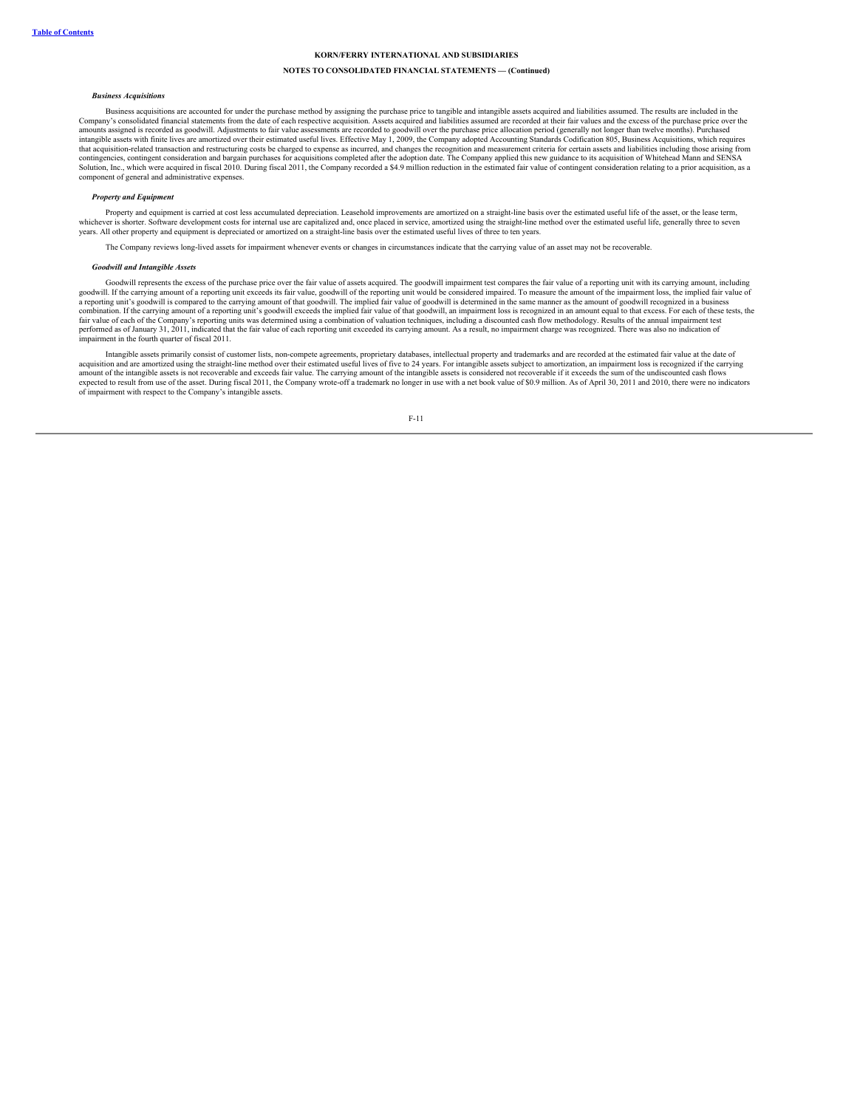#### **NOTES TO CONSOLIDATED FINANCIAL STATEMENTS — (Continued)**

#### *Business Acquisitions*

Business acquisitions are accounted for under the purchase method by assigning the purchase price to tangible and intangible assets acquired and liabilities assumed. The results are included in the Company's consolidated financial statements from the date of each respective acquisition. Assets acquired and labilities assumed are recorded at their fair values and the excess of the purchase price over the<br>amounts assig intangible assets with finite lives are amortized over their estimated useful lives. Effective May 1, 2009, the Company adopted Accounting Standards Codification 805, Business Acquisitions, which requires<br>that acquisitioncontingencies, contingent consideration and bargain purchases for acquisitions completed after the adoption date. The Company applied this new guidance to its acquisition of Whitehead Mann and SENSA<br>Solution, Inc., which w component of general and administrative expenses.

#### *Property and Equipment*

Property and equipment is carried at cost less accumulated depreciation. Leasehold improvements are amortized on a straight-line basis over the estimated useful life of the asset, or the lease term, whichever is shorter. Software development costs for internal use are capitalized and, once placed in service, amortized using the straight-line method over the estimated useful life, generally three to seven<br>Whichever is years. All other property and equipment is depreciated or amortized on a straight-line basis over the estimated useful lives of three to ten years.

The Company reviews long-lived assets for impairment whenever events or changes in circumstances indicate that the carrying value of an asset may not be recoverable.

#### *Goodwill and Intangible Assets*

Goodwill represents the excess of the purchase price over the fair value of assets acquired. The goodwill impairment test compares the fair value of a reporting unit with its carrying amount, including excess or an exceeds its fair value, goodwill of the reporting unit would be considered impaired. To measure the amount of the impairment loss, the implied fair value of goodwill of the reporting unit would be considered i a reporting unit's goodwill is compared to the carrying amount of that goodwill. The implied fair value of goodwill is determined in the same manner as the amount of goodwill recognized in a business<br>combination. If the ca fair value of each of the Company's reporting units was determined using a combination of valuation techniques, including a discounted cash flow methodology. Results of the annual impairment test<br>performed as of January 31 impairment in the fourth quarter of fiscal 2011.

Intangible assets primarily consist of customer lists, non-compete agreements, proprietary databases, intellectual property and trademarks and are recorded at the estimated fair value at the date of<br>acquisition and are amo expected to result from use of the asset. During fiscal 2011, the Company wrote-off a trademark no longer in use with a net book value of \$0.9 million. As of April 30, 2011 and 2010, there were no indicators of impairment with respect to the Company's intangible assets.

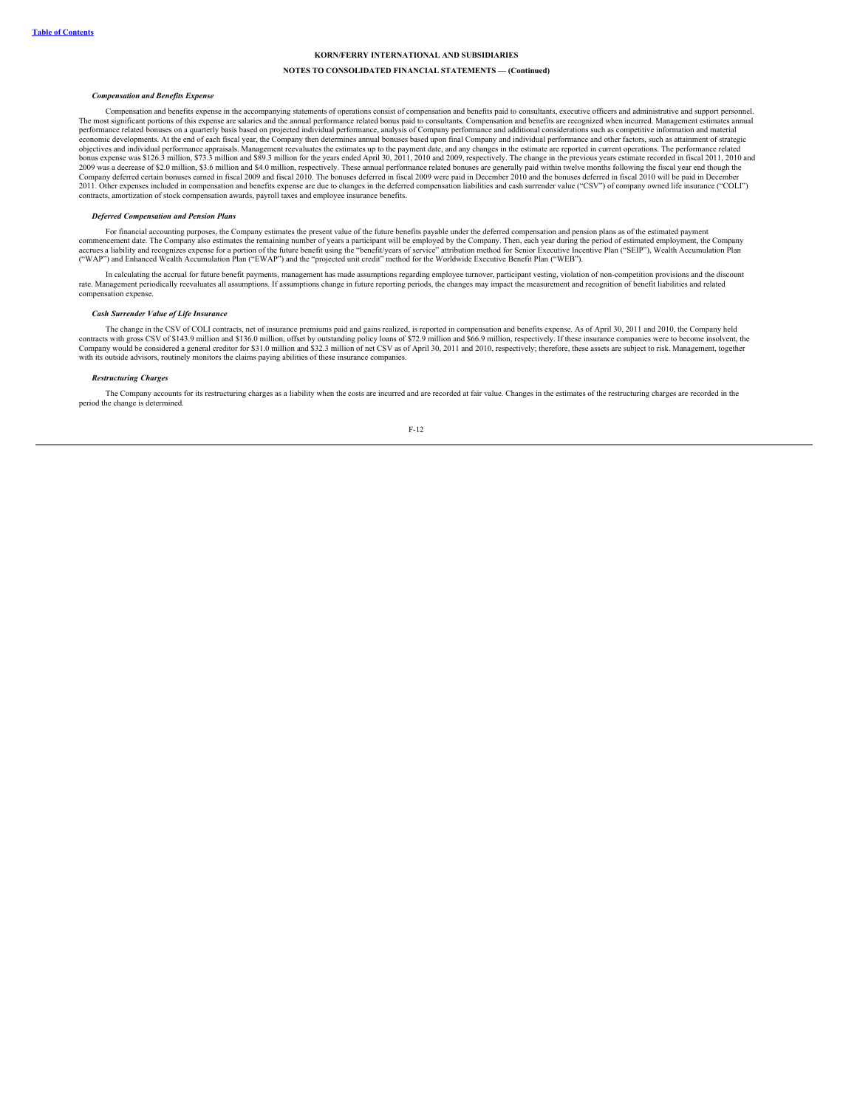#### **NOTES TO CONSOLIDATED FINANCIAL STATEMENTS — (Continued)**

#### *Compensation and Benefits Expense*

Compensation and benefits expense in the accompanying statements of operations consist of compensation and benefits paid to consultants, executive officers and administrative and support personnel. The most significant portions of this expense are salaries and the annual performance related bonus paid to consultants. Compensation and benefits are recognized when incurred. Management estimates annual performance related bonuses on a quarterly basis based on projected individual performance, analysis of Company performance and additional considerations such as competitive information and material economic developments. At the end of each fiscal year, the Company then determines annual bonuses based upon final Company and individual performance and other factors, such as attainment of strategic<br>objectives and indivi bonus expense was \$126.3 million, \$73.3 million and \$89.3 million for the years ended April 30, 2011, 2010 and 2009, respectively. The change in the previous years estimate recorded in fiscal 2011, 2010 and  $\frac{2009 \text{ was a decrease of $2.0 million, $3.6 million and $4.0 million, respectively. These annual performance related bounds are generally paid with in twelve months followed in feature.$ Company deferred certain bonuses earned in fiscal 2009 and fiscal 2010. The bonuses deferred in fiscal 2009 were paid in December 2010 and the bonuses deferred in fiscal 2010 will be paid in December 2011. Other expenses included in compensation and benefits expense are due to changes in the deferred compensation liabilities and cash surrender value ("CSV") of company owned life insurance ("COLI")<br>contracts, amortizati

#### *Deferred Compensation and Pension Plans*

For financial accounting purposes, the Company estimates the present value of the future benefits payable under the deferred compensation and pension plans as of the estimated payment<br>commencement date. The Company also es accrues a liability and recognizes expense for a portion of the future benefit using the "benefit/years of service" attribution method for Senior Executive Incentive Plan ("SEIP"), Wealth Accumulation Plan<br>("WAP") and Enha

In calculating the accrual for future benefit payments, management has made assumptions regarding employee turnover, participant vesting, violation of non-competition provisions and the discount prate. Management heriodica

#### *Cash Surrender Value of Life Insurance*

The change in the CSV of COLI contracts, net of insurance premiums paid and gains realized, is reported in compensation and benefits expense. As of April 30, 2011 and 2010, the Company held contracts with gross CSV of \$143.9 million and \$136.0 million, offset by outstanding policy loans of \$72.9 million and \$66.9 million, respectively. If these insurance companies were to become insolvent, the considered a ge

#### *Restructuring Charges*

The Company accounts for its restructuring charges as a liability when the costs are incurred and are recorded at fair value. Changes in the estimates of the restructuring charges are recorded in the period the change is d

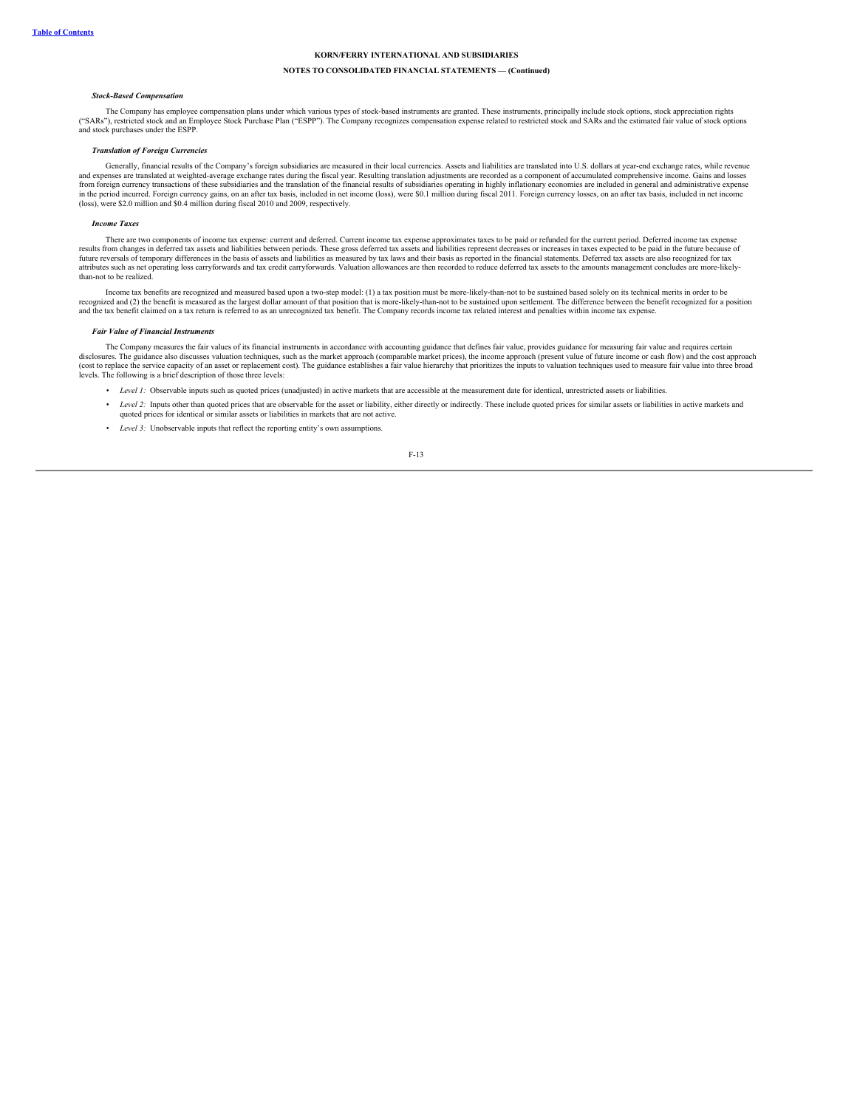### **NOTES TO CONSOLIDATED FINANCIAL STATEMENTS — (Continued)**

#### *Stock-Based Compensation*

The Company has employee compensation plans under which various types of stock-based instruments are granted. These instruments, principally include stock options, stock appreciation rights ("SARs"), restricted stock and an Employee Stock Purchase Plan ("ESPP"). The Company recognizes compensation expense related to restricted stock and SARs and the estimated fair value of stock options and stock purchases under the ESPP.

#### *Translation of Foreign Currencies*

Generally, financial results of the Company's foreign subsidiaries are measured in their local currencies. Assets and liabilities are translated into U.S. dollars at year-end exchange rates, while revenue and expenses are translated at weighted-average exchange rates during the fiscal year. Resulting translation adjustments are recorded as a component of accumulated comprehensive income. Gains and losses<br>from foreign curren in the period incurred. Foreign currency gains, on an after tax basis, included in net income (loss), were \$0.1 million during fiscal 2011. Foreign currency losses, on an after tax basis, included in net income<br>(loss), wer

#### *Income Taxes*

There are two components of income tax expense: current and deferred. Current income tax expense approximates taxes to be paid or refunded for the current period. Deferred income tax expense approximents were that the burd attributes such as net operating loss carryforwards and tax credit carryforwards. Valuation allowances are then recorded to reduce deferred tax assets to the amounts management concludes are more-likely-<br>than-not to be rea

Income tax benefits are recognized and measured based upon a two-step model: (1) a tax position must be more-likely-than-not to be sustained based solely on its technical merits in order to be recognized and (2) the benefit is measured as the largest dollar amount of that position that is more-likely-than-not to be sustained upon settlement. The difference between the benefit recognized for a position<br>and the ta

#### *Fair Value of Financial Instruments*

The Company measures the fair values of its financial instruments in accordance with accounting guidance that defines fair value, provides guidance for measuring fair value and requires certain disclosures. The guidance also discusses valuation techniques, such as the market approach (comparable market prices), the income approach (present value of future income or cash flow) and the cost approach<br>(cost to replac levels. The following is a brief description of those three levels:

- *Level 1:* Observable inputs such as quoted prices (unadjusted) in active markets that are accessible at the measurement date for identical, unrestricted assets or liabilities.
- *Level 2*: Inputs other than quoted prices that are observable for the asset or liability, either directly or indirectly. These include quoted prices for similar assets or liabilities in active markets and quoted prices for identical or similar assets or liabilities in markets that are not active.
- *Level 3:* Unobservable inputs that reflect the reporting entity's own assump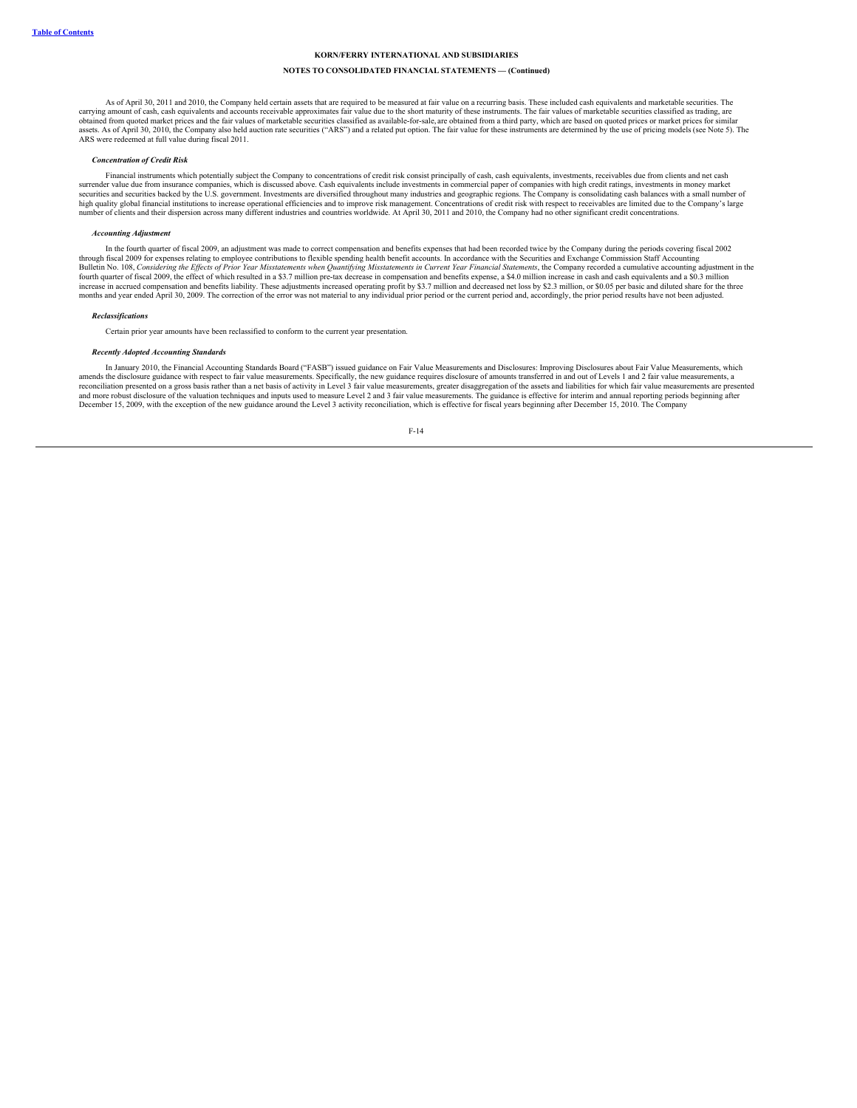### **NOTES TO CONSOLIDATED FINANCIAL STATEMENTS — (Continued)**

As of April 30, 2011 and 2010, the Company held certain assets that are required to be measured at fair value on a recurring basis. These included cash equivalents and marketable securities. The Company held certain assets obtained from quoted market prices and the fair values of marketable securities classified as available-for-sale, are obtained from a third party, which are based on quoted prices or market prices for similar<br>assets. As of ARS were redeemed at full value during fiscal 2011.

### *Concentration of Credit Risk*

Financial instruments which potentially subject the Company to concentrations of credit risk consist principally of cash, cash equivalents, investments, receivables due from clients and net cash surrender value due from in securities and securities backed by the U.S. government. Investments are diversified throughout many industries and geographic regions. The Company is consolidating cash balances with a small number of<br>high quality global

#### *Accounting Adjustment*

In the fourth quarter of fiscal 2009, an adjustment was made to correct compensation and benefits expenses that had been recorded twice by the Company during the periods covering fiscal 2002 through fiscal 2009 for expenses relating to employee contributions to flexible spending health benefit accounts. In accordance with the Securities and Exchange Commission Staff Accounting<br>Bulletin No. 108, Considering the months and year ended April 30, 2009. The correction of the error was not material to any individual prior period or the current period and, accordingly, the prior period results have not been adjusted.

#### *Reclassifications*

Certain prior year amounts have been reclassified to conform to the current year presentation.

#### *Recently Adopted Accounting Standards*

In January 2010, the Financial Accounting Standards Board ("FASB") issued guidance on Fair Value Measurements and Disclosures: Improving Disclosures about Fair Value Measurements, which amends the disclosure guidance with respect to fair value measurements. Specifically, the new guidance requires disclosure of amounts transferred in and out of Levels 1 and 2 fair value measurements, and the measurements, reconciliation presented on a gross basis rather than a net basis of activity in Level 3 fair value measurements, greater disaggregation of the assets and liabilities for which fair value measurements are presented<br>and mor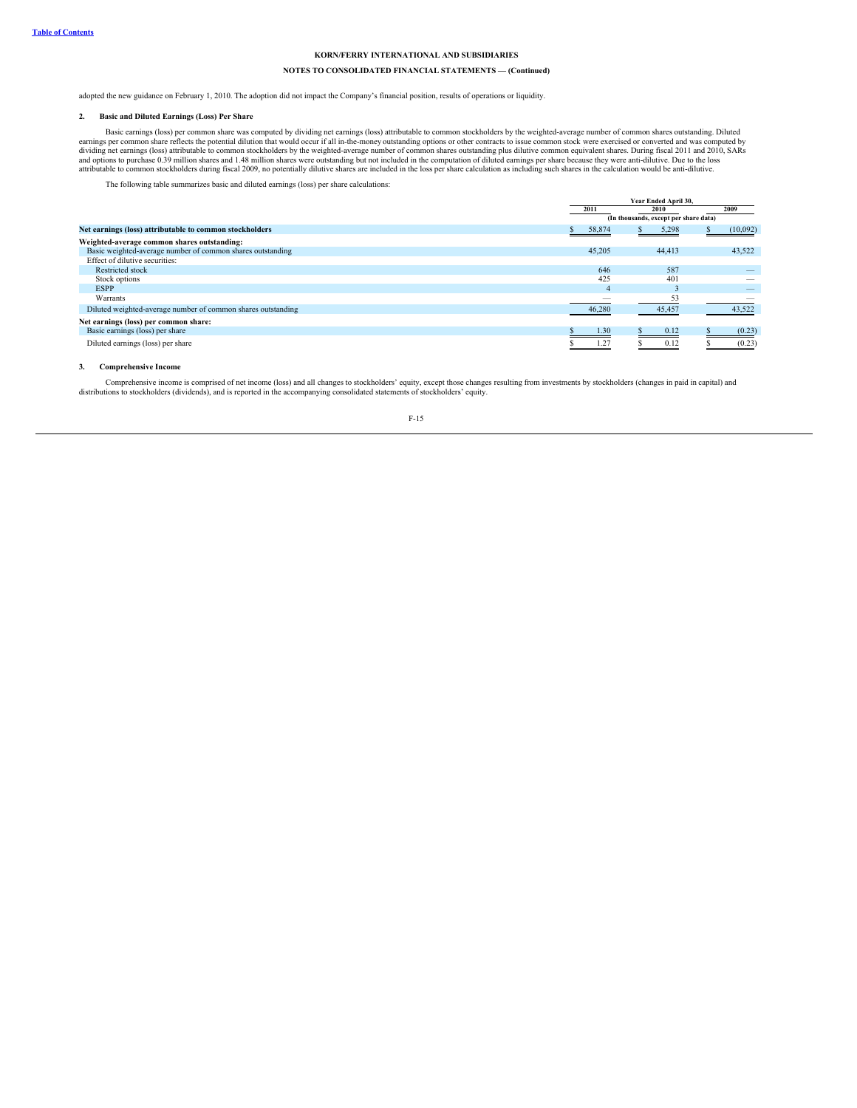### **NOTES TO CONSOLIDATED FINANCIAL STATEMENTS — (Continued)**

adopted the new guidance on February 1, 2010. The adoption did not impact the Company's financial position, results of operations or liquidity.

#### **2. Basic and Diluted Earnings (Loss) Per Share**

Basic earnings (loss) per common share was computed by dividing net earnings (loss) attributable to common stockholders by the weighted-average number of common shares outstanding. Diluted earnings per common share reflect

The following table summarizes basic and diluted earnings (loss) per share calculations:

|                                                              |               | Year Ended April 30.                  |          |  |  |  |  |  |  |  |  |
|--------------------------------------------------------------|---------------|---------------------------------------|----------|--|--|--|--|--|--|--|--|
|                                                              | 2011          | 2010                                  | 2009     |  |  |  |  |  |  |  |  |
|                                                              |               | (In thousands, except per share data) |          |  |  |  |  |  |  |  |  |
| Net earnings (loss) attributable to common stockholders      | 58,874        | 5,298                                 | (10,092) |  |  |  |  |  |  |  |  |
| Weighted-average common shares outstanding:                  |               |                                       |          |  |  |  |  |  |  |  |  |
| Basic weighted-average number of common shares outstanding   | 45,205        | 44.413                                | 43,522   |  |  |  |  |  |  |  |  |
| Effect of dilutive securities:                               |               |                                       |          |  |  |  |  |  |  |  |  |
| Restricted stock                                             | 646           | 587                                   |          |  |  |  |  |  |  |  |  |
| Stock options                                                | 425           | 401                                   |          |  |  |  |  |  |  |  |  |
| <b>ESPP</b>                                                  |               |                                       |          |  |  |  |  |  |  |  |  |
| Warrants                                                     | __            | 53                                    |          |  |  |  |  |  |  |  |  |
| Diluted weighted-average number of common shares outstanding | 46,280        | 45,457                                | 43,522   |  |  |  |  |  |  |  |  |
| Net earnings (loss) per common share:                        |               |                                       |          |  |  |  |  |  |  |  |  |
| Basic earnings (loss) per share                              | 1.30          | 0.12                                  | (0.23)   |  |  |  |  |  |  |  |  |
| Diluted earnings (loss) per share                            | $1.2^{\circ}$ | 0.12                                  | (0.23)   |  |  |  |  |  |  |  |  |

### **3. Comprehensive Income**

Comprehensive income is comprised of net income (loss) and all changes to stockholders' equity, except those changes resulting from investments by stockholders (changes in paid in capital) and istributions to stockholders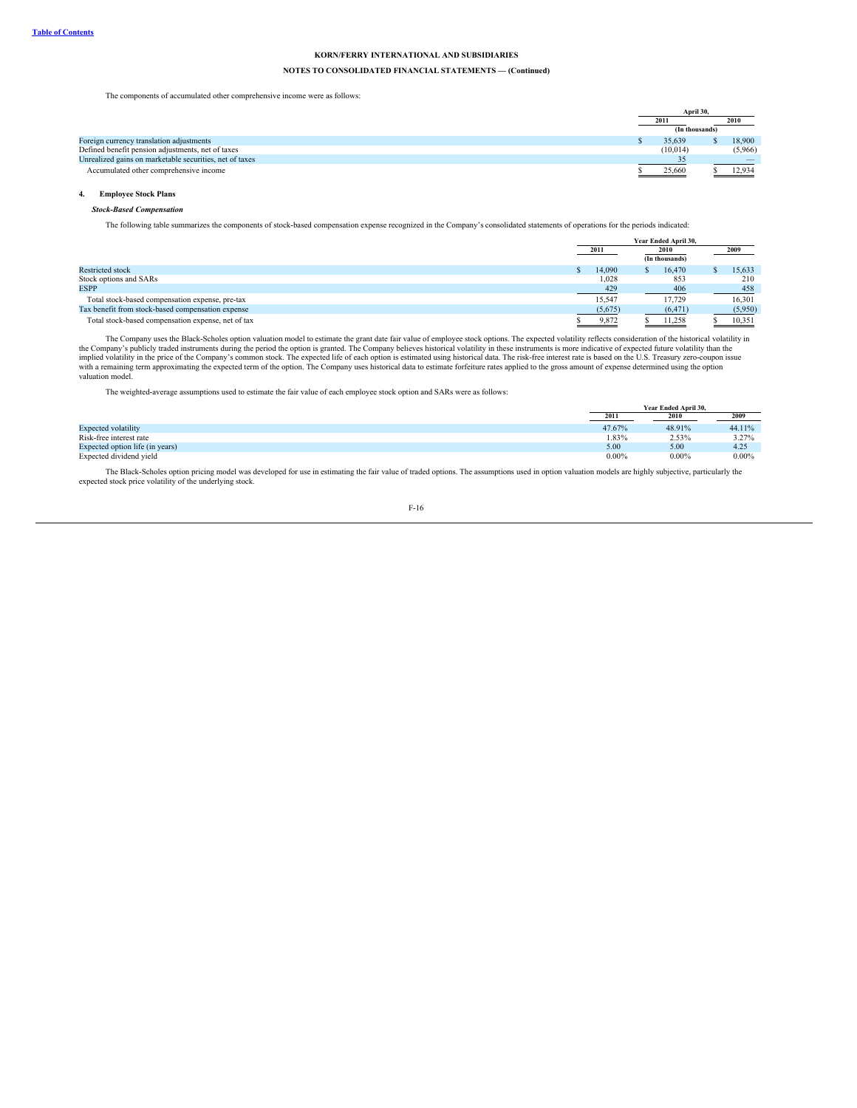### **NOTES TO CONSOLIDATED FINANCIAL STATEMENTS — (Continued)**

The components of accumulated other comprehensive income were as follows:

|                                                         | April 30.      |  |         |  |  |
|---------------------------------------------------------|----------------|--|---------|--|--|
|                                                         | 2011           |  | 2010    |  |  |
|                                                         | (In thousands) |  |         |  |  |
| Foreign currency translation adjustments                | 35.639         |  | 18,900  |  |  |
| Defined benefit pension adjustments, net of taxes       | (10,014)       |  | (5,966) |  |  |
| Unrealized gains on marketable securities, net of taxes |                |  |         |  |  |
| Accumulated other comprehensive income                  | 25,660         |  | 12,934  |  |  |

### **4. Employee Stock Plans**

*Stock-Based Compensation*

The following table summarizes the components of stock-based compensation expense recognized in the Company's consolidated statements of operations for the periods indicated:

|                                                    |  | Year Ended April 30, |  |                        |  |         |  |
|----------------------------------------------------|--|----------------------|--|------------------------|--|---------|--|
|                                                    |  | 2011                 |  | 2010<br>(In thousands) |  | 2009    |  |
| <b>Restricted stock</b>                            |  | 14,090               |  | 16.470                 |  | 15,633  |  |
| Stock options and SARs                             |  | 1,028                |  | 853                    |  | 210     |  |
| <b>ESPP</b>                                        |  | 429                  |  | 406                    |  | 458     |  |
| Total stock-based compensation expense, pre-tax    |  | 15.547               |  | 17.729                 |  | 16,301  |  |
| Tax benefit from stock-based compensation expense  |  | (5,675)              |  | (6, 471)               |  | (5,950) |  |
| Total stock-based compensation expense, net of tax |  | 9,872                |  | 11,258                 |  | 10,351  |  |

The Company uses the Black-Scholes option valuation model to estimate the grant date fair value of employee stock options. The expected volatility in eflects consideration of the historical volatility in<br>the Company's publ valuation model.

The weighted-average assumptions used to estimate the fair value of each employee stock option and SARs were as follows:

|                                 | Year Ended April 30. |          |          |
|---------------------------------|----------------------|----------|----------|
|                                 | 2011                 | 2010     | 2009     |
| <b>Expected volatility</b>      | 47.67%               | 48.91%   | 44.11%   |
| Risk-free interest rate         | 1.83%                | 2.53%    | 3.27%    |
| Expected option life (in years) | 5.00                 | 5.00     | 4.25     |
| Expected dividend yield         | $0.00\%$             | $0.00\%$ | $0.00\%$ |

The Black-Scholes option pricing model was developed for use in estimating the fair value of traded options. The assumptions used in option valuation models are highly subjective, particularly the expected stock price vola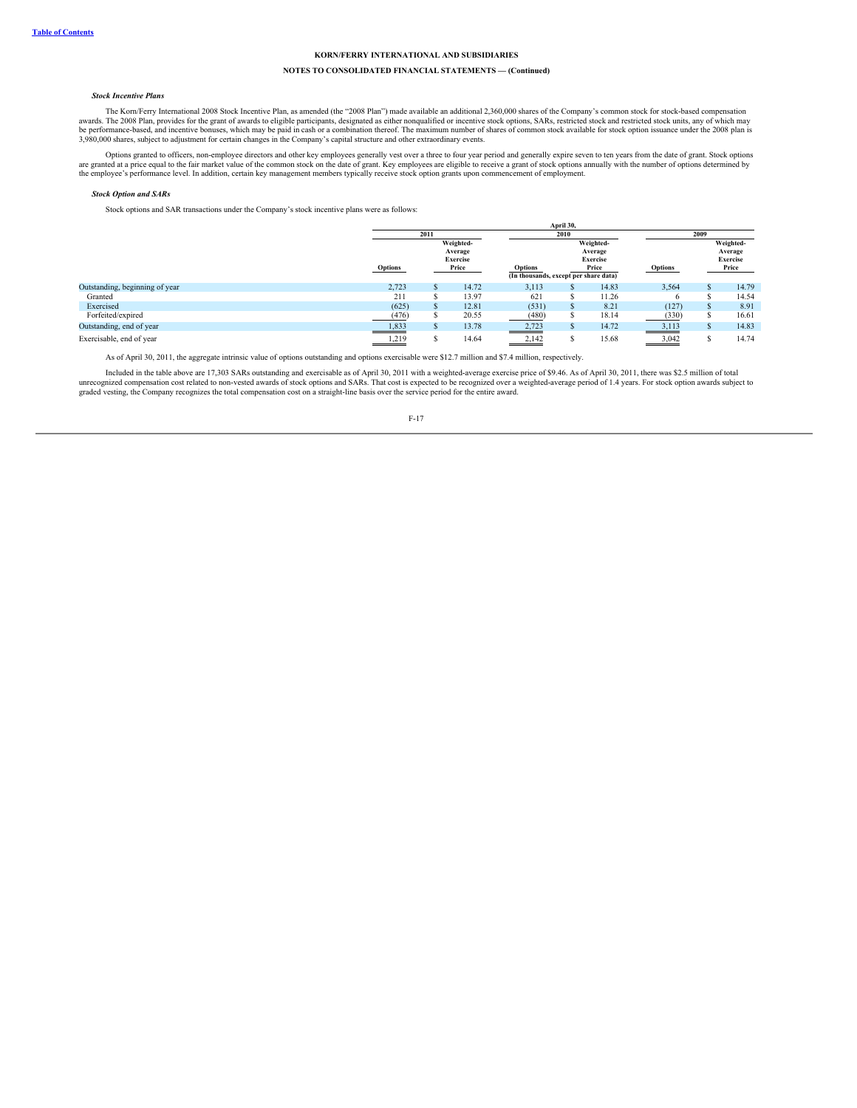### **NOTES TO CONSOLIDATED FINANCIAL STATEMENTS — (Continued)**

#### *Stock Incentive Plans*

The Korn/Ferry International 2008 Stock Incentive Plan, as amended (the "2008 Plan") made available an additional 2,360,000 shares of the Company's common stock for stock-based compensation awards. The 2008 Plan, provides for the grant of awards to eligible participants, designated as either nonqualified or incentive stock options, SARs, restricted stock and restricted stock units, any of which may be performance-based, and incentive bonuses, which may be paid in cash or a combination thereof. The maximum number of shares of common stock available for stock option issuance under the 2008 plan is 3,980,000 shares, subject to adjustment for certain changes in the Company's capital structure and other extraordinary events.

Options granted to officers, non-employee directors and other key employees generally vest over a three to four year period and generally expire seven to ten years from the date of grant. Stock options are granted at a price equal to the fair market value of the common stock on the date of grant. Key employees are eligible to receive a grant of stock options annually with the number of options determined by<br>the employee'

#### *Stock Option and SARs*

Stock options and SAR transactions under the Company's stock incentive plans were as follows:

|                                |                |      |                                         |                                                  | April 30,     |       |         |      |                                         |  |
|--------------------------------|----------------|------|-----------------------------------------|--------------------------------------------------|---------------|-------|---------|------|-----------------------------------------|--|
|                                |                | 2011 |                                         |                                                  | 2010          |       |         | 2009 |                                         |  |
|                                |                |      | Weighted-<br>Average<br><b>Exercise</b> | Weighted-<br>Average<br><b>Exercise</b>          |               |       |         |      | Weighted-<br>Average<br><b>Exercise</b> |  |
|                                | <b>Options</b> |      | Price                                   | Options<br>(In thousands, except per share data) |               | Price | Options |      | Price                                   |  |
|                                |                |      |                                         |                                                  |               |       |         |      |                                         |  |
| Outstanding, beginning of year | 2.723          |      | 14.72                                   | 3,113                                            | $\mathbf{r}$  | 14.83 | 3,564   |      | 14.79                                   |  |
| Granted                        | 211            |      | 13.97                                   | 621                                              | S             | 11.26 |         |      | 14.54                                   |  |
| Exercised                      | (625)          |      | 12.81                                   | (531)                                            | $\mathcal{L}$ | 8.21  | (127)   |      | 8.91                                    |  |
| Forfeited/expired              | (476)          |      | 20.55                                   | (480)                                            | S             | 18.14 | (330)   |      | 16.61                                   |  |
| Outstanding, end of year       | 1,833          |      | 13.78                                   | 2,723                                            | \$.           | 14.72 | 3,113   |      | 14.83                                   |  |
| Exercisable, end of year       | 1,219          |      | 14.64                                   | 2,142                                            |               | 15.68 | 3,042   |      | 14.74                                   |  |

As of April 30, 2011, the aggregate intrinsic value of options outstanding and options exercisable were \$12.7 million and \$7.4 million, respectively.

Included in the table above are 17,303 SARs outstanding and exercisable as of April 30, 2011 with a weighted-average exercise price of \$9.46. As of April 30, 2011, there was \$2.5 million of total unrecognized compensation cost related to non-vested awards of stock options and SARs. That cost is expected to be recognized over a weighted-average period of 1.4 years. For stock option awards subject to<br>graded vesting,

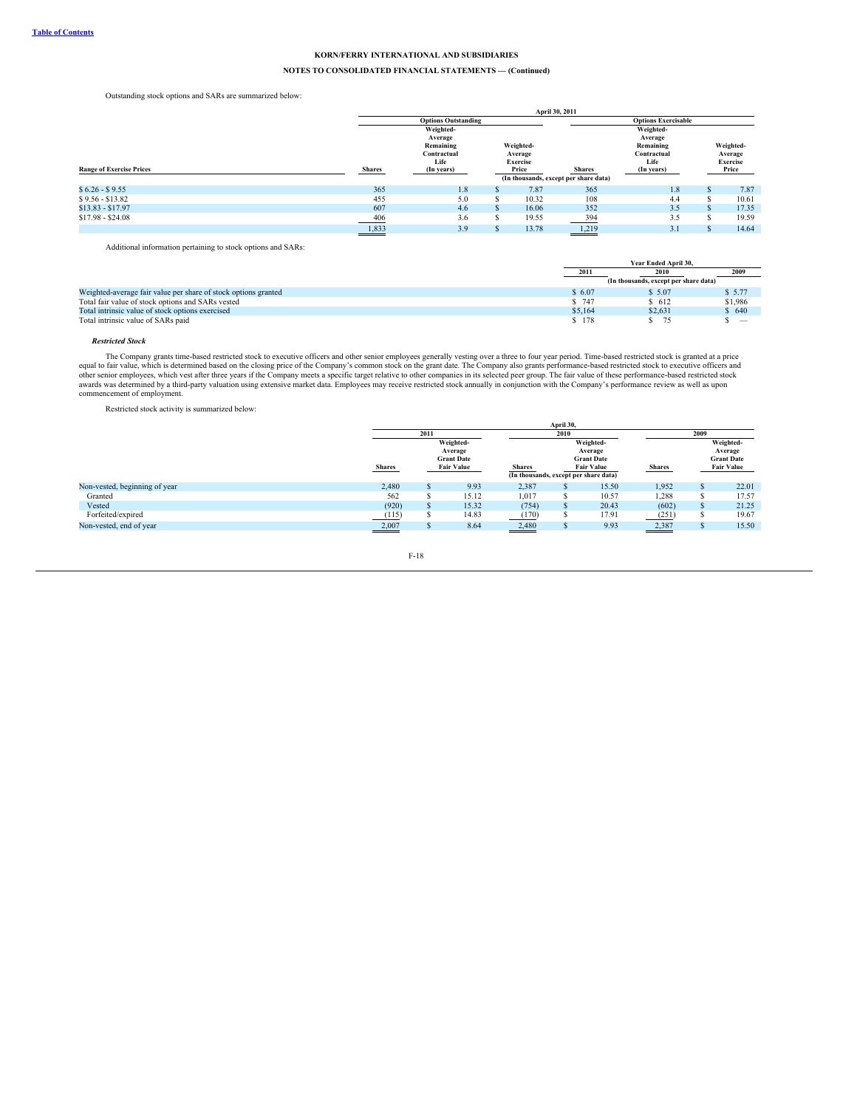### **NOTES TO CONSOLIDATED FINANCIAL STATEMENTS — (Continued)**

Outstanding stock options and SARs are summarized below:

|                                 |               | <b>Options Outstanding</b> |                          | <b>Options Exercisable</b> |                                       |            |       |             |  |         |  |  |  |  |  |  |  |  |  |      |  |                 |
|---------------------------------|---------------|----------------------------|--------------------------|----------------------------|---------------------------------------|------------|-------|-------------|--|---------|--|--|--|--|--|--|--|--|--|------|--|-----------------|
|                                 |               | Weighted-                  |                          |                            |                                       | Weighted-  |       |             |  |         |  |  |  |  |  |  |  |  |  |      |  |                 |
|                                 |               | Average<br>Average         |                          |                            |                                       |            |       |             |  |         |  |  |  |  |  |  |  |  |  |      |  |                 |
|                                 |               | Remaining                  |                          | Weighted-                  |                                       | Remaining  |       | Weighted-   |  |         |  |  |  |  |  |  |  |  |  |      |  |                 |
|                                 |               | Contractual<br>Average     |                          |                            |                                       |            |       | Contractual |  | Average |  |  |  |  |  |  |  |  |  |      |  |                 |
|                                 |               | Life                       | <b>Exercise</b>          |                            |                                       |            |       |             |  |         |  |  |  |  |  |  |  |  |  | Life |  | <b>Exercise</b> |
| <b>Range of Exercise Prices</b> | <b>Shares</b> | (In years)                 | Price                    |                            | <b>Shares</b>                         | (In years) | Price |             |  |         |  |  |  |  |  |  |  |  |  |      |  |                 |
|                                 |               |                            |                          |                            | (In thousands, except per share data) |            |       |             |  |         |  |  |  |  |  |  |  |  |  |      |  |                 |
| $$6.26 - $9.55$                 | 365           | 1.8                        |                          | 7.87                       | 365                                   | 1.8        |       | 7.87        |  |         |  |  |  |  |  |  |  |  |  |      |  |                 |
| $$9.56 - $13.82$                | 455           | 5.0                        |                          | 10.32                      | 108                                   | 4.4        |       | 10.61       |  |         |  |  |  |  |  |  |  |  |  |      |  |                 |
| $$13.83 - $17.97$               | 607           | 4.6                        |                          | 16.06                      | 352                                   | 3.5        |       | 17.35       |  |         |  |  |  |  |  |  |  |  |  |      |  |                 |
| $$17.98 - $24.08$               | 406           | 3.6                        | $\overline{\phantom{a}}$ | 19.55                      | 394                                   | 3.5        |       | 19.59       |  |         |  |  |  |  |  |  |  |  |  |      |  |                 |
|                                 | 1,833         | 3.9                        |                          | 13.78                      | 1,219                                 | 3.1        |       | 14.64       |  |         |  |  |  |  |  |  |  |  |  |      |  |                 |

Additional information pertaining to stock options and SARs:

|                                                                |         | Year Ended April 30.                  |         |  |  |  |
|----------------------------------------------------------------|---------|---------------------------------------|---------|--|--|--|
|                                                                | 2011    | 2010                                  |         |  |  |  |
|                                                                |         | (In thousands, except per share data) |         |  |  |  |
| Weighted-average fair value per share of stock options granted | \$6.07  | \$5.07                                | \$5.77  |  |  |  |
| Total fair value of stock options and SARs vested              | \$ 747  | \$ 612                                | \$1,986 |  |  |  |
| Total intrinsic value of stock options exercised               | \$5,164 | \$2,631                               | \$640   |  |  |  |
| Total intrinsic value of SARs paid                             | \$178   |                                       | $\sim$  |  |  |  |

# *Restricted Stock*

The Company grants time-based restricted stock to executive officers and other senior employees generally vesting over a three to four year period. Time-based restricted stock is granted at a price equal to fair value, whi commencement of employment.

Restricted stock activity is summarized below:

|                               |               |                                                                |       |                                                        | April 30, |       |       |                                                                |               |  |                                                                |
|-------------------------------|---------------|----------------------------------------------------------------|-------|--------------------------------------------------------|-----------|-------|-------|----------------------------------------------------------------|---------------|--|----------------------------------------------------------------|
|                               |               | 2011                                                           |       |                                                        | 2010      |       | 2009  |                                                                |               |  |                                                                |
|                               | <b>Shares</b> | Weighted-<br>Average<br><b>Grant Date</b><br><b>Fair Value</b> |       | <b>Shares</b><br>(In thousands, except per share data) |           |       |       | Weighted-<br>Average<br><b>Grant Date</b><br><b>Fair Value</b> | <b>Shares</b> |  | Weighted-<br>Average<br><b>Grant Date</b><br><b>Fair Value</b> |
|                               |               |                                                                |       |                                                        |           |       |       |                                                                |               |  |                                                                |
| Non-vested, beginning of year | 2.480         |                                                                | 9.93  | 2,387                                                  |           | 15.50 | 1,952 |                                                                | 22.01         |  |                                                                |
| Granted                       | 562           |                                                                | 15.12 | 1,017                                                  |           | 10.57 | 1,288 |                                                                | 17.57         |  |                                                                |
| Vested                        | (920)         | æ                                                              | 15.32 | (754)                                                  |           | 20.43 | (602) | - 6                                                            | 21.25         |  |                                                                |
| Forfeited/expired             | (115)         | S                                                              | 14.83 | (170)                                                  |           | 17.91 | (251) | J.                                                             | 19.67         |  |                                                                |
| Non-vested, end of year       | 2,007         | Э                                                              | 8.64  | 2,480                                                  | Φ         | 9.93  | 2,387 | J.                                                             | 15.50         |  |                                                                |
|                               |               |                                                                |       |                                                        |           |       |       |                                                                |               |  |                                                                |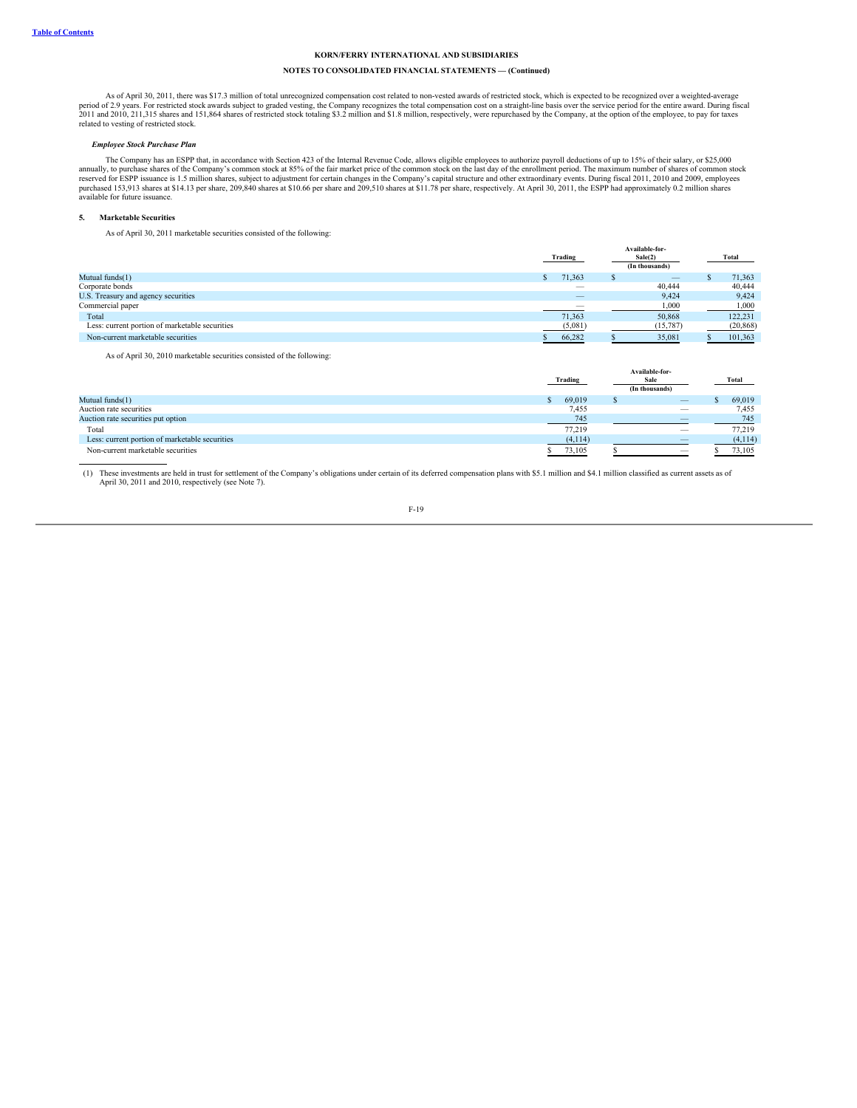### **NOTES TO CONSOLIDATED FINANCIAL STATEMENTS — (Continued)**

As of April 30, 2011, there was \$17.3 million of total unrecognized compensation cost related to non-vested awards of restricted stock, which is expected to be recognized over a weighted-average period of 2.9 years. For restricted stock awards subject to graded vesting, the Company recognizes the total compensation cost on a straight-line basis over the service period for the entire award. During fiscal<br>2011 and 2 related to vesting of restricted stock.

#### *Employee Stock Purchase Plan*

The Company has an ESPP that, in accordance with Section 423 of the Internal Revenue Code, allows eligible employees to authorize payroll deductions of up to 15% of their salary, or \$25,000 annually, to purchase shares of the Company's common stock at 85% of the fair market price of the common stock on the last day of the enrollment period. The maximum number of shares of common stock<br>reserved for ESPP issuan available for future issuance.

#### **5. Marketable Securities**

As of April 30, 2011 marketable securities consisted of the following:

|                                                |                          | Available-for-           |           |
|------------------------------------------------|--------------------------|--------------------------|-----------|
|                                                | Trading                  | Sale(2)                  | Total     |
|                                                |                          | (In thousands)           |           |
| Mutual funds(1)                                | 71,363                   | $\overline{\phantom{m}}$ | 71.363    |
| Corporate bonds                                | $\overline{\phantom{a}}$ | 40,444                   | 40,444    |
| U.S. Treasury and agency securities            |                          | 9,424                    | 9,424     |
| Commercial paper                               | $\overline{\phantom{a}}$ | 1,000                    | 1,000     |
| Total                                          | 71,363                   | 50,868                   | 122,231   |
| Less: current portion of marketable securities | (5,081)                  | (15, 787)                | (20, 868) |
| Non-current marketable securities              | 66,282                   | 35,081                   | 101,363   |
|                                                |                          |                          |           |

As of April 30, 2010 marketable securities consisted of the following:

|                                                |      | Trading | Available-for-<br>Sale<br>(In thousands) | Total   |
|------------------------------------------------|------|---------|------------------------------------------|---------|
| Mutual funds(1)                                | - 53 | 69,019  | $\overline{\phantom{m}}$                 | 69,019  |
| Auction rate securities                        |      | 7,455   | __                                       | 7,455   |
| Auction rate securities put option             |      | 745     | $\overline{\phantom{a}}$                 | 745     |
| Total                                          |      | 77,219  | –                                        | 77.219  |
| Less: current portion of marketable securities |      | (4,114) | $\overline{\phantom{m}}$                 | (4,114) |
| Non-current marketable securities              |      | 73,105  |                                          | 73,105  |

(1) These investments are held in trust for settlement of the Company's obligations under certain of its deferred compensation plans with \$5.1 million and \$4.1 million classified as current assets as of April 30, 2011 and 2010, respectively (see Note 7).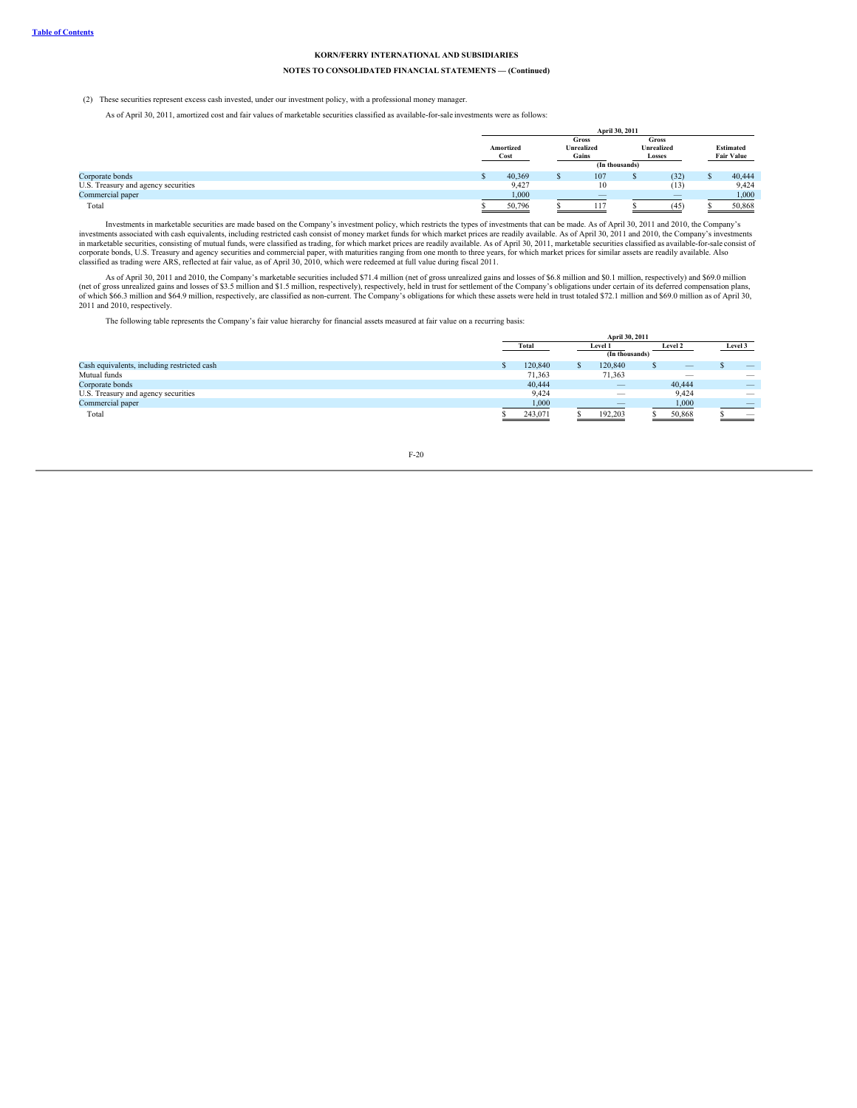### **NOTES TO CONSOLIDATED FINANCIAL STATEMENTS — (Continued)**

(2) These securities represent excess cash invested, under our investment policy, with a professional money manager.

As of April 30, 2011, amortized cost and fair values of marketable securities classified as available-for-sale investments were as follows:

|                                     | April 30, 2011 |                   |                |                   |        |  |                   |  |  |  |
|-------------------------------------|----------------|-------------------|----------------|-------------------|--------|--|-------------------|--|--|--|
|                                     |                |                   | Gross          |                   | Gross  |  |                   |  |  |  |
|                                     | Amortized      | <b>Unrealized</b> |                | <b>Unrealized</b> |        |  | <b>Estimated</b>  |  |  |  |
|                                     | Cost           |                   | Gains          |                   | Losses |  | <b>Fair Value</b> |  |  |  |
|                                     |                |                   | (In thousands) |                   |        |  |                   |  |  |  |
| Corporate bonds                     | 40,369         |                   | 107            |                   | (32)   |  | 40,444            |  |  |  |
| U.S. Treasury and agency securities | 9,427          |                   | 10             |                   | (13)   |  | 9,424             |  |  |  |
| Commercial paper                    | 1,000          |                   |                |                   |        |  | 1,000             |  |  |  |
| Total                               | 50,796         |                   | 117            |                   | (45)   |  | 50,868            |  |  |  |

Investments in marketable securities are made based on the Company's investment policy, which restricts the types of investments that can be made. As of April 30, 2011 and 2010, the Company's investments associated with ca

As of April 30, 2011 and 2010, the Company's marketable securities included \$71.4 million (net of gross unrealized gains and losses of \$6.8 million and \$0.1 million, respectively) and \$69.0 million and \$0.9 million and \$64 2011 and 2010, respectively.

The following table represents the Company's fair value hierarchy for financial assets measured at fair value on a recurring basis:

|                                             | April 30, 2011 |         |         |                                |         |        |  |                          |  |
|---------------------------------------------|----------------|---------|---------|--------------------------------|---------|--------|--|--------------------------|--|
|                                             | Total          |         | Level 1 |                                | Level 2 |        |  | Level 3                  |  |
|                                             | (In thousands) |         |         |                                |         |        |  |                          |  |
| Cash equivalents, including restricted cash |                | 120,840 |         | 120,840                        |         |        |  | $\overline{\phantom{m}}$ |  |
| Mutual funds                                |                | 71,363  |         | 71,363                         |         | __     |  |                          |  |
| Corporate bonds                             |                | 40,444  |         | $\overline{\phantom{m}}$       |         | 40,444 |  | $\overline{\phantom{m}}$ |  |
| U.S. Treasury and agency securities         |                | 9,424   |         | $\qquad \qquad \longleftarrow$ |         | 9,424  |  | _                        |  |
| Commercial paper                            |                | 1,000   |         | _                              |         | 1,000  |  |                          |  |
| Total                                       |                | 243,071 |         | 192,203                        |         | 50,868 |  |                          |  |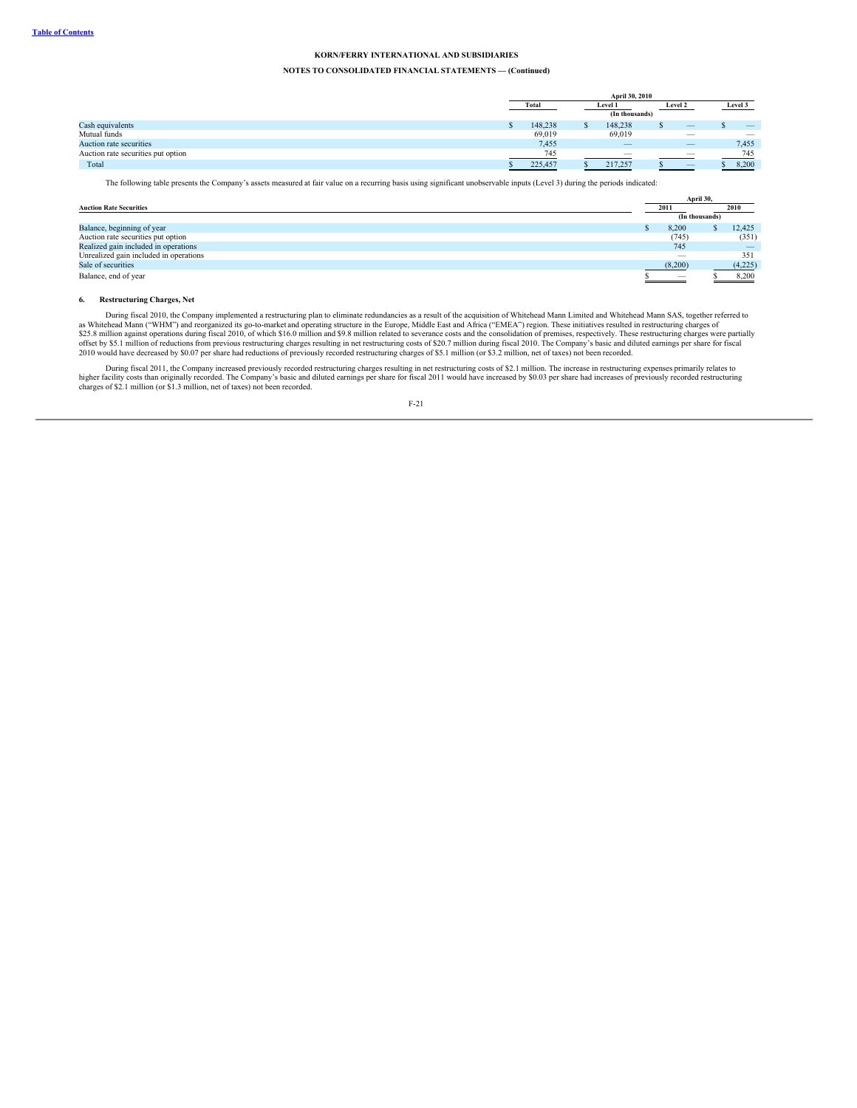# **NOTES TO CONSOLIDATED FINANCIAL STATEMENTS — (Continued)**

|                                    | April 30, 2010   |  |                          |  |                                 |  |         |  |  |  |
|------------------------------------|------------------|--|--------------------------|--|---------------------------------|--|---------|--|--|--|
|                                    | Total<br>Level 1 |  |                          |  | Level 2                         |  | Level 3 |  |  |  |
|                                    | (In thousands)   |  |                          |  |                                 |  |         |  |  |  |
| Cash equivalents                   | 148,238          |  | 148,238                  |  | $\overline{\phantom{a}}$        |  |         |  |  |  |
| Mutual funds                       | 69,019           |  | 69,019                   |  |                                 |  |         |  |  |  |
| Auction rate securities            | 7,455            |  |                          |  | $\hspace{0.1mm}-\hspace{0.1mm}$ |  | 7,455   |  |  |  |
| Auction rate securities put option | 745              |  | $\overline{\phantom{a}}$ |  | $\overline{\phantom{a}}$        |  | 745     |  |  |  |
| Total                              | 225.457          |  | 217,257                  |  |                                 |  | 8.200   |  |  |  |

The following table presents the Company's assets measured at fair value on a recurring basis using significant unobservable inputs (Level 3) during the periods indicated:

|                                        |  | April 30.                |  |         |
|----------------------------------------|--|--------------------------|--|---------|
| <b>Auction Rate Securities</b>         |  | 2011                     |  | 2010    |
|                                        |  |                          |  |         |
| Balance, beginning of year             |  | 8,200                    |  | 12,425  |
| Auction rate securities put option     |  | (745)                    |  | (351)   |
| Realized gain included in operations   |  | 745                      |  |         |
| Unrealized gain included in operations |  | $\overline{\phantom{a}}$ |  | 351     |
| Sale of securities                     |  | (8,200)                  |  | (4,225) |
| Balance, end of year                   |  | $\overline{\phantom{a}}$ |  | 8,200   |

#### **6. Restructuring Charges, Net**

During fiscal 2010, the Company implemented a restructuring plan to eliminate redundancies as a result of the acquisition of Whitehead Mann Limited and Whitehead Mann SAS, together referred to<br>As Whitehead Mann ("WHM") and 2010 would have decreased by \$0.07 per share had reductions of previously recorded restructuring charges of \$5.1 million (or \$3.2 million, net of taxes) not been recorded.

During fiscal 2011, the Company increased previously recorded restructuring charges resulting in net restructuring costs of \$2.1 million. The increase in restructuring expenses primarily relates to higher facility costs th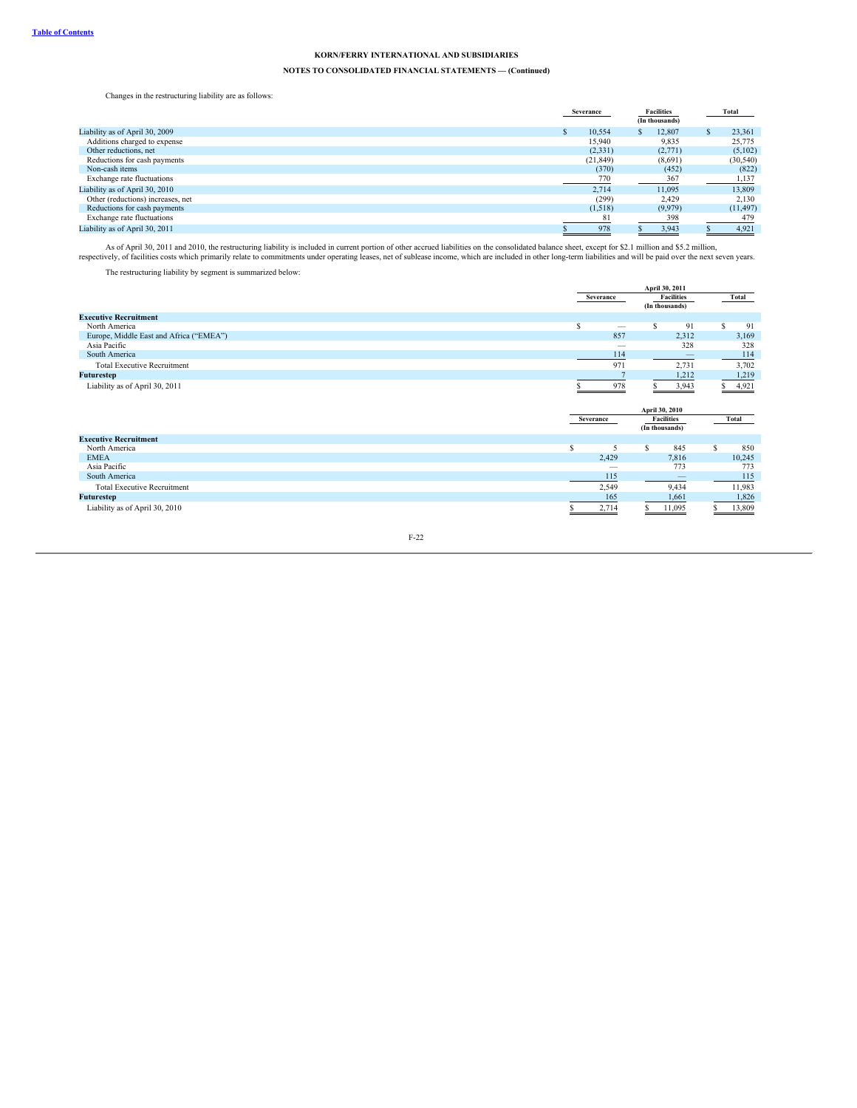# **NOTES TO CONSOLIDATED FINANCIAL STATEMENTS — (Continued)**

Changes in the restructuring liability are as follows:

| <b>Facilities</b><br>Severance<br>(In thousands)     | Total     |
|------------------------------------------------------|-----------|
| Liability as of April 30, 2009<br>12.807<br>10,554   | 23,361    |
| Additions charged to expense<br>15,940<br>9,835      | 25,775    |
| Other reductions, net<br>(2,331)<br>(2,771)          | (5,102)   |
| Reductions for cash payments<br>(21, 849)<br>(8,691) | (30, 540) |
| Non-cash items<br>(370)<br>(452)                     | (822)     |
| Exchange rate fluctuations<br>770<br>367             | 1,137     |
| 2,714<br>Liability as of April 30, 2010<br>11.095    | 13,809    |
| Other (reductions) increases, net<br>(299)<br>2,429  | 2,130     |
| Reductions for cash payments<br>(1,518)<br>(9,979)   | (11, 497) |
| Exchange rate fluctuations<br>398                    | 479       |
| Liability as of April 30, 2011<br>3,943<br>978       | 4,921     |

As of April 30, 2011 and 2010, the restructuring liability is included in current portion of other accrued liabilities on the consolidated balance sheet, except for \$2.1 million and \$5.2 million,<br>respectively, of facilitie

The restructuring liability by segment is summarized below:

|                                         |    | April 30, 2011                                   |   |                                                       |   |         |
|-----------------------------------------|----|--------------------------------------------------|---|-------------------------------------------------------|---|---------|
|                                         |    | <b>Facilities</b><br>Severance<br>(In thousands) |   |                                                       |   | Total   |
| <b>Executive Recruitment</b>            |    |                                                  |   |                                                       |   |         |
| North America                           | S  | $\overline{\phantom{0}}$                         | S | 91                                                    | S | 91      |
| Europe, Middle East and Africa ("EMEA") |    | 857                                              |   | 2,312                                                 |   | 3,169   |
| Asia Pacific                            |    | $\overline{\phantom{a}}$                         |   | 328                                                   |   | 328     |
| South America                           |    | 114                                              |   |                                                       |   | 114     |
| <b>Total Executive Recruitment</b>      |    | 971                                              |   | 2,731                                                 |   | 3,702   |
| <b>Futurestep</b>                       |    |                                                  |   | 1,212                                                 |   | 1,219   |
| Liability as of April 30, 2011          |    | 978                                              |   | 3,943                                                 |   | \$4,921 |
|                                         |    | Severance                                        |   | April 30, 2010<br><b>Facilities</b><br>(In thousands) |   | Total   |
|                                         |    |                                                  |   |                                                       |   |         |
| <b>Executive Recruitment</b>            |    |                                                  |   |                                                       |   |         |
| North America                           | \$ | 5                                                | s | 845                                                   | S | 850     |
| <b>EMEA</b>                             |    | 2,429                                            |   | 7,816                                                 |   | 10,245  |
| Asia Pacific                            |    |                                                  |   | 773                                                   |   | 773     |
| South America                           |    | 115                                              |   |                                                       |   | 115     |
| <b>Total Executive Recruitment</b>      |    | 2,549                                            |   | 9,434                                                 |   | 11,983  |
| <b>Futurestep</b>                       |    | 165                                              |   | 1,661                                                 |   | 1,826   |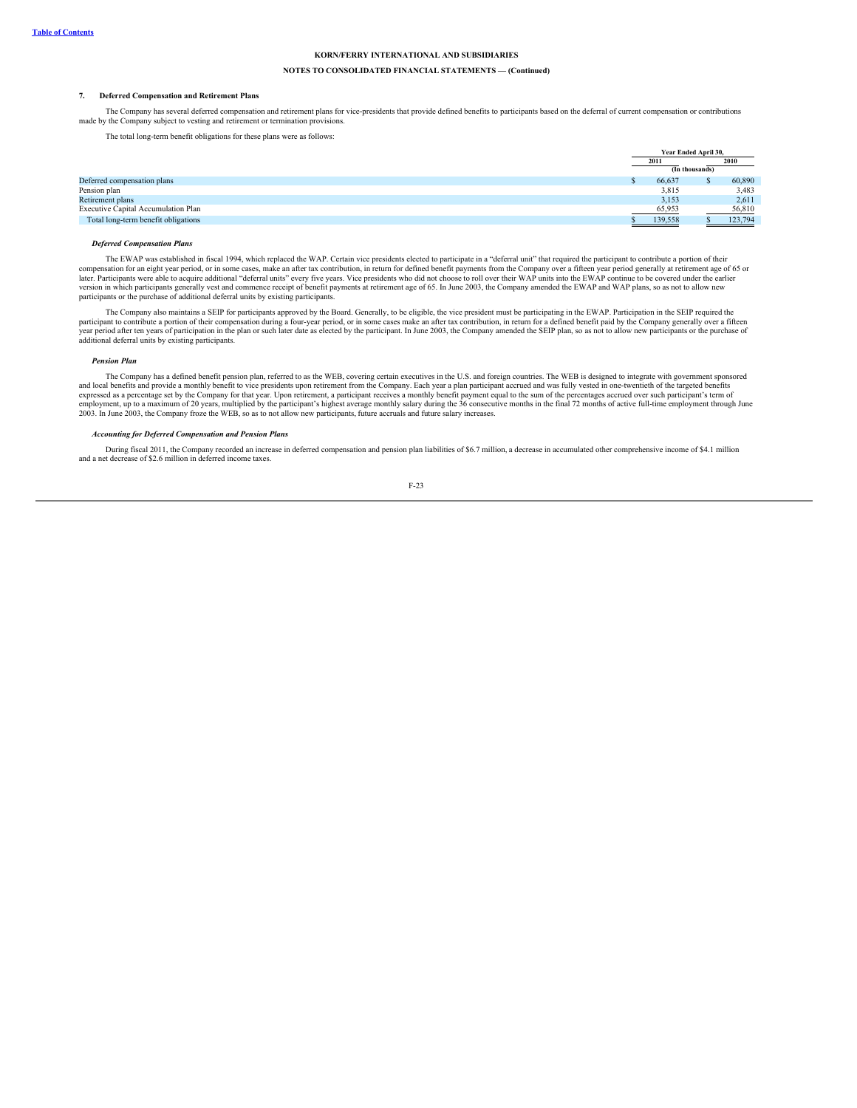### **NOTES TO CONSOLIDATED FINANCIAL STATEMENTS — (Continued)**

#### **7. Deferred Compensation and Retirement Plans**

The Company has several deferred compensation and retirement plans for vice-presidents that provide defined benefits to participants based on the deferral of current compensation or contributions made by the Company subject to vesting and retirement or termination provisions.

The total long-term benefit obligations for these plans were as follows:

|                                     | Year Ended April 30. |         |                |         |
|-------------------------------------|----------------------|---------|----------------|---------|
|                                     | 2011                 |         |                | 2010    |
|                                     |                      |         | (In thousands) |         |
| Deferred compensation plans         |                      | 66,637  |                | 60,890  |
| Pension plan                        |                      | 3.815   |                | 3,483   |
| Retirement plans                    |                      | 3,153   |                | 2,611   |
| Executive Capital Accumulation Plan |                      | 65,953  |                | 56,810  |
| Total long-term benefit obligations |                      | 139,558 |                | 123,794 |

#### *Deferred Compensation Plans*

The EWAP was established in fiscal 1994, which replaced the WAP. Certain vice presidents elected to participate in a "deferral unit" that required the participant to contribute a portion of their compensation for an eight year period, or in some cases, make an after tax contribution, in return for defined benefit payments from the Company over a fifteen year period generally at retirement age of 65 or<br>later. Partic version in which participants generally vest and commence receipt of benefit payments at retirement age of 65. In June 2003, the Company amended the EWAP and WAP plans, so as not to allow new<br>participants or the purchase o

The Company also maintains a SEIP for participants approved by the Board. Generally, to be eligible, the vice president must be participating in the EWAP. Participation in the SEIP required the participation of their compe

#### *Pension Plan*

The Company has a defined benefit pension plan, referred to as the WEB, covering certain executives in the U.S. and foreign countries. The WEB is designed to integrate with government sponsored and local benefits and provide a monthly benefit to vice presidents upon retirement from the Company. Each year a plan participant accrued and was fully vested in one-twentieth of the targeted benefits<br>expressed as a perce employment, up to a maximum of 20 years, multiplied by the participant's highest average monthly salary during the 36 consecutive months in the final 72 months of active full-time employment through June<br>2003. In June 2003

#### *Accounting for Deferred Compensation and Pension Plans*

During fiscal 2011, the Company recorded an increase in deferred compensation and pension plan liabilities of \$6.7 million, a decrease in accumulated other comprehensive income of \$4.1 million and a net decrease of \$2.6 mi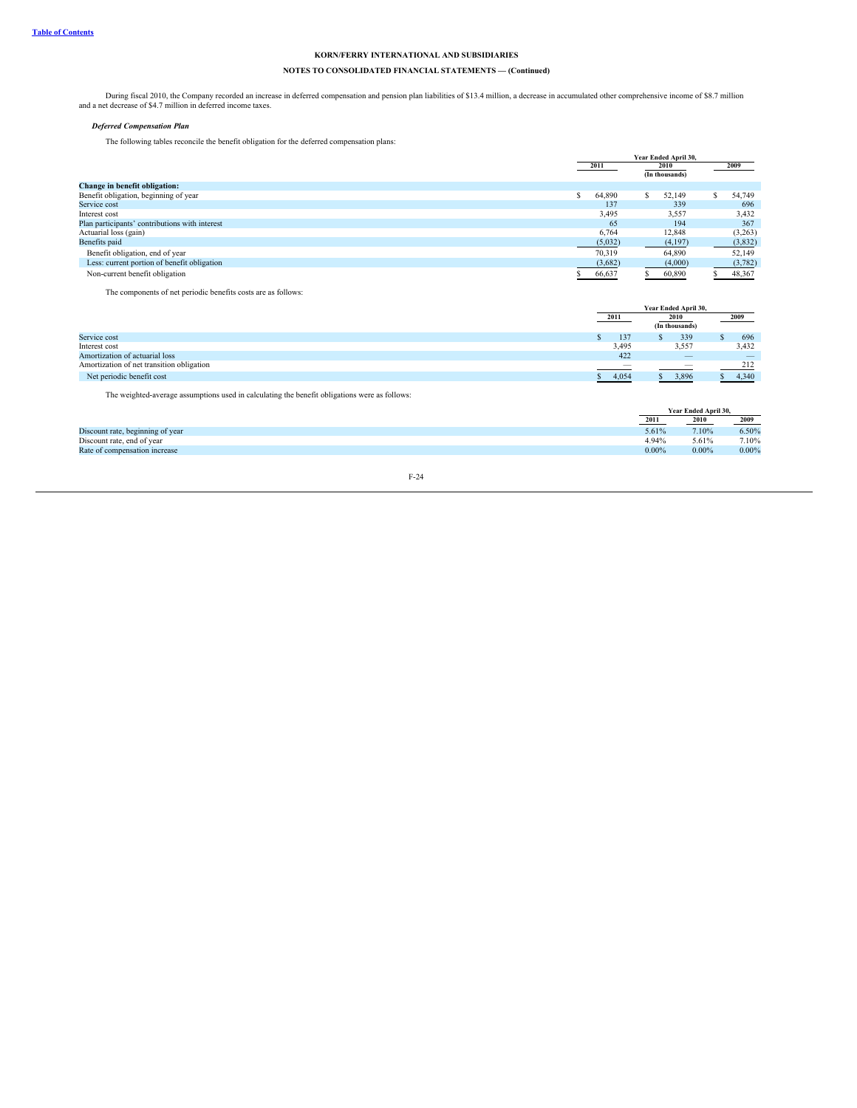### **NOTES TO CONSOLIDATED FINANCIAL STATEMENTS — (Continued)**

During fiscal 2010, the Company recorded an increase in deferred compensation and pension plan liabilities of \$13.4 million, a decrease in accumulated other comprehensive income of \$8.7 million and a net decrease of \$4.7 m

# *Deferred Compensation Plan*

The following tables reconcile the benefit obligation for the deferred compensation plans:

|                                                | Year Ended April 30, |  |                        |  |         |
|------------------------------------------------|----------------------|--|------------------------|--|---------|
|                                                | 2011                 |  | 2010<br>(In thousands) |  | 2009    |
| Change in benefit obligation:                  |                      |  |                        |  |         |
| Benefit obligation, beginning of year          | 64.890               |  | 52.149                 |  | 54,749  |
| Service cost                                   | 137                  |  | 339                    |  | 696     |
| Interest cost                                  | 3,495                |  | 3,557                  |  | 3,432   |
| Plan participants' contributions with interest | 65                   |  | 194                    |  | 367     |
| Actuarial loss (gain)                          | 6,764                |  | 12.848                 |  | (3,263) |
| Benefits paid                                  | (5,032)              |  | (4,197)                |  | (3,832) |
| Benefit obligation, end of year                | 70.319               |  | 64.890                 |  | 52,149  |
| Less: current portion of benefit obligation    | (3,682)              |  | (4,000)                |  | (3,782) |
| Non-current benefit obligation                 | 66,637               |  | 60,890                 |  | 48,367  |

The components of net periodic benefits costs are as follows:

|                                           | Year Ended April 30. |         |  |                          |  |       |
|-------------------------------------------|----------------------|---------|--|--------------------------|--|-------|
|                                           |                      | $-2011$ |  | 2010<br>(In thousands)   |  | 2009  |
| Service cost                              |                      | 137     |  | 339                      |  | 696   |
| Interest cost                             |                      | 3,495   |  | 3,557                    |  | 3,432 |
| Amortization of actuarial loss            |                      | 422     |  | $\overline{\phantom{0}}$ |  |       |
| Amortization of net transition obligation |                      |         |  |                          |  | 212   |
| Net periodic benefit cost                 |                      | 4,054   |  | 3,896                    |  | 4.340 |

The weighted-average assumptions used in calculating the benefit obligations were as follows:

| 2011     | 2010     | 2009                 |
|----------|----------|----------------------|
| 5.61%    | 7.10%    | 6.50%                |
| 4.94%    | 5.61%    | 7.10%                |
| $0.00\%$ | $0.00\%$ | $0.00\%$             |
|          |          | Year Ended April 30. |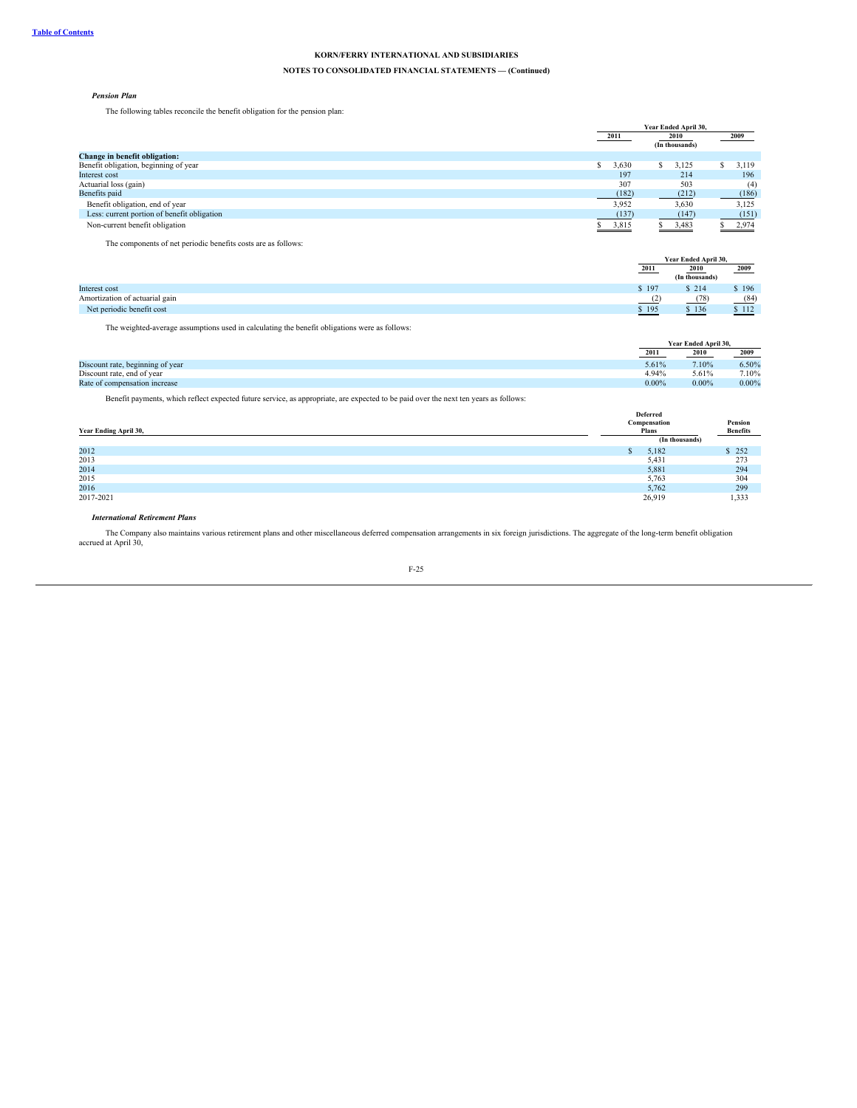### **NOTES TO CONSOLIDATED FINANCIAL STATEMENTS — (Continued)**

### *Pension Plan*

The following tables reconcile the benefit obligation for the pension plan:

|                                             |    | Year Ended April 30, |    |                |                    |
|---------------------------------------------|----|----------------------|----|----------------|--------------------|
|                                             |    | 2011                 |    | 2010           | 2009               |
|                                             |    |                      |    | (In thousands) |                    |
| Change in benefit obligation:               |    |                      |    |                |                    |
| Benefit obligation, beginning of year       | S  | 3,630                | S. | 3.125          | 3,119              |
| Interest cost                               |    | 197                  |    | 214            | 196                |
| Actuarial loss (gain)                       |    | 307                  |    | 503            | (4)                |
| Benefits paid                               |    | (182)                |    | (212)          | (186)              |
| Benefit obligation, end of year             |    | 3,952                |    | 3,630          | 3,125              |
| Less: current portion of benefit obligation |    | (137)                |    | (147)          | (151)              |
| Non-current benefit obligation              | S. | 3,815                |    | \$3,483        | $\frac{\$}{2,974}$ |

The components of net periodic benefits costs are as follows:

|                                |             | Year Ended April 30. |        |  |
|--------------------------------|-------------|----------------------|--------|--|
|                                | 2011<br>___ | 2010                 | 2009   |  |
|                                |             | (In thousands)       |        |  |
| Interest cost                  | \$197       | \$214                | 196    |  |
| Amortization of actuarial gain |             | (78)                 | (84)   |  |
| Net periodic benefit cost      | \$195       | \$136                | $-112$ |  |

The weighted-average assumptions used in calculating the benefit obligations were as follows:

|                                  |          | Year Ended April 30. |          |
|----------------------------------|----------|----------------------|----------|
|                                  | 2011     | 2010                 | 2009     |
| Discount rate, beginning of year | 5.61%    | 7.10%                | 6.50%    |
| Discount rate, end of year       | 4.94%    | 5.61%                | 7.10%    |
| Rate of compensation increase    | $0.00\%$ | $0.00\%$             | $0.00\%$ |

Benefit payments, which reflect expected future service, as appropriate, are expected to be paid over the next ten years as follows:

|                       |  | <b>Deferred</b> |                 |
|-----------------------|--|-----------------|-----------------|
|                       |  | Compensation    | Pension         |
| Year Ending April 30, |  | Plans           | <b>Benefits</b> |
|                       |  | (In thousands)  |                 |
| 2012                  |  | 5,182           | \$252           |
| 2013                  |  | 5,431           | 273             |
| 2014                  |  | 5,881           | 294             |
| 2015                  |  | 5,763           | 304             |
| 2016                  |  | 5,762           | 299             |
| 2017-2021             |  | 26,919          | 1,333           |

# *International Retirement Plans*

The Company also maintains various retirement plans and other miscellaneous deferred compensation arrangements in six foreign jurisdictions. The aggregate of the long-term benefit obligation accrued at April 30,

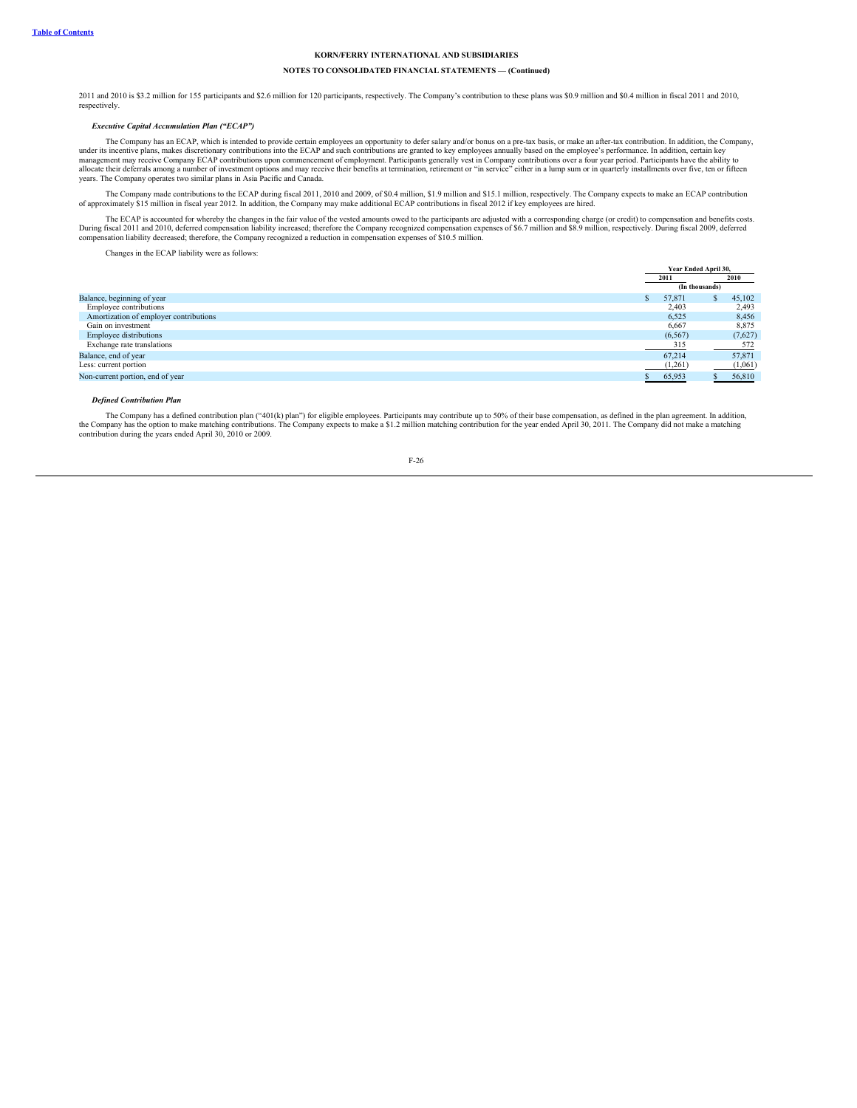### **NOTES TO CONSOLIDATED FINANCIAL STATEMENTS — (Continued)**

2011 and 2010 is \$3.2 million for 155 participants and \$2.6 million for 120 participants, respectively. The Company's contribution to these plans was \$0.9 million and \$0.4 million in fiscal 2011 and 2010, respectively.

### *Executive Capital Accumulation Plan ("ECAP")*

The Company has an ECAP, which is intended to provide certain employees an opportunity to defer salary and/or bonus on a pre-tax basis, or make an after-tax contribution. In addition, the Company, under its incentive plans, makes discretionary contributions into the ECAP and such contributions are granted to key employees annually based on the employee's performance. In addition, certain key<br>management may receive C allocate their deferrals among a number of investment options and may receive their benefits at termination, retirement or "in service" either in a lump sum or in quarterly installments over five, ten or fifteen years. The Company operates two similar plans in Asia Pacific and Canada.

The Company made contributions to the ECAP during fiscal 2011, 2010 and 2009, of \$0.4 million, \$1.9 million and \$15.1 million, respectively. The Company expects to make an ECAP contribution<br>of approximately \$15 million in

The ECAP is accounted for whereby the changes in the fair value of the vested amounts owed to the participants are adjusted with a corresponding charge (or credit) to compensation and benefits costs. During fiscal 2011 and 2010, deferred compensation liability increased; therefore the Company recognized compensation expenses of \$6.7 million and \$8.9 million, respectively. During fiscal 2009, deferred<br>compensation liabi

Changes in the ECAP liability were as follows:

|                                        |             | Year Ended April 30, |
|----------------------------------------|-------------|----------------------|
|                                        | 2011        | 2010                 |
|                                        |             | (In thousands)       |
| Balance, beginning of year             | 57,871<br>s | 45,102               |
| Employee contributions                 | 2,403       | 2,493                |
| Amortization of employer contributions | 6,525       | 8,456                |
| Gain on investment                     | 6,667       | 8,875                |
| <b>Employee distributions</b>          | (6, 567)    | (7,627)              |
| Exchange rate translations             | 315         | 572                  |
| Balance, end of year                   | 67.214      | 57,871               |
| Less: current portion                  | (1,261)     | (1,061)              |
| Non-current portion, end of year       | 65,953      | 56,810               |
|                                        |             |                      |

#### *Defined Contribution Plan*

The Company has a defined contribution plan ("401(k) plan") for eligible employees. Participants may contribute up to 50% of their base compensation, as defined in the plan agreement. In addition,<br>the Company has the optio contribution during the years ended April 30, 2010 or 2009.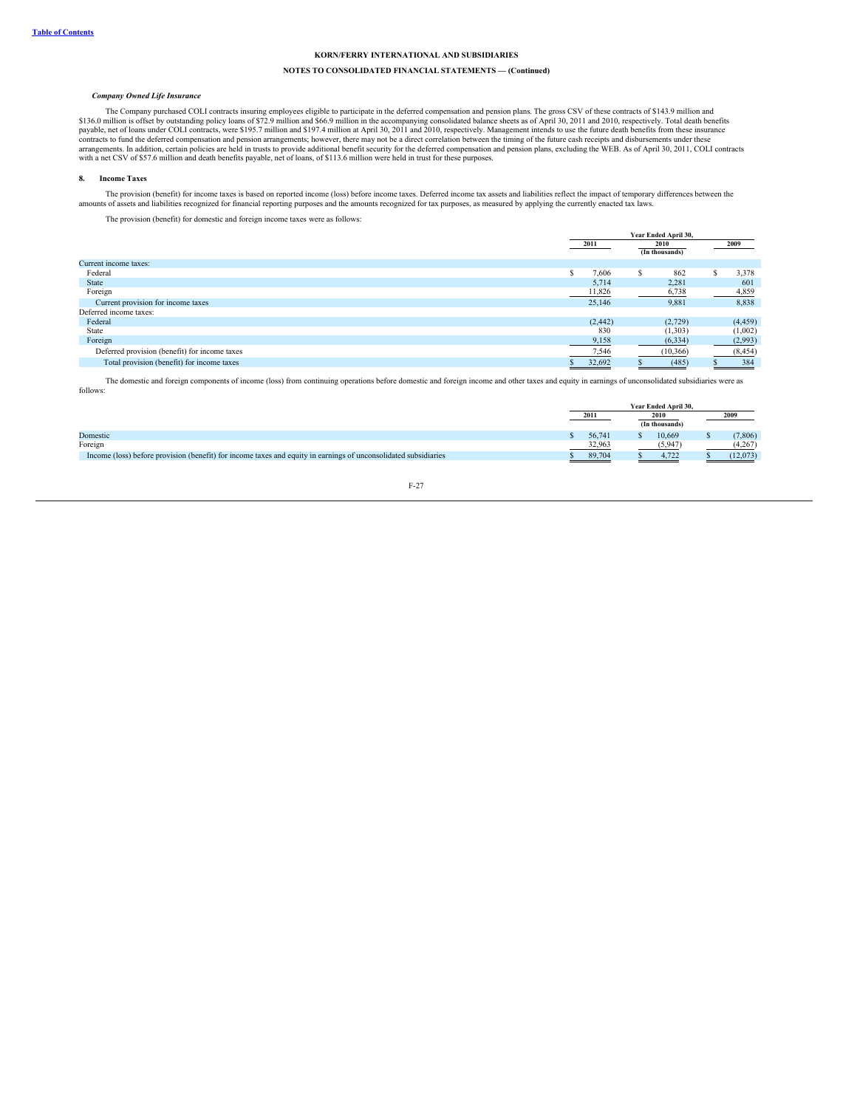### **NOTES TO CONSOLIDATED FINANCIAL STATEMENTS — (Continued)**

#### *Company Owned Life Insurance*

The Company purchased COLI contracts insuring employees eligible to participate in the deferred compensation and pension plans. The gross CSV of these contracts of \$143.9 million and \$136.0 million is offset by outstanding policy loans of \$72.9 million and \$66.9 million in the accompanying consolidated balance sheets as of April 30, 2011 and 2010, respectively. Total death benefits from these insurance with a net CSV of \$57.6 million and death benefits payable, net of loans, of \$113.6 million were held in trust for these purposes.

#### **8. Income Taxes**

The provision (benefit) for income taxes is based on reported income (loss) before income taxes. Deferred income tax assets and liabilities reflect the impact of temporary differences between the amounts reagnized for fina

The provision (benefit) for domestic and foreign income taxes were as follows:

|                                               | Year Ended April 30, |                |  |          |
|-----------------------------------------------|----------------------|----------------|--|----------|
|                                               | 2011                 |                |  | 2009     |
|                                               |                      | (In thousands) |  |          |
| Current income taxes:                         |                      |                |  |          |
| Federal                                       | 7,606                | 862            |  | 3,378    |
| State                                         | 5.714                | 2,281          |  | 601      |
| Foreign                                       | 11,826               | 6,738          |  | 4,859    |
| Current provision for income taxes            | 25,146               | 9,881          |  | 8,838    |
| Deferred income taxes:                        |                      |                |  |          |
| Federal                                       | (2, 442)             | (2,729)        |  | (4, 459) |
| State                                         | 830                  | (1,303)        |  | (1,002)  |
| Foreign                                       | 9,158                | (6, 334)       |  | (2,993)  |
| Deferred provision (benefit) for income taxes | 7,546                | (10, 366)      |  | (8, 454) |
| Total provision (benefit) for income taxes    | 32,692               | (485)          |  | 384      |

The domestic and foreign components of income (loss) from continuing operations before domestic and foreign income and other taxes and equity in earnings of unconsolidated subsidiaries were as follows:

|                                                                                                                 | Year Ended April 30. |  |                        |  |          |
|-----------------------------------------------------------------------------------------------------------------|----------------------|--|------------------------|--|----------|
|                                                                                                                 | 2011                 |  | 2010<br>(In thousands) |  | 2009     |
| Domestic                                                                                                        | 56,741               |  | 10.669                 |  | (7,806)  |
| Foreign                                                                                                         | 32,963               |  | (5,947)                |  | (4.267)  |
| Income (loss) before provision (benefit) for income taxes and equity in earnings of unconsolidated subsidiaries | 89,704               |  | 4.722                  |  | (12.073) |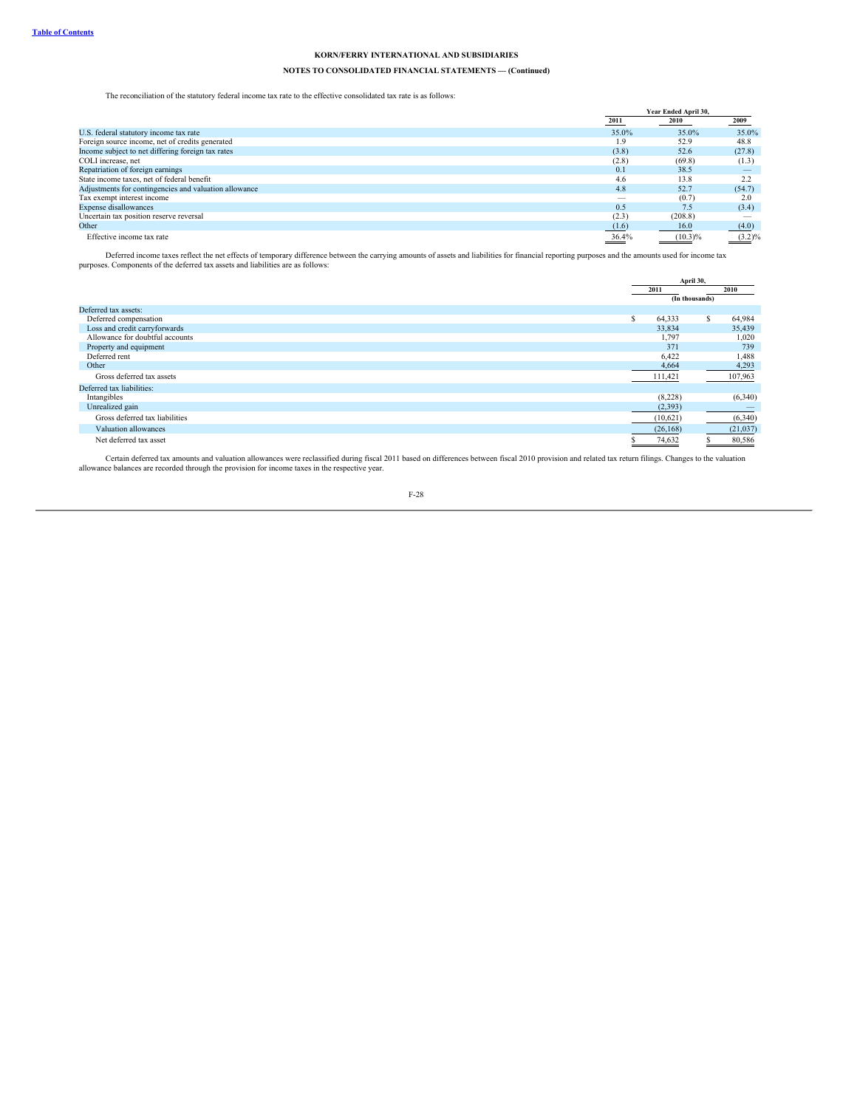## **NOTES TO CONSOLIDATED FINANCIAL STATEMENTS — (Continued)**

The reconciliation of the statutory federal income tax rate to the effective consolidated tax rate is as follows:

|                                                       | Year Ended April 30,     |            |                                 |
|-------------------------------------------------------|--------------------------|------------|---------------------------------|
|                                                       | 2011                     | 2010       | 2009                            |
| U.S. federal statutory income tax rate                | 35.0%                    | 35.0%      | 35.0%                           |
| Foreign source income, net of credits generated       | 1.9                      | 52.9       | 48.8                            |
| Income subject to net differing foreign tax rates     | (3.8)                    | 52.6       | (27.8)                          |
| COLI increase, net                                    | (2.8)                    | (69.8)     | (1.3)                           |
| Repatriation of foreign earnings                      | 0.1                      | 38.5       | $\hspace{0.1mm}-\hspace{0.1mm}$ |
| State income taxes, net of federal benefit            | 4.6                      | 13.8       | 2.2                             |
| Adjustments for contingencies and valuation allowance | 4.8                      | 52.7       | (54.7)                          |
| Tax exempt interest income                            | $\overline{\phantom{a}}$ | (0.7)      | 2.0                             |
| <b>Expense disallowances</b>                          | 0.5                      | 7.5        | (3.4)                           |
| Uncertain tax position reserve reversal               | (2.3)                    | (208.8)    |                                 |
| Other                                                 | (1.6)                    | 16.0       | (4.0)                           |
| Effective income tax rate                             | 36.4%                    | $(10.3)\%$ | $(3.2)\%$                       |

Deferred income taxes reflect the net effects of temporary difference between the carrying amounts of assets and liabilities for financial reporting purposes and the amounts used for income tax purposes. Components of the

|                                 |   | April 30,      |   |           |
|---------------------------------|---|----------------|---|-----------|
|                                 |   | 2011           |   | 2010      |
|                                 |   | (In thousands) |   |           |
| Deferred tax assets:            |   |                |   |           |
| Deferred compensation           | s | 64,333         | s | 64,984    |
| Loss and credit carryforwards   |   | 33,834         |   | 35,439    |
| Allowance for doubtful accounts |   | 1,797          |   | 1,020     |
| Property and equipment          |   | 371            |   | 739       |
| Deferred rent                   |   | 6,422          |   | 1,488     |
| Other                           |   | 4,664          |   | 4,293     |
| Gross deferred tax assets       |   | 111,421        |   | 107,963   |
| Deferred tax liabilities:       |   |                |   |           |
| Intangibles                     |   | (8,228)        |   | (6,340)   |
| Unrealized gain                 |   | (2, 393)       |   |           |
| Gross deferred tax liabilities  |   | (10,621)       |   | (6,340)   |
| Valuation allowances            |   | (26, 168)      |   | (21, 037) |
| Net deferred tax asset          |   | 74,632         |   | 80,586    |

Certain deferred tax amounts and valuation allowances were reclassified during fiscal 2011 based on differences between fiscal 2010 provision and related tax return filings. Changes to the valuation allowance balances are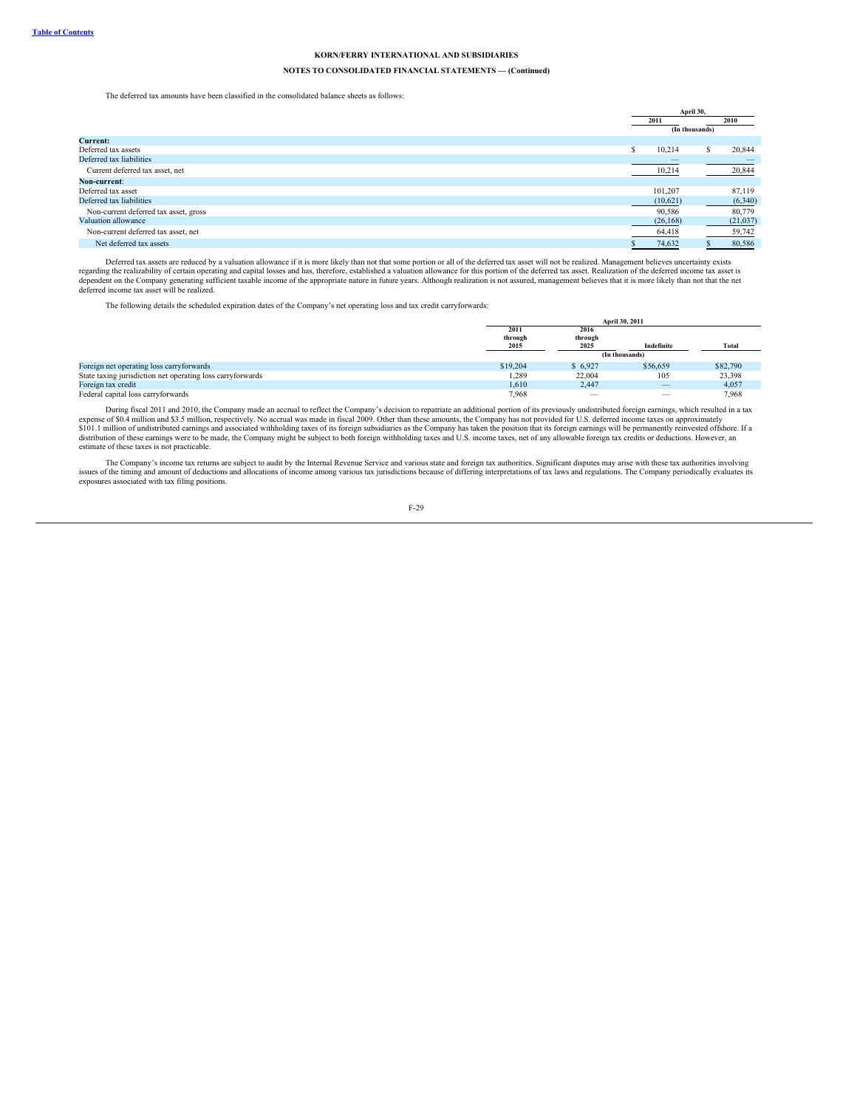### **NOTES TO CONSOLIDATED FINANCIAL STATEMENTS — (Continued)**

#### The deferred tax amounts have been classified in the consolidated balance sheets as follows:

|                                       |   | April 30,      |   |          |
|---------------------------------------|---|----------------|---|----------|
|                                       |   | 2011           |   | 2010     |
|                                       |   | (In thousands) |   |          |
| Current:                              |   |                |   |          |
| Deferred tax assets                   | S | 10,214         | S | 20,844   |
| Deferred tax liabilities              |   | _              |   |          |
| Current deferred tax asset, net       |   | 10,214         |   | 20,844   |
| Non-current:                          |   |                |   |          |
| Deferred tax asset                    |   | 101.207        |   | 87,119   |
| Deferred tax liabilities              |   | (10,621)       |   | (6,340)  |
| Non-current deferred tax asset, gross |   | 90,586         |   | 80,779   |
| Valuation allowance                   |   | (26, 168)      |   | (21,037) |
| Non-current deferred tax asset, net   |   | 64,418         |   | 59,742   |
| Net deferred tax assets               |   | 74,632         |   | 80,586   |

Deferred tax assets are reduced by a valuation allowance if it is more likely than not that some portion or all of the deferred tax asset will not be realized. Management believes uncertainty exists regarding the realizability of certain operating and capital losses and has, therefore, established a valuation allowance for this portion of the deferred tax asset. Realization of the deferred income tax asset is<br>dependen deferred income tax asset will be realized.

The following details the scheduled expiration dates of the Company's net operating loss and tax credit carryforwards:

|                                                            |          | April 30, 2011                  |                          |          |  |  |  |
|------------------------------------------------------------|----------|---------------------------------|--------------------------|----------|--|--|--|
|                                                            | 2011     | 2016                            |                          |          |  |  |  |
|                                                            | through  | through                         |                          |          |  |  |  |
|                                                            | 2015     | 2025                            | Indefinite               | Total    |  |  |  |
|                                                            |          | (In thousands)                  |                          |          |  |  |  |
| Foreign net operating loss carryforwards                   | \$19,204 | \$6.927                         | \$56,659                 | \$82,790 |  |  |  |
| State taxing jurisdiction net operating loss carryforwards | 1.289    | 22,004                          | 105                      | 23,398   |  |  |  |
| Foreign tax credit                                         | 1.610    | 2,447                           |                          | 4,057    |  |  |  |
| Federal capital loss carryforwards                         | 7.968    | $\hspace{0.1mm}-\hspace{0.1mm}$ | $\overline{\phantom{m}}$ | 7.968    |  |  |  |

During fiscal 2011 and 2010, the Company made an accrual to reflect the Company's decision to repatriate an additional portion of its previously undistributed foreign earnings, which resulted in a tax<br>stronse of \$0.4 milli distribution of these earnings were to be made, the Company might be subject to both foreign withholding taxes and U.S. income taxes, net of any allowable foreign tax credits or deductions. However, an estimate of these taxes is not practicable.

The Company's income tax returns are subject to audit by the Internal Revenue Service and various state and foreign tax authorities. Significant disputes may arise with these tax authorities involving<br>issues of the timing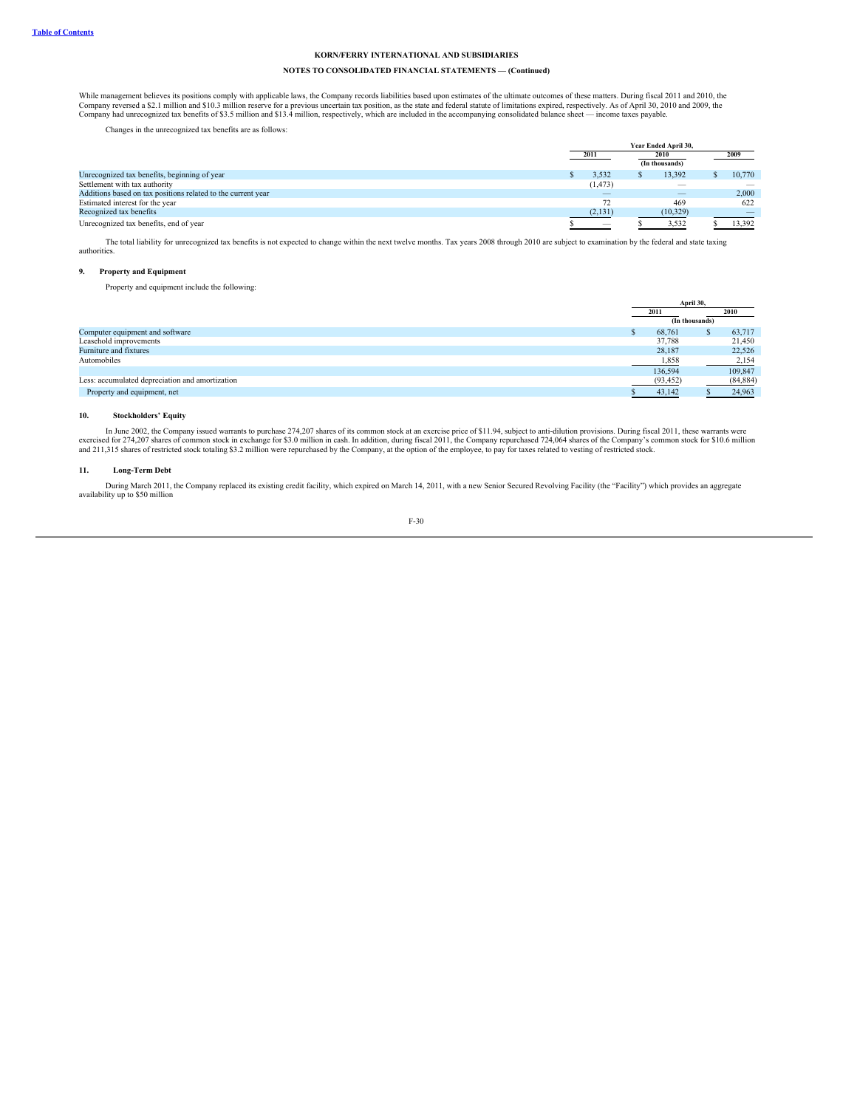## **NOTES TO CONSOLIDATED FINANCIAL STATEMENTS — (Continued)**

While management believes its positions comply with applicable laws, the Company records liabilities based upon estimates of the ultimate outcomes of these matters. During fiscal 2011 and 2010, the Company reversed a \$2.1 million and \$10.3 million reserve for a previous uncertain tax position, as the state and federal statute of limitations expired, respectively. As of April 30, 2010 and 2009, the<br>Company had unrecog

Changes in the unrecognized tax benefits are as follows:

|                                                              | Year Ended April 30.           |  |           |  |        |  |
|--------------------------------------------------------------|--------------------------------|--|-----------|--|--------|--|
|                                                              | 2011<br>2010<br>(In thousands) |  |           |  | 2009   |  |
| Unrecognized tax benefits, beginning of year                 | 3.532                          |  | 13.392    |  | 10,770 |  |
| Settlement with tax authority                                | (1, 473)                       |  |           |  |        |  |
| Additions based on tax positions related to the current year |                                |  |           |  | 2,000  |  |
| Estimated interest for the year                              |                                |  | 469       |  | 622    |  |
| Recognized tax benefits                                      | (2,131)                        |  | (10, 329) |  |        |  |
| Unrecognized tax benefits, end of year                       |                                |  | 3,532     |  | 13,392 |  |

The total liability for unrecognized tax benefits is not expected to change within the next twelve months. Tax years 2008 through 2010 are subject to examination by the federal and state taxing authorities.

#### **9. Property and Equipment**

Property and equipment include the following:

|                                                 | April 30,      |           |  |  |
|-------------------------------------------------|----------------|-----------|--|--|
|                                                 | 2011           | 2010      |  |  |
|                                                 | (In thousands) |           |  |  |
| Computer equipment and software                 | 68.761         | 63,717    |  |  |
| Leasehold improvements                          | 37,788         | 21,450    |  |  |
| Furniture and fixtures                          | 28,187         | 22,526    |  |  |
| Automobiles                                     | 1,858          | 2,154     |  |  |
|                                                 | 136,594        | 109,847   |  |  |
| Less: accumulated depreciation and amortization | (93, 452)      | (84, 884) |  |  |
| Property and equipment, net                     | 43,142         | 24,963    |  |  |
|                                                 |                |           |  |  |

#### **10. Stockholders' Equity**

In June 2002, the Company issued warrants to purchase 274,207 shares of its common stock at an exercise price of \$11.94, subject to anti-dilution provisions. During fiscal 2011, these warrants were exercised for \$11,04, su

#### **11. Long-Term Debt**

During March 2011, the Company replaced its existing credit facility, which expired on March 14, 2011, with a new Senior Secured Revolving Facility (the "Facility") which provides an aggregate availability up to \$50 million

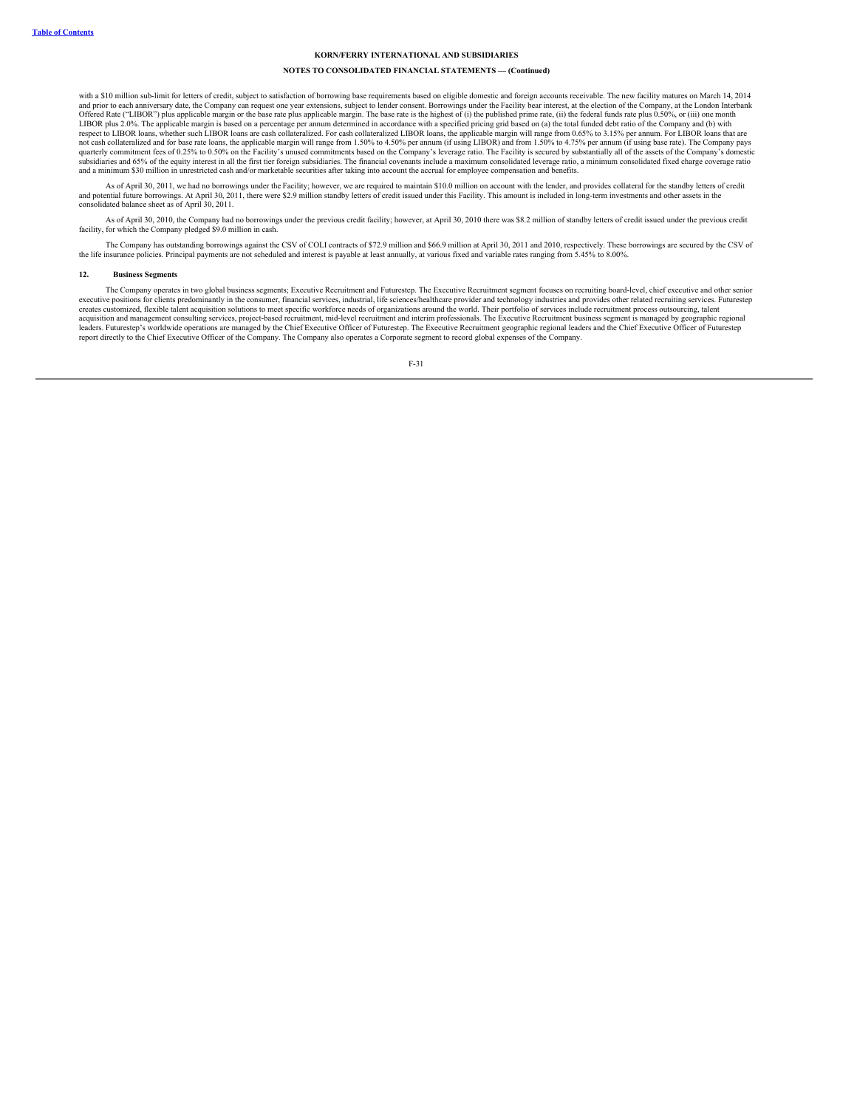#### **NOTES TO CONSOLIDATED FINANCIAL STATEMENTS — (Continued)**

with a \$10 million sub-limit for letters of credit, subject to satisfaction of borrowing base requirements based on eligible domestic and foreign accounts receivable. The new facility matures on March 14, 2014 and prior to each anniversary date, the Company can request one year extensions, subject to lender consent. Borrowings under the Facility bear interest, at the election of the Company, at the London Interbank<br>Offered Rate LIBOR plus 2.0%. The applicable margin is based on a percentage per annum determined in accordance with a specified pricing grid based on (a) the total funded debt ratio of the Company and (b) with<br>respect to LIBOR loans, not cash collateralized and for base rate loans, the applicable margin will range from 1.50% to 4.50% per annum (if using LIBOR) and from 1.50% to 4.75% per annum (if using base rate). The Company pays<br>quarterly commitment subsidiaries and 65% of the equity interest in all the first tier foreign subsidiaries. The financial covenants include a maximum consolidated leverage ratio, a minimum consolidated fixed charge coverage ratio and a minimum \$30 million in unrestricted cash and/or marketable securities after taking into account the accrual for employee compensation and benefits.

As of April 30, 2011, we had no borrowings under the Facility; however, we are required to maintain \$10.0 million on account with the lender, and provides collateral for the standby letters of credit and potential future borrowings. At April 30, 2011, there were \$2.9 million standby letters of credit issued under this Facility. This amount is included in long-term investments and other assets in the consolidated balance sheet as of April 30, 2011.

As of April 30, 2010, the Company had no borrowings under the previous credit facility; however, at April 30, 2010 there was \$8.2 million of standby letters of credit issued under the previous credit facility, for which th

The Company has outstanding borrowings against the CSV of COLI contracts of \$72.9 million and \$66.9 million at April 30, 2011 and 2010, respectively. These borrowings are secured by the CSV of<br>the life insurance policies.

#### **12. Business Segments**

The Company operates in two global business segments; Executive Recruitment and Futurestep. The Executive Recruitment segment focuses on recruiting board-level, chief executive and other senior<br>executive positions for clie creates customized, flexible talent acquisition solutions to meet specific workforce needs of organizations around the world. Their portfolio of services include recruitment process outsourcing, talent acquisition and management consulting services, project-based recruitment, mid-level recruitment and interim professionals. The Executive Recruitment business segment is managed by geographic regional leaders. Futurestep's worldwide operations are managed by the Chief Executive Officer of Futurestep. The Executive Recruitment geographic regional leaders and the Chief Executive Officer of Futurestep<br>report directly to th

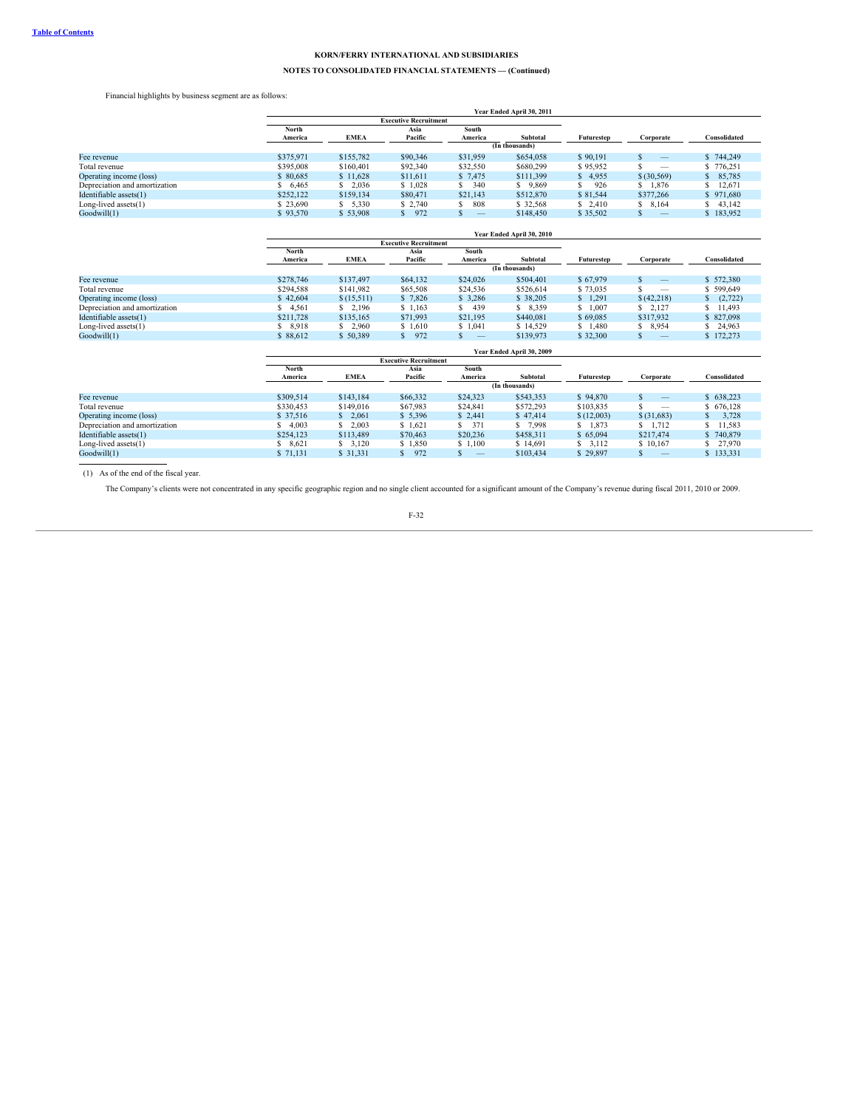# **NOTES TO CONSOLIDATED FINANCIAL STATEMENTS — (Continued)**

# Financial highlights by business segment are as follows:

| North     |           | Asia        | South    |                              |                                             |                          |              |  |  |  |  |
|-----------|-----------|-------------|----------|------------------------------|---------------------------------------------|--------------------------|--------------|--|--|--|--|
| America   |           |             | America  | <b>Subtotal</b>              | <b>Futurestep</b>                           | Corporate                | Consolidated |  |  |  |  |
|           |           |             |          |                              |                                             |                          |              |  |  |  |  |
| \$375,971 | \$155,782 | \$90,346    | \$31,959 | \$654,058                    | \$90.191                                    |                          | \$744,249    |  |  |  |  |
| \$395,008 | \$160,401 | \$92,340    | \$32,550 | \$680,299                    | \$95,952                                    | $\overline{\phantom{a}}$ | \$776,251    |  |  |  |  |
| \$80,685  | \$11.628  | \$11,611    | \$ 7.475 | \$111,399                    | \$4,955                                     | \$ (30, 569)             | \$85,785     |  |  |  |  |
| \$6.465   | \$2,036   | \$1.028     | 340      | 9.869                        | 926                                         | 1.876                    | 12.671<br>S. |  |  |  |  |
| \$252,122 | \$159,134 | \$80,471    | \$21.143 | \$512,870                    | \$ 81,544                                   | \$377,266                | \$971,680    |  |  |  |  |
| \$23,690  | \$5,330   | \$2,740     | 808      | \$32.568                     | \$2.410                                     | 8.164                    | \$43,142     |  |  |  |  |
| \$93,570  | \$53,908  | 972         |          | \$148,450                    | \$35,502                                    |                          | \$183,952    |  |  |  |  |
|           |           | <b>EMEA</b> | Pacific  | <b>Executive Recruitment</b> | Year Ended April 30, 2011<br>(In thousands) |                          |              |  |  |  |  |

| Year Ended April 30, 2010     |           |             |                              |                          |                |            |                          |              |  |  |  |
|-------------------------------|-----------|-------------|------------------------------|--------------------------|----------------|------------|--------------------------|--------------|--|--|--|
|                               |           |             | <b>Executive Recruitment</b> |                          |                |            |                          |              |  |  |  |
|                               | North     |             | Asia                         | South                    |                |            |                          |              |  |  |  |
|                               | America   | <b>EMEA</b> | Pacific                      | America                  | Subtotal       | Futurestep | Corporate                | Consolidated |  |  |  |
|                               |           |             |                              |                          | (In thousands) |            |                          |              |  |  |  |
| Fee revenue                   | \$278,746 | \$137,497   | \$64,132                     | \$24,026                 | \$504,401      | \$67,979   |                          | \$572,380    |  |  |  |
| Total revenue                 | \$294.588 | \$141,982   | \$65,508                     | \$24,536                 | \$526.614      | \$73,035   |                          | \$599,649    |  |  |  |
| Operating income (loss)       | \$42,604  | \$(15,511)  | \$7,826                      | \$3,286                  | \$38,205       | \$1,291    | \$(42,218)               | (2,722)      |  |  |  |
| Depreciation and amortization | \$4,561   | \$2,196     | \$1.163                      | 439                      | \$8,359        | \$1,007    | 2.127                    | \$11.493     |  |  |  |
| Identifiable assets(1)        | \$211,728 | \$135,165   | \$71,993                     | \$21,195                 | \$440,081      | \$69,085   | \$317,932                | \$827,098    |  |  |  |
| Long-lived assets $(1)$       | \$ 8.918  | \$2.960     | \$1.610                      | \$1,041                  | \$14.529       | \$1.480    | 8,954                    | \$24.963     |  |  |  |
| Goodwill(1)                   | \$88.612  | \$50.389    | 972                          | $\overline{\phantom{a}}$ | \$139,973      | \$32,300   | $\overline{\phantom{a}}$ | \$172,273    |  |  |  |

|                               |           | Year Ended April 30, 2009 |                              |          |                |                   |                          |              |  |  |  |  |  |  |
|-------------------------------|-----------|---------------------------|------------------------------|----------|----------------|-------------------|--------------------------|--------------|--|--|--|--|--|--|
|                               |           |                           | <b>Executive Recruitment</b> |          |                |                   |                          |              |  |  |  |  |  |  |
|                               | North     |                           | Asia                         | South    |                |                   |                          |              |  |  |  |  |  |  |
|                               | America   | <b>EMEA</b>               | Pacific                      | America  | Subtotal       | <b>Futurestep</b> | Corporate                | Consolidated |  |  |  |  |  |  |
|                               |           |                           |                              |          | (In thousands) |                   |                          |              |  |  |  |  |  |  |
| Fee revenue                   | \$309.514 | \$143.184                 | \$66,332                     | \$24,323 | \$543,353      | \$94,870          | $\overline{\phantom{a}}$ | \$638.223    |  |  |  |  |  |  |
| Total revenue                 | \$330,453 | \$149,016                 | \$67,983                     | \$24,841 | \$572.293      | \$103,835         | $\overline{\phantom{a}}$ | \$676.128    |  |  |  |  |  |  |
| Operating income (loss)       | \$37,516  | 2,061                     | \$5,396                      | \$2,441  | \$47,414       | \$(12,003)        | \$ (31,683)              | 3,728        |  |  |  |  |  |  |
| Depreciation and amortization | \$4.003   | 2,003                     | \$1.621                      | 371      | \$ 7.998       | \$1,873           | \$ 1.712                 | \$11.583     |  |  |  |  |  |  |
| Identifiable assets(1)        | \$254,123 | \$113,489                 | \$70,463                     | \$20,236 | \$458,311      | \$65,094          | \$217,474                | \$740,879    |  |  |  |  |  |  |
| Long-lived assets(1)          | \$8,621   | 3.120                     | \$1.850                      | \$1.100  | \$14.691       | \$3.112           | \$10.167                 | \$ 27,970    |  |  |  |  |  |  |
| Goodwill(1)                   | \$71,131  | \$31,331                  | 972<br>S.                    |          | \$103,434      | \$29,897          |                          | \$133,331    |  |  |  |  |  |  |
|                               |           |                           |                              |          |                |                   |                          |              |  |  |  |  |  |  |

(1) As of the end of the fiscal year.

The Company's clients were not concentrated in any specific geographic region and no single client accounted for a significant amount of the Company's revenue during fiscal 2011, 2010 or 2009.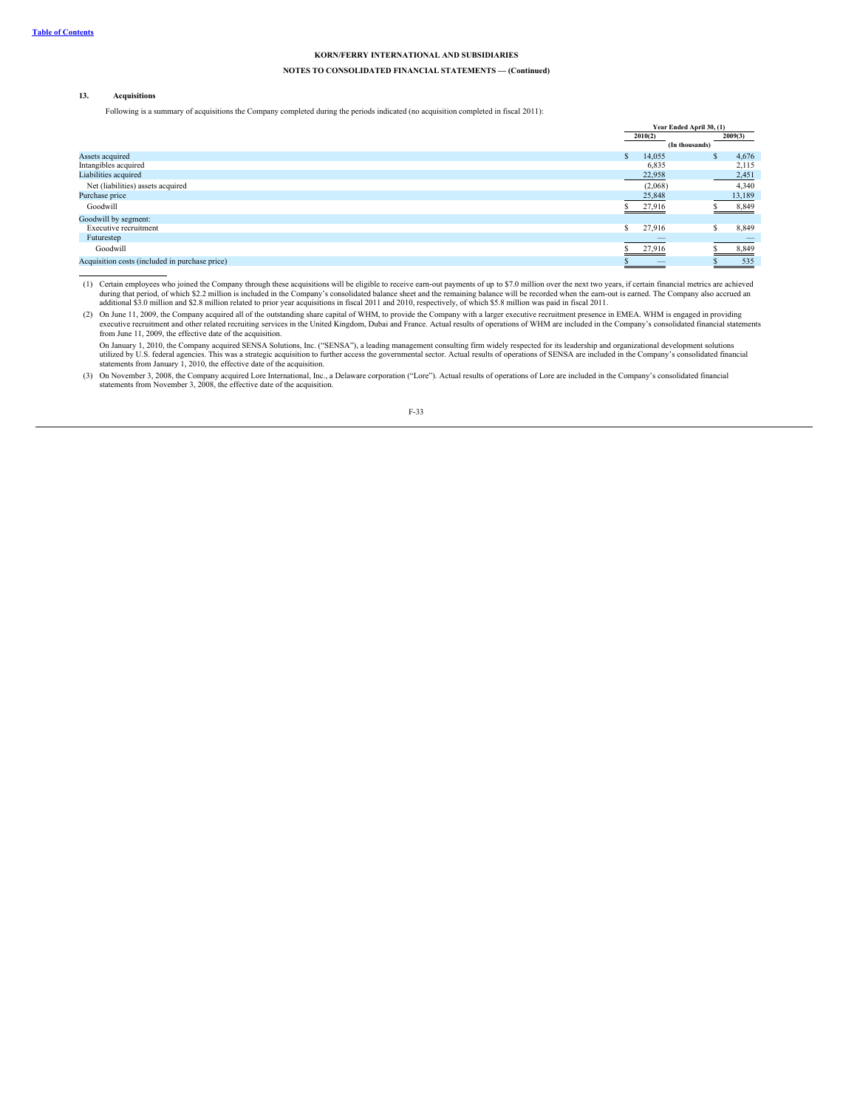## **NOTES TO CONSOLIDATED FINANCIAL STATEMENTS — (Continued)**

#### **13. Acquisitions**

Following is a summary of acquisitions the Company completed during the periods indicated (no acquisition completed in fiscal 2011):

|                                                |    | Year Ended April 30, (1) |                |         |  |
|------------------------------------------------|----|--------------------------|----------------|---------|--|
|                                                |    | 2010(2)                  |                | 2009(3) |  |
|                                                |    |                          | (In thousands) |         |  |
| Assets acquired                                | Ъ. | 14,055                   | э              | 4,676   |  |
| Intangibles acquired                           |    | 6,835                    |                | 2,115   |  |
| Liabilities acquired                           |    | 22,958                   |                | 2,451   |  |
| Net (liabilities) assets acquired              |    | (2,068)                  |                | 4,340   |  |
| Purchase price                                 |    | 25,848                   |                | 13,189  |  |
| Goodwill                                       |    | \$27,916                 |                | 8,849   |  |
| Goodwill by segment:                           |    |                          |                |         |  |
| Executive recruitment                          | S. | 27,916                   |                | 8,849   |  |
| Futurestep                                     |    |                          |                |         |  |
| Goodwill                                       |    | 27,916                   |                | 8,849   |  |
| Acquisition costs (included in purchase price) |    |                          |                | 535     |  |

(1) Certain employees who joined the Company through these acquisitions will be eligible to receive earn-out payments of up to \$7.0 million over the next two years, if certain financial metrics are achieved<br>during that pay

(2) On June 11, 2009, the Company acquired all of the outstanding share capital of WHM, to provide the Company with a larger executive recruitment presence in EMEA. WHM is engaged in providing<br>executive recruitment and oth

On January 1, 2010, the Company acquired SENSA Solutions, Inc. ("SENSA"), a leading management consulting firm widely respected for its leadership and organizational development solutions<br>utilized by U.S. federal agencies. statements from January 1, 2010, the effective date of the acquisition.

(3) On November 3, 2008, the Company acquired Lore International, Inc., a Delaware corporation ("Lore"). Actual results of operations of Lore are included in the Company's consolidated financial statements from November 3,

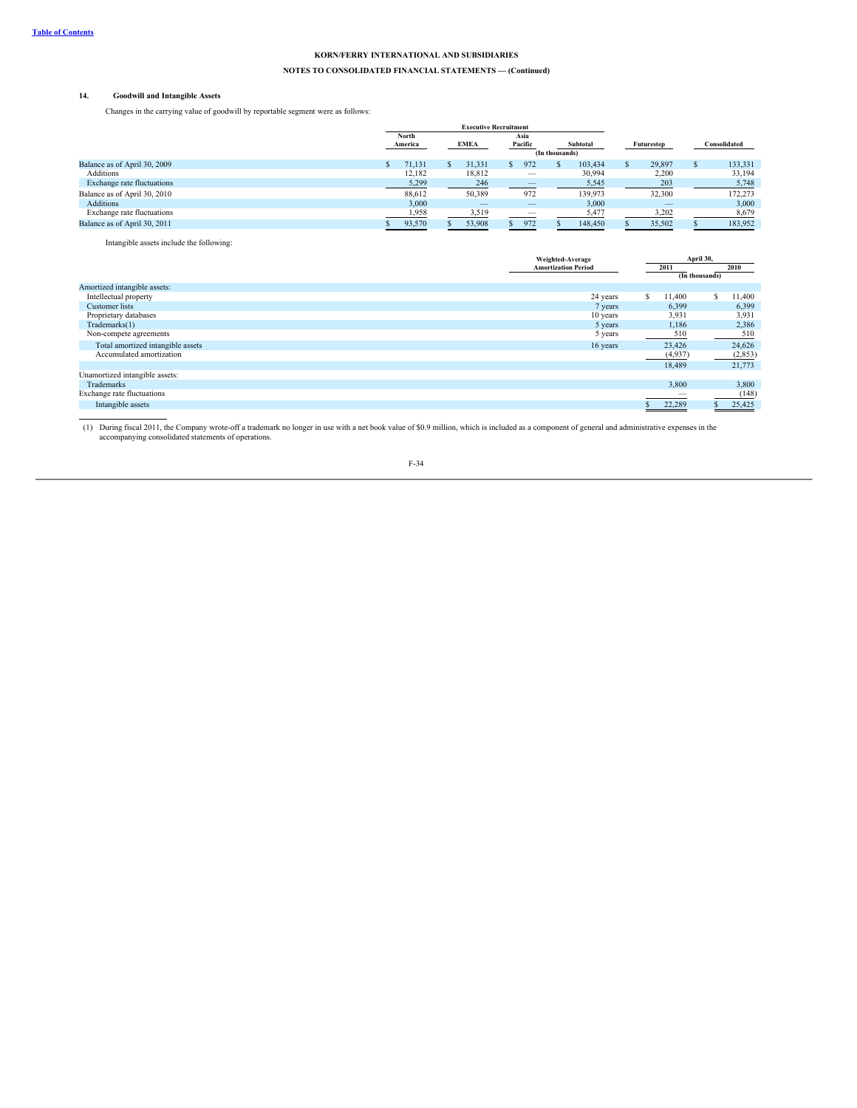## **NOTES TO CONSOLIDATED FINANCIAL STATEMENTS — (Continued)**

## **14. Goodwill and Intangible Assets**

Changes in the carrying value of goodwill by reportable segment were as follows:

|                              | <b>Executive Recruitment</b> |                |             |        |                 |                          |          |         |            |                          |              |
|------------------------------|------------------------------|----------------|-------------|--------|-----------------|--------------------------|----------|---------|------------|--------------------------|--------------|
|                              | North<br>America             |                | <b>EMEA</b> |        | Asia<br>Pacific |                          | Subtotal |         | Futurestep |                          | Consolidated |
|                              |                              | (In thousands) |             |        |                 |                          |          |         |            |                          |              |
| Balance as of April 30, 2009 | ъ.                           | 71.131         |             | 31,331 |                 | 972                      |          | 103.434 |            | 29,897                   | 133,331      |
| Additions                    |                              | 12,182         |             | 18,812 |                 | __                       |          | 30,994  |            | 2,200                    | 33,194       |
| Exchange rate fluctuations   |                              | 5,299          |             | 246    |                 | $\overline{\phantom{a}}$ |          | 5,545   |            | 203                      | 5,748        |
| Balance as of April 30, 2010 |                              | 88,612         |             | 50,389 |                 | 972                      |          | 139,973 |            | 32,300                   | 172,273      |
| Additions                    |                              | 3,000          |             |        |                 | __                       |          | 3.000   |            | $\overline{\phantom{a}}$ | 3,000        |
| Exchange rate fluctuations   |                              | 1,958          |             | 3,519  |                 | $\overline{\phantom{a}}$ |          | 5,477   |            | 3,202                    | 8,679        |
| Balance as of April 30, 2011 |                              | 93,570         |             | 53,908 |                 | 972                      |          | 148,450 |            | 35,502                   | 183,952      |

Intangible assets include the following:

|                                   | Weighted-Average           |             | April 30,      |
|-----------------------------------|----------------------------|-------------|----------------|
|                                   | <b>Amortization Period</b> | 2011        | 2010           |
|                                   |                            |             | (In thousands) |
| Amortized intangible assets:      |                            |             |                |
| Intellectual property             | 24 years                   | s<br>11,400 | S.<br>11,400   |
| <b>Customer</b> lists             | 7 years                    | 6,399       | 6,399          |
| Proprietary databases             | 10 years                   | 3,931       | 3,931          |
| Trademarks(1)                     | 5 years                    | 1,186       | 2,386          |
| Non-compete agreements            | 5 years                    | 510         | 510            |
| Total amortized intangible assets | 16 years                   | 23,426      | 24,626         |
| Accumulated amortization          |                            | (4,937)     | (2,853)        |
|                                   |                            | 18,489      | 21,773         |
| Unamortized intangible assets:    |                            |             |                |
| Trademarks                        |                            | 3,800       | 3,800          |
| Exchange rate fluctuations        |                            | __          | (148)          |
| Intangible assets                 |                            | 22,289      | 25,425         |
|                                   |                            |             |                |

(1) During fiscal 2011, the Company wrote-off a trademark no longer in use with a net book value of \$0.9 million, which is included as a component of general and administrative expenses in the accompanying consolidated sta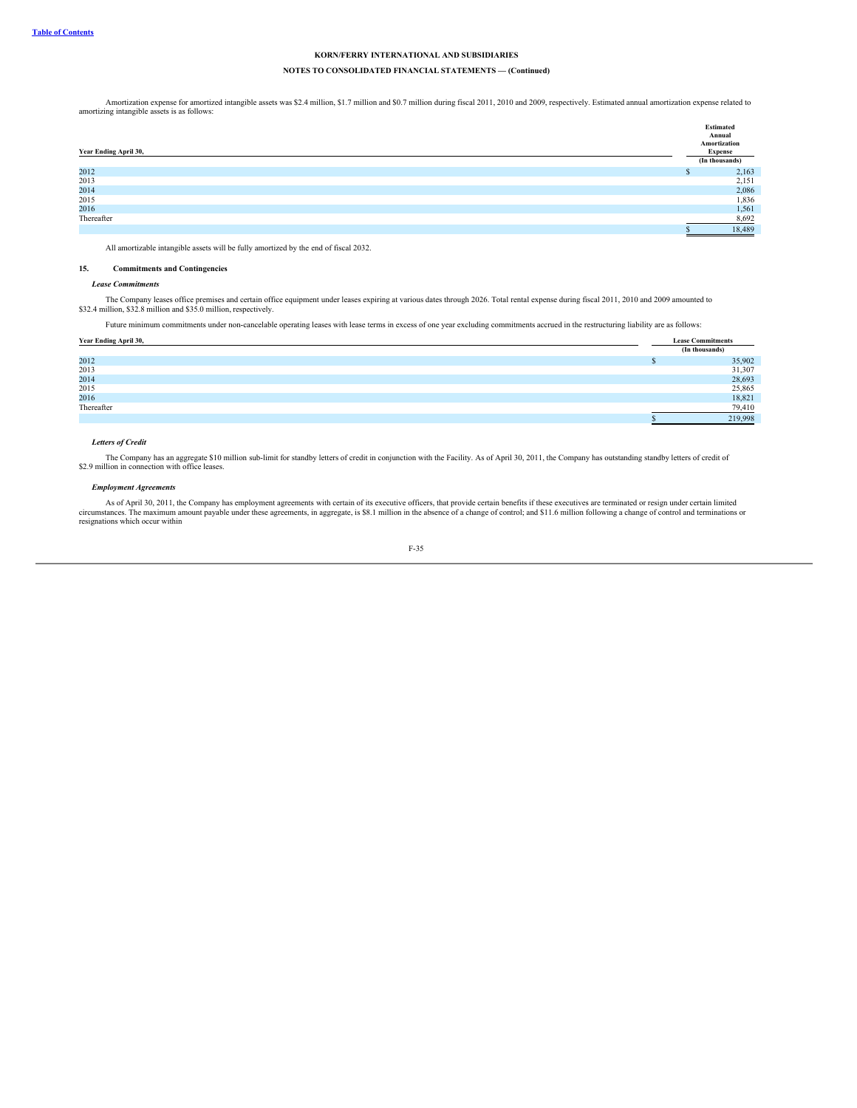## **NOTES TO CONSOLIDATED FINANCIAL STATEMENTS — (Continued)**

Amortization expense for amortized intangible assets was \$2.4 million, \$1.7 million and \$0.7 million during fiscal 2011, 2010 and 2009, respectively. Estimated annual amortization expense related to amortizing intangible a

| Year Ending April 30, | Estimated<br>Annual<br>Amortization<br><b>Expense</b> |
|-----------------------|-------------------------------------------------------|
|                       | (In thousands)                                        |
| 2012<br>2013          | 2,163                                                 |
|                       | 2,151                                                 |
| 2014                  | 2,086                                                 |
| $\frac{2015}{2016}$   | 1,836                                                 |
|                       | 1,561                                                 |
| Thereafter            | 8,692                                                 |
|                       | 18,489                                                |

All amortizable intangible assets will be fully amortized by the end of fiscal 2032.

#### **15. Commitments and Contingencies**

## *Lease Commitments*

The Company leases office premises and certain office equipment under leases expiring at various dates through 2026. Total rental expense during fiscal 2011, 2010 and 2009 amounted to \$32.4 million, \$32.8 million, \$32.8 mi

Future minimum commitments under non-cancelable operating leases with lease terms in excess of one year excluding commitments accrued in the restructuring liability are as follows:

| Year Ending April 30, |  | <b>Lease Commitments</b> |
|-----------------------|--|--------------------------|
|                       |  | (In thousands)           |
| 2012                  |  | 35,902                   |
| 2013                  |  | 31,307                   |
| 2014                  |  | 28,693                   |
| 2015                  |  | 25,865                   |
| 2016                  |  | 18,821                   |
| Thereafter            |  | 79,410                   |
|                       |  | 219,998                  |

#### *Letters of Credit*

The Company has an aggregate \$10 million sub-limit for standby letters of credit in conjunction with the Facility. As of April 30, 2011, the Company has outstanding standby letters of credit of \$2.9 million in connection with office leases.

#### *Employment Agreements*

As of April 30, 2011, the Company has employment agreements with certain of its executive officers, that provide certain benefits if these executives are terminated or resign under certain limited circumstances. The maximum amount payable under these agreements, in aggregate, is \$8.1 million in the absence of a change of control; and \$11.6 million following a change of control and terminations or<br>resignations which

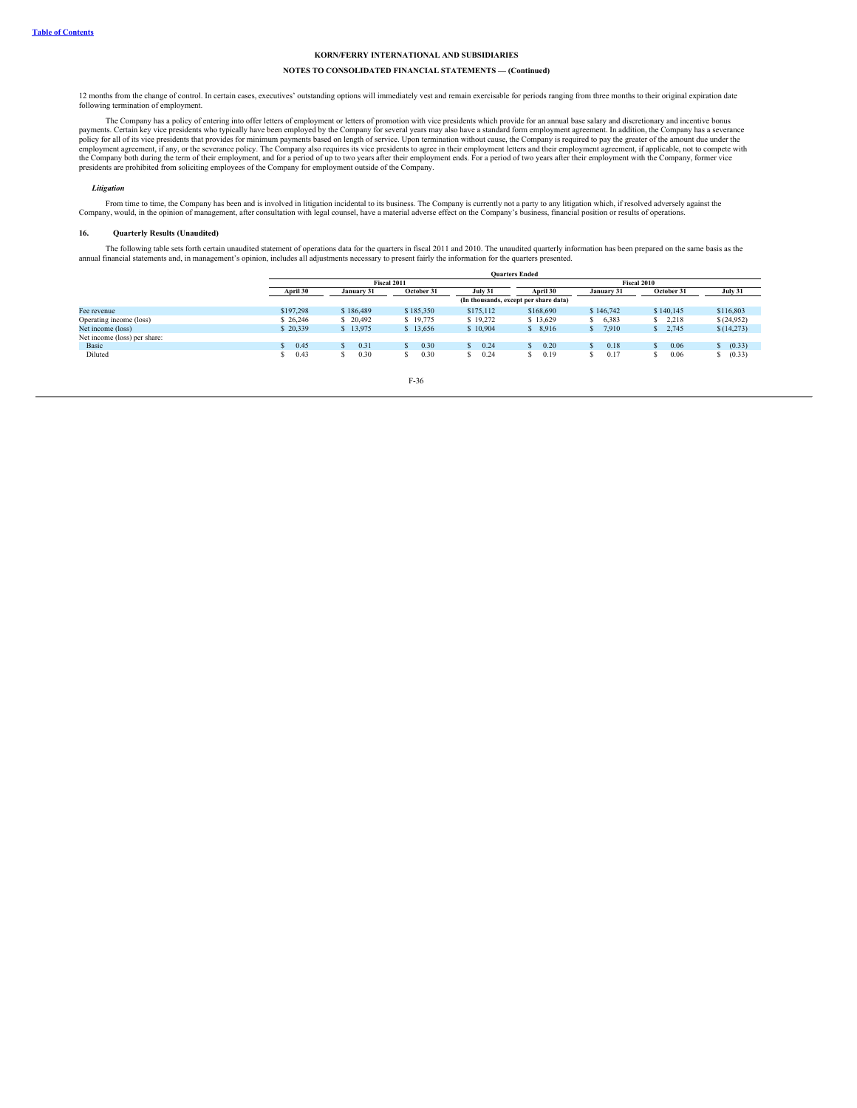## **NOTES TO CONSOLIDATED FINANCIAL STATEMENTS — (Continued)**

12 months from the change of control. In certain cases, executives' outstanding options will immediately vest and remain exercisable for periods ranging from three months to their original expiration date following termination of employment.

The Company has a policy of entering into offer letters of employment or letters of promotion with vice presidents which provide for an annual base salary and discretionary and incentive bonus<br>payments. Certain key vice pr policy for all of its vice presidents that provides for minimum payments based on length of service. Upon termination without cause, the Company is required to pay the greater of the amount due under the<br>employment agreeme the Company both during the term of their employment, and for a period of up to two years after their employment conds. For a period of two years after their employment with the Company, former vice<br>presidents are prohibit

#### *Litigation*

From time to time, the Company has been and is involved in litigation incidental to its business. The Company is currently not a party to any litigation which, if resolved adversely against the Company, would, in the opini

#### **16. Quarterly Results (Unaudited)**

The following table sets forth certain unaudited statement of operations data for the quarters in fiscal 2011 and 2010. The unaudited quarterly information has been prepared on the same basis as the annual financial statements and, in management's opinion, includes all adjustments necessary to present fairly the information for the quarters presented.

|                              | <b>Ouarters Ended</b> |            |            |           |                                       |            |            |            |  |  |  |  |
|------------------------------|-----------------------|------------|------------|-----------|---------------------------------------|------------|------------|------------|--|--|--|--|
|                              | Fiscal 2011           |            |            |           | <b>Fiscal 2010</b>                    |            |            |            |  |  |  |  |
|                              | April 30              | January 31 | October 31 | July 31   | April 30                              | January 31 | October 31 | July 31    |  |  |  |  |
|                              |                       |            |            |           | (In thousands, except per share data) |            |            |            |  |  |  |  |
| Fee revenue                  | \$197,298             | \$186,489  | \$185,350  | \$175,112 | \$168,690                             | \$146,742  | \$140,145  | \$116,803  |  |  |  |  |
| Operating income (loss)      | \$26,246              | \$ 20.492  | \$19,775   | \$19.272  | \$13.629                              | 6,383      | 2.218      | \$(24,952) |  |  |  |  |
| Net income (loss)            | \$20,339              | \$13,975   | \$13.656   | \$10,904  | \$8,916                               | 7,910      | 2.745      | \$(14,273) |  |  |  |  |
| Net income (loss) per share: |                       |            |            |           |                                       |            |            |            |  |  |  |  |
| Basic                        | 0.45                  | 0.31       | 0.30       | 0.24      | 0.20                                  | 0.18       | 0.06       | S(0.33)    |  |  |  |  |
| Diluted                      | 0.43                  | 0.30       | 0.30       | 0.24      | 0.19                                  | 0.17       | 0.06       | (0.33)     |  |  |  |  |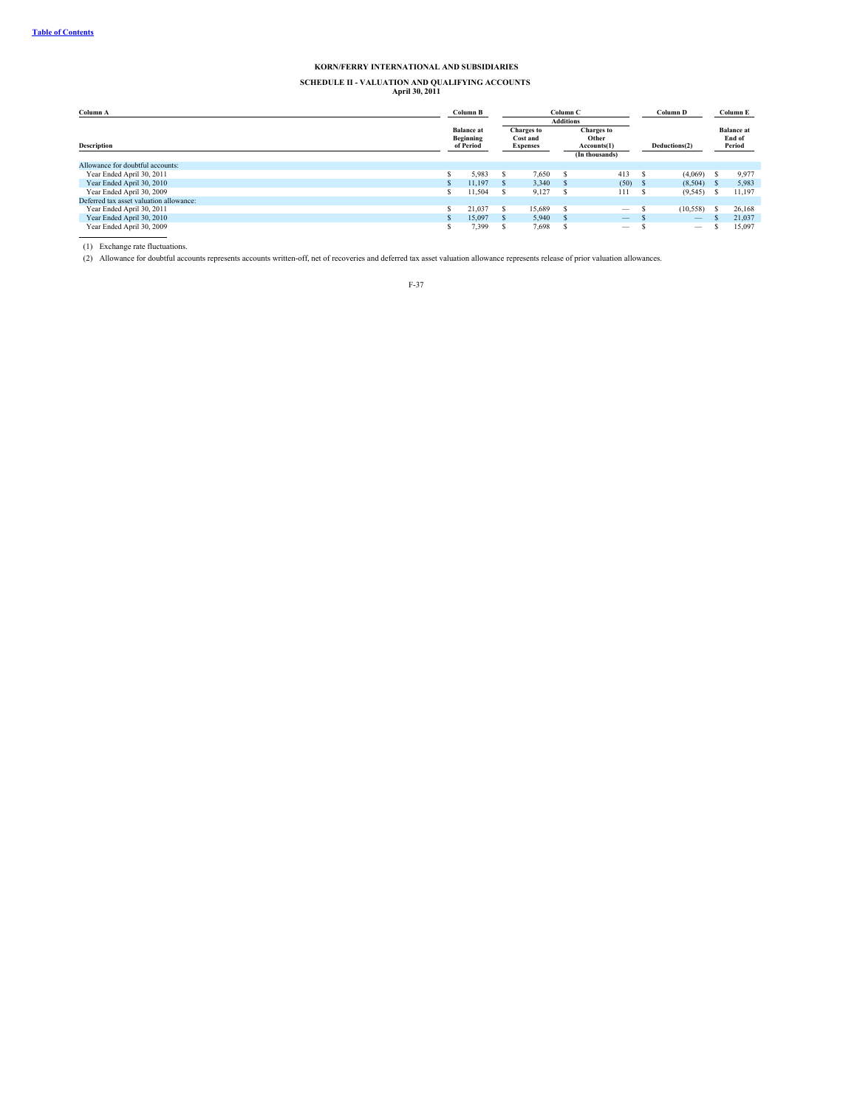# **SCHEDULE II - VALUATION AND QUALIFYING ACCOUNTS April 30, 2011**

| Column A                                | Column B<br>Column C<br><b>Additions</b>    |        |                                                  |        |                                                             | Column D                 |               |                          | <b>Column E</b> |                                       |
|-----------------------------------------|---------------------------------------------|--------|--------------------------------------------------|--------|-------------------------------------------------------------|--------------------------|---------------|--------------------------|-----------------|---------------------------------------|
| Description                             | <b>Balance</b> at<br>Beginning<br>of Period |        | <b>Charges to</b><br>Cost and<br><b>Expenses</b> |        | <b>Charges to</b><br>Other<br>Accounts(1)<br>(In thousands) |                          | Deductions(2) |                          |                 | <b>Balance</b> at<br>End of<br>Period |
| Allowance for doubtful accounts:        |                                             |        |                                                  |        |                                                             |                          |               |                          |                 |                                       |
| Year Ended April 30, 2011               |                                             | 5.983  |                                                  | 7.650  |                                                             | 413                      |               | (4,069)                  |                 | 9,977                                 |
| Year Ended April 30, 2010               |                                             | 11.197 |                                                  | 3,340  |                                                             | (50)                     |               | (8,504)                  |                 | 5,983                                 |
| Year Ended April 30, 2009               |                                             | 11.504 |                                                  | 9.127  |                                                             | 111                      |               | (9, 545)                 |                 | 11.197                                |
| Deferred tax asset valuation allowance: |                                             |        |                                                  |        |                                                             |                          |               |                          |                 |                                       |
| Year Ended April 30, 2011               |                                             | 21.037 |                                                  | 15,689 |                                                             | $\overline{\phantom{a}}$ |               | (10, 558)                |                 | 26,168                                |
| Year Ended April 30, 2010               |                                             | 15,097 |                                                  | 5.940  | -S                                                          | $\frac{1}{2}$            |               | $\qquad \qquad -$        |                 | 21.037                                |
| Year Ended April 30, 2009               |                                             | 7,399  |                                                  | 7,698  |                                                             | $\overline{\phantom{a}}$ |               | $\overline{\phantom{a}}$ |                 | 15,097                                |

(1) Exchange rate fluctuations.

(2) Allowance for doubtful accounts represents accounts written-off, net of recoveries and deferred tax asset valuation allowance represents release of prior valuation allowances.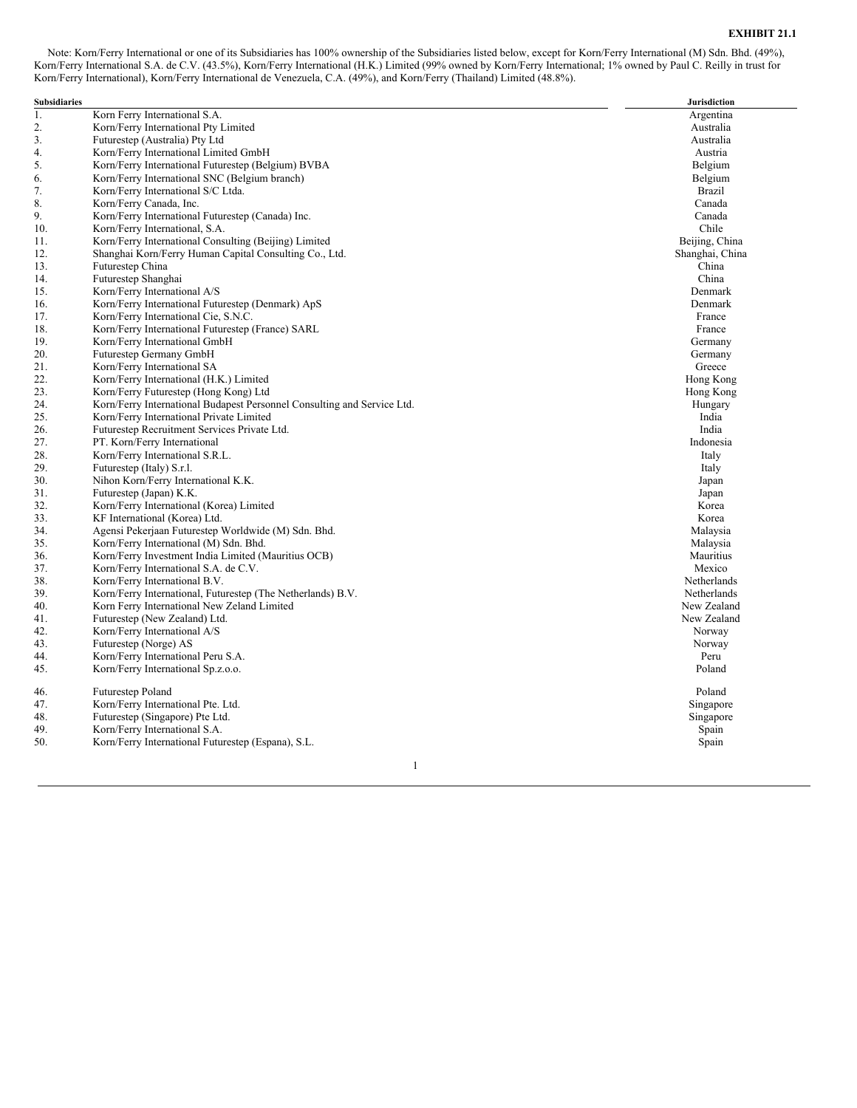# **EXHIBIT 21.1**

Note: Korn/Ferry International or one of its Subsidiaries has 100% ownership of the Subsidiaries listed below, except for Korn/Ferry International (M) Sdn. Bhd. (49%), Korn/Ferry International S.A. de C.V. (43.5%), Korn/Ferry International (H.K.) Limited (99% owned by Korn/Ferry International; 1% owned by Paul C. Reilly in trust for Korn/Ferry International), Korn/Ferry International de Venezuela, C.A. (49%), and Korn/Ferry (Thailand) Limited (48.8%).

| <b>Subsidiaries</b> |                                                                         | <b>Jurisdiction</b> |
|---------------------|-------------------------------------------------------------------------|---------------------|
| 1.                  | Korn Ferry International S.A.                                           | Argentina           |
| 2.                  | Korn/Ferry International Pty Limited                                    | Australia           |
| 3.                  | Futurestep (Australia) Pty Ltd                                          | Australia           |
| 4.                  | Korn/Ferry International Limited GmbH                                   | Austria             |
| 5.                  | Korn/Ferry International Futurestep (Belgium) BVBA                      | Belgium             |
| 6.                  | Korn/Ferry International SNC (Belgium branch)                           | Belgium             |
| 7.                  | Korn/Ferry International S/C Ltda.                                      | <b>Brazil</b>       |
| 8.                  | Korn/Ferry Canada, Inc.                                                 | Canada              |
| 9.                  | Korn/Ferry International Futurestep (Canada) Inc.                       | Canada              |
| 10.                 | Korn/Ferry International, S.A.                                          | Chile               |
| 11.                 | Korn/Ferry International Consulting (Beijing) Limited                   | Beijing, China      |
| 12.                 | Shanghai Korn/Ferry Human Capital Consulting Co., Ltd.                  | Shanghai, China     |
| 13.                 | Futurestep China                                                        | China               |
| 14.                 | Futurestep Shanghai                                                     | China               |
| 15.                 | Korn/Ferry International A/S                                            | Denmark             |
| 16.                 | Korn/Ferry International Futurestep (Denmark) ApS                       | Denmark             |
| 17.                 | Korn/Ferry International Cie, S.N.C.                                    | France              |
| 18.                 | Korn/Ferry International Futurestep (France) SARL                       | France              |
| 19.                 | Korn/Ferry International GmbH                                           | Germany             |
| 20.                 | Futurestep Germany GmbH                                                 | Germany             |
| 21.                 | Korn/Ferry International SA                                             | Greece              |
| 22.                 | Korn/Ferry International (H.K.) Limited                                 | Hong Kong           |
| 23.                 | Korn/Ferry Futurestep (Hong Kong) Ltd                                   | Hong Kong           |
| 24.                 | Korn/Ferry International Budapest Personnel Consulting and Service Ltd. | Hungary             |
| 25.                 | Korn/Ferry International Private Limited                                | India               |
| 26.                 | Futurestep Recruitment Services Private Ltd.                            | India               |
| 27.                 | PT. Korn/Ferry International                                            | Indonesia           |
| 28.                 | Korn/Ferry International S.R.L.                                         | Italy               |
| 29.                 | Futurestep (Italy) S.r.l.                                               | Italy               |
| 30.                 | Nihon Korn/Ferry International K.K.                                     | Japan               |
| 31.                 | Futurestep (Japan) K.K.                                                 | Japan               |
| 32.                 | Korn/Ferry International (Korea) Limited                                | Korea               |
| 33.                 | KF International (Korea) Ltd.                                           | Korea               |
| 34.                 | Agensi Pekerjaan Futurestep Worldwide (M) Sdn. Bhd.                     | Malaysia            |
| 35.                 | Korn/Ferry International (M) Sdn. Bhd.                                  | Malaysia            |
| 36.                 | Korn/Ferry Investment India Limited (Mauritius OCB)                     | Mauritius           |
| 37.                 | Korn/Ferry International S.A. de C.V.                                   | Mexico              |
| 38.                 | Korn/Ferry International B.V.                                           | Netherlands         |
| 39.                 | Korn/Ferry International, Futurestep (The Netherlands) B.V.             | Netherlands         |
| 40.                 | Korn Ferry International New Zeland Limited                             | New Zealand         |
| 41.                 | Futurestep (New Zealand) Ltd.                                           | New Zealand         |
| 42.                 | Korn/Ferry International A/S                                            | Norway              |
| 43.                 | Futurestep (Norge) AS                                                   | Norway              |
| 44.                 | Korn/Ferry International Peru S.A.                                      | Peru                |
| 45.                 | Korn/Ferry International Sp.z.o.o.                                      | Poland              |
| 46.                 | Futurestep Poland                                                       | Poland              |
| 47.                 | Korn/Ferry International Pte. Ltd.                                      | Singapore           |
| 48.                 | Futurestep (Singapore) Pte Ltd.                                         | Singapore           |
| 49.                 | Korn/Ferry International S.A.                                           | Spain               |
| 50.                 | Korn/Ferry International Futurestep (Espana), S.L.                      | Spain               |
|                     |                                                                         |                     |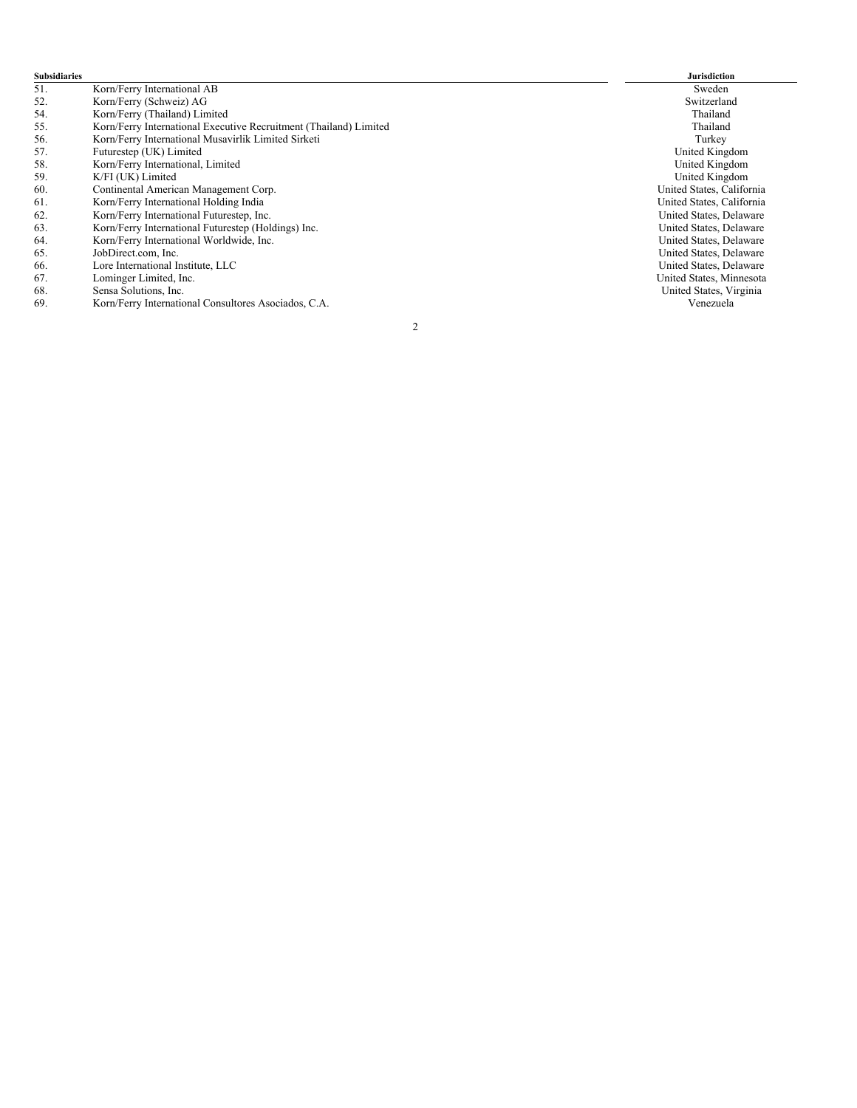#### **Subsidiaries**

63.

64.

65.

66.

67.

68.

69.

3. Korn/Ferry International Futurestep (Holdings) Inc

9. Korn/Ferry International Consultores Asociados

4. Korn/Ferry International Worldwide, Inc.

6. Lore International Institute, LLC

5. JobDirect.com, Inc.

7. Lominger Limited, Inc.

8. Sensa Solutions, Inc.

- $\overline{51}$ 1. Korn/Ferry International AB 52. 2. Korn/Ferry (Schweiz) AG 54. 4. Korn/Ferry (Thailand) Limited 55. 5. Korn/Ferry International Executive Recruitment (Thailand) Limited 56. 6. Korn/Ferry International Musavirlik Limited Sirketi 57. 7. Futurestep (UK) Limited 58. 8. Korn/Ferry International, Limited 59. 9. K/FI (UK) Limited 60. 0. Continental American Management Cor rp. Un 61. 1. Korn/Ferry International Holding India 62. 2. Korn/Ferry International Futurestep, Inc. c. Under the contract of the contract of the contract of the contract of the contract of the contract of the contract of the contract of the contract of the contract of the contract of the contract of the contract of the c
	- Sweden Switzerland Thailand Thailand Turkey United Kingdom United Kingdom United Kingdom nited States, California United States, California nited States, Delaware c. Un nited States, Delaware c. C. nited States, Delaware c. C. nited States, Delaware United States, Delaware c. C. nited States, Minnesota c. C. nited States, Virginia s, C.A. Ve enezuela

**J u r i s d ic t i o n**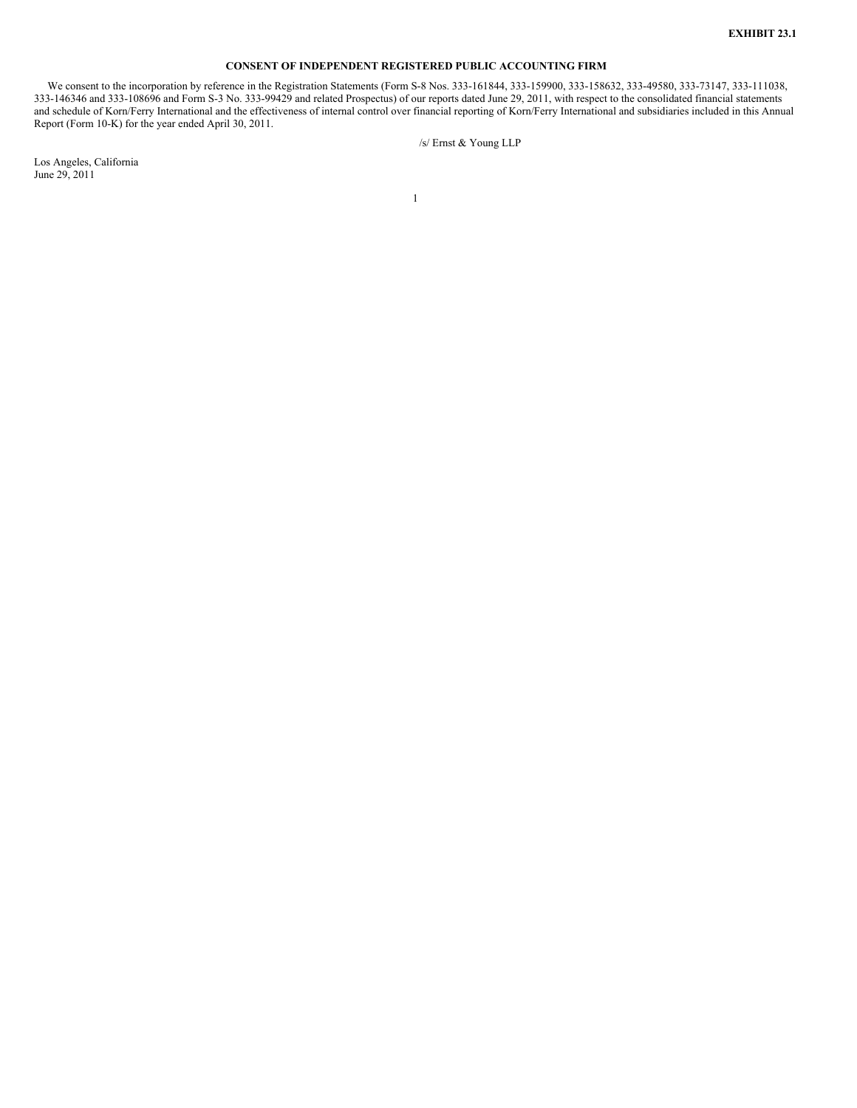# **CONSENT OF INDEPENDENT REGISTERED PUBLIC ACCOUNTING FIRM**

We consent to the incorporation by reference in the Registration Statements (Form S-8 Nos. 333-161844, 333-159900, 333-158632, 333-49580, 333-73147, 333-111038, 333-146346 and 333-108696 and Form S-3 No. 333-99429 and related Prospectus) of our reports dated June 29, 2011, with respect to the consolidated financial statements and schedule of Korn/Ferry International and the effectiveness of internal control over financial reporting of Korn/Ferry International and subsidiaries included in this Annual Report (Form 10-K) for the year ended April 30, 2011.

/s/ Ernst & Young LLP

Los Angeles, California June 29, 2011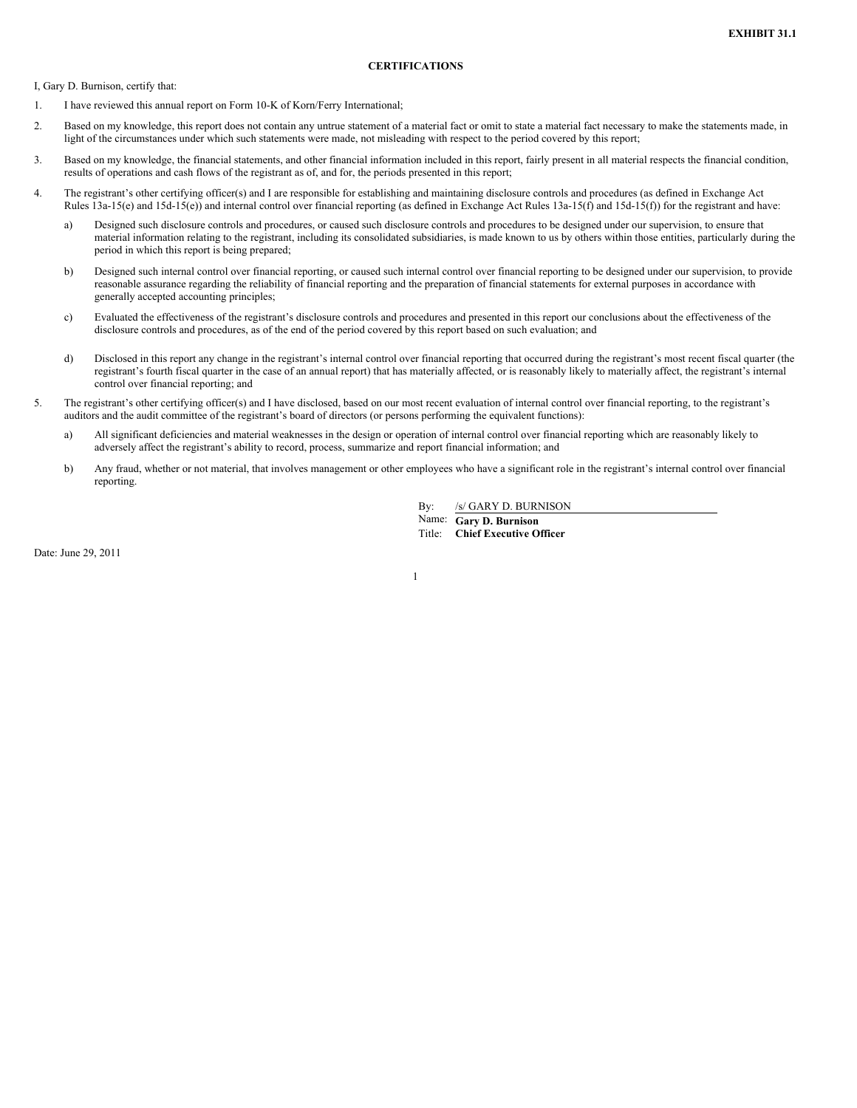# **CERTIFICATIONS**

I, Gary D. Burnison, certify that:

- 1. I have reviewed this annual report on Form 10-K of Korn/Ferry International;
- 2. Based on my knowledge, this report does not contain any untrue statement of a material fact or omit to state a material fact necessary to make the statements made, in light of the circumstances under which such statements were made, not misleading with respect to the period covered by this report;
- 3. Based on my knowledge, the financial statements, and other financial information included in this report, fairly present in all material respects the financial condition, results of operations and cash flows of the registrant as of, and for, the periods presented in this report;
- 4. The registrant's other certifying officer(s) and I are responsible for establishing and maintaining disclosure controls and procedures (as defined in Exchange Act Rules 13a-15(e) and 15d-15(e)) and internal control over financial reporting (as defined in Exchange Act Rules 13a-15(f) and 15d-15(f)) for the registrant and have:
	- a) Designed such disclosure controls and procedures, or caused such disclosure controls and procedures to be designed under our supervision, to ensure that material information relating to the registrant, including its consolidated subsidiaries, is made known to us by others within those entities, particularly during the period in which this report is being prepared;
	- b) Designed such internal control over financial reporting, or caused such internal control over financial reporting to be designed under our supervision, to provide reasonable assurance regarding the reliability of financial reporting and the preparation of financial statements for external purposes in accordance with generally accepted accounting principles;
	- c) Evaluated the effectiveness of the registrant's disclosure controls and procedures and presented in this report our conclusions about the effectiveness of the disclosure controls and procedures, as of the end of the period covered by this report based on such evaluation; and
	- d) Disclosed in this report any change in the registrant's internal control over financial reporting that occurred during the registrant's most recent fiscal quarter (the registrant's fourth fiscal quarter in the case of an annual report) that has materially affected, or is reasonably likely to materially affect, the registrant's internal control over financial reporting; and
- 5. The registrant's other certifying officer(s) and I have disclosed, based on our most recent evaluation of internal control over financial reporting, to the registrant's auditors and the audit committee of the registrant's board of directors (or persons performing the equivalent functions):
	- a) All significant deficiencies and material weaknesses in the design or operation of internal control over financial reporting which are reasonably likely to adversely affect the registrant's ability to record, process, summarize and report financial information; and
	- b) Any fraud, whether or not material, that involves management or other employees who have a significant role in the registrant's internal control over financial reporting.

1

By: /s/ GARY D. BURNISON

Name: **Gary D. Burnison** Title: **Chief Executive Officer**

Date: June 29, 2011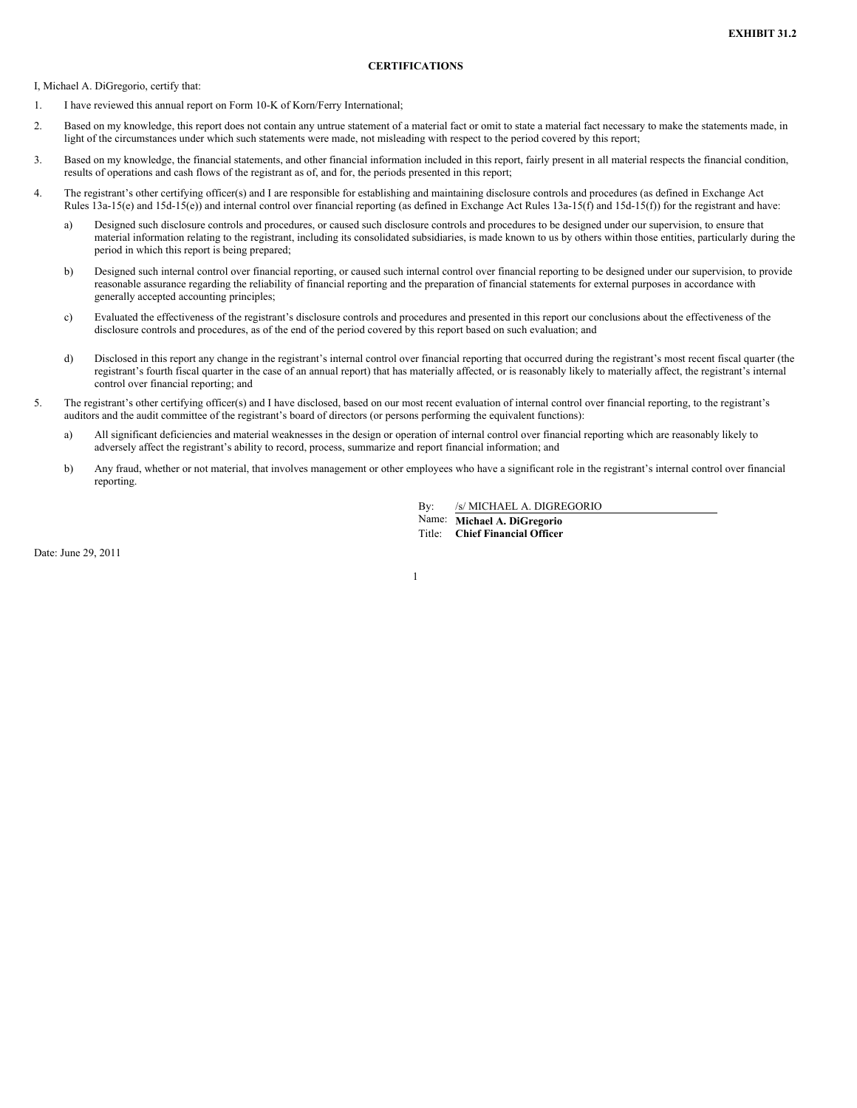# **CERTIFICATIONS**

I, Michael A. DiGregorio, certify that:

- 1. I have reviewed this annual report on Form 10-K of Korn/Ferry International;
- 2. Based on my knowledge, this report does not contain any untrue statement of a material fact or omit to state a material fact necessary to make the statements made, in light of the circumstances under which such statements were made, not misleading with respect to the period covered by this report;
- 3. Based on my knowledge, the financial statements, and other financial information included in this report, fairly present in all material respects the financial condition, results of operations and cash flows of the registrant as of, and for, the periods presented in this report;
- 4. The registrant's other certifying officer(s) and I are responsible for establishing and maintaining disclosure controls and procedures (as defined in Exchange Act Rules 13a-15(e) and 15d-15(e)) and internal control over financial reporting (as defined in Exchange Act Rules 13a-15(f) and 15d-15(f)) for the registrant and have:
	- a) Designed such disclosure controls and procedures, or caused such disclosure controls and procedures to be designed under our supervision, to ensure that material information relating to the registrant, including its consolidated subsidiaries, is made known to us by others within those entities, particularly during the period in which this report is being prepared;
	- b) Designed such internal control over financial reporting, or caused such internal control over financial reporting to be designed under our supervision, to provide reasonable assurance regarding the reliability of financial reporting and the preparation of financial statements for external purposes in accordance with generally accepted accounting principles;
	- c) Evaluated the effectiveness of the registrant's disclosure controls and procedures and presented in this report our conclusions about the effectiveness of the disclosure controls and procedures, as of the end of the period covered by this report based on such evaluation; and
	- d) Disclosed in this report any change in the registrant's internal control over financial reporting that occurred during the registrant's most recent fiscal quarter (the registrant's fourth fiscal quarter in the case of an annual report) that has materially affected, or is reasonably likely to materially affect, the registrant's internal control over financial reporting; and
- 5. The registrant's other certifying officer(s) and I have disclosed, based on our most recent evaluation of internal control over financial reporting, to the registrant's auditors and the audit committee of the registrant's board of directors (or persons performing the equivalent functions):
	- a) All significant deficiencies and material weaknesses in the design or operation of internal control over financial reporting which are reasonably likely to adversely affect the registrant's ability to record, process, summarize and report financial information; and
	- b) Any fraud, whether or not material, that involves management or other employees who have a significant role in the registrant's internal control over financial reporting.

1

By: /s/ MICHAEL A. DIGREGORIO

Name: **Michael A. DiGregorio** Title: **Chief Financial Officer**

Date: June 29, 2011